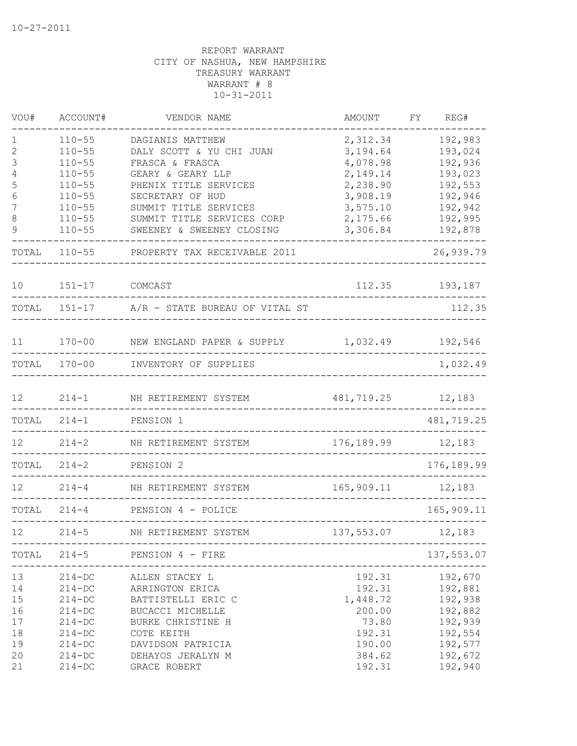| VOU#              | ACCOUNT#   | VENDOR NAME                                               | AMOUNT              | FΥ | REG#                 |
|-------------------|------------|-----------------------------------------------------------|---------------------|----|----------------------|
| $\mathbf 1$       | $110 - 55$ | DAGIANIS MATTHEW                                          | 2,312.34            |    | 192,983              |
| $\mathbf{2}$      | $110 - 55$ | DALY SCOTT & YU CHI JUAN                                  | 3,194.64            |    | 193,024              |
| 3                 | $110 - 55$ | FRASCA & FRASCA                                           | 4,078.98            |    | 192,936              |
| 4                 | $110 - 55$ | GEARY & GEARY LLP                                         | 2,149.14            |    | 193,023              |
| 5                 | $110 - 55$ | PHENIX TITLE SERVICES                                     | 2,238.90            |    | 192,553              |
| 6                 | $110 - 55$ | SECRETARY OF HUD                                          | 3,908.19            |    | 192,946              |
| 7                 | $110 - 55$ | SUMMIT TITLE SERVICES                                     | 3,575.10            |    | 192,942              |
| 8<br>9            | $110 - 55$ | SUMMIT TITLE SERVICES CORP                                | 2,175.66            |    | 192,995              |
|                   | $110 - 55$ | SWEENEY & SWEENEY CLOSING                                 | 3,306.84            |    | 192,878              |
| TOTAL             | $110 - 55$ | PROPERTY TAX RECEIVABLE 2011                              |                     |    | 26,939.79            |
| 10                | $151 - 17$ | COMCAST                                                   | 112.35              |    | 193,187              |
|                   |            | TOTAL 151-17 A/R - STATE BUREAU OF VITAL ST               |                     |    | 112.35               |
| 11                | $170 - 00$ | NEW ENGLAND PAPER & SUPPLY 1,032.49                       |                     |    | 192,546              |
|                   |            |                                                           |                     |    |                      |
| TOTAL             | $170 - 00$ | INVENTORY OF SUPPLIES                                     |                     |    | 1,032.49             |
| 12 <sup>°</sup>   | $214 - 1$  | NH RETIREMENT SYSTEM                                      | 481,719.25 12,183   |    |                      |
| TOTAL             | $214 - 1$  | PENSION 1                                                 |                     |    | 481,719.25           |
| $12 \overline{ }$ | $214 - 2$  | NH RETIREMENT SYSTEM                                      | 176, 189.99 12, 183 |    |                      |
| TOTAL             | $214 - 2$  | PENSION 2                                                 |                     |    | 176, 189.99          |
| 12                | $214 - 4$  | NH RETIREMENT SYSTEM                                      | 165,909.11 12,183   |    |                      |
| TOTAL             | $214 - 4$  | PENSION 4 - POLICE                                        |                     |    | 165,909.11           |
| 12                | $214 - 5$  | NH RETIREMENT SYSTEM<br>_________________________________ | 137,553.07          |    | 12,183               |
| TOTAL             | $214 - 5$  | PENSION 4 - FIRE<br>________________________              |                     |    | 137,553.07<br>------ |
| 13                | $214 - DC$ | ALLEN STACEY L                                            | 192.31              |    | 192,670              |
| 14                | $214 - DC$ | ARRINGTON ERICA                                           | 192.31              |    | 192,881              |
| 15                | $214 - DC$ | BATTISTELLI ERIC C                                        | 1,448.72            |    | 192,938              |
| 16                | $214 - DC$ | BUCACCI MICHELLE                                          | 200.00              |    | 192,882              |
| 17                | $214 - DC$ | BURKE CHRISTINE H                                         | 73.80               |    | 192,939              |
| 18                | $214 - DC$ | COTE KEITH                                                | 192.31              |    | 192,554              |
| 19                | $214 - DC$ | DAVIDSON PATRICIA                                         | 190.00              |    | 192,577              |
| 20                | $214 - DC$ | DEHAYOS JERALYN M                                         | 384.62              |    | 192,672              |
| 21                | $214 - DC$ | GRACE ROBERT                                              | 192.31              |    | 192,940              |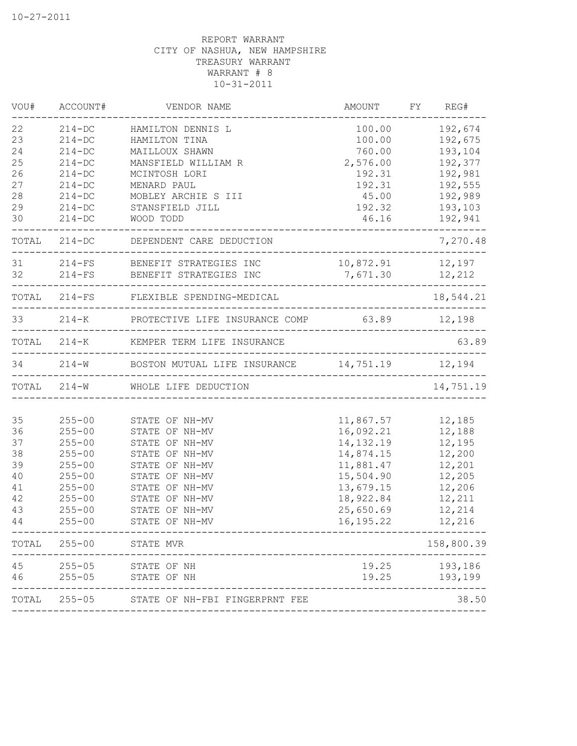| VOU#  | ACCOUNT#   | VENDOR NAME                                            | AMOUNT           | FY REG#        |
|-------|------------|--------------------------------------------------------|------------------|----------------|
| 22    | $214 - DC$ | HAMILTON DENNIS L                                      | 100.00           | 192,674        |
| 23    | $214 - DC$ | HAMILTON TINA                                          | 100.00           | 192,675        |
| 24    | $214 - DC$ | MAILLOUX SHAWN                                         | 760.00           | 193,104        |
| 25    | $214 - DC$ | MANSFIELD WILLIAM R                                    | 2,576.00         | 192,377        |
| 26    | $214 - DC$ | MCINTOSH LORI                                          | 192.31           | 192,981        |
| 27    | $214 - DC$ | MENARD PAUL                                            | 192.31           | 192,555        |
| 28    | $214 - DC$ | MOBLEY ARCHIE S III                                    | 45.00            | 192,989        |
| 29    | $214 - DC$ | STANSFIELD JILL                                        | 192.32           | 193,103        |
| 30    | $214 - DC$ | WOOD TODD                                              | 46.16            | 192,941        |
|       |            | TOTAL 214-DC DEPENDENT CARE DEDUCTION                  |                  | 7,270.48       |
|       |            | 31 214-FS BENEFIT STRATEGIES INC                       | 10,872.91 12,197 |                |
| 32    |            | 214-FS BENEFIT STRATEGIES INC                          | 7,671.30 12,212  | -------------- |
|       |            | TOTAL 214-FS FLEXIBLE SPENDING-MEDICAL                 |                  | 18,544.21      |
|       |            | 33 214-K PROTECTIVE LIFE INSURANCE COMP 63.89 12,198   |                  |                |
|       |            | TOTAL 214-K KEMPER TERM LIFE INSURANCE                 |                  | 63.89          |
|       |            | 34 214-W BOSTON MUTUAL LIFE INSURANCE 14,751.19 12,194 |                  |                |
|       |            | TOTAL 214-W WHOLE LIFE DEDUCTION                       |                  | 14,751.19      |
|       |            |                                                        |                  |                |
| 35    | $255 - 00$ | STATE OF NH-MV                                         | 11,867.57        | 12,185         |
| 36    | $255 - 00$ | STATE OF NH-MV                                         | 16,092.21        | 12,188         |
| 37    | $255 - 00$ | STATE OF NH-MV                                         | 14, 132. 19      | 12,195         |
| 38    | $255 - 00$ | STATE OF NH-MV                                         | 14,874.15        | 12,200         |
| 39    | $255 - 00$ | STATE OF NH-MV                                         | 11,881.47        | 12,201         |
| 40    | $255 - 00$ | STATE OF NH-MV                                         | 15,504.90        | 12,205         |
| 41    | $255 - 00$ | STATE OF NH-MV                                         | 13,679.15        | 12,206         |
| 42    | $255 - 00$ | STATE OF NH-MV                                         | 18,922.84        | 12,211         |
| 43    | $255 - 00$ | STATE OF NH-MV                                         | 25,650.69        | 12,214         |
| 44    | $255 - 00$ | STATE OF NH-MV                                         | 16, 195. 22      | 12,216         |
| TOTAL | $255 - 00$ | STATE MVR                                              |                  | 158,800.39     |
| 45    | $255 - 05$ | STATE OF NH                                            | 19.25            | 193,186        |
| 46    | $255 - 05$ | STATE OF NH                                            | 19.25            | 193,199        |
| TOTAL | $255 - 05$ | STATE OF NH-FBI FINGERPRNT FEE                         |                  | 38.50          |
|       |            |                                                        |                  |                |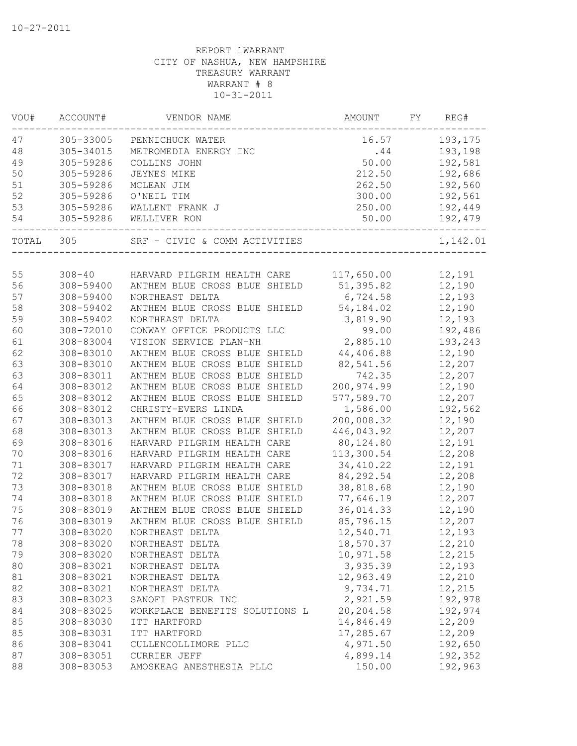| VOU#  | ACCOUNT#   | VENDOR NAME                    | AMOUNT      | FΥ | REG#     |
|-------|------------|--------------------------------|-------------|----|----------|
| 47    | 305-33005  | PENNICHUCK WATER               | 16.57       |    | 193,175  |
| 48    | 305-34015  | METROMEDIA ENERGY INC          | .44         |    | 193,198  |
| 49    | 305-59286  | COLLINS JOHN                   | 50.00       |    | 192,581  |
| 50    | 305-59286  | JEYNES MIKE                    | 212.50      |    | 192,686  |
| 51    | 305-59286  | MCLEAN JIM                     | 262.50      |    | 192,560  |
| 52    | 305-59286  | O'NEIL TIM                     | 300.00      |    | 192,561  |
| 53    | 305-59286  | WALLENT FRANK J                | 250.00      |    | 192,449  |
| 54    | 305-59286  | WELLIVER RON                   | 50.00       |    | 192,479  |
| TOTAL | 305        | SRF - CIVIC & COMM ACTIVITIES  |             |    | 1,142.01 |
|       |            |                                |             |    |          |
| 55    | $308 - 40$ | HARVARD PILGRIM HEALTH CARE    | 117,650.00  |    | 12,191   |
| 56    | 308-59400  | ANTHEM BLUE CROSS BLUE SHIELD  | 51,395.82   |    | 12,190   |
| 57    | 308-59400  | NORTHEAST DELTA                | 6,724.58    |    | 12,193   |
| 58    | 308-59402  | ANTHEM BLUE CROSS BLUE SHIELD  | 54,184.02   |    | 12,190   |
| 59    | 308-59402  | NORTHEAST DELTA                | 3,819.90    |    | 12,193   |
| 60    | 308-72010  | CONWAY OFFICE PRODUCTS LLC     | 99.00       |    | 192,486  |
| 61    | 308-83004  | VISION SERVICE PLAN-NH         | 2,885.10    |    | 193,243  |
| 62    | 308-83010  | ANTHEM BLUE CROSS BLUE SHIELD  | 44,406.88   |    | 12,190   |
| 63    | 308-83010  | ANTHEM BLUE CROSS BLUE SHIELD  | 82,541.56   |    | 12,207   |
| 63    | 308-83011  | ANTHEM BLUE CROSS BLUE SHIELD  | 742.35      |    | 12,207   |
| 64    | 308-83012  | ANTHEM BLUE CROSS BLUE SHIELD  | 200, 974.99 |    | 12,190   |
| 65    | 308-83012  | ANTHEM BLUE CROSS BLUE SHIELD  | 577,589.70  |    | 12,207   |
| 66    | 308-83012  | CHRISTY-EVERS LINDA            | 1,586.00    |    | 192,562  |
| 67    | 308-83013  | ANTHEM BLUE CROSS BLUE SHIELD  | 200,008.32  |    | 12,190   |
| 68    | 308-83013  | ANTHEM BLUE CROSS BLUE SHIELD  | 446,043.92  |    | 12,207   |
| 69    | 308-83016  | HARVARD PILGRIM HEALTH CARE    | 80,124.80   |    | 12,191   |
| 70    | 308-83016  | HARVARD PILGRIM HEALTH CARE    | 113,300.54  |    | 12,208   |
| 71    | 308-83017  | HARVARD PILGRIM HEALTH CARE    | 34,410.22   |    | 12,191   |
| 72    | 308-83017  | HARVARD PILGRIM HEALTH CARE    | 84, 292.54  |    | 12,208   |
| 73    | 308-83018  | ANTHEM BLUE CROSS BLUE SHIELD  | 38,818.68   |    | 12,190   |
| 74    | 308-83018  | ANTHEM BLUE CROSS BLUE SHIELD  | 77,646.19   |    | 12,207   |
| 75    | 308-83019  | ANTHEM BLUE CROSS BLUE SHIELD  | 36,014.33   |    | 12,190   |
| 76    | 308-83019  | ANTHEM BLUE CROSS BLUE SHIELD  | 85,796.15   |    | 12,207   |
| 77    | 308-83020  | NORTHEAST DELTA                | 12,540.71   |    | 12,193   |
| 78    | 308-83020  | NORTHEAST DELTA                | 18,570.37   |    | 12,210   |
| 79    | 308-83020  | NORTHEAST DELTA                | 10,971.58   |    | 12,215   |
| 80    | 308-83021  | NORTHEAST DELTA                | 3,935.39    |    | 12,193   |
| 81    | 308-83021  | NORTHEAST DELTA                | 12,963.49   |    | 12,210   |
| 82    | 308-83021  | NORTHEAST DELTA                | 9,734.71    |    | 12,215   |
| 83    | 308-83023  | SANOFI PASTEUR INC             | 2,921.59    |    | 192,978  |
| 84    | 308-83025  | WORKPLACE BENEFITS SOLUTIONS L | 20,204.58   |    | 192,974  |
| 85    | 308-83030  | ITT HARTFORD                   | 14,846.49   |    | 12,209   |
| 85    | 308-83031  | ITT HARTFORD                   | 17,285.67   |    | 12,209   |
| 86    | 308-83041  | CULLENCOLLIMORE PLLC           | 4,971.50    |    | 192,650  |
| 87    | 308-83051  | CURRIER JEFF                   | 4,899.14    |    | 192,352  |
| 88    | 308-83053  | AMOSKEAG ANESTHESIA PLLC       | 150.00      |    | 192,963  |
|       |            |                                |             |    |          |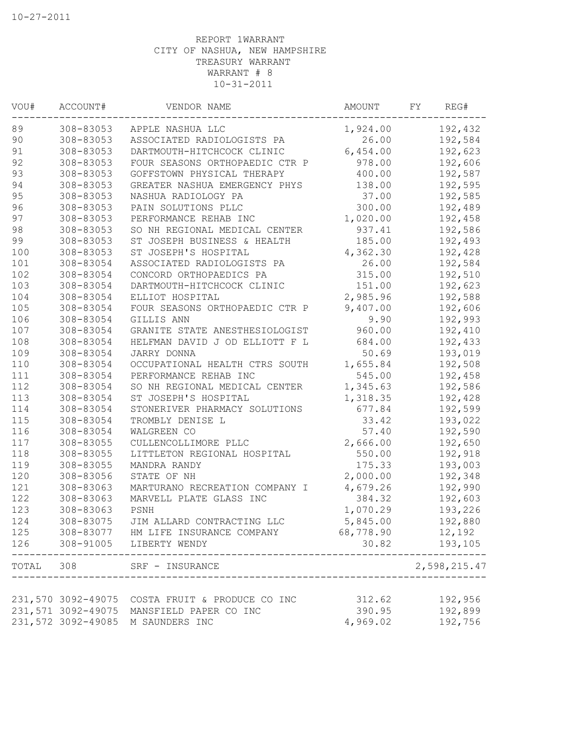| VOU#  | ACCOUNT#           | VENDOR NAME                    | <b>AMOUNT</b> | FY | REG#         |
|-------|--------------------|--------------------------------|---------------|----|--------------|
| 89    | 308-83053          | APPLE NASHUA LLC               | 1,924.00      |    | 192,432      |
| 90    | 308-83053          | ASSOCIATED RADIOLOGISTS PA     | 26.00         |    | 192,584      |
| 91    | 308-83053          | DARTMOUTH-HITCHCOCK CLINIC     | 6,454.00      |    | 192,623      |
| 92    | 308-83053          | FOUR SEASONS ORTHOPAEDIC CTR P | 978.00        |    | 192,606      |
| 93    | 308-83053          | GOFFSTOWN PHYSICAL THERAPY     | 400.00        |    | 192,587      |
| 94    | 308-83053          | GREATER NASHUA EMERGENCY PHYS  | 138.00        |    | 192,595      |
| 95    | 308-83053          | NASHUA RADIOLOGY PA            | 37.00         |    | 192,585      |
| 96    | 308-83053          | PAIN SOLUTIONS PLLC            | 300.00        |    | 192,489      |
| 97    | 308-83053          | PERFORMANCE REHAB INC          | 1,020.00      |    | 192,458      |
| 98    | 308-83053          | SO NH REGIONAL MEDICAL CENTER  | 937.41        |    | 192,586      |
| 99    | 308-83053          | ST JOSEPH BUSINESS & HEALTH    | 185.00        |    | 192,493      |
| 100   | 308-83053          | ST JOSEPH'S HOSPITAL           | 4,362.30      |    | 192,428      |
| 101   | 308-83054          | ASSOCIATED RADIOLOGISTS PA     | 26.00         |    | 192,584      |
| 102   | 308-83054          | CONCORD ORTHOPAEDICS PA        | 315.00        |    | 192,510      |
| 103   | 308-83054          | DARTMOUTH-HITCHCOCK CLINIC     | 151.00        |    | 192,623      |
| 104   | 308-83054          | ELLIOT HOSPITAL                | 2,985.96      |    | 192,588      |
| 105   | 308-83054          | FOUR SEASONS ORTHOPAEDIC CTR P | 9,407.00      |    | 192,606      |
| 106   | 308-83054          | GILLIS ANN                     | 9.90          |    | 192,993      |
| 107   | 308-83054          | GRANITE STATE ANESTHESIOLOGIST | 960.00        |    | 192,410      |
| 108   | 308-83054          | HELFMAN DAVID J OD ELLIOTT F L | 684.00        |    | 192,433      |
| 109   | 308-83054          | JARRY DONNA                    | 50.69         |    | 193,019      |
| 110   | 308-83054          | OCCUPATIONAL HEALTH CTRS SOUTH | 1,655.84      |    | 192,508      |
| 111   | 308-83054          | PERFORMANCE REHAB INC          | 545.00        |    | 192,458      |
| 112   | 308-83054          | SO NH REGIONAL MEDICAL CENTER  | 1,345.63      |    | 192,586      |
| 113   | 308-83054          | ST JOSEPH'S HOSPITAL           | 1,318.35      |    | 192,428      |
| 114   | 308-83054          | STONERIVER PHARMACY SOLUTIONS  | 677.84        |    | 192,599      |
| 115   | 308-83054          | TROMBLY DENISE L               | 33.42         |    | 193,022      |
| 116   | 308-83054          | WALGREEN CO                    | 57.40         |    | 192,590      |
| 117   | 308-83055          | CULLENCOLLIMORE PLLC           | 2,666.00      |    | 192,650      |
| 118   | 308-83055          | LITTLETON REGIONAL HOSPITAL    | 550.00        |    | 192,918      |
| 119   | 308-83055          | MANDRA RANDY                   | 175.33        |    | 193,003      |
| 120   | 308-83056          | STATE OF NH                    | 2,000.00      |    | 192,348      |
| 121   | 308-83063          | MARTURANO RECREATION COMPANY I | 4,679.26      |    | 192,990      |
| 122   | 308-83063          | MARVELL PLATE GLASS INC        | 384.32        |    | 192,603      |
| 123   | 308-83063          | PSNH                           | 1,070.29      |    | 193,226      |
| 124   | 308-83075          | JIM ALLARD CONTRACTING LLC     | 5,845.00      |    | 192,880      |
| 125   | 308-83077          | HM LIFE INSURANCE COMPANY      | 68,778.90     |    | 12,192       |
| 126   | 308-91005          | LIBERTY WENDY                  | 30.82         |    | 193,105      |
| TOTAL | 308                | SRF - INSURANCE                |               |    | 2,598,215.47 |
|       |                    |                                |               |    |              |
|       | 231,570 3092-49075 | COSTA FRUIT & PRODUCE CO INC   | 312.62        |    | 192,956      |
|       | 231,571 3092-49075 | MANSFIELD PAPER CO INC         | 390.95        |    | 192,899      |
|       | 231,572 3092-49085 | M SAUNDERS INC                 | 4,969.02      |    | 192,756      |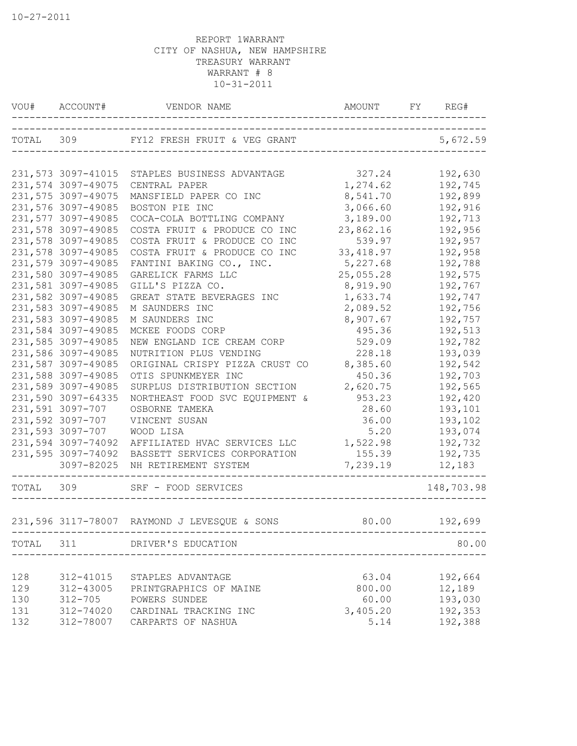| VOU#      | ACCOUNT#                                 | VENDOR NAME                                                | AMOUNT<br>____________________________ | REG#<br>FY         |
|-----------|------------------------------------------|------------------------------------------------------------|----------------------------------------|--------------------|
|           |                                          | TOTAL 309 FY12 FRESH FRUIT & VEG GRANT                     |                                        | 5,672.59           |
|           |                                          |                                                            |                                        |                    |
|           | 231,573 3097-41015                       | STAPLES BUSINESS ADVANTAGE                                 | 327.24                                 | 192,630            |
|           | 231,574 3097-49075                       | CENTRAL PAPER                                              | 1,274.62                               | 192,745            |
|           | 231,575 3097-49075                       | MANSFIELD PAPER CO INC                                     | 8,541.70                               | 192,899            |
|           | 231,576 3097-49085                       | BOSTON PIE INC                                             | 3,066.60                               | 192,916            |
|           | 231,577 3097-49085<br>231,578 3097-49085 | COCA-COLA BOTTLING COMPANY<br>COSTA FRUIT & PRODUCE CO INC | 3,189.00<br>23,862.16                  | 192,713<br>192,956 |
|           | 231,578 3097-49085                       | COSTA FRUIT & PRODUCE CO INC                               | 539.97                                 | 192,957            |
|           | 231,578 3097-49085                       | COSTA FRUIT & PRODUCE CO INC                               | 33, 418.97                             | 192,958            |
|           | 231,579 3097-49085                       | FANTINI BAKING CO., INC.                                   | 5,227.68                               | 192,788            |
|           | 231,580 3097-49085                       | GARELICK FARMS LLC                                         | 25,055.28                              | 192,575            |
|           | 231,581 3097-49085                       | GILL'S PIZZA CO.                                           | 8,919.90                               | 192,767            |
|           | 231,582 3097-49085                       | GREAT STATE BEVERAGES INC                                  | 1,633.74                               | 192,747            |
|           | 231,583 3097-49085                       | M SAUNDERS INC                                             | 2,089.52                               | 192,756            |
|           | 231,583 3097-49085                       | M SAUNDERS INC                                             | 8,907.67                               | 192,757            |
|           | 231,584 3097-49085                       | MCKEE FOODS CORP                                           | 495.36                                 | 192,513            |
|           | 231,585 3097-49085                       | NEW ENGLAND ICE CREAM CORP                                 | 529.09                                 | 192,782            |
|           | 231,586 3097-49085                       | NUTRITION PLUS VENDING                                     | 228.18                                 | 193,039            |
|           | 231,587 3097-49085                       | ORIGINAL CRISPY PIZZA CRUST CO                             | 8,385.60                               | 192,542            |
|           | 231,588 3097-49085                       | OTIS SPUNKMEYER INC                                        | 450.36                                 | 192,703            |
|           | 231,589 3097-49085                       | SURPLUS DISTRIBUTION SECTION                               | 2,620.75                               | 192,565            |
|           | 231,590 3097-64335                       | NORTHEAST FOOD SVC EQUIPMENT &                             | 953.23                                 | 192,420            |
|           | 231,591 3097-707                         | OSBORNE TAMEKA                                             | 28.60                                  | 193,101            |
|           | 231,592 3097-707                         | VINCENT SUSAN                                              | 36.00                                  | 193,102            |
|           | 231,593 3097-707                         | WOOD LISA                                                  | 5.20                                   | 193,074            |
|           | 231,594 3097-74092                       | AFFILIATED HVAC SERVICES LLC                               | 1,522.98                               | 192,732            |
|           | 231,595 3097-74092                       | BASSETT SERVICES CORPORATION                               | 155.39                                 | 192,735            |
|           | 3097-82025                               | NH RETIREMENT SYSTEM                                       | 7,239.19                               | 12,183             |
| TOTAL     | 309                                      | SRF - FOOD SERVICES                                        |                                        | 148,703.98         |
|           |                                          | 231,596 3117-78007 RAYMOND J LEVESQUE & SONS               | 80.00                                  | 192,699            |
|           |                                          |                                                            |                                        |                    |
| TOTAL 311 |                                          | DRIVER'S EDUCATION                                         | _______________________                | 80.00              |
| 128       | 312-41015                                | STAPLES ADVANTAGE                                          | 63.04                                  | 192,664            |
| 129       | 312-43005                                | PRINTGRAPHICS OF MAINE                                     | 800.00                                 | 12,189             |
| 130       | $312 - 705$                              | POWERS SUNDEE                                              | 60.00                                  | 193,030            |
| 131       | 312-74020                                | CARDINAL TRACKING INC                                      | 3,405.20                               | 192,353            |
| 132       | 312-78007                                | CARPARTS OF NASHUA                                         | 5.14                                   | 192,388            |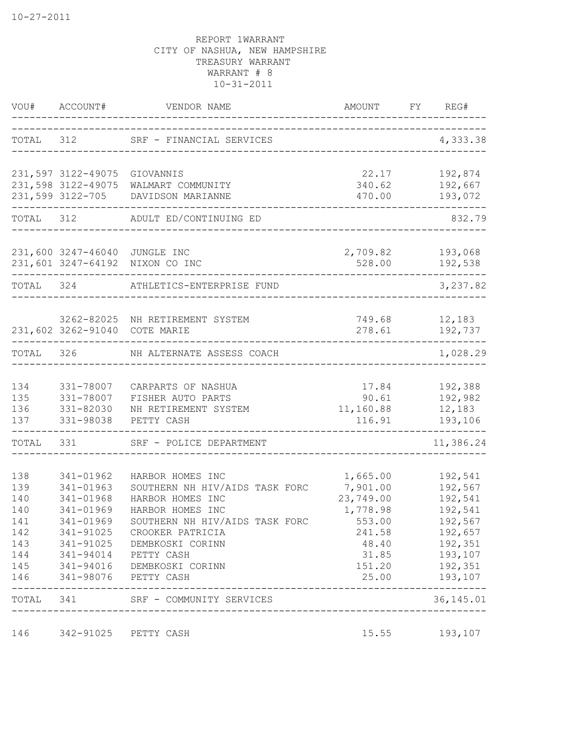| VOU#      | ACCOUNT#                      | VENDOR NAME<br>--------------------------------              | AMOUNT                         | FY REG#    |
|-----------|-------------------------------|--------------------------------------------------------------|--------------------------------|------------|
| TOTAL 312 |                               | SRF - FINANCIAL SERVICES                                     |                                | 4,333.38   |
|           | 231,597 3122-49075 GIOVANNIS  |                                                              | 22.17                          | 192,874    |
|           | 231,598 3122-49075            | WALMART COMMUNITY                                            | 340.62                         | 192,667    |
|           |                               | 231,599 3122-705 DAVIDSON MARIANNE                           | 470.00                         | 193,072    |
| TOTAL 312 |                               | ADULT ED/CONTINUING ED                                       | _____________________          | 832.79     |
|           | 231,600 3247-46040 JUNGLE INC |                                                              | 2,709.82                       | 193,068    |
|           |                               | 231,601 3247-64192 NIXON CO INC                              | 528.00                         | 192,538    |
| TOTAL 324 |                               | ATHLETICS-ENTERPRISE FUND                                    |                                | 3,237.82   |
|           |                               | 3262-82025 NH RETIREMENT SYSTEM                              | 749.68                         | 12,183     |
|           | 231,602 3262-91040 COTE MARIE |                                                              | 278.61                         | 192,737    |
| TOTAL 326 |                               | NH ALTERNATE ASSESS COACH                                    |                                | 1,028.29   |
| 134       | 331-78007                     | CARPARTS OF NASHUA                                           | 17.84                          | 192,388    |
| 135       | 331-78007                     | FISHER AUTO PARTS                                            | 90.61                          | 192,982    |
| 136       | 331-82030                     | NH RETIREMENT SYSTEM                                         | 11,160.88                      | 12,183     |
| 137       | 331-98038                     | PETTY CASH                                                   | 116.91                         | 193,106    |
| TOTAL 331 |                               | SRF - POLICE DEPARTMENT                                      |                                | 11,386.24  |
| 138       | 341-01962                     | HARBOR HOMES INC                                             | 1,665.00                       | 192,541    |
| 139       | 341-01963                     | SOUTHERN NH HIV/AIDS TASK FORC                               | 7,901.00                       | 192,567    |
| 140       | 341-01968                     | HARBOR HOMES INC                                             | 23,749.00                      | 192,541    |
| 140       | 341-01969                     | HARBOR HOMES INC                                             | 1,778.98                       | 192,541    |
| 141       | 341-01969                     | SOUTHERN NH HIV/AIDS TASK FORC                               | 553.00                         | 192,567    |
| 142       |                               | 341-91025 CROOKER PATRICIA<br>143 341-91025 DEMBKOSKI CORINN | 241.58<br>48.40    192,351     | 192,657    |
|           |                               | 144 341-94014 PETTY CASH                                     | 31.85 193,107                  |            |
|           |                               | 145 341-94016 DEMBKOSKI CORINN                               | 151.20 192,351                 |            |
|           |                               | 146 341-98076 PETTY CASH                                     | 25.00 193,107                  |            |
|           | ______________________        | TOTAL 341 SRF - COMMUNITY SERVICES                           | ______________________________ | 36, 145.01 |
|           |                               | 146 342-91025 PETTY CASH                                     | 15.55                          | 193,107    |
|           |                               |                                                              |                                |            |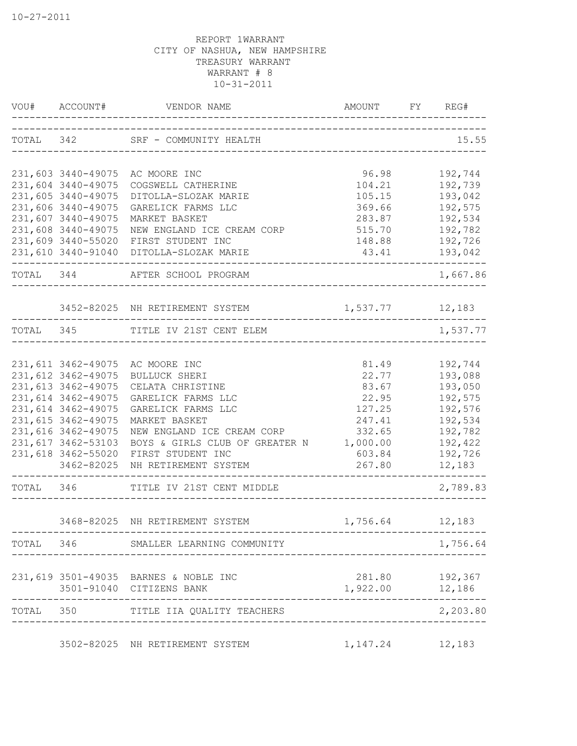|           | VOU# ACCOUNT#                            |                                                              |                                     | FY REG#                        |
|-----------|------------------------------------------|--------------------------------------------------------------|-------------------------------------|--------------------------------|
|           |                                          | TOTAL 342 SRF - COMMUNITY HEALTH                             | -----------------------------       | 15.55                          |
|           | 231,603 3440-49075                       | AC MOORE INC                                                 | 96.98                               | 192,744                        |
|           | 231,604 3440-49075                       | COGSWELL CATHERINE                                           | 104.21                              | 192,739                        |
|           | 231,605 3440-49075                       | DITOLLA-SLOZAK MARIE                                         | 105.15                              | 193,042                        |
|           | 231,606 3440-49075                       | GARELICK FARMS LLC                                           | 369.66                              | 192,575                        |
|           | 231,607 3440-49075                       | MARKET BASKET                                                | 283.87                              | 192,534                        |
|           | 231,608 3440-49075                       | NEW ENGLAND ICE CREAM CORP                                   | 515.70                              | 192,782                        |
|           | 231,609 3440-55020                       | FIRST STUDENT INC<br>231,610 3440-91040 DITOLLA-SLOZAK MARIE | 148.88                              | 192,726<br>43.41 193,042       |
|           |                                          | TOTAL 344 AFTER SCHOOL PROGRAM                               |                                     | -------------<br>1,667.86      |
|           |                                          |                                                              |                                     |                                |
|           |                                          | 3452-82025 NH RETIREMENT SYSTEM<br>-----------------         | 1,537.77 12,183                     |                                |
|           |                                          | TOTAL 345 TITLE IV 21ST CENT ELEM                            | _________________________________   | 1,537.77                       |
|           |                                          |                                                              |                                     |                                |
|           |                                          | 231,611 3462-49075 AC MOORE INC                              | 81.49                               | 192,744                        |
|           | 231,612 3462-49075                       | <b>BULLUCK SHERI</b>                                         | 22.77                               | 193,088                        |
|           | 231,613 3462-49075                       | CELATA CHRISTINE                                             | 83.67                               | 193,050                        |
|           | 231,614 3462-49075                       | GARELICK FARMS LLC                                           | 22.95                               | 192,575                        |
|           | 231,614 3462-49075                       | GARELICK FARMS LLC                                           | 127.25                              | 192,576                        |
|           | 231,615 3462-49075<br>231,616 3462-49075 | MARKET BASKET                                                | 247.41                              | 192,534                        |
|           | 231,617 3462-53103                       | NEW ENGLAND ICE CREAM CORP<br>BOYS & GIRLS CLUB OF GREATER N | 332.65<br>1,000.00                  | 192,782<br>192,422             |
|           | 231,618 3462-55020                       | FIRST STUDENT INC                                            | 603.84                              | 192,726                        |
|           | 3462-82025                               | NH RETIREMENT SYSTEM                                         | 267.80                              | 12,183                         |
| TOTAL 346 |                                          | TITLE IV 21ST CENT MIDDLE                                    | ___________________________________ | ------------------<br>2,789.83 |
|           |                                          | 3468-82025 NH RETIREMENT SYSTEM                              | 1,756.64                            | 12,183                         |
|           |                                          |                                                              |                                     |                                |
|           |                                          | TOTAL 346 SMALLER LEARNING COMMUNITY                         |                                     | 1,756.64                       |
|           |                                          | 231,619 3501-49035 BARNES & NOBLE INC                        | 281.80                              | 192,367                        |
|           |                                          | 3501-91040 CITIZENS BANK                                     | 1,922.00 12,186                     |                                |
|           |                                          | TOTAL 350 TITLE IIA QUALITY TEACHERS                         |                                     | 2,203.80                       |
|           |                                          | 3502-82025 NH RETIREMENT SYSTEM                              | 1,147.24                            | 12,183                         |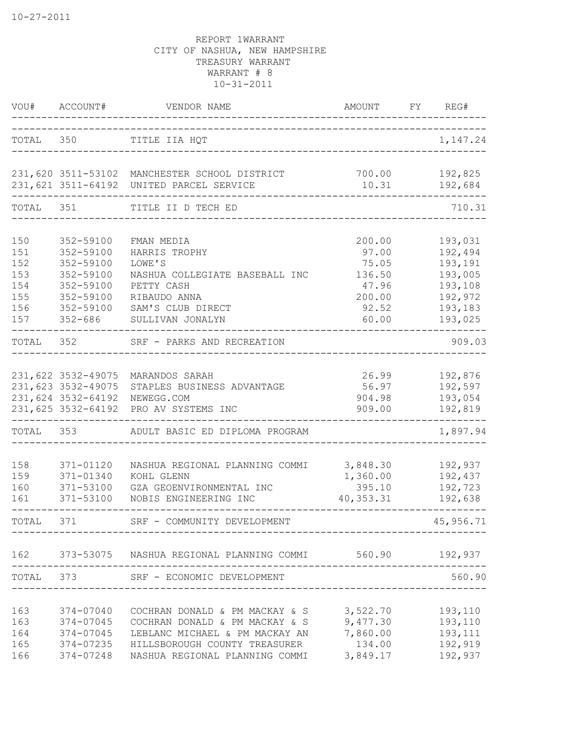|                          | VOU# ACCOUNT#                                                  | VENDOR NAME                                                                                                                                                                                                                                       | AMOUNT                                       | FY | REG#                                     |
|--------------------------|----------------------------------------------------------------|---------------------------------------------------------------------------------------------------------------------------------------------------------------------------------------------------------------------------------------------------|----------------------------------------------|----|------------------------------------------|
| TOTAL 350                |                                                                | TITLE IIA HQT<br>______________________                                                                                                                                                                                                           |                                              |    | 1,147.24                                 |
|                          |                                                                | 231,620 3511-53102 MANCHESTER SCHOOL DISTRICT<br>231,621 3511-64192 UNITED PARCEL SERVICE                                                                                                                                                         | 700.00<br>10.31                              |    | 192,825<br>192,684                       |
| TOTAL 351                |                                                                | TITLE II D TECH ED                                                                                                                                                                                                                                |                                              |    | 710.31                                   |
| 150<br>151               | 352-59100<br>352-59100                                         | FMAN MEDIA<br>HARRIS TROPHY                                                                                                                                                                                                                       | 200.00<br>97.00                              |    | 193,031<br>192,494                       |
| 152<br>153<br>154        | 352-59100<br>352-59100<br>352-59100                            | LOWE'S<br>NASHUA COLLEGIATE BASEBALL INC<br>PETTY CASH                                                                                                                                                                                            | 75.05<br>136.50<br>47.96                     |    | 193,191<br>193,005<br>193,108            |
| 155<br>156<br>157        | 352-59100<br>352-59100<br>$352 - 686$                          | RIBAUDO ANNA<br>SAM'S CLUB DIRECT<br>SULLIVAN JONALYN                                                                                                                                                                                             | 200.00<br>92.52<br>60.00                     |    | 192,972<br>193,183<br>193,025            |
| TOTAL 352                |                                                                | SRF - PARKS AND RECREATION                                                                                                                                                                                                                        |                                              |    | 909.03                                   |
|                          | 231,622 3532-49075<br>231,623 3532-49075<br>231,624 3532-64192 | MARANDOS SARAH<br>STAPLES BUSINESS ADVANTAGE<br>NEWEGG.COM                                                                                                                                                                                        | 26.99<br>56.97<br>904.98                     |    | 192,876<br>192,597<br>193,054            |
| TOTAL                    | 353                                                            | 231,625 3532-64192 PRO AV SYSTEMS INC<br>ADULT BASIC ED DIPLOMA PROGRAM                                                                                                                                                                           | 909.00                                       |    | 192,819<br>1,897.94                      |
| 158<br>159<br>160<br>161 | 371-01120<br>371-01340<br>371-53100<br>371-53100               | NASHUA REGIONAL PLANNING COMMI<br>KOHL GLENN<br>GZA GEOENVIRONMENTAL INC<br>NOBIS ENGINEERING INC                                                                                                                                                 | 3,848.30<br>1,360.00<br>395.10<br>40, 353.31 |    | 192,937<br>192,437<br>192,723<br>192,638 |
| TOTAL 371                |                                                                | SRF - COMMUNITY DEVELOPMENT                                                                                                                                                                                                                       |                                              |    | 45,956.71                                |
|                          | -------------                                                  | 162 373-53075 NASHUA REGIONAL PLANNING COMMI 560.90 192,937                                                                                                                                                                                       | ----------------------------                 |    |                                          |
|                          |                                                                | TOTAL 373 SRF - ECONOMIC DEVELOPMENT                                                                                                                                                                                                              | ____________________________                 |    | 560.90                                   |
| 165<br>166               |                                                                | 163 374-07040 COCHRAN DONALD & PM MACKAY & S 3,522.70 193,110<br>163 374-07045 COCHRAN DONALD & PM MACKAY & S 9,477.30 193,110<br>164 374-07045 LEBLANC MICHAEL & PM MACKAY AN 7,860.00 193,111<br>374-07235 HILLSBOROUGH COUNTY TREASURER 134.00 | 3,849.17                                     |    | 192,919<br>192,937                       |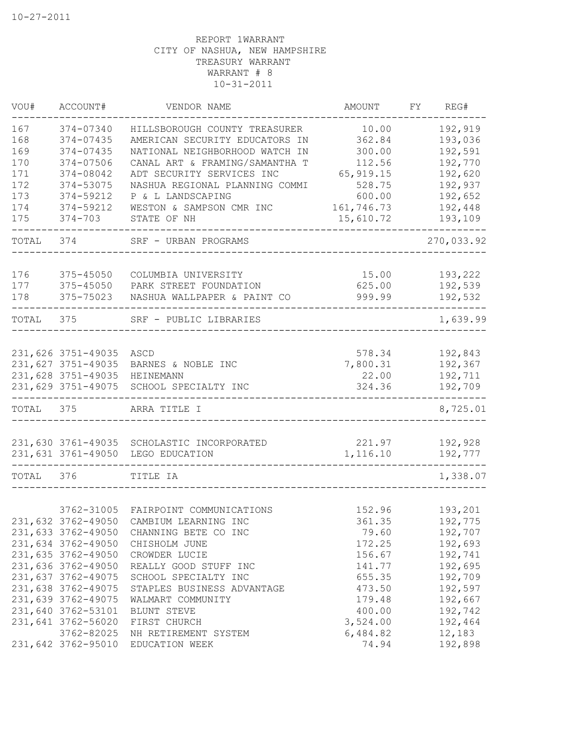| VOU#      | ACCOUNT#           | VENDOR NAME                                   | AMOUNT     | FY | REG#                     |
|-----------|--------------------|-----------------------------------------------|------------|----|--------------------------|
| 167       | 374-07340          | HILLSBOROUGH COUNTY TREASURER                 | 10.00      |    | 192,919                  |
| 168       | 374-07435          | AMERICAN SECURITY EDUCATORS IN                | 362.84     |    | 193,036                  |
| 169       | 374-07435          | NATIONAL NEIGHBORHOOD WATCH IN                | 300.00     |    | 192,591                  |
| 170       | 374-07506          | CANAL ART & FRAMING/SAMANTHA T                | 112.56     |    | 192,770                  |
| 171       | 374-08042          | ADT SECURITY SERVICES INC                     | 65, 919.15 |    | 192,620                  |
| 172       | 374-53075          | NASHUA REGIONAL PLANNING COMMI                | 528.75     |    | 192,937                  |
| 173       | 374-59212          | P & L LANDSCAPING                             | 600.00     |    | 192,652                  |
| 174       | 374-59212          | WESTON & SAMPSON CMR INC                      | 161,746.73 |    | 192,448                  |
| 175       | $374 - 703$        | STATE OF NH                                   | 15,610.72  |    | 193,109                  |
| TOTAL     | 374                | SRF - URBAN PROGRAMS                          |            |    | 270,033.92               |
| 176       | 375-45050          |                                               | 15.00      |    | 193,222                  |
| 177       | 375-45050          | COLUMBIA UNIVERSITY<br>PARK STREET FOUNDATION | 625.00     |    | 192,539                  |
| 178       | 375-75023          | NASHUA WALLPAPER & PAINT CO                   | 999.99     |    |                          |
|           |                    |                                               |            |    | 192,532<br>$- - - - - -$ |
| TOTAL     | 375                | SRF - PUBLIC LIBRARIES                        |            |    | 1,639.99                 |
|           |                    |                                               |            |    |                          |
|           | 231,626 3751-49035 | ASCD                                          | 578.34     |    | 192,843                  |
|           | 231,627 3751-49035 | BARNES & NOBLE INC                            | 7,800.31   |    | 192,367                  |
|           | 231,628 3751-49035 | HEINEMANN                                     | 22.00      |    | 192,711                  |
|           | 231,629 3751-49075 | SCHOOL SPECIALTY INC                          | 324.36     |    | 192,709                  |
| TOTAL 375 |                    | ARRA TITLE I                                  |            |    | 8,725.01                 |
|           |                    |                                               |            |    |                          |
|           |                    | 231,630 3761-49035 SCHOLASTIC INCORPORATED    | 221.97     |    | 192,928                  |
|           | 231,631 3761-49050 | LEGO EDUCATION                                | 1,116.10   |    | 192,777<br>$- - - - - -$ |
| TOTAL     | 376                | TITLE IA                                      |            |    | 1,338.07                 |
|           |                    |                                               |            |    |                          |
|           | 3762-31005         | FAIRPOINT COMMUNICATIONS                      | 152.96     |    | 193,201                  |
|           | 231,632 3762-49050 | CAMBIUM LEARNING INC                          | 361.35     |    | 192,775                  |
|           | 231,633 3762-49050 | CHANNING BETE CO INC                          | 79.60      |    | 192,707                  |
|           | 231,634 3762-49050 | CHISHOLM JUNE                                 | 172.25     |    | 192,693                  |
|           | 231,635 3762-49050 | CROWDER LUCIE                                 | 156.67     |    | 192,741                  |
|           | 231,636 3762-49050 | REALLY GOOD STUFF INC                         | 141.77     |    | 192,695                  |
|           | 231,637 3762-49075 | SCHOOL SPECIALTY INC                          | 655.35     |    | 192,709                  |
|           | 231,638 3762-49075 | STAPLES BUSINESS ADVANTAGE                    | 473.50     |    | 192,597                  |
|           | 231,639 3762-49075 | WALMART COMMUNITY                             | 179.48     |    | 192,667                  |
|           | 231,640 3762-53101 | BLUNT STEVE                                   | 400.00     |    | 192,742                  |
|           | 231,641 3762-56020 | FIRST CHURCH                                  | 3,524.00   |    | 192,464                  |
|           | 3762-82025         | NH RETIREMENT SYSTEM                          | 6,484.82   |    | 12,183                   |
|           | 231,642 3762-95010 | EDUCATION WEEK                                | 74.94      |    | 192,898                  |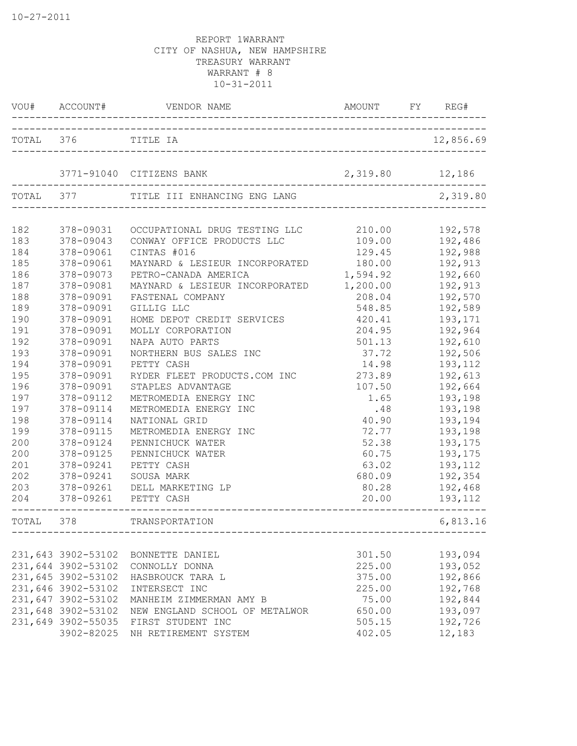|            | VOU# ACCOUNT#          |                                                    | AMOUNT FY REG#       |                     |
|------------|------------------------|----------------------------------------------------|----------------------|---------------------|
|            | TOTAL 376 TITLE IA     |                                                    |                      | 12,856.69           |
|            |                        | 3771-91040 CITIZENS BANK                           | 2,319.80 12,186      |                     |
| TOTAL 377  |                        | TITLE III ENHANCING ENG LANG                       |                      | 2,319.80            |
| 182        | 378-09031              | OCCUPATIONAL DRUG TESTING LLC                      | 210.00               | 192,578             |
| 183        | 378-09043              | CONWAY OFFICE PRODUCTS LLC                         | 109.00               | 192,486             |
| 184        | 378-09061              | CINTAS #016                                        | 129.45               | 192,988             |
| 185        | 378-09061              | MAYNARD & LESIEUR INCORPORATED                     | 180.00               | 192,913             |
| 186<br>187 | 378-09073<br>378-09081 | PETRO-CANADA AMERICA                               | 1,594.92<br>1,200.00 | 192,660<br>192,913  |
| 188        | 378-09091              | MAYNARD & LESIEUR INCORPORATED<br>FASTENAL COMPANY | 208.04               | 192,570             |
| 189        | 378-09091              | GILLIG LLC                                         | 548.85               | 192,589             |
| 190        | 378-09091              | HOME DEPOT CREDIT SERVICES                         | 420.41               | 193,171             |
| 191        | 378-09091              | MOLLY CORPORATION                                  | 204.95               | 192,964             |
| 192        | 378-09091              | NAPA AUTO PARTS                                    | 501.13               | 192,610             |
| 193        | 378-09091              | NORTHERN BUS SALES INC                             | 37.72                | 192,506             |
| 194        | 378-09091              | PETTY CASH                                         | 14.98                | 193,112             |
| 195        | 378-09091              | RYDER FLEET PRODUCTS.COM INC                       | 273.89               | 192,613             |
| 196        | 378-09091              | STAPLES ADVANTAGE                                  | 107.50               | 192,664             |
| 197        | 378-09112              | METROMEDIA ENERGY INC                              | 1.65                 | 193,198             |
| 197        | 378-09114              | METROMEDIA ENERGY INC                              | .48                  | 193,198             |
| 198        | 378-09114              | NATIONAL GRID                                      | 40.90                | 193,194             |
| 199        | 378-09115              | METROMEDIA ENERGY INC                              | 72.77                | 193,198             |
| 200        | 378-09124              | PENNICHUCK WATER                                   | 52.38                | 193,175             |
| 200        | 378-09125              | PENNICHUCK WATER                                   | 60.75                | 193,175             |
| 201        | 378-09241              | PETTY CASH                                         | 63.02                | 193,112             |
| 202        | 378-09241              | SOUSA MARK                                         | 680.09               | 192,354             |
| 203<br>204 | 378-09261<br>378-09261 | DELL MARKETING LP<br>PETTY CASH                    | 80.28<br>20.00       | 192,468<br>193, 112 |
| TOTAL 378  |                        | TRANSPORTATION                                     |                      | 6,813.16            |
|            |                        |                                                    |                      |                     |
|            | 231,643 3902-53102     | BONNETTE DANIEL                                    | 301.50               | 193,094             |
|            | 231,644 3902-53102     | CONNOLLY DONNA                                     | 225.00               | 193,052             |
|            | 231,645 3902-53102     | HASBROUCK TARA L                                   | 375.00               | 192,866             |
|            | 231,646 3902-53102     | INTERSECT INC                                      | 225.00               | 192,768             |
|            | 231,647 3902-53102     | MANHEIM ZIMMERMAN AMY B                            | 75.00                | 192,844             |
|            | 231,648 3902-53102     | NEW ENGLAND SCHOOL OF METALWOR                     | 650.00               | 193,097             |
|            | 231,649 3902-55035     | FIRST STUDENT INC                                  | 505.15               | 192,726             |
|            | 3902-82025             | NH RETIREMENT SYSTEM                               | 402.05               | 12,183              |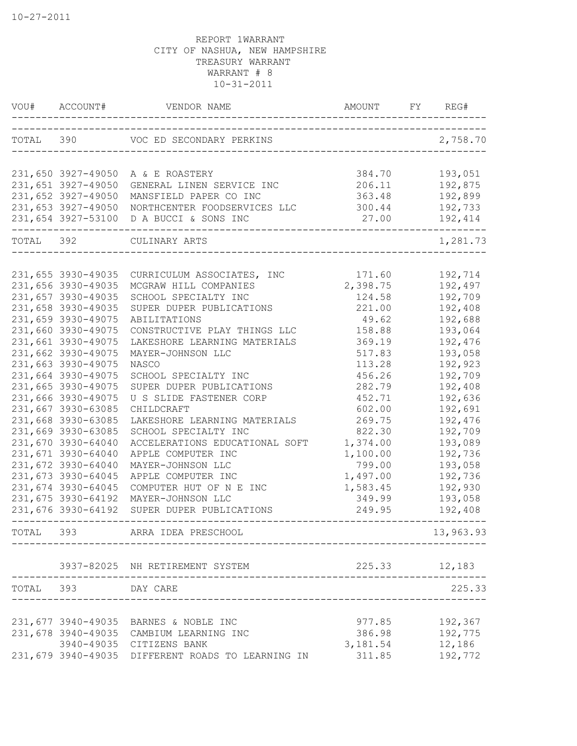| VOU#      | ACCOUNT#           | VENDOR NAME                                       |               | FY REG#   |
|-----------|--------------------|---------------------------------------------------|---------------|-----------|
|           |                    | TOTAL 390 VOC ED SECONDARY PERKINS                |               | 2,758.70  |
|           | 231,650 3927-49050 | A & E ROASTERY                                    | 384.70        | 193,051   |
|           | 231,651 3927-49050 | GENERAL LINEN SERVICE INC                         | 206.11        | 192,875   |
|           | 231,652 3927-49050 | MANSFIELD PAPER CO INC                            | 363.48        | 192,899   |
|           | 231,653 3927-49050 | NORTHCENTER FOODSERVICES LLC                      | 300.44        | 192,733   |
|           |                    | 231,654 3927-53100 D A BUCCI & SONS INC           | 27.00         | 192,414   |
| TOTAL 392 |                    | CULINARY ARTS                                     |               | 1,281.73  |
|           |                    |                                                   |               |           |
|           | 231,655 3930-49035 | CURRICULUM ASSOCIATES, INC                        | 171.60        | 192,714   |
|           | 231,656 3930-49035 | MCGRAW HILL COMPANIES                             | 2,398.75      | 192,497   |
|           | 231,657 3930-49035 | SCHOOL SPECIALTY INC                              | 124.58        | 192,709   |
|           | 231,658 3930-49035 | SUPER DUPER PUBLICATIONS                          | 221.00        | 192,408   |
|           | 231,659 3930-49075 | ABILITATIONS                                      | 49.62         | 192,688   |
|           | 231,660 3930-49075 | CONSTRUCTIVE PLAY THINGS LLC                      | 158.88        | 193,064   |
|           | 231,661 3930-49075 | LAKESHORE LEARNING MATERIALS                      | 369.19        | 192,476   |
|           | 231,662 3930-49075 | MAYER-JOHNSON LLC                                 | 517.83        | 193,058   |
|           | 231,663 3930-49075 | NASCO                                             | 113.28        | 192,923   |
|           | 231,664 3930-49075 | SCHOOL SPECIALTY INC                              | 456.26        | 192,709   |
|           | 231,665 3930-49075 | SUPER DUPER PUBLICATIONS                          | 282.79        | 192,408   |
|           | 231,666 3930-49075 | U S SLIDE FASTENER CORP                           | 452.71        | 192,636   |
|           | 231,667 3930-63085 | CHILDCRAFT                                        | 602.00        | 192,691   |
|           | 231,668 3930-63085 | LAKESHORE LEARNING MATERIALS                      | 269.75        | 192,476   |
|           | 231,669 3930-63085 | SCHOOL SPECIALTY INC                              | 822.30        | 192,709   |
|           | 231,670 3930-64040 | ACCELERATIONS EDUCATIONAL SOFT                    | 1,374.00      | 193,089   |
|           | 231,671 3930-64040 | APPLE COMPUTER INC                                | 1,100.00      | 192,736   |
|           | 231,672 3930-64040 | MAYER-JOHNSON LLC                                 | 799.00        | 193,058   |
|           | 231,673 3930-64045 | APPLE COMPUTER INC                                | 1,497.00      | 192,736   |
|           | 231,674 3930-64045 | COMPUTER HUT OF N E INC                           | 1,583.45      | 192,930   |
|           | 231,675 3930-64192 | MAYER-JOHNSON LLC                                 | 349.99        | 193,058   |
|           | 231,676 3930-64192 | SUPER DUPER PUBLICATIONS                          | 249.95        | 192,408   |
| TOTAL 393 |                    | ARRA IDEA PRESCHOOL                               |               | 13,963.93 |
|           |                    | 3937-82025 NH RETIREMENT SYSTEM                   | 225.33 12,183 |           |
|           | TOTAL 393 DAY CARE |                                                   |               | 225.33    |
|           |                    |                                                   |               |           |
|           |                    | 231,677 3940-49035 BARNES & NOBLE INC             | 977.85        | 192,367   |
|           |                    | 231,678 3940-49035 CAMBIUM LEARNING INC           | 386.98        | 192,775   |
|           |                    | 3940-49035 CITIZENS BANK                          | 3,181.54      | 12,186    |
|           |                    | 231,679 3940-49035 DIFFERENT ROADS TO LEARNING IN | 311.85        | 192,772   |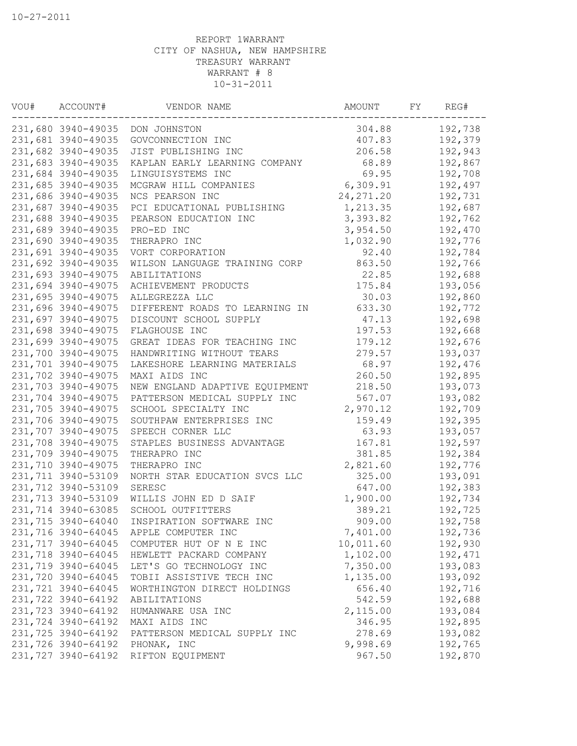| WOU# | ACCOUNT#           | VENDOR NAME                    | AMOUNT     | FY | REG#    |
|------|--------------------|--------------------------------|------------|----|---------|
|      | 231,680 3940-49035 | DON JOHNSTON                   | 304.88     |    | 192,738 |
|      | 231,681 3940-49035 | GOVCONNECTION INC              | 407.83     |    | 192,379 |
|      | 231,682 3940-49035 | JIST PUBLISHING INC            | 206.58     |    | 192,943 |
|      | 231,683 3940-49035 | KAPLAN EARLY LEARNING COMPANY  | 68.89      |    | 192,867 |
|      | 231,684 3940-49035 | LINGUISYSTEMS INC              | 69.95      |    | 192,708 |
|      | 231,685 3940-49035 | MCGRAW HILL COMPANIES          | 6,309.91   |    | 192,497 |
|      | 231,686 3940-49035 | NCS PEARSON INC                | 24, 271.20 |    | 192,731 |
|      | 231,687 3940-49035 | PCI EDUCATIONAL PUBLISHING     | 1,213.35   |    | 192,687 |
|      | 231,688 3940-49035 | PEARSON EDUCATION INC          | 3,393.82   |    | 192,762 |
|      | 231,689 3940-49035 | PRO-ED INC                     | 3,954.50   |    | 192,470 |
|      | 231,690 3940-49035 | THERAPRO INC                   | 1,032.90   |    | 192,776 |
|      | 231,691 3940-49035 | VORT CORPORATION               | 92.40      |    | 192,784 |
|      | 231,692 3940-49035 | WILSON LANGUAGE TRAINING CORP  | 863.50     |    | 192,766 |
|      | 231,693 3940-49075 | ABILITATIONS                   | 22.85      |    | 192,688 |
|      | 231,694 3940-49075 | ACHIEVEMENT PRODUCTS           | 175.84     |    | 193,056 |
|      | 231,695 3940-49075 | ALLEGREZZA LLC                 | 30.03      |    | 192,860 |
|      | 231,696 3940-49075 | DIFFERENT ROADS TO LEARNING IN | 633.30     |    | 192,772 |
|      | 231,697 3940-49075 | DISCOUNT SCHOOL SUPPLY         | 47.13      |    | 192,698 |
|      | 231,698 3940-49075 | FLAGHOUSE INC                  | 197.53     |    | 192,668 |
|      | 231,699 3940-49075 | GREAT IDEAS FOR TEACHING INC   | 179.12     |    | 192,676 |
|      | 231,700 3940-49075 | HANDWRITING WITHOUT TEARS      | 279.57     |    | 193,037 |
|      | 231,701 3940-49075 | LAKESHORE LEARNING MATERIALS   | 68.97      |    | 192,476 |
|      | 231,702 3940-49075 | MAXI AIDS INC                  | 260.50     |    | 192,895 |
|      | 231,703 3940-49075 | NEW ENGLAND ADAPTIVE EQUIPMENT | 218.50     |    | 193,073 |
|      | 231,704 3940-49075 | PATTERSON MEDICAL SUPPLY INC   | 567.07     |    | 193,082 |
|      | 231,705 3940-49075 | SCHOOL SPECIALTY INC           | 2,970.12   |    | 192,709 |
|      | 231,706 3940-49075 | SOUTHPAW ENTERPRISES INC       | 159.49     |    | 192,395 |
|      | 231,707 3940-49075 | SPEECH CORNER LLC              | 63.93      |    | 193,057 |
|      | 231,708 3940-49075 | STAPLES BUSINESS ADVANTAGE     | 167.81     |    | 192,597 |
|      | 231,709 3940-49075 | THERAPRO INC                   | 381.85     |    | 192,384 |
|      | 231,710 3940-49075 | THERAPRO INC                   | 2,821.60   |    | 192,776 |
|      | 231,711 3940-53109 | NORTH STAR EDUCATION SVCS LLC  | 325.00     |    | 193,091 |
|      | 231,712 3940-53109 | SERESC                         | 647.00     |    | 192,383 |
|      | 231,713 3940-53109 | WILLIS JOHN ED D SAIF          | 1,900.00   |    | 192,734 |
|      | 231,714 3940-63085 | SCHOOL OUTFITTERS              | 389.21     |    | 192,725 |
|      | 231,715 3940-64040 | INSPIRATION SOFTWARE INC       | 909.00     |    | 192,758 |
|      | 231,716 3940-64045 | APPLE COMPUTER INC             | 7,401.00   |    | 192,736 |
|      | 231,717 3940-64045 | COMPUTER HUT OF N E INC        | 10,011.60  |    | 192,930 |
|      | 231,718 3940-64045 | HEWLETT PACKARD COMPANY        | 1,102.00   |    | 192,471 |
|      | 231,719 3940-64045 | LET'S GO TECHNOLOGY INC        | 7,350.00   |    | 193,083 |
|      | 231,720 3940-64045 | TOBII ASSISTIVE TECH INC       | 1,135.00   |    | 193,092 |
|      | 231,721 3940-64045 | WORTHINGTON DIRECT HOLDINGS    | 656.40     |    | 192,716 |
|      | 231,722 3940-64192 | ABILITATIONS                   | 542.59     |    | 192,688 |
|      | 231,723 3940-64192 | HUMANWARE USA INC              | 2,115.00   |    | 193,084 |
|      | 231,724 3940-64192 | MAXI AIDS INC                  | 346.95     |    | 192,895 |
|      | 231,725 3940-64192 | PATTERSON MEDICAL SUPPLY INC   | 278.69     |    | 193,082 |
|      | 231,726 3940-64192 | PHONAK, INC                    | 9,998.69   |    | 192,765 |
|      | 231,727 3940-64192 | RIFTON EQUIPMENT               | 967.50     |    | 192,870 |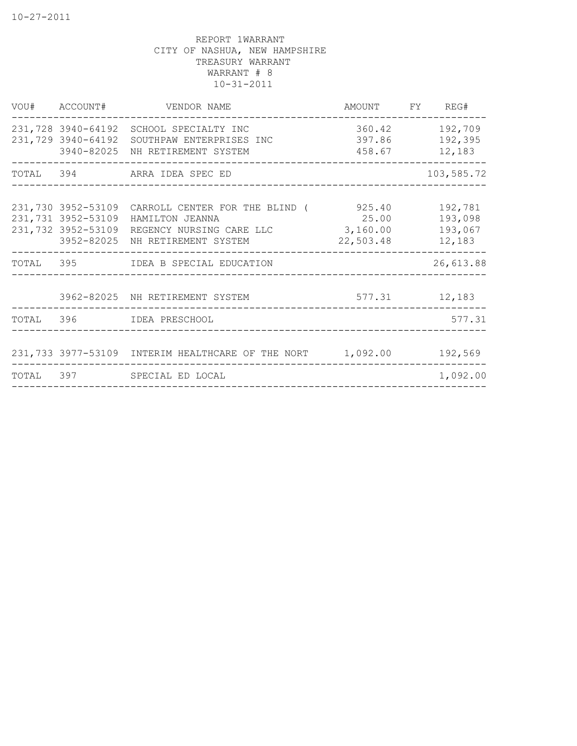|  | VOU# ACCOUNT# VENDOR NAME                                                                                                                                                                        | AMOUNT FY REG#     |                                  |
|--|--------------------------------------------------------------------------------------------------------------------------------------------------------------------------------------------------|--------------------|----------------------------------|
|  | 231,728 3940-64192 SCHOOL SPECIALTY INC<br>231,729 3940-64192 SOUTHPAW ENTERPRISES INC<br>3940-82025 NH RETIREMENT SYSTEM                                                                        | 458.67 12,183      | 360.42 192,709<br>397.86 192,395 |
|  | TOTAL 394 ARRA IDEA SPEC ED                                                                                                                                                                      |                    | 103,585.72                       |
|  | 231,730 3952-53109 CARROLL CENTER FOR THE BLIND (325.40<br>231,731 3952-53109 HAMILTON JEANNA<br>231,732 3952-53109 REGENCY NURSING CARE LLC 3,160.00 193,067<br>3952-82025 NH RETIREMENT SYSTEM | 25.00<br>22,503.48 | 192,781<br>193,098<br>12,183     |
|  | TOTAL 395 IDEA B SPECIAL EDUCATION                                                                                                                                                               |                    | 26,613.88                        |
|  | 3962-82025 NH RETIREMENT SYSTEM                                                                                                                                                                  | $577.31$ $12,183$  |                                  |
|  | TOTAL 396 IDEA PRESCHOOL                                                                                                                                                                         |                    | 577.31                           |
|  | 231,733 3977-53109 INTERIM HEALTHCARE OF THE NORT 1,092.00 192,569                                                                                                                               |                    |                                  |
|  | TOTAL 397 SPECIAL ED LOCAL                                                                                                                                                                       |                    | 1,092.00                         |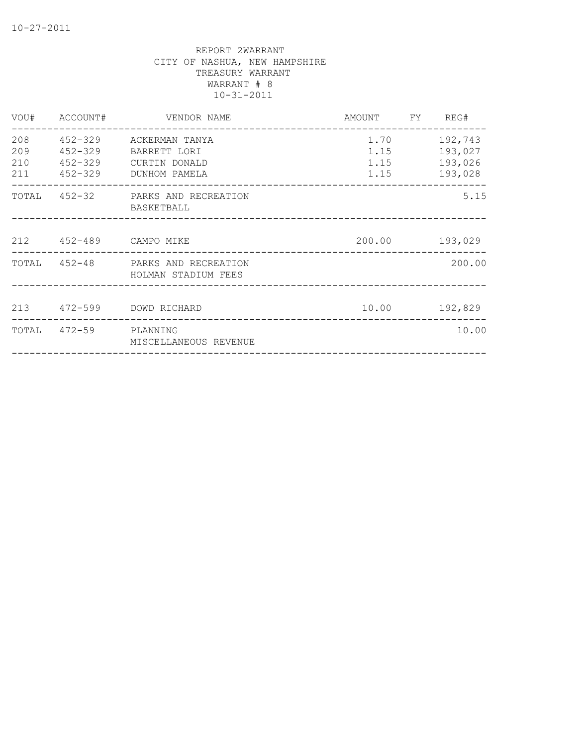| VOU#                     | ACCOUNT#                          | VENDOR NAME                                                              | AMOUNT FY REG#               |                                          |
|--------------------------|-----------------------------------|--------------------------------------------------------------------------|------------------------------|------------------------------------------|
| 208<br>209<br>210<br>211 | 452-329<br>$452 - 329$<br>452-329 | ACKERMAN TANYA<br>BARRETT LORI<br>CURTIN DONALD<br>452-329 DUNHOM PAMELA | 1.70<br>1.15<br>1.15<br>1.15 | 192,743<br>193,027<br>193,026<br>193,028 |
|                          |                                   | TOTAL 452-32 PARKS AND RECREATION<br>BASKETBALL                          |                              | 5.15                                     |
|                          |                                   | 212  452-489  CAMPO MIKE                                                 |                              | 200.00 193,029                           |
|                          |                                   | TOTAL 452-48 PARKS AND RECREATION<br>HOLMAN STADIUM FEES                 |                              | 200.00                                   |
|                          |                                   | 213 472-599 DOWD RICHARD                                                 |                              | 10.00 192,829                            |
| TOTAL                    | 472-59 PLANNING                   | MISCELLANEOUS REVENUE                                                    |                              | 10.00                                    |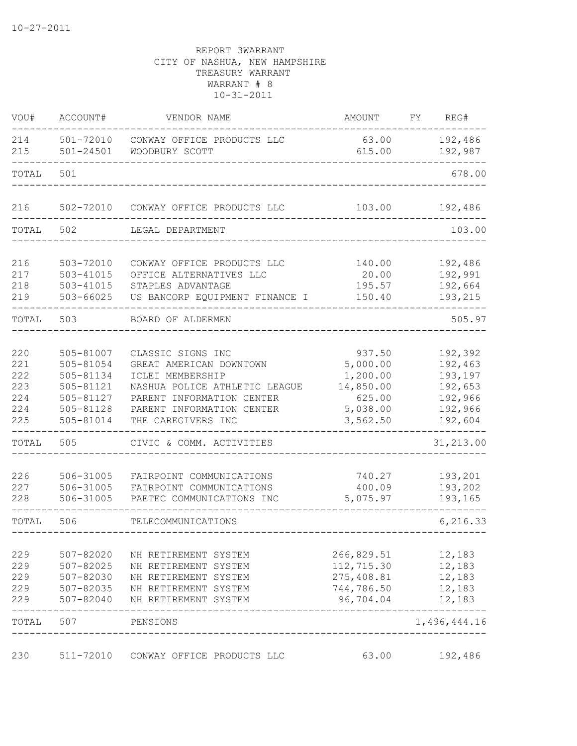| VOU#                                          | ACCOUNT#                                                                                | VENDOR NAME                                                                                                                                                                       | AMOUNT                                                                        | FY | REG#                                                                      |
|-----------------------------------------------|-----------------------------------------------------------------------------------------|-----------------------------------------------------------------------------------------------------------------------------------------------------------------------------------|-------------------------------------------------------------------------------|----|---------------------------------------------------------------------------|
| 214<br>215                                    | 501-72010<br>$501 - 24501$                                                              | CONWAY OFFICE PRODUCTS LLC<br>WOODBURY SCOTT                                                                                                                                      | 63.00<br>615.00                                                               |    | 192,486<br>192,987                                                        |
| TOTAL                                         | 501                                                                                     |                                                                                                                                                                                   |                                                                               |    | 678.00                                                                    |
| 216                                           | 502-72010                                                                               | CONWAY OFFICE PRODUCTS LLC                                                                                                                                                        | 103.00                                                                        |    | 192,486                                                                   |
| TOTAL                                         | 502                                                                                     | LEGAL DEPARTMENT                                                                                                                                                                  |                                                                               |    | 103.00                                                                    |
| 216<br>217<br>218<br>219                      | 503-72010<br>$503 - 41015$<br>$503 - 41015$<br>503-66025                                | CONWAY OFFICE PRODUCTS LLC<br>OFFICE ALTERNATIVES LLC<br>STAPLES ADVANTAGE<br>US BANCORP EQUIPMENT FINANCE I                                                                      | 140.00<br>20.00<br>195.57<br>150.40                                           |    | 192,486<br>192,991<br>192,664<br>193,215                                  |
| TOTAL                                         | 503                                                                                     | BOARD OF ALDERMEN                                                                                                                                                                 |                                                                               |    | 505.97                                                                    |
| 220<br>221<br>222<br>223<br>224<br>224<br>225 | 505-81007<br>505-81054<br>505-81134<br>505-81121<br>505-81127<br>505-81128<br>505-81014 | CLASSIC SIGNS INC<br>GREAT AMERICAN DOWNTOWN<br>ICLEI MEMBERSHIP<br>NASHUA POLICE ATHLETIC LEAGUE<br>PARENT INFORMATION CENTER<br>PARENT INFORMATION CENTER<br>THE CAREGIVERS INC | 937.50<br>5,000.00<br>1,200.00<br>14,850.00<br>625.00<br>5,038.00<br>3,562.50 |    | 192,392<br>192,463<br>193,197<br>192,653<br>192,966<br>192,966<br>192,604 |
| TOTAL                                         | 505                                                                                     | CIVIC & COMM. ACTIVITIES                                                                                                                                                          |                                                                               |    | 31,213.00                                                                 |
| 226<br>227<br>228                             | 506-31005<br>506-31005<br>506-31005                                                     | FAIRPOINT COMMUNICATIONS<br>FAIRPOINT COMMUNICATIONS<br>PAETEC COMMUNICATIONS INC                                                                                                 | 740.27<br>400.09<br>5,075.97                                                  |    | 193,201<br>193,202<br>193,165                                             |
| TOTAL                                         | 506                                                                                     | TELECOMMUNICATIONS                                                                                                                                                                |                                                                               |    | 6,216.33                                                                  |
| 229<br>229<br>229<br>229<br>229               | 507-82020<br>507-82025<br>507-82030<br>507-82035<br>507-82040                           | NH RETIREMENT SYSTEM<br>NH RETIREMENT SYSTEM<br>NH RETIREMENT SYSTEM<br>NH RETIREMENT SYSTEM<br>NH RETIREMENT SYSTEM                                                              | 266,829.51<br>112,715.30<br>275,408.81<br>744,786.50<br>96,704.04             |    | 12,183<br>12,183<br>12,183<br>12,183<br>12,183                            |
| TOTAL                                         | 507                                                                                     | PENSIONS                                                                                                                                                                          |                                                                               |    | 1,496,444.16                                                              |
| 230                                           | 511-72010                                                                               | CONWAY OFFICE PRODUCTS LLC                                                                                                                                                        | 63.00                                                                         |    | 192,486                                                                   |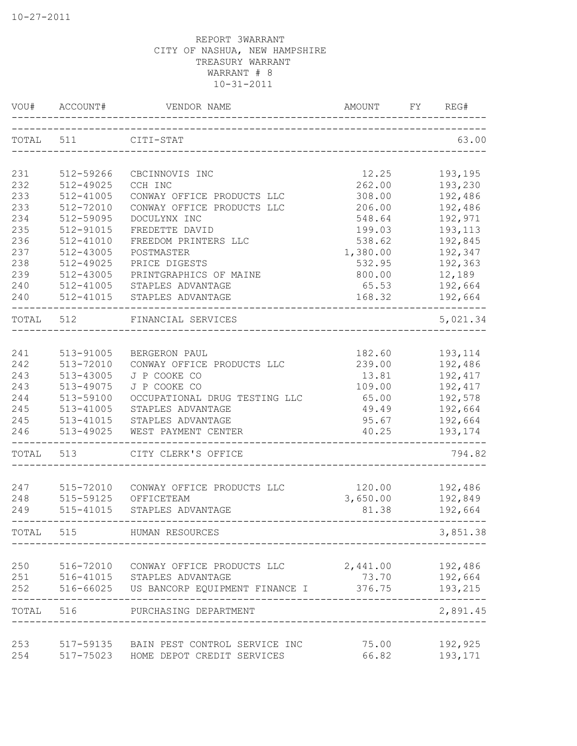| VOU#      | ACCOUNT#      | VENDOR NAME<br>_______________           | AMOUNT   | FY | REG#     |
|-----------|---------------|------------------------------------------|----------|----|----------|
| TOTAL 511 |               | CITI-STAT                                |          |    | 63.00    |
| 231       | 512-59266     | CBCINNOVIS INC                           | 12.25    |    | 193,195  |
| 232       | 512-49025     | CCH INC                                  | 262.00   |    | 193,230  |
| 233       | 512-41005     | CONWAY OFFICE PRODUCTS LLC               | 308.00   |    | 192,486  |
| 233       | 512-72010     | CONWAY OFFICE PRODUCTS LLC               | 206.00   |    | 192,486  |
| 234       | 512-59095     | DOCULYNX INC                             | 548.64   |    | 192,971  |
| 235       | 512-91015     | FREDETTE DAVID                           | 199.03   |    | 193,113  |
| 236       | 512-41010     | FREEDOM PRINTERS LLC                     | 538.62   |    | 192,845  |
| 237       | 512-43005     | POSTMASTER                               | 1,380.00 |    | 192,347  |
| 238       | 512-49025     | PRICE DIGESTS                            | 532.95   |    | 192,363  |
| 239       | 512-43005     | PRINTGRAPHICS OF MAINE                   | 800.00   |    | 12,189   |
| 240       | 512-41005     | STAPLES ADVANTAGE                        | 65.53    |    | 192,664  |
| 240       | 512-41015     | STAPLES ADVANTAGE                        | 168.32   |    | 192,664  |
| TOTAL     | 512           | FINANCIAL SERVICES                       |          |    | 5,021.34 |
|           |               |                                          |          |    |          |
| 241       | 513-91005     | BERGERON PAUL                            | 182.60   |    | 193,114  |
| 242       | 513-72010     | CONWAY OFFICE PRODUCTS LLC               | 239.00   |    | 192,486  |
| 243       | 513-43005     | J P COOKE CO                             | 13.81    |    | 192,417  |
| 243       | 513-49075     | J P COOKE CO                             | 109.00   |    | 192,417  |
| 244       | 513-59100     | OCCUPATIONAL DRUG TESTING LLC            | 65.00    |    | 192,578  |
| 245       | 513-41005     | STAPLES ADVANTAGE                        | 49.49    |    | 192,664  |
| 245       | 513-41015     | STAPLES ADVANTAGE                        | 95.67    |    | 192,664  |
| 246       | 513-49025     | WEST PAYMENT CENTER                      | 40.25    |    | 193,174  |
| TOTAL     | 513           | CITY CLERK'S OFFICE                      |          |    | 794.82   |
| 247       | 515-72010     | CONWAY OFFICE PRODUCTS LLC               | 120.00   |    | 192,486  |
| 248       | 515-59125     | OFFICETEAM                               | 3,650.00 |    | 192,849  |
| 249       | $515 - 41015$ | STAPLES ADVANTAGE                        | 81.38    |    | 192,664  |
| TOTAL     | 515           | HUMAN RESOURCES                          |          |    | 3,851.38 |
|           |               |                                          |          |    |          |
| 250       |               | 516-72010 CONWAY OFFICE PRODUCTS LLC     | 2,441.00 |    | 192,486  |
| 251       |               | 516-41015 STAPLES ADVANTAGE              | 73.70    |    | 192,664  |
| 252       |               | 516-66025 US BANCORP EQUIPMENT FINANCE I | 376.75   |    | 193,215  |
| TOTAL     | 516           | PURCHASING DEPARTMENT                    |          |    | 2,891.45 |
| 253       | 517-59135     | BAIN PEST CONTROL SERVICE INC            | 75.00    |    | 192,925  |
| 254       |               | 517-75023 HOME DEPOT CREDIT SERVICES     | 66.82    |    | 193,171  |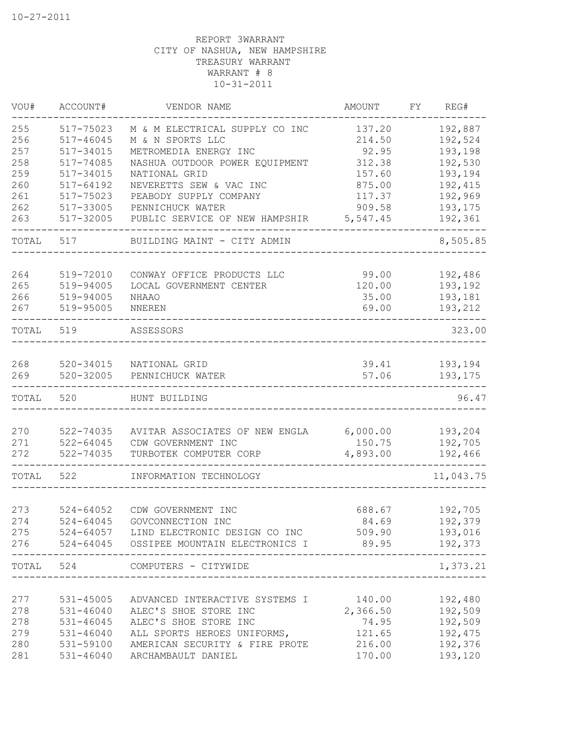| VOU#       | ACCOUNT#                   | VENDOR NAME                                                                         | AMOUNT            | FY | REG#                     |
|------------|----------------------------|-------------------------------------------------------------------------------------|-------------------|----|--------------------------|
| 255        | 517-75023                  | M & M ELECTRICAL SUPPLY CO INC                                                      | 137.20            |    | 192,887                  |
| 256        | $517 - 46045$              | M & N SPORTS LLC                                                                    | 214.50            |    | 192,524                  |
| 257        | 517-34015                  | METROMEDIA ENERGY INC                                                               | 92.95             |    | 193,198                  |
| 258        | 517-74085                  | NASHUA OUTDOOR POWER EQUIPMENT                                                      | 312.38            |    | 192,530                  |
| 259        | 517-34015                  | NATIONAL GRID                                                                       | 157.60            |    | 193,194                  |
| 260        | 517-64192                  | NEVERETTS SEW & VAC INC                                                             | 875.00            |    | 192,415                  |
| 261        | 517-75023                  | PEABODY SUPPLY COMPANY                                                              | 117.37            |    | 192,969                  |
| 262        | 517-33005                  | PENNICHUCK WATER                                                                    | 909.58            |    | 193,175                  |
| 263        | 517-32005                  | PUBLIC SERVICE OF NEW HAMPSHIR                                                      | 5,547.45          |    | 192,361                  |
| TOTAL      | 517                        | BUILDING MAINT - CITY ADMIN                                                         |                   |    | 8,505.85                 |
| 264        | 519-72010                  | CONWAY OFFICE PRODUCTS LLC                                                          | 99.00             |    | 192,486                  |
| 265        | 519-94005                  | LOCAL GOVERNMENT CENTER                                                             | 120.00            |    | 193,192                  |
| 266        | 519-94005                  | <b>NHAAO</b>                                                                        | 35.00             |    | 193,181                  |
| 267        | 519-95005                  | NNEREN                                                                              | 69.00             |    | 193,212                  |
| TOTAL      | 519                        | ASSESSORS                                                                           |                   |    | 323.00                   |
|            |                            |                                                                                     |                   |    |                          |
| 268<br>269 | 520-34015<br>$520 - 32005$ | NATIONAL GRID<br>PENNICHUCK WATER                                                   | 39.41<br>57.06    |    | 193,194<br>193,175       |
| TOTAL      | 520                        | HUNT BUILDING                                                                       |                   |    | 96.47                    |
|            |                            |                                                                                     |                   |    |                          |
| 270        | 522-74035                  | AVITAR ASSOCIATES OF NEW ENGLA                                                      | 6,000.00          |    | 193,204                  |
| 271        | $522 - 64045$              | CDW GOVERNMENT INC                                                                  | 150.75            |    | 192,705                  |
| 272        | 522-74035                  | TURBOTEK COMPUTER CORP                                                              | 4,893.00          |    | 192,466<br>$- - - - - -$ |
| TOTAL      | 522                        | INFORMATION TECHNOLOGY                                                              |                   |    | 11,043.75                |
|            |                            |                                                                                     |                   |    |                          |
| 273        | $524 - 64052$              | CDW GOVERNMENT INC                                                                  | 688.67            |    | 192,705                  |
| 274        | $524 - 64045$              | GOVCONNECTION INC                                                                   | 84.69             |    | 192,379                  |
| 275<br>276 |                            | 524-64057 LIND ELECTRONIC DESIGN CO INC<br>524-64045 OSSIPEE MOUNTAIN ELECTRONICS I | 509.90            |    | 193,016<br>192,373       |
|            |                            |                                                                                     | 89.95             |    |                          |
| TOTAL      | 524                        | COMPUTERS - CITYWIDE                                                                |                   |    | 1,373.21                 |
|            |                            |                                                                                     |                   |    |                          |
| 277<br>278 | 531-45005<br>$531 - 46040$ | ADVANCED INTERACTIVE SYSTEMS I<br>ALEC'S SHOE STORE INC                             | 140.00            |    | 192,480                  |
| 278        | 531-46045                  | ALEC'S SHOE STORE INC                                                               | 2,366.50<br>74.95 |    | 192,509<br>192,509       |
| 279        | $531 - 46040$              | ALL SPORTS HEROES UNIFORMS,                                                         | 121.65            |    | 192,475                  |
| 280        | 531-59100                  | AMERICAN SECURITY & FIRE PROTE                                                      | 216.00            |    | 192,376                  |
| 281        | $531 - 46040$              | ARCHAMBAULT DANIEL                                                                  | 170.00            |    | 193,120                  |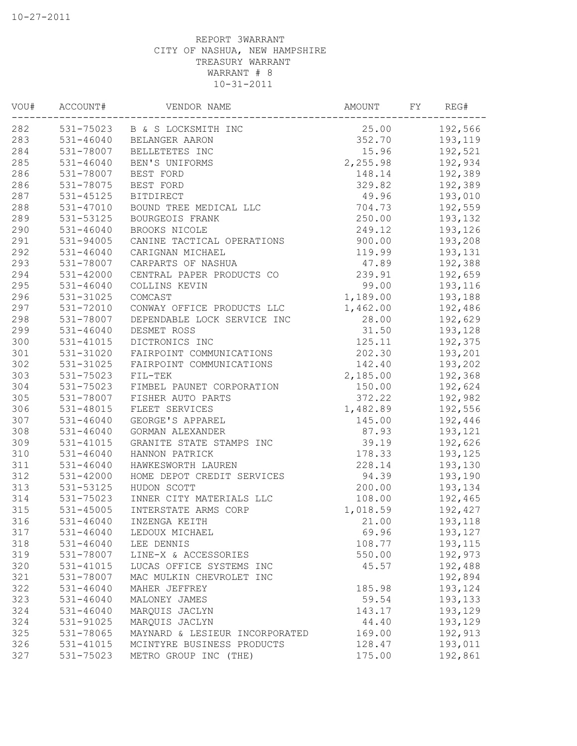| 25.00<br>531-75023 B & S LOCKSMITH INC<br>192,566<br>352.70<br>193,119<br>531-46040<br>BELANGER AARON<br>284<br>15.96<br>192,521<br>531-78007<br>BELLETETES INC<br>285<br>2,255.98<br>$531 - 46040$<br>192,934<br>BEN'S UNIFORMS<br>286<br>192,389<br>531-78007<br>148.14<br>BEST FORD<br>286<br>329.82<br>192,389<br>531-78075<br>BEST FORD<br>287<br>49.96<br>193,010<br>531-45125<br><b>BITDIRECT</b><br>288<br>704.73<br>192,559<br>531-47010<br>BOUND TREE MEDICAL LLC<br>289<br>250.00<br>193,132<br>531-53125<br>BOURGEOIS FRANK<br>290<br>$531 - 46040$<br>BROOKS NICOLE<br>249.12<br>193,126<br>291<br>900.00<br>531-94005<br>CANINE TACTICAL OPERATIONS<br>193,208<br>292<br>119.99<br>531-46040<br>CARIGNAN MICHAEL<br>193,131<br>293<br>531-78007<br>192,388<br>CARPARTS OF NASHUA<br>47.89<br>294<br>239.91<br>$531 - 42000$<br>CENTRAL PAPER PRODUCTS CO<br>192,659<br>295<br>$531 - 46040$<br>99.00<br>COLLINS KEVIN<br>193,116<br>296<br>531-31025<br>1,189.00<br>COMCAST<br>193,188<br>297<br>531-72010<br>CONWAY OFFICE PRODUCTS LLC<br>1,462.00<br>192,486<br>298<br>531-78007<br>28.00<br>DEPENDABLE LOCK SERVICE INC<br>192,629<br>299<br>$531 - 46040$<br>DESMET ROSS<br>31.50<br>193,128<br>300<br>531-41015<br>125.11<br>192,375<br>DICTRONICS INC<br>301<br>202.30<br>531-31020<br>FAIRPOINT COMMUNICATIONS<br>193,201<br>302<br>193,202<br>531-31025<br>FAIRPOINT COMMUNICATIONS<br>142.40<br>303<br>531-75023<br>2,185.00<br>192,368<br>FIL-TEK<br>304<br>531-75023<br>FIMBEL PAUNET CORPORATION<br>150.00<br>192,624<br>305<br>531-78007<br>FISHER AUTO PARTS<br>372.22<br>192,982<br>306<br>531-48015<br>FLEET SERVICES<br>1,482.89<br>192,556<br>307<br>$531 - 46040$<br>GEORGE'S APPAREL<br>145.00<br>192,446<br>308<br>531-46040<br>GORMAN ALEXANDER<br>87.93<br>193,121<br>309<br>39.19<br>192,626<br>531-41015<br>GRANITE STATE STAMPS INC<br>310<br>$531 - 46040$<br>HANNON PATRICK<br>178.33<br>193,125<br>311<br>$531 - 46040$<br>HAWKESWORTH LAUREN<br>228.14<br>193,130<br>312<br>531-42000<br>HOME DEPOT CREDIT SERVICES<br>94.39<br>193,190<br>313<br>200.00<br>531-53125<br>HUDON SCOTT<br>193,134<br>314<br>531-75023<br>INNER CITY MATERIALS LLC<br>108.00<br>192,465<br>315<br>$531 - 45005$<br>INTERSTATE ARMS CORP<br>1,018.59<br>192,427<br>316<br>531-46040<br>INZENGA KEITH<br>21.00<br>193,118<br>317<br>69.96<br>531-46040<br>193,127<br>LEDOUX MICHAEL<br>318<br>108.77<br>$531 - 46040$<br>LEE DENNIS<br>193, 115<br>319<br>192,973<br>531-78007<br>LINE-X & ACCESSORIES<br>550.00<br>320<br>531-41015<br>192,488<br>LUCAS OFFICE SYSTEMS INC<br>45.57<br>321<br>531-78007<br>192,894<br>MAC MULKIN CHEVROLET INC<br>322<br>$531 - 46040$<br>193,124<br>MAHER JEFFREY<br>185.98<br>323<br>$531 - 46040$<br>59.54<br>193,133<br>MALONEY JAMES<br>324<br>$531 - 46040$<br>193,129<br>MARQUIS JACLYN<br>143.17<br>324<br>531-91025<br>MARQUIS JACLYN<br>44.40<br>193,129<br>325<br>531-78065<br>192,913<br>MAYNARD & LESIEUR INCORPORATED<br>169.00<br>326<br>531-41015<br>128.47<br>193,011<br>MCINTYRE BUSINESS PRODUCTS<br>327<br>192,861<br>531-75023<br>METRO GROUP INC (THE)<br>175.00 | VOU# | ACCOUNT# | VENDOR NAME | AMOUNT | FY | REG# |
|-------------------------------------------------------------------------------------------------------------------------------------------------------------------------------------------------------------------------------------------------------------------------------------------------------------------------------------------------------------------------------------------------------------------------------------------------------------------------------------------------------------------------------------------------------------------------------------------------------------------------------------------------------------------------------------------------------------------------------------------------------------------------------------------------------------------------------------------------------------------------------------------------------------------------------------------------------------------------------------------------------------------------------------------------------------------------------------------------------------------------------------------------------------------------------------------------------------------------------------------------------------------------------------------------------------------------------------------------------------------------------------------------------------------------------------------------------------------------------------------------------------------------------------------------------------------------------------------------------------------------------------------------------------------------------------------------------------------------------------------------------------------------------------------------------------------------------------------------------------------------------------------------------------------------------------------------------------------------------------------------------------------------------------------------------------------------------------------------------------------------------------------------------------------------------------------------------------------------------------------------------------------------------------------------------------------------------------------------------------------------------------------------------------------------------------------------------------------------------------------------------------------------------------------------------------------------------------------------------------------------------------------------------------------------------------------------------------------------------------------------------------------------------------------------------------------------------------------------------------------------------------------------------------------------------------------------------------------------------------------------------------------------------------------------------------------------------------------------------------------------------------------------|------|----------|-------------|--------|----|------|
|                                                                                                                                                                                                                                                                                                                                                                                                                                                                                                                                                                                                                                                                                                                                                                                                                                                                                                                                                                                                                                                                                                                                                                                                                                                                                                                                                                                                                                                                                                                                                                                                                                                                                                                                                                                                                                                                                                                                                                                                                                                                                                                                                                                                                                                                                                                                                                                                                                                                                                                                                                                                                                                                                                                                                                                                                                                                                                                                                                                                                                                                                                                                                 | 282  |          |             |        |    |      |
|                                                                                                                                                                                                                                                                                                                                                                                                                                                                                                                                                                                                                                                                                                                                                                                                                                                                                                                                                                                                                                                                                                                                                                                                                                                                                                                                                                                                                                                                                                                                                                                                                                                                                                                                                                                                                                                                                                                                                                                                                                                                                                                                                                                                                                                                                                                                                                                                                                                                                                                                                                                                                                                                                                                                                                                                                                                                                                                                                                                                                                                                                                                                                 | 283  |          |             |        |    |      |
|                                                                                                                                                                                                                                                                                                                                                                                                                                                                                                                                                                                                                                                                                                                                                                                                                                                                                                                                                                                                                                                                                                                                                                                                                                                                                                                                                                                                                                                                                                                                                                                                                                                                                                                                                                                                                                                                                                                                                                                                                                                                                                                                                                                                                                                                                                                                                                                                                                                                                                                                                                                                                                                                                                                                                                                                                                                                                                                                                                                                                                                                                                                                                 |      |          |             |        |    |      |
|                                                                                                                                                                                                                                                                                                                                                                                                                                                                                                                                                                                                                                                                                                                                                                                                                                                                                                                                                                                                                                                                                                                                                                                                                                                                                                                                                                                                                                                                                                                                                                                                                                                                                                                                                                                                                                                                                                                                                                                                                                                                                                                                                                                                                                                                                                                                                                                                                                                                                                                                                                                                                                                                                                                                                                                                                                                                                                                                                                                                                                                                                                                                                 |      |          |             |        |    |      |
|                                                                                                                                                                                                                                                                                                                                                                                                                                                                                                                                                                                                                                                                                                                                                                                                                                                                                                                                                                                                                                                                                                                                                                                                                                                                                                                                                                                                                                                                                                                                                                                                                                                                                                                                                                                                                                                                                                                                                                                                                                                                                                                                                                                                                                                                                                                                                                                                                                                                                                                                                                                                                                                                                                                                                                                                                                                                                                                                                                                                                                                                                                                                                 |      |          |             |        |    |      |
|                                                                                                                                                                                                                                                                                                                                                                                                                                                                                                                                                                                                                                                                                                                                                                                                                                                                                                                                                                                                                                                                                                                                                                                                                                                                                                                                                                                                                                                                                                                                                                                                                                                                                                                                                                                                                                                                                                                                                                                                                                                                                                                                                                                                                                                                                                                                                                                                                                                                                                                                                                                                                                                                                                                                                                                                                                                                                                                                                                                                                                                                                                                                                 |      |          |             |        |    |      |
|                                                                                                                                                                                                                                                                                                                                                                                                                                                                                                                                                                                                                                                                                                                                                                                                                                                                                                                                                                                                                                                                                                                                                                                                                                                                                                                                                                                                                                                                                                                                                                                                                                                                                                                                                                                                                                                                                                                                                                                                                                                                                                                                                                                                                                                                                                                                                                                                                                                                                                                                                                                                                                                                                                                                                                                                                                                                                                                                                                                                                                                                                                                                                 |      |          |             |        |    |      |
|                                                                                                                                                                                                                                                                                                                                                                                                                                                                                                                                                                                                                                                                                                                                                                                                                                                                                                                                                                                                                                                                                                                                                                                                                                                                                                                                                                                                                                                                                                                                                                                                                                                                                                                                                                                                                                                                                                                                                                                                                                                                                                                                                                                                                                                                                                                                                                                                                                                                                                                                                                                                                                                                                                                                                                                                                                                                                                                                                                                                                                                                                                                                                 |      |          |             |        |    |      |
|                                                                                                                                                                                                                                                                                                                                                                                                                                                                                                                                                                                                                                                                                                                                                                                                                                                                                                                                                                                                                                                                                                                                                                                                                                                                                                                                                                                                                                                                                                                                                                                                                                                                                                                                                                                                                                                                                                                                                                                                                                                                                                                                                                                                                                                                                                                                                                                                                                                                                                                                                                                                                                                                                                                                                                                                                                                                                                                                                                                                                                                                                                                                                 |      |          |             |        |    |      |
|                                                                                                                                                                                                                                                                                                                                                                                                                                                                                                                                                                                                                                                                                                                                                                                                                                                                                                                                                                                                                                                                                                                                                                                                                                                                                                                                                                                                                                                                                                                                                                                                                                                                                                                                                                                                                                                                                                                                                                                                                                                                                                                                                                                                                                                                                                                                                                                                                                                                                                                                                                                                                                                                                                                                                                                                                                                                                                                                                                                                                                                                                                                                                 |      |          |             |        |    |      |
|                                                                                                                                                                                                                                                                                                                                                                                                                                                                                                                                                                                                                                                                                                                                                                                                                                                                                                                                                                                                                                                                                                                                                                                                                                                                                                                                                                                                                                                                                                                                                                                                                                                                                                                                                                                                                                                                                                                                                                                                                                                                                                                                                                                                                                                                                                                                                                                                                                                                                                                                                                                                                                                                                                                                                                                                                                                                                                                                                                                                                                                                                                                                                 |      |          |             |        |    |      |
|                                                                                                                                                                                                                                                                                                                                                                                                                                                                                                                                                                                                                                                                                                                                                                                                                                                                                                                                                                                                                                                                                                                                                                                                                                                                                                                                                                                                                                                                                                                                                                                                                                                                                                                                                                                                                                                                                                                                                                                                                                                                                                                                                                                                                                                                                                                                                                                                                                                                                                                                                                                                                                                                                                                                                                                                                                                                                                                                                                                                                                                                                                                                                 |      |          |             |        |    |      |
|                                                                                                                                                                                                                                                                                                                                                                                                                                                                                                                                                                                                                                                                                                                                                                                                                                                                                                                                                                                                                                                                                                                                                                                                                                                                                                                                                                                                                                                                                                                                                                                                                                                                                                                                                                                                                                                                                                                                                                                                                                                                                                                                                                                                                                                                                                                                                                                                                                                                                                                                                                                                                                                                                                                                                                                                                                                                                                                                                                                                                                                                                                                                                 |      |          |             |        |    |      |
|                                                                                                                                                                                                                                                                                                                                                                                                                                                                                                                                                                                                                                                                                                                                                                                                                                                                                                                                                                                                                                                                                                                                                                                                                                                                                                                                                                                                                                                                                                                                                                                                                                                                                                                                                                                                                                                                                                                                                                                                                                                                                                                                                                                                                                                                                                                                                                                                                                                                                                                                                                                                                                                                                                                                                                                                                                                                                                                                                                                                                                                                                                                                                 |      |          |             |        |    |      |
|                                                                                                                                                                                                                                                                                                                                                                                                                                                                                                                                                                                                                                                                                                                                                                                                                                                                                                                                                                                                                                                                                                                                                                                                                                                                                                                                                                                                                                                                                                                                                                                                                                                                                                                                                                                                                                                                                                                                                                                                                                                                                                                                                                                                                                                                                                                                                                                                                                                                                                                                                                                                                                                                                                                                                                                                                                                                                                                                                                                                                                                                                                                                                 |      |          |             |        |    |      |
|                                                                                                                                                                                                                                                                                                                                                                                                                                                                                                                                                                                                                                                                                                                                                                                                                                                                                                                                                                                                                                                                                                                                                                                                                                                                                                                                                                                                                                                                                                                                                                                                                                                                                                                                                                                                                                                                                                                                                                                                                                                                                                                                                                                                                                                                                                                                                                                                                                                                                                                                                                                                                                                                                                                                                                                                                                                                                                                                                                                                                                                                                                                                                 |      |          |             |        |    |      |
|                                                                                                                                                                                                                                                                                                                                                                                                                                                                                                                                                                                                                                                                                                                                                                                                                                                                                                                                                                                                                                                                                                                                                                                                                                                                                                                                                                                                                                                                                                                                                                                                                                                                                                                                                                                                                                                                                                                                                                                                                                                                                                                                                                                                                                                                                                                                                                                                                                                                                                                                                                                                                                                                                                                                                                                                                                                                                                                                                                                                                                                                                                                                                 |      |          |             |        |    |      |
|                                                                                                                                                                                                                                                                                                                                                                                                                                                                                                                                                                                                                                                                                                                                                                                                                                                                                                                                                                                                                                                                                                                                                                                                                                                                                                                                                                                                                                                                                                                                                                                                                                                                                                                                                                                                                                                                                                                                                                                                                                                                                                                                                                                                                                                                                                                                                                                                                                                                                                                                                                                                                                                                                                                                                                                                                                                                                                                                                                                                                                                                                                                                                 |      |          |             |        |    |      |
|                                                                                                                                                                                                                                                                                                                                                                                                                                                                                                                                                                                                                                                                                                                                                                                                                                                                                                                                                                                                                                                                                                                                                                                                                                                                                                                                                                                                                                                                                                                                                                                                                                                                                                                                                                                                                                                                                                                                                                                                                                                                                                                                                                                                                                                                                                                                                                                                                                                                                                                                                                                                                                                                                                                                                                                                                                                                                                                                                                                                                                                                                                                                                 |      |          |             |        |    |      |
|                                                                                                                                                                                                                                                                                                                                                                                                                                                                                                                                                                                                                                                                                                                                                                                                                                                                                                                                                                                                                                                                                                                                                                                                                                                                                                                                                                                                                                                                                                                                                                                                                                                                                                                                                                                                                                                                                                                                                                                                                                                                                                                                                                                                                                                                                                                                                                                                                                                                                                                                                                                                                                                                                                                                                                                                                                                                                                                                                                                                                                                                                                                                                 |      |          |             |        |    |      |
|                                                                                                                                                                                                                                                                                                                                                                                                                                                                                                                                                                                                                                                                                                                                                                                                                                                                                                                                                                                                                                                                                                                                                                                                                                                                                                                                                                                                                                                                                                                                                                                                                                                                                                                                                                                                                                                                                                                                                                                                                                                                                                                                                                                                                                                                                                                                                                                                                                                                                                                                                                                                                                                                                                                                                                                                                                                                                                                                                                                                                                                                                                                                                 |      |          |             |        |    |      |
|                                                                                                                                                                                                                                                                                                                                                                                                                                                                                                                                                                                                                                                                                                                                                                                                                                                                                                                                                                                                                                                                                                                                                                                                                                                                                                                                                                                                                                                                                                                                                                                                                                                                                                                                                                                                                                                                                                                                                                                                                                                                                                                                                                                                                                                                                                                                                                                                                                                                                                                                                                                                                                                                                                                                                                                                                                                                                                                                                                                                                                                                                                                                                 |      |          |             |        |    |      |
|                                                                                                                                                                                                                                                                                                                                                                                                                                                                                                                                                                                                                                                                                                                                                                                                                                                                                                                                                                                                                                                                                                                                                                                                                                                                                                                                                                                                                                                                                                                                                                                                                                                                                                                                                                                                                                                                                                                                                                                                                                                                                                                                                                                                                                                                                                                                                                                                                                                                                                                                                                                                                                                                                                                                                                                                                                                                                                                                                                                                                                                                                                                                                 |      |          |             |        |    |      |
|                                                                                                                                                                                                                                                                                                                                                                                                                                                                                                                                                                                                                                                                                                                                                                                                                                                                                                                                                                                                                                                                                                                                                                                                                                                                                                                                                                                                                                                                                                                                                                                                                                                                                                                                                                                                                                                                                                                                                                                                                                                                                                                                                                                                                                                                                                                                                                                                                                                                                                                                                                                                                                                                                                                                                                                                                                                                                                                                                                                                                                                                                                                                                 |      |          |             |        |    |      |
|                                                                                                                                                                                                                                                                                                                                                                                                                                                                                                                                                                                                                                                                                                                                                                                                                                                                                                                                                                                                                                                                                                                                                                                                                                                                                                                                                                                                                                                                                                                                                                                                                                                                                                                                                                                                                                                                                                                                                                                                                                                                                                                                                                                                                                                                                                                                                                                                                                                                                                                                                                                                                                                                                                                                                                                                                                                                                                                                                                                                                                                                                                                                                 |      |          |             |        |    |      |
|                                                                                                                                                                                                                                                                                                                                                                                                                                                                                                                                                                                                                                                                                                                                                                                                                                                                                                                                                                                                                                                                                                                                                                                                                                                                                                                                                                                                                                                                                                                                                                                                                                                                                                                                                                                                                                                                                                                                                                                                                                                                                                                                                                                                                                                                                                                                                                                                                                                                                                                                                                                                                                                                                                                                                                                                                                                                                                                                                                                                                                                                                                                                                 |      |          |             |        |    |      |
|                                                                                                                                                                                                                                                                                                                                                                                                                                                                                                                                                                                                                                                                                                                                                                                                                                                                                                                                                                                                                                                                                                                                                                                                                                                                                                                                                                                                                                                                                                                                                                                                                                                                                                                                                                                                                                                                                                                                                                                                                                                                                                                                                                                                                                                                                                                                                                                                                                                                                                                                                                                                                                                                                                                                                                                                                                                                                                                                                                                                                                                                                                                                                 |      |          |             |        |    |      |
|                                                                                                                                                                                                                                                                                                                                                                                                                                                                                                                                                                                                                                                                                                                                                                                                                                                                                                                                                                                                                                                                                                                                                                                                                                                                                                                                                                                                                                                                                                                                                                                                                                                                                                                                                                                                                                                                                                                                                                                                                                                                                                                                                                                                                                                                                                                                                                                                                                                                                                                                                                                                                                                                                                                                                                                                                                                                                                                                                                                                                                                                                                                                                 |      |          |             |        |    |      |
|                                                                                                                                                                                                                                                                                                                                                                                                                                                                                                                                                                                                                                                                                                                                                                                                                                                                                                                                                                                                                                                                                                                                                                                                                                                                                                                                                                                                                                                                                                                                                                                                                                                                                                                                                                                                                                                                                                                                                                                                                                                                                                                                                                                                                                                                                                                                                                                                                                                                                                                                                                                                                                                                                                                                                                                                                                                                                                                                                                                                                                                                                                                                                 |      |          |             |        |    |      |
|                                                                                                                                                                                                                                                                                                                                                                                                                                                                                                                                                                                                                                                                                                                                                                                                                                                                                                                                                                                                                                                                                                                                                                                                                                                                                                                                                                                                                                                                                                                                                                                                                                                                                                                                                                                                                                                                                                                                                                                                                                                                                                                                                                                                                                                                                                                                                                                                                                                                                                                                                                                                                                                                                                                                                                                                                                                                                                                                                                                                                                                                                                                                                 |      |          |             |        |    |      |
|                                                                                                                                                                                                                                                                                                                                                                                                                                                                                                                                                                                                                                                                                                                                                                                                                                                                                                                                                                                                                                                                                                                                                                                                                                                                                                                                                                                                                                                                                                                                                                                                                                                                                                                                                                                                                                                                                                                                                                                                                                                                                                                                                                                                                                                                                                                                                                                                                                                                                                                                                                                                                                                                                                                                                                                                                                                                                                                                                                                                                                                                                                                                                 |      |          |             |        |    |      |
|                                                                                                                                                                                                                                                                                                                                                                                                                                                                                                                                                                                                                                                                                                                                                                                                                                                                                                                                                                                                                                                                                                                                                                                                                                                                                                                                                                                                                                                                                                                                                                                                                                                                                                                                                                                                                                                                                                                                                                                                                                                                                                                                                                                                                                                                                                                                                                                                                                                                                                                                                                                                                                                                                                                                                                                                                                                                                                                                                                                                                                                                                                                                                 |      |          |             |        |    |      |
|                                                                                                                                                                                                                                                                                                                                                                                                                                                                                                                                                                                                                                                                                                                                                                                                                                                                                                                                                                                                                                                                                                                                                                                                                                                                                                                                                                                                                                                                                                                                                                                                                                                                                                                                                                                                                                                                                                                                                                                                                                                                                                                                                                                                                                                                                                                                                                                                                                                                                                                                                                                                                                                                                                                                                                                                                                                                                                                                                                                                                                                                                                                                                 |      |          |             |        |    |      |
|                                                                                                                                                                                                                                                                                                                                                                                                                                                                                                                                                                                                                                                                                                                                                                                                                                                                                                                                                                                                                                                                                                                                                                                                                                                                                                                                                                                                                                                                                                                                                                                                                                                                                                                                                                                                                                                                                                                                                                                                                                                                                                                                                                                                                                                                                                                                                                                                                                                                                                                                                                                                                                                                                                                                                                                                                                                                                                                                                                                                                                                                                                                                                 |      |          |             |        |    |      |
|                                                                                                                                                                                                                                                                                                                                                                                                                                                                                                                                                                                                                                                                                                                                                                                                                                                                                                                                                                                                                                                                                                                                                                                                                                                                                                                                                                                                                                                                                                                                                                                                                                                                                                                                                                                                                                                                                                                                                                                                                                                                                                                                                                                                                                                                                                                                                                                                                                                                                                                                                                                                                                                                                                                                                                                                                                                                                                                                                                                                                                                                                                                                                 |      |          |             |        |    |      |
|                                                                                                                                                                                                                                                                                                                                                                                                                                                                                                                                                                                                                                                                                                                                                                                                                                                                                                                                                                                                                                                                                                                                                                                                                                                                                                                                                                                                                                                                                                                                                                                                                                                                                                                                                                                                                                                                                                                                                                                                                                                                                                                                                                                                                                                                                                                                                                                                                                                                                                                                                                                                                                                                                                                                                                                                                                                                                                                                                                                                                                                                                                                                                 |      |          |             |        |    |      |
|                                                                                                                                                                                                                                                                                                                                                                                                                                                                                                                                                                                                                                                                                                                                                                                                                                                                                                                                                                                                                                                                                                                                                                                                                                                                                                                                                                                                                                                                                                                                                                                                                                                                                                                                                                                                                                                                                                                                                                                                                                                                                                                                                                                                                                                                                                                                                                                                                                                                                                                                                                                                                                                                                                                                                                                                                                                                                                                                                                                                                                                                                                                                                 |      |          |             |        |    |      |
|                                                                                                                                                                                                                                                                                                                                                                                                                                                                                                                                                                                                                                                                                                                                                                                                                                                                                                                                                                                                                                                                                                                                                                                                                                                                                                                                                                                                                                                                                                                                                                                                                                                                                                                                                                                                                                                                                                                                                                                                                                                                                                                                                                                                                                                                                                                                                                                                                                                                                                                                                                                                                                                                                                                                                                                                                                                                                                                                                                                                                                                                                                                                                 |      |          |             |        |    |      |
|                                                                                                                                                                                                                                                                                                                                                                                                                                                                                                                                                                                                                                                                                                                                                                                                                                                                                                                                                                                                                                                                                                                                                                                                                                                                                                                                                                                                                                                                                                                                                                                                                                                                                                                                                                                                                                                                                                                                                                                                                                                                                                                                                                                                                                                                                                                                                                                                                                                                                                                                                                                                                                                                                                                                                                                                                                                                                                                                                                                                                                                                                                                                                 |      |          |             |        |    |      |
|                                                                                                                                                                                                                                                                                                                                                                                                                                                                                                                                                                                                                                                                                                                                                                                                                                                                                                                                                                                                                                                                                                                                                                                                                                                                                                                                                                                                                                                                                                                                                                                                                                                                                                                                                                                                                                                                                                                                                                                                                                                                                                                                                                                                                                                                                                                                                                                                                                                                                                                                                                                                                                                                                                                                                                                                                                                                                                                                                                                                                                                                                                                                                 |      |          |             |        |    |      |
|                                                                                                                                                                                                                                                                                                                                                                                                                                                                                                                                                                                                                                                                                                                                                                                                                                                                                                                                                                                                                                                                                                                                                                                                                                                                                                                                                                                                                                                                                                                                                                                                                                                                                                                                                                                                                                                                                                                                                                                                                                                                                                                                                                                                                                                                                                                                                                                                                                                                                                                                                                                                                                                                                                                                                                                                                                                                                                                                                                                                                                                                                                                                                 |      |          |             |        |    |      |
|                                                                                                                                                                                                                                                                                                                                                                                                                                                                                                                                                                                                                                                                                                                                                                                                                                                                                                                                                                                                                                                                                                                                                                                                                                                                                                                                                                                                                                                                                                                                                                                                                                                                                                                                                                                                                                                                                                                                                                                                                                                                                                                                                                                                                                                                                                                                                                                                                                                                                                                                                                                                                                                                                                                                                                                                                                                                                                                                                                                                                                                                                                                                                 |      |          |             |        |    |      |
|                                                                                                                                                                                                                                                                                                                                                                                                                                                                                                                                                                                                                                                                                                                                                                                                                                                                                                                                                                                                                                                                                                                                                                                                                                                                                                                                                                                                                                                                                                                                                                                                                                                                                                                                                                                                                                                                                                                                                                                                                                                                                                                                                                                                                                                                                                                                                                                                                                                                                                                                                                                                                                                                                                                                                                                                                                                                                                                                                                                                                                                                                                                                                 |      |          |             |        |    |      |
|                                                                                                                                                                                                                                                                                                                                                                                                                                                                                                                                                                                                                                                                                                                                                                                                                                                                                                                                                                                                                                                                                                                                                                                                                                                                                                                                                                                                                                                                                                                                                                                                                                                                                                                                                                                                                                                                                                                                                                                                                                                                                                                                                                                                                                                                                                                                                                                                                                                                                                                                                                                                                                                                                                                                                                                                                                                                                                                                                                                                                                                                                                                                                 |      |          |             |        |    |      |
|                                                                                                                                                                                                                                                                                                                                                                                                                                                                                                                                                                                                                                                                                                                                                                                                                                                                                                                                                                                                                                                                                                                                                                                                                                                                                                                                                                                                                                                                                                                                                                                                                                                                                                                                                                                                                                                                                                                                                                                                                                                                                                                                                                                                                                                                                                                                                                                                                                                                                                                                                                                                                                                                                                                                                                                                                                                                                                                                                                                                                                                                                                                                                 |      |          |             |        |    |      |
|                                                                                                                                                                                                                                                                                                                                                                                                                                                                                                                                                                                                                                                                                                                                                                                                                                                                                                                                                                                                                                                                                                                                                                                                                                                                                                                                                                                                                                                                                                                                                                                                                                                                                                                                                                                                                                                                                                                                                                                                                                                                                                                                                                                                                                                                                                                                                                                                                                                                                                                                                                                                                                                                                                                                                                                                                                                                                                                                                                                                                                                                                                                                                 |      |          |             |        |    |      |
|                                                                                                                                                                                                                                                                                                                                                                                                                                                                                                                                                                                                                                                                                                                                                                                                                                                                                                                                                                                                                                                                                                                                                                                                                                                                                                                                                                                                                                                                                                                                                                                                                                                                                                                                                                                                                                                                                                                                                                                                                                                                                                                                                                                                                                                                                                                                                                                                                                                                                                                                                                                                                                                                                                                                                                                                                                                                                                                                                                                                                                                                                                                                                 |      |          |             |        |    |      |
|                                                                                                                                                                                                                                                                                                                                                                                                                                                                                                                                                                                                                                                                                                                                                                                                                                                                                                                                                                                                                                                                                                                                                                                                                                                                                                                                                                                                                                                                                                                                                                                                                                                                                                                                                                                                                                                                                                                                                                                                                                                                                                                                                                                                                                                                                                                                                                                                                                                                                                                                                                                                                                                                                                                                                                                                                                                                                                                                                                                                                                                                                                                                                 |      |          |             |        |    |      |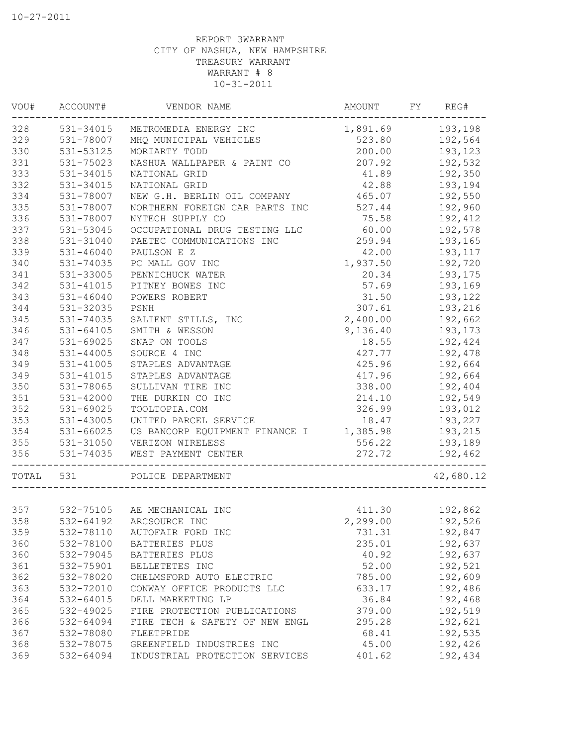|       | VOU# ACCOUNT# | VENDOR NAME                                     | AMOUNT           | FY | REG#      |
|-------|---------------|-------------------------------------------------|------------------|----|-----------|
| 328   |               | 531-34015 METROMEDIA ENERGY INC                 | 1,891.69 193,198 |    |           |
| 329   | 531-78007     | MHQ MUNICIPAL VEHICLES                          | 523.80           |    | 192,564   |
| 330   | 531-53125     | MORIARTY TODD                                   | 200.00           |    | 193,123   |
| 331   | 531-75023     | NASHUA WALLPAPER & PAINT CO                     | 207.92           |    | 192,532   |
| 333   | 531-34015     | NATIONAL GRID                                   | 41.89            |    | 192,350   |
| 332   | 531-34015     | NATIONAL GRID                                   | 42.88            |    | 193,194   |
| 334   | 531-78007     | NEW G.H. BERLIN OIL COMPANY                     | 465.07           |    | 192,550   |
| 335   | 531-78007     | NORTHERN FOREIGN CAR PARTS INC                  | 527.44           |    | 192,960   |
| 336   | 531-78007     | NYTECH SUPPLY CO                                | 75.58            |    | 192,412   |
| 337   | 531-53045     | OCCUPATIONAL DRUG TESTING LLC                   | 60.00            |    | 192,578   |
| 338   | 531-31040     | PAETEC COMMUNICATIONS INC                       | 259.94           |    | 193,165   |
| 339   | 531-46040     | PAULSON E Z                                     | 42.00            |    | 193,117   |
| 340   | 531-74035     | PC MALL GOV INC                                 | 1,937.50         |    | 192,720   |
| 341   | 531-33005     | PENNICHUCK WATER                                | 20.34            |    | 193,175   |
| 342   | 531-41015     | PITNEY BOWES INC                                | 57.69            |    | 193,169   |
| 343   | 531-46040     | POWERS ROBERT                                   | 31.50            |    | 193,122   |
| 344   | 531-32035     | PSNH                                            | 307.61           |    | 193,216   |
| 345   | 531-74035     | SALIENT STILLS, INC                             | 2,400.00         |    | 192,662   |
| 346   | $531 - 64105$ | SMITH & WESSON                                  | 9,136.40         |    | 193,173   |
| 347   | 531-69025     | SNAP ON TOOLS                                   | 18.55            |    | 192,424   |
| 348   | $531 - 44005$ | SOURCE 4 INC                                    | 427.77           |    | 192,478   |
| 349   | 531-41005     | STAPLES ADVANTAGE                               | 425.96           |    | 192,664   |
| 349   | 531-41015     | STAPLES ADVANTAGE                               | 417.96           |    | 192,664   |
| 350   | 531-78065     | SULLIVAN TIRE INC                               | 338.00           |    | 192,404   |
| 351   | 531-42000     | THE DURKIN CO INC                               | 214.10           |    | 192,549   |
| 352   | 531-69025     | TOOLTOPIA.COM                                   | 326.99           |    | 193,012   |
| 353   | 531-43005     | UNITED PARCEL SERVICE                           | 18.47            |    | 193,227   |
| 354   | 531-66025     | US BANCORP EQUIPMENT FINANCE I 1,385.98 193,215 |                  |    |           |
| 355   | 531-31050     | VERIZON WIRELESS                                | 556.22           |    | 193,189   |
| 356   | 531-74035     | WEST PAYMENT CENTER                             | 272.72           |    | 192,462   |
| TOTAL | 531           | POLICE DEPARTMENT                               |                  |    | 42,680.12 |
| 357   |               | 532-75105 AE MECHANICAL INC                     |                  |    |           |
|       | 532-64192     | ARCSOURCE INC                                   | 411.30           |    | 192,862   |
| 358   |               |                                                 | 2,299.00         |    | 192,526   |
| 359   | 532-78110     | AUTOFAIR FORD INC                               | 731.31           |    | 192,847   |
| 360   | 532-78100     | BATTERIES PLUS                                  | 235.01           |    | 192,637   |
| 360   | 532-79045     | BATTERIES PLUS                                  | 40.92            |    | 192,637   |
| 361   | 532-75901     | BELLETETES INC                                  | 52.00            |    | 192,521   |
| 362   | 532-78020     | CHELMSFORD AUTO ELECTRIC                        | 785.00           |    | 192,609   |
| 363   | 532-72010     | CONWAY OFFICE PRODUCTS LLC                      | 633.17           |    | 192,486   |
| 364   | 532-64015     | DELL MARKETING LP                               | 36.84            |    | 192,468   |
| 365   | 532-49025     | FIRE PROTECTION PUBLICATIONS                    | 379.00           |    | 192,519   |
| 366   | 532-64094     | FIRE TECH & SAFETY OF NEW ENGL                  | 295.28           |    | 192,621   |
| 367   | 532-78080     | FLEETPRIDE                                      | 68.41            |    | 192,535   |
| 368   | 532-78075     | GREENFIELD INDUSTRIES INC                       | 45.00            |    | 192,426   |
| 369   | 532-64094     | INDUSTRIAL PROTECTION SERVICES                  | 401.62           |    | 192,434   |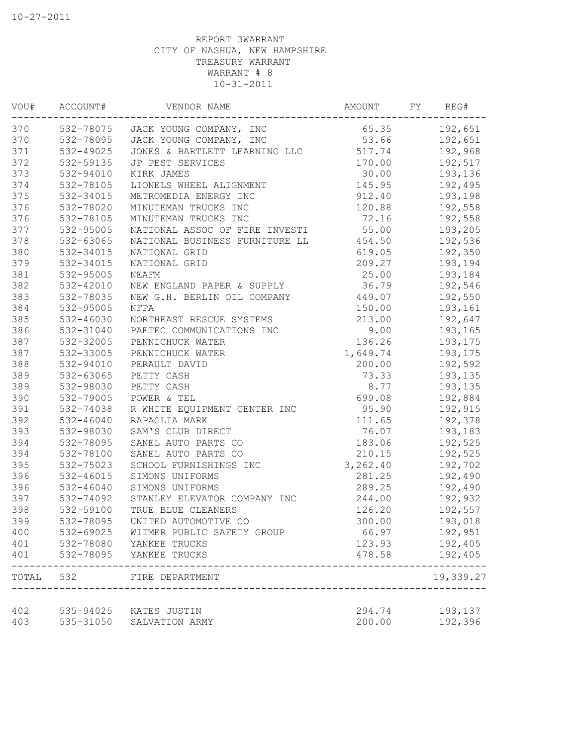| VOU#  | ACCOUNT#      | VENDOR NAME                       | AMOUNT   | FΥ | REG#      |
|-------|---------------|-----------------------------------|----------|----|-----------|
| 370   |               | 532-78075 JACK YOUNG COMPANY, INC | 65.35    |    | 192,651   |
| 370   |               | 532-78095 JACK YOUNG COMPANY, INC | 53.66    |    | 192,651   |
| 371   | 532-49025     | JONES & BARTLETT LEARNING LLC     | 517.74   |    | 192,968   |
| 372   | 532-59135     | JP PEST SERVICES                  | 170.00   |    | 192,517   |
| 373   | 532-94010     | KIRK JAMES                        | 30.00    |    | 193,136   |
| 374   | 532-78105     | LIONELS WHEEL ALIGNMENT           | 145.95   |    | 192,495   |
| 375   | 532-34015     | METROMEDIA ENERGY INC             | 912.40   |    | 193,198   |
| 376   | 532-78020     | MINUTEMAN TRUCKS INC              | 120.88   |    | 192,558   |
| 376   | 532-78105     | MINUTEMAN TRUCKS INC              | 72.16    |    | 192,558   |
| 377   | 532-95005     | NATIONAL ASSOC OF FIRE INVESTI    | 55.00    |    | 193,205   |
| 378   | 532-63065     | NATIONAL BUSINESS FURNITURE LL    | 454.50   |    | 192,536   |
| 380   | 532-34015     | NATIONAL GRID                     | 619.05   |    | 192,350   |
| 379   | 532-34015     | NATIONAL GRID                     | 209.27   |    | 193,194   |
| 381   | 532-95005     | NEAFM                             | 25.00    |    | 193,184   |
| 382   | 532-42010     | NEW ENGLAND PAPER & SUPPLY        | 36.79    |    | 192,546   |
| 383   | 532-78035     | NEW G.H. BERLIN OIL COMPANY       | 449.07   |    | 192,550   |
| 384   | 532-95005     | NFPA                              | 150.00   |    | 193,161   |
| 385   | 532-46030     | NORTHEAST RESCUE SYSTEMS          | 213.00   |    | 192,647   |
| 386   | 532-31040     | PAETEC COMMUNICATIONS INC         | 9.00     |    | 193,165   |
| 387   | 532-32005     | PENNICHUCK WATER                  | 136.26   |    | 193,175   |
| 387   | 532-33005     | PENNICHUCK WATER                  | 1,649.74 |    | 193,175   |
| 388   | 532-94010     | PERAULT DAVID                     | 200.00   |    | 192,592   |
| 389   | 532-63065     | PETTY CASH                        | 73.33    |    | 193,135   |
| 389   | 532-98030     | PETTY CASH                        | 8.77     |    | 193,135   |
| 390   | 532-79005     | POWER & TEL                       | 699.08   |    | 192,884   |
| 391   | 532-74038     | R WHITE EQUIPMENT CENTER INC      | 95.90    |    | 192,915   |
| 392   | 532-46040     | RAPAGLIA MARK                     | 111.65   |    | 192,378   |
| 393   | 532-98030     | SAM'S CLUB DIRECT                 | 76.07    |    | 193,183   |
| 394   | 532-78095     | SANEL AUTO PARTS CO               | 183.06   |    | 192,525   |
| 394   | 532-78100     | SANEL AUTO PARTS CO               | 210.15   |    | 192,525   |
| 395   | 532-75023     | SCHOOL FURNISHINGS INC            | 3,262.40 |    | 192,702   |
| 396   | 532-46015     | SIMONS UNIFORMS                   | 281.25   |    | 192,490   |
| 396   | $532 - 46040$ | SIMONS UNIFORMS                   | 289.25   |    | 192,490   |
| 397   | 532-74092     | STANLEY ELEVATOR COMPANY INC      | 244.00   |    | 192,932   |
| 398   | 532-59100     | TRUE BLUE CLEANERS                | 126.20   |    | 192,557   |
| 399   | 532-78095     | UNITED AUTOMOTIVE CO              | 300.00   |    | 193,018   |
| 400   | 532-69025     | WITMER PUBLIC SAFETY GROUP        | 66.97    |    | 192,951   |
| 401   | 532-78080     | YANKEE TRUCKS                     | 123.93   |    | 192,405   |
| 401   | 532-78095     | YANKEE TRUCKS                     | 478.58   |    | 192,405   |
| TOTAL | 532           | FIRE DEPARTMENT                   |          |    | 19,339.27 |
| 402   | 535-94025     | KATES JUSTIN                      | 294.74   |    | 193,137   |
| 403   | 535-31050     | SALVATION ARMY                    | 200.00   |    | 192,396   |
|       |               |                                   |          |    |           |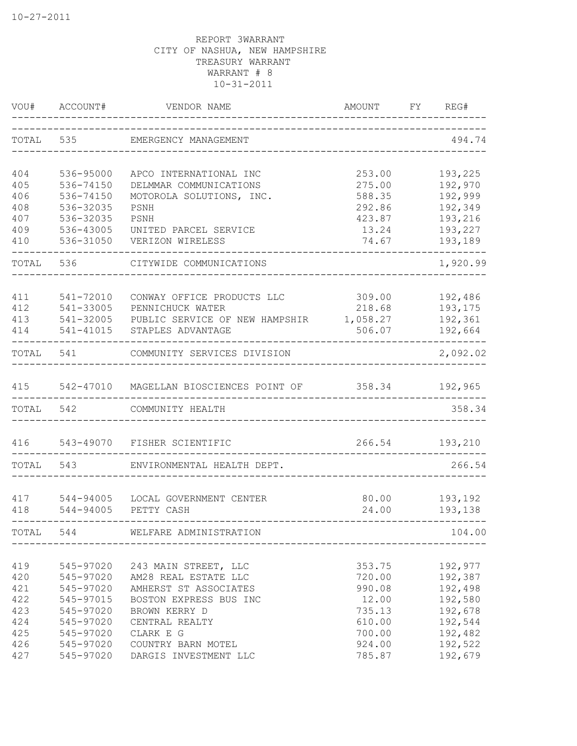| VOU#      | ACCOUNT#  | VENDOR NAME<br>-----------------------------------<br>_______________ | AMOUNT FY REG# |          |
|-----------|-----------|-----------------------------------------------------------------------|----------------|----------|
| TOTAL 535 |           | EMERGENCY MANAGEMENT                                                  |                | 494.74   |
| 404       | 536-95000 | APCO INTERNATIONAL INC                                                | 253.00         | 193,225  |
| 405       | 536-74150 | DELMMAR COMMUNICATIONS                                                | 275.00         | 192,970  |
| 406       | 536-74150 | MOTOROLA SOLUTIONS, INC.                                              | 588.35         | 192,999  |
| 408       | 536-32035 | PSNH                                                                  | 292.86         | 192,349  |
| 407       | 536-32035 | PSNH                                                                  | 423.87         | 193,216  |
| 409       | 536-43005 | UNITED PARCEL SERVICE                                                 | 13.24          | 193,227  |
| 410       | 536-31050 | VERIZON WIRELESS                                                      | 74.67          | 193,189  |
| TOTAL     | 536       | CITYWIDE COMMUNICATIONS                                               |                | 1,920.99 |
| 411       | 541-72010 | CONWAY OFFICE PRODUCTS LLC                                            | 309.00         | 192,486  |
| 412       | 541-33005 | PENNICHUCK WATER                                                      | 218.68         | 193,175  |
| 413       | 541-32005 | PUBLIC SERVICE OF NEW HAMPSHIR                                        | 1,058.27       | 192,361  |
| 414       | 541-41015 | STAPLES ADVANTAGE                                                     | 506.07         | 192,664  |
| TOTAL     | 541       | COMMUNITY SERVICES DIVISION                                           |                | 2,092.02 |
| 415       |           | 542-47010 MAGELLAN BIOSCIENCES POINT OF                               | 358.34         | 192,965  |
|           |           |                                                                       |                |          |
| TOTAL     | 542       | COMMUNITY HEALTH                                                      |                | 358.34   |
| 416       |           | 543-49070 FISHER SCIENTIFIC                                           | 266.54         | 193,210  |
| TOTAL     | 543       | ENVIRONMENTAL HEALTH DEPT.                                            |                | 266.54   |
| 417       | 544-94005 | LOCAL GOVERNMENT CENTER                                               | 80.00          | 193,192  |
| 418       | 544-94005 | PETTY CASH                                                            | 24.00          | 193,138  |
| TOTAL 544 |           | WELFARE ADMINISTRATION                                                |                | 104.00   |
| 419       | 545-97020 | 243 MAIN STREET, LLC                                                  | 353.75         | 192,977  |
| 420       | 545-97020 | AM28 REAL ESTATE LLC                                                  | 720.00         | 192,387  |
| 421       | 545-97020 | AMHERST ST ASSOCIATES                                                 | 990.08         | 192,498  |
| 422       | 545-97015 | BOSTON EXPRESS BUS INC                                                | 12.00          | 192,580  |
| 423       | 545-97020 | BROWN KERRY D                                                         | 735.13         | 192,678  |
| 424       | 545-97020 | CENTRAL REALTY                                                        | 610.00         | 192,544  |
| 425       | 545-97020 | CLARK E G                                                             | 700.00         | 192,482  |
| 426       | 545-97020 | COUNTRY BARN MOTEL                                                    | 924.00         | 192,522  |
| 427       | 545-97020 | DARGIS INVESTMENT LLC                                                 | 785.87         | 192,679  |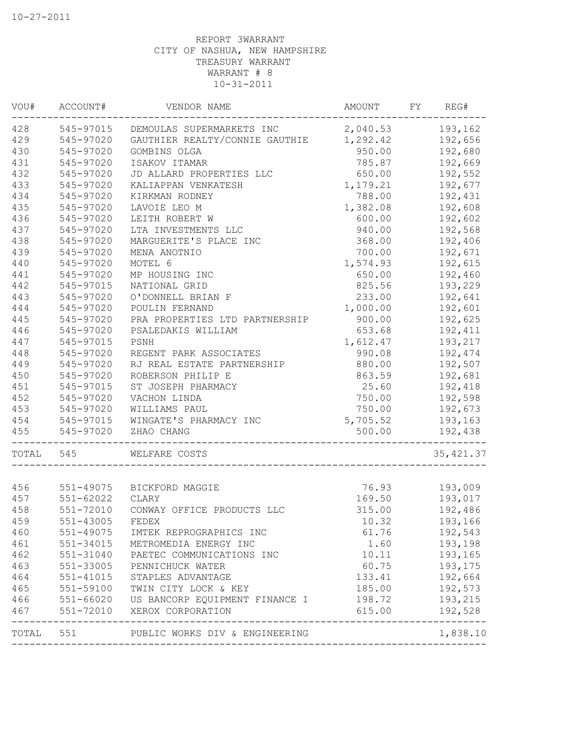| 428<br>2,040.53 193,162<br>545-97015<br>DEMOULAS SUPERMARKETS INC<br>429<br>1,292.42<br>545-97020<br>GAUTHIER REALTY/CONNIE GAUTHIE<br>430<br>950.00<br>545-97020<br>GOMBINS OLGA<br>431<br>785.87<br>545-97020<br>ISAKOV ITAMAR<br>432<br>650.00<br>545-97020<br>JD ALLARD PROPERTIES LLC<br>433<br>545-97020<br>KALIAPPAN VENKATESH<br>1,179.21<br>434<br>788.00<br>545-97020<br>KIRKMAN RODNEY<br>1,382.08<br>435<br>545-97020<br>LAVOIE LEO M<br>436<br>LEITH ROBERT W<br>600.00<br>545-97020<br>437<br>545-97020<br>LTA INVESTMENTS LLC<br>940.00<br>438<br>368.00<br>545-97020<br>MARGUERITE'S PLACE INC<br>439<br>545-97020<br>MENA ANOTNIO<br>700.00<br>440<br>1,574.93<br>545-97020<br>MOTEL 6<br>441<br>545-97020<br>MP HOUSING INC<br>650.00<br>442<br>545-97015<br>NATIONAL GRID<br>825.56<br>443<br>545-97020<br>O'DONNELL BRIAN F<br>233.00<br>444<br>1,000.00<br>545-97020<br>POULIN FERNAND<br>445<br>900.00<br>545-97020<br>PRA PROPERTIES LTD PARTNERSHIP<br>446<br>545-97020<br>PSALEDAKIS WILLIAM<br>653.68<br>447<br>545-97015<br>PSNH<br>1,612.47<br>448<br>545-97020<br>REGENT PARK ASSOCIATES<br>990.08<br>192,474<br>449<br>192,507<br>545-97020<br>RJ REAL ESTATE PARTNERSHIP<br>880.00<br>450<br>192,681<br>545-97020<br>ROBERSON PHILIP E<br>863.59<br>451<br>545-97015<br>ST JOSEPH PHARMACY<br>25.60<br>452<br>545-97020<br>VACHON LINDA<br>750.00<br>453<br>192,673<br>545-97020<br>WILLIAMS PAUL<br>750.00<br>454<br>5,705.52<br>545-97015<br>WINGATE'S PHARMACY INC<br>455<br>545-97020<br>ZHAO CHANG<br>500.00<br>TOTAL<br>545<br>WELFARE COSTS<br>456<br>551-49075<br>76.93<br>BICKFORD MAGGIE<br>457<br>169.50<br>193,017<br>551-62022<br>CLARY<br>458<br>551-72010<br>CONWAY OFFICE PRODUCTS LLC<br>315.00<br>192,486<br>459<br>551-43005<br>FEDEX<br>10.32<br>193,166<br>61.76<br>460<br>551-49075<br>IMTEK REPROGRAPHICS INC<br>461<br>1.60<br>551-34015<br>METROMEDIA ENERGY INC<br>462<br>10.11<br>551-31040<br>PAETEC COMMUNICATIONS INC<br>463<br>551-33005<br>60.75<br>PENNICHUCK WATER<br>464<br>$551 - 41015$<br>133.41<br>STAPLES ADVANTAGE<br>465<br>185.00<br>551-59100<br>TWIN CITY LOCK & KEY<br>466<br>$551 - 66020$<br>US BANCORP EQUIPMENT FINANCE I<br>198.72<br>467<br>551-72010<br>XEROX CORPORATION<br>615.00<br>551<br>PUBLIC WORKS DIV & ENGINEERING<br>TOTAL | VOU# | ACCOUNT# | VENDOR NAME | AMOUNT | FY | REG#       |
|---------------------------------------------------------------------------------------------------------------------------------------------------------------------------------------------------------------------------------------------------------------------------------------------------------------------------------------------------------------------------------------------------------------------------------------------------------------------------------------------------------------------------------------------------------------------------------------------------------------------------------------------------------------------------------------------------------------------------------------------------------------------------------------------------------------------------------------------------------------------------------------------------------------------------------------------------------------------------------------------------------------------------------------------------------------------------------------------------------------------------------------------------------------------------------------------------------------------------------------------------------------------------------------------------------------------------------------------------------------------------------------------------------------------------------------------------------------------------------------------------------------------------------------------------------------------------------------------------------------------------------------------------------------------------------------------------------------------------------------------------------------------------------------------------------------------------------------------------------------------------------------------------------------------------------------------------------------------------------------------------------------------------------------------------------------------------------------------------------------------------------------------------------------------------------------------------------------------------------------------------------------------------------------------------------------------------|------|----------|-------------|--------|----|------------|
|                                                                                                                                                                                                                                                                                                                                                                                                                                                                                                                                                                                                                                                                                                                                                                                                                                                                                                                                                                                                                                                                                                                                                                                                                                                                                                                                                                                                                                                                                                                                                                                                                                                                                                                                                                                                                                                                                                                                                                                                                                                                                                                                                                                                                                                                                                                           |      |          |             |        |    |            |
|                                                                                                                                                                                                                                                                                                                                                                                                                                                                                                                                                                                                                                                                                                                                                                                                                                                                                                                                                                                                                                                                                                                                                                                                                                                                                                                                                                                                                                                                                                                                                                                                                                                                                                                                                                                                                                                                                                                                                                                                                                                                                                                                                                                                                                                                                                                           |      |          |             |        |    | 192,656    |
|                                                                                                                                                                                                                                                                                                                                                                                                                                                                                                                                                                                                                                                                                                                                                                                                                                                                                                                                                                                                                                                                                                                                                                                                                                                                                                                                                                                                                                                                                                                                                                                                                                                                                                                                                                                                                                                                                                                                                                                                                                                                                                                                                                                                                                                                                                                           |      |          |             |        |    | 192,680    |
|                                                                                                                                                                                                                                                                                                                                                                                                                                                                                                                                                                                                                                                                                                                                                                                                                                                                                                                                                                                                                                                                                                                                                                                                                                                                                                                                                                                                                                                                                                                                                                                                                                                                                                                                                                                                                                                                                                                                                                                                                                                                                                                                                                                                                                                                                                                           |      |          |             |        |    | 192,669    |
|                                                                                                                                                                                                                                                                                                                                                                                                                                                                                                                                                                                                                                                                                                                                                                                                                                                                                                                                                                                                                                                                                                                                                                                                                                                                                                                                                                                                                                                                                                                                                                                                                                                                                                                                                                                                                                                                                                                                                                                                                                                                                                                                                                                                                                                                                                                           |      |          |             |        |    | 192,552    |
|                                                                                                                                                                                                                                                                                                                                                                                                                                                                                                                                                                                                                                                                                                                                                                                                                                                                                                                                                                                                                                                                                                                                                                                                                                                                                                                                                                                                                                                                                                                                                                                                                                                                                                                                                                                                                                                                                                                                                                                                                                                                                                                                                                                                                                                                                                                           |      |          |             |        |    | 192,677    |
|                                                                                                                                                                                                                                                                                                                                                                                                                                                                                                                                                                                                                                                                                                                                                                                                                                                                                                                                                                                                                                                                                                                                                                                                                                                                                                                                                                                                                                                                                                                                                                                                                                                                                                                                                                                                                                                                                                                                                                                                                                                                                                                                                                                                                                                                                                                           |      |          |             |        |    | 192,431    |
|                                                                                                                                                                                                                                                                                                                                                                                                                                                                                                                                                                                                                                                                                                                                                                                                                                                                                                                                                                                                                                                                                                                                                                                                                                                                                                                                                                                                                                                                                                                                                                                                                                                                                                                                                                                                                                                                                                                                                                                                                                                                                                                                                                                                                                                                                                                           |      |          |             |        |    | 192,608    |
|                                                                                                                                                                                                                                                                                                                                                                                                                                                                                                                                                                                                                                                                                                                                                                                                                                                                                                                                                                                                                                                                                                                                                                                                                                                                                                                                                                                                                                                                                                                                                                                                                                                                                                                                                                                                                                                                                                                                                                                                                                                                                                                                                                                                                                                                                                                           |      |          |             |        |    | 192,602    |
|                                                                                                                                                                                                                                                                                                                                                                                                                                                                                                                                                                                                                                                                                                                                                                                                                                                                                                                                                                                                                                                                                                                                                                                                                                                                                                                                                                                                                                                                                                                                                                                                                                                                                                                                                                                                                                                                                                                                                                                                                                                                                                                                                                                                                                                                                                                           |      |          |             |        |    | 192,568    |
|                                                                                                                                                                                                                                                                                                                                                                                                                                                                                                                                                                                                                                                                                                                                                                                                                                                                                                                                                                                                                                                                                                                                                                                                                                                                                                                                                                                                                                                                                                                                                                                                                                                                                                                                                                                                                                                                                                                                                                                                                                                                                                                                                                                                                                                                                                                           |      |          |             |        |    | 192,406    |
|                                                                                                                                                                                                                                                                                                                                                                                                                                                                                                                                                                                                                                                                                                                                                                                                                                                                                                                                                                                                                                                                                                                                                                                                                                                                                                                                                                                                                                                                                                                                                                                                                                                                                                                                                                                                                                                                                                                                                                                                                                                                                                                                                                                                                                                                                                                           |      |          |             |        |    | 192,671    |
|                                                                                                                                                                                                                                                                                                                                                                                                                                                                                                                                                                                                                                                                                                                                                                                                                                                                                                                                                                                                                                                                                                                                                                                                                                                                                                                                                                                                                                                                                                                                                                                                                                                                                                                                                                                                                                                                                                                                                                                                                                                                                                                                                                                                                                                                                                                           |      |          |             |        |    | 192,615    |
|                                                                                                                                                                                                                                                                                                                                                                                                                                                                                                                                                                                                                                                                                                                                                                                                                                                                                                                                                                                                                                                                                                                                                                                                                                                                                                                                                                                                                                                                                                                                                                                                                                                                                                                                                                                                                                                                                                                                                                                                                                                                                                                                                                                                                                                                                                                           |      |          |             |        |    | 192,460    |
|                                                                                                                                                                                                                                                                                                                                                                                                                                                                                                                                                                                                                                                                                                                                                                                                                                                                                                                                                                                                                                                                                                                                                                                                                                                                                                                                                                                                                                                                                                                                                                                                                                                                                                                                                                                                                                                                                                                                                                                                                                                                                                                                                                                                                                                                                                                           |      |          |             |        |    | 193,229    |
|                                                                                                                                                                                                                                                                                                                                                                                                                                                                                                                                                                                                                                                                                                                                                                                                                                                                                                                                                                                                                                                                                                                                                                                                                                                                                                                                                                                                                                                                                                                                                                                                                                                                                                                                                                                                                                                                                                                                                                                                                                                                                                                                                                                                                                                                                                                           |      |          |             |        |    | 192,641    |
|                                                                                                                                                                                                                                                                                                                                                                                                                                                                                                                                                                                                                                                                                                                                                                                                                                                                                                                                                                                                                                                                                                                                                                                                                                                                                                                                                                                                                                                                                                                                                                                                                                                                                                                                                                                                                                                                                                                                                                                                                                                                                                                                                                                                                                                                                                                           |      |          |             |        |    | 192,601    |
|                                                                                                                                                                                                                                                                                                                                                                                                                                                                                                                                                                                                                                                                                                                                                                                                                                                                                                                                                                                                                                                                                                                                                                                                                                                                                                                                                                                                                                                                                                                                                                                                                                                                                                                                                                                                                                                                                                                                                                                                                                                                                                                                                                                                                                                                                                                           |      |          |             |        |    | 192,625    |
|                                                                                                                                                                                                                                                                                                                                                                                                                                                                                                                                                                                                                                                                                                                                                                                                                                                                                                                                                                                                                                                                                                                                                                                                                                                                                                                                                                                                                                                                                                                                                                                                                                                                                                                                                                                                                                                                                                                                                                                                                                                                                                                                                                                                                                                                                                                           |      |          |             |        |    | 192,411    |
|                                                                                                                                                                                                                                                                                                                                                                                                                                                                                                                                                                                                                                                                                                                                                                                                                                                                                                                                                                                                                                                                                                                                                                                                                                                                                                                                                                                                                                                                                                                                                                                                                                                                                                                                                                                                                                                                                                                                                                                                                                                                                                                                                                                                                                                                                                                           |      |          |             |        |    | 193,217    |
|                                                                                                                                                                                                                                                                                                                                                                                                                                                                                                                                                                                                                                                                                                                                                                                                                                                                                                                                                                                                                                                                                                                                                                                                                                                                                                                                                                                                                                                                                                                                                                                                                                                                                                                                                                                                                                                                                                                                                                                                                                                                                                                                                                                                                                                                                                                           |      |          |             |        |    |            |
|                                                                                                                                                                                                                                                                                                                                                                                                                                                                                                                                                                                                                                                                                                                                                                                                                                                                                                                                                                                                                                                                                                                                                                                                                                                                                                                                                                                                                                                                                                                                                                                                                                                                                                                                                                                                                                                                                                                                                                                                                                                                                                                                                                                                                                                                                                                           |      |          |             |        |    |            |
|                                                                                                                                                                                                                                                                                                                                                                                                                                                                                                                                                                                                                                                                                                                                                                                                                                                                                                                                                                                                                                                                                                                                                                                                                                                                                                                                                                                                                                                                                                                                                                                                                                                                                                                                                                                                                                                                                                                                                                                                                                                                                                                                                                                                                                                                                                                           |      |          |             |        |    |            |
|                                                                                                                                                                                                                                                                                                                                                                                                                                                                                                                                                                                                                                                                                                                                                                                                                                                                                                                                                                                                                                                                                                                                                                                                                                                                                                                                                                                                                                                                                                                                                                                                                                                                                                                                                                                                                                                                                                                                                                                                                                                                                                                                                                                                                                                                                                                           |      |          |             |        |    | 192,418    |
|                                                                                                                                                                                                                                                                                                                                                                                                                                                                                                                                                                                                                                                                                                                                                                                                                                                                                                                                                                                                                                                                                                                                                                                                                                                                                                                                                                                                                                                                                                                                                                                                                                                                                                                                                                                                                                                                                                                                                                                                                                                                                                                                                                                                                                                                                                                           |      |          |             |        |    | 192,598    |
|                                                                                                                                                                                                                                                                                                                                                                                                                                                                                                                                                                                                                                                                                                                                                                                                                                                                                                                                                                                                                                                                                                                                                                                                                                                                                                                                                                                                                                                                                                                                                                                                                                                                                                                                                                                                                                                                                                                                                                                                                                                                                                                                                                                                                                                                                                                           |      |          |             |        |    |            |
|                                                                                                                                                                                                                                                                                                                                                                                                                                                                                                                                                                                                                                                                                                                                                                                                                                                                                                                                                                                                                                                                                                                                                                                                                                                                                                                                                                                                                                                                                                                                                                                                                                                                                                                                                                                                                                                                                                                                                                                                                                                                                                                                                                                                                                                                                                                           |      |          |             |        |    | 193,163    |
|                                                                                                                                                                                                                                                                                                                                                                                                                                                                                                                                                                                                                                                                                                                                                                                                                                                                                                                                                                                                                                                                                                                                                                                                                                                                                                                                                                                                                                                                                                                                                                                                                                                                                                                                                                                                                                                                                                                                                                                                                                                                                                                                                                                                                                                                                                                           |      |          |             |        |    | 192,438    |
|                                                                                                                                                                                                                                                                                                                                                                                                                                                                                                                                                                                                                                                                                                                                                                                                                                                                                                                                                                                                                                                                                                                                                                                                                                                                                                                                                                                                                                                                                                                                                                                                                                                                                                                                                                                                                                                                                                                                                                                                                                                                                                                                                                                                                                                                                                                           |      |          |             |        |    | 35, 421.37 |
|                                                                                                                                                                                                                                                                                                                                                                                                                                                                                                                                                                                                                                                                                                                                                                                                                                                                                                                                                                                                                                                                                                                                                                                                                                                                                                                                                                                                                                                                                                                                                                                                                                                                                                                                                                                                                                                                                                                                                                                                                                                                                                                                                                                                                                                                                                                           |      |          |             |        |    |            |
|                                                                                                                                                                                                                                                                                                                                                                                                                                                                                                                                                                                                                                                                                                                                                                                                                                                                                                                                                                                                                                                                                                                                                                                                                                                                                                                                                                                                                                                                                                                                                                                                                                                                                                                                                                                                                                                                                                                                                                                                                                                                                                                                                                                                                                                                                                                           |      |          |             |        |    | 193,009    |
|                                                                                                                                                                                                                                                                                                                                                                                                                                                                                                                                                                                                                                                                                                                                                                                                                                                                                                                                                                                                                                                                                                                                                                                                                                                                                                                                                                                                                                                                                                                                                                                                                                                                                                                                                                                                                                                                                                                                                                                                                                                                                                                                                                                                                                                                                                                           |      |          |             |        |    |            |
|                                                                                                                                                                                                                                                                                                                                                                                                                                                                                                                                                                                                                                                                                                                                                                                                                                                                                                                                                                                                                                                                                                                                                                                                                                                                                                                                                                                                                                                                                                                                                                                                                                                                                                                                                                                                                                                                                                                                                                                                                                                                                                                                                                                                                                                                                                                           |      |          |             |        |    |            |
|                                                                                                                                                                                                                                                                                                                                                                                                                                                                                                                                                                                                                                                                                                                                                                                                                                                                                                                                                                                                                                                                                                                                                                                                                                                                                                                                                                                                                                                                                                                                                                                                                                                                                                                                                                                                                                                                                                                                                                                                                                                                                                                                                                                                                                                                                                                           |      |          |             |        |    |            |
|                                                                                                                                                                                                                                                                                                                                                                                                                                                                                                                                                                                                                                                                                                                                                                                                                                                                                                                                                                                                                                                                                                                                                                                                                                                                                                                                                                                                                                                                                                                                                                                                                                                                                                                                                                                                                                                                                                                                                                                                                                                                                                                                                                                                                                                                                                                           |      |          |             |        |    | 192,543    |
|                                                                                                                                                                                                                                                                                                                                                                                                                                                                                                                                                                                                                                                                                                                                                                                                                                                                                                                                                                                                                                                                                                                                                                                                                                                                                                                                                                                                                                                                                                                                                                                                                                                                                                                                                                                                                                                                                                                                                                                                                                                                                                                                                                                                                                                                                                                           |      |          |             |        |    | 193,198    |
|                                                                                                                                                                                                                                                                                                                                                                                                                                                                                                                                                                                                                                                                                                                                                                                                                                                                                                                                                                                                                                                                                                                                                                                                                                                                                                                                                                                                                                                                                                                                                                                                                                                                                                                                                                                                                                                                                                                                                                                                                                                                                                                                                                                                                                                                                                                           |      |          |             |        |    | 193,165    |
|                                                                                                                                                                                                                                                                                                                                                                                                                                                                                                                                                                                                                                                                                                                                                                                                                                                                                                                                                                                                                                                                                                                                                                                                                                                                                                                                                                                                                                                                                                                                                                                                                                                                                                                                                                                                                                                                                                                                                                                                                                                                                                                                                                                                                                                                                                                           |      |          |             |        |    | 193,175    |
|                                                                                                                                                                                                                                                                                                                                                                                                                                                                                                                                                                                                                                                                                                                                                                                                                                                                                                                                                                                                                                                                                                                                                                                                                                                                                                                                                                                                                                                                                                                                                                                                                                                                                                                                                                                                                                                                                                                                                                                                                                                                                                                                                                                                                                                                                                                           |      |          |             |        |    | 192,664    |
|                                                                                                                                                                                                                                                                                                                                                                                                                                                                                                                                                                                                                                                                                                                                                                                                                                                                                                                                                                                                                                                                                                                                                                                                                                                                                                                                                                                                                                                                                                                                                                                                                                                                                                                                                                                                                                                                                                                                                                                                                                                                                                                                                                                                                                                                                                                           |      |          |             |        |    | 192,573    |
|                                                                                                                                                                                                                                                                                                                                                                                                                                                                                                                                                                                                                                                                                                                                                                                                                                                                                                                                                                                                                                                                                                                                                                                                                                                                                                                                                                                                                                                                                                                                                                                                                                                                                                                                                                                                                                                                                                                                                                                                                                                                                                                                                                                                                                                                                                                           |      |          |             |        |    | 193,215    |
|                                                                                                                                                                                                                                                                                                                                                                                                                                                                                                                                                                                                                                                                                                                                                                                                                                                                                                                                                                                                                                                                                                                                                                                                                                                                                                                                                                                                                                                                                                                                                                                                                                                                                                                                                                                                                                                                                                                                                                                                                                                                                                                                                                                                                                                                                                                           |      |          |             |        |    | 192,528    |
|                                                                                                                                                                                                                                                                                                                                                                                                                                                                                                                                                                                                                                                                                                                                                                                                                                                                                                                                                                                                                                                                                                                                                                                                                                                                                                                                                                                                                                                                                                                                                                                                                                                                                                                                                                                                                                                                                                                                                                                                                                                                                                                                                                                                                                                                                                                           |      |          |             |        |    | 1,838.10   |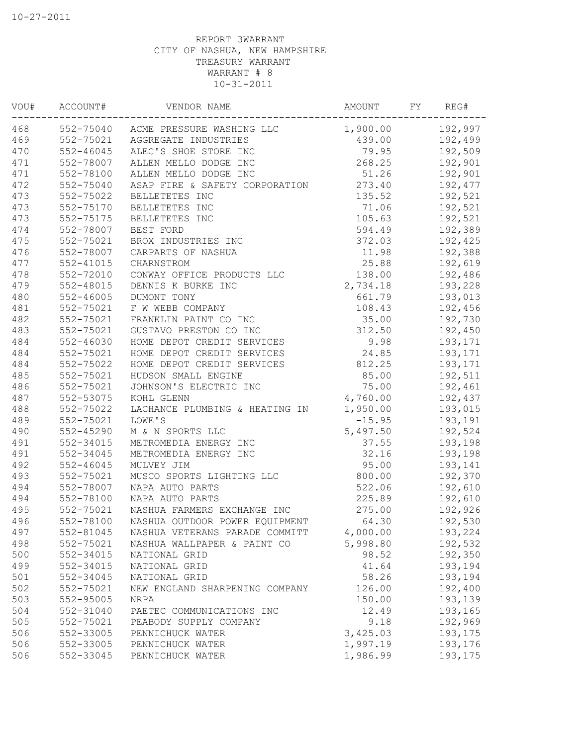| VOU# | ACCOUNT#      | VENDOR NAME                         | <b>AMOUNT</b> | FΥ | REG#    |
|------|---------------|-------------------------------------|---------------|----|---------|
| 468  |               | 552-75040 ACME PRESSURE WASHING LLC | 1,900.00      |    | 192,997 |
| 469  | 552-75021     | AGGREGATE INDUSTRIES                | 439.00        |    | 192,499 |
| 470  | $552 - 46045$ | ALEC'S SHOE STORE INC               | 79.95         |    | 192,509 |
| 471  | 552-78007     | ALLEN MELLO DODGE INC               | 268.25        |    | 192,901 |
| 471  | 552-78100     | ALLEN MELLO DODGE INC               | 51.26         |    | 192,901 |
| 472  | 552-75040     | ASAP FIRE & SAFETY CORPORATION      | 273.40        |    | 192,477 |
| 473  | 552-75022     | BELLETETES INC                      | 135.52        |    | 192,521 |
| 473  | 552-75170     | BELLETETES INC                      | 71.06         |    | 192,521 |
| 473  | 552-75175     | BELLETETES INC                      | 105.63        |    | 192,521 |
| 474  | 552-78007     | BEST FORD                           | 594.49        |    | 192,389 |
| 475  | 552-75021     | BROX INDUSTRIES INC                 | 372.03        |    | 192,425 |
| 476  | 552-78007     | CARPARTS OF NASHUA                  | 11.98         |    | 192,388 |
| 477  | 552-41015     | CHARNSTROM                          | 25.88         |    | 192,619 |
| 478  | 552-72010     | CONWAY OFFICE PRODUCTS LLC          | 138.00        |    | 192,486 |
| 479  | 552-48015     | DENNIS K BURKE INC                  | 2,734.18      |    | 193,228 |
| 480  | $552 - 46005$ | DUMONT TONY                         | 661.79        |    | 193,013 |
| 481  | 552-75021     | F W WEBB COMPANY                    | 108.43        |    | 192,456 |
| 482  | 552-75021     | FRANKLIN PAINT CO INC               | 35.00         |    | 192,730 |
| 483  | 552-75021     | GUSTAVO PRESTON CO INC              | 312.50        |    | 192,450 |
| 484  | 552-46030     | HOME DEPOT CREDIT SERVICES          | 9.98          |    | 193,171 |
| 484  | 552-75021     | HOME DEPOT CREDIT SERVICES          | 24.85         |    | 193,171 |
| 484  | 552-75022     | HOME DEPOT CREDIT SERVICES          | 812.25        |    | 193,171 |
| 485  | 552-75021     | HUDSON SMALL ENGINE                 | 85.00         |    | 192,511 |
| 486  | 552-75021     | JOHNSON'S ELECTRIC INC              | 75.00         |    | 192,461 |
| 487  | 552-53075     | KOHL GLENN                          | 4,760.00      |    | 192,437 |
| 488  | 552-75022     | LACHANCE PLUMBING & HEATING IN      | 1,950.00      |    | 193,015 |
| 489  | 552-75021     | LOWE'S                              | $-15.95$      |    | 193,191 |
| 490  | 552-45290     | M & N SPORTS LLC                    | 5,497.50      |    | 192,524 |
| 491  | 552-34015     | METROMEDIA ENERGY INC               | 37.55         |    | 193,198 |
| 491  | 552-34045     | METROMEDIA ENERGY INC               | 32.16         |    | 193,198 |
| 492  | $552 - 46045$ | MULVEY JIM                          | 95.00         |    | 193,141 |
| 493  | 552-75021     | MUSCO SPORTS LIGHTING LLC           | 800.00        |    | 192,370 |
| 494  | 552-78007     | NAPA AUTO PARTS                     | 522.06        |    | 192,610 |
| 494  | 552-78100     | NAPA AUTO PARTS                     | 225.89        |    | 192,610 |
| 495  | 552-75021     | NASHUA FARMERS EXCHANGE INC         | 275.00        |    | 192,926 |
| 496  | 552-78100     | NASHUA OUTDOOR POWER EQUIPMENT      | 64.30         |    | 192,530 |
| 497  | 552-81045     | NASHUA VETERANS PARADE COMMITT      | 4,000.00      |    | 193,224 |
| 498  | 552-75021     | NASHUA WALLPAPER & PAINT CO         | 5,998.80      |    | 192,532 |
| 500  | 552-34015     | NATIONAL GRID                       | 98.52         |    | 192,350 |
| 499  | 552-34015     | NATIONAL GRID                       | 41.64         |    | 193,194 |
| 501  | 552-34045     | NATIONAL GRID                       | 58.26         |    | 193,194 |
| 502  | 552-75021     | NEW ENGLAND SHARPENING COMPANY      | 126.00        |    | 192,400 |
| 503  | 552-95005     | NRPA                                | 150.00        |    | 193,139 |
| 504  | 552-31040     | PAETEC COMMUNICATIONS INC           | 12.49         |    | 193,165 |
| 505  | 552-75021     | PEABODY SUPPLY COMPANY              | 9.18          |    | 192,969 |
| 506  | 552-33005     | PENNICHUCK WATER                    | 3,425.03      |    | 193,175 |
| 506  | 552-33005     | PENNICHUCK WATER                    | 1,997.19      |    | 193,176 |
| 506  | 552-33045     | PENNICHUCK WATER                    | 1,986.99      |    | 193,175 |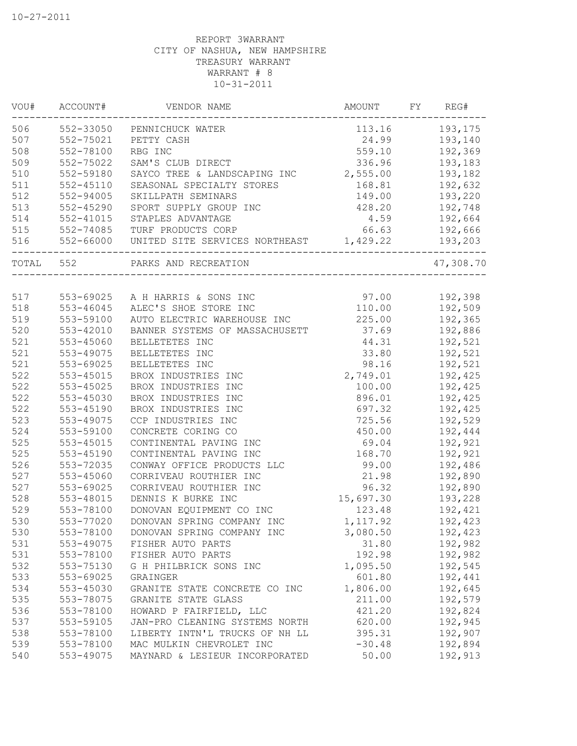| 506<br>193,175<br>552-33050<br>113.16<br>PENNICHUCK WATER<br>507<br>24.99<br>193,140<br>552-75021<br>PETTY CASH<br>508<br>RBG INC<br>192,369<br>552-78100<br>559.10<br>509<br>552-75022<br>SAM'S CLUB DIRECT<br>336.96<br>193,183<br>2,555.00<br>510<br>552-59180<br>193,182<br>SAYCO TREE & LANDSCAPING INC<br>511<br>192,632<br>$552 - 45110$<br>SEASONAL SPECIALTY STORES<br>168.81<br>512<br>552-94005<br>SKILLPATH SEMINARS<br>149.00<br>193,220<br>513<br>552-45290<br>SPORT SUPPLY GROUP INC<br>428.20<br>192,748<br>514<br>STAPLES ADVANTAGE<br>4.59<br>192,664<br>$552 - 41015$<br>515<br>66.63<br>TURF PRODUCTS CORP<br>192,666<br>552-74085<br>UNITED SITE SERVICES NORTHEAST 1,429.22<br>516<br>552-66000<br>193,203<br>TOTAL 552<br>PARKS AND RECREATION<br>517<br>97.00<br>192,398<br>553-69025<br>A H HARRIS & SONS INC<br>518<br>553-46045<br>ALEC'S SHOE STORE INC<br>110.00<br>192,509<br>519<br>553-59100<br>225.00<br>AUTO ELECTRIC WAREHOUSE INC<br>192,365<br>520<br>553-42010<br>37.69<br>BANNER SYSTEMS OF MASSACHUSETT<br>192,886<br>521<br>553-45060<br>192,521<br>BELLETETES INC<br>44.31<br>521<br>553-49075<br>BELLETETES INC<br>33.80<br>192,521<br>521<br>553-69025<br>192,521<br>BELLETETES INC<br>98.16<br>522<br>192,425<br>553-45015<br>BROX INDUSTRIES INC<br>2,749.01<br>522<br>553-45025<br>BROX INDUSTRIES INC<br>100.00<br>192,425<br>522<br>553-45030<br>BROX INDUSTRIES INC<br>896.01<br>192,425<br>522<br>553-45190<br>BROX INDUSTRIES INC<br>697.32<br>192,425<br>523<br>553-49075<br>CCP INDUSTRIES INC<br>725.56<br>192,529<br>524<br>553-59100<br>CONCRETE CORING CO<br>450.00<br>192,444<br>525<br>192,921<br>553-45015<br>CONTINENTAL PAVING INC<br>69.04<br>525<br>CONTINENTAL PAVING INC<br>192,921<br>553-45190<br>168.70<br>526<br>553-72035<br>CONWAY OFFICE PRODUCTS LLC<br>99.00<br>192,486<br>527<br>553-45060<br>CORRIVEAU ROUTHIER INC<br>21.98<br>192,890<br>527<br>553-69025<br>CORRIVEAU ROUTHIER INC<br>96.32<br>192,890<br>528<br>553-48015<br>DENNIS K BURKE INC<br>15,697.30<br>193,228<br>529<br>553-78100<br>DONOVAN EQUIPMENT CO INC<br>123.48<br>192,421<br>530<br>553-77020<br>192,423<br>DONOVAN SPRING COMPANY INC<br>1,117.92<br>530<br>553-78100<br>3,080.50<br>192,423<br>DONOVAN SPRING COMPANY INC<br>531<br>553-49075<br>FISHER AUTO PARTS<br>31.80<br>192,982<br>531<br>192.98<br>192,982<br>553-78100<br>FISHER AUTO PARTS<br>532<br>553-75130<br>1,095.50<br>192,545<br>G H PHILBRICK SONS INC<br>533<br>553-69025<br>GRAINGER<br>601.80<br>192,441<br>534<br>553-45030<br>1,806.00<br>192,645<br>GRANITE STATE CONCRETE CO INC<br>535<br>553-78075<br>211.00<br>192,579<br>GRANITE STATE GLASS<br>536<br>553-78100<br>HOWARD P FAIRFIELD, LLC<br>421.20<br>192,824<br>537<br>553-59105<br>JAN-PRO CLEANING SYSTEMS NORTH<br>620.00<br>192,945<br>538<br>553-78100<br>395.31<br>192,907<br>LIBERTY INTN'L TRUCKS OF NH LL<br>539<br>553-78100<br>MAC MULKIN CHEVROLET INC<br>$-30.48$<br>192,894 | WOU# | ACCOUNT#  | VENDOR NAME                    | AMOUNT | FY | REG#      |
|------------------------------------------------------------------------------------------------------------------------------------------------------------------------------------------------------------------------------------------------------------------------------------------------------------------------------------------------------------------------------------------------------------------------------------------------------------------------------------------------------------------------------------------------------------------------------------------------------------------------------------------------------------------------------------------------------------------------------------------------------------------------------------------------------------------------------------------------------------------------------------------------------------------------------------------------------------------------------------------------------------------------------------------------------------------------------------------------------------------------------------------------------------------------------------------------------------------------------------------------------------------------------------------------------------------------------------------------------------------------------------------------------------------------------------------------------------------------------------------------------------------------------------------------------------------------------------------------------------------------------------------------------------------------------------------------------------------------------------------------------------------------------------------------------------------------------------------------------------------------------------------------------------------------------------------------------------------------------------------------------------------------------------------------------------------------------------------------------------------------------------------------------------------------------------------------------------------------------------------------------------------------------------------------------------------------------------------------------------------------------------------------------------------------------------------------------------------------------------------------------------------------------------------------------------------------------------------------------------------------------------------------------------------------------------------------------------------------------------------------------------------------------------------------------------------------------------------------------------------------------------------------------------------------------------------------------------------------------------|------|-----------|--------------------------------|--------|----|-----------|
|                                                                                                                                                                                                                                                                                                                                                                                                                                                                                                                                                                                                                                                                                                                                                                                                                                                                                                                                                                                                                                                                                                                                                                                                                                                                                                                                                                                                                                                                                                                                                                                                                                                                                                                                                                                                                                                                                                                                                                                                                                                                                                                                                                                                                                                                                                                                                                                                                                                                                                                                                                                                                                                                                                                                                                                                                                                                                                                                                                                    |      |           |                                |        |    |           |
|                                                                                                                                                                                                                                                                                                                                                                                                                                                                                                                                                                                                                                                                                                                                                                                                                                                                                                                                                                                                                                                                                                                                                                                                                                                                                                                                                                                                                                                                                                                                                                                                                                                                                                                                                                                                                                                                                                                                                                                                                                                                                                                                                                                                                                                                                                                                                                                                                                                                                                                                                                                                                                                                                                                                                                                                                                                                                                                                                                                    |      |           |                                |        |    |           |
|                                                                                                                                                                                                                                                                                                                                                                                                                                                                                                                                                                                                                                                                                                                                                                                                                                                                                                                                                                                                                                                                                                                                                                                                                                                                                                                                                                                                                                                                                                                                                                                                                                                                                                                                                                                                                                                                                                                                                                                                                                                                                                                                                                                                                                                                                                                                                                                                                                                                                                                                                                                                                                                                                                                                                                                                                                                                                                                                                                                    |      |           |                                |        |    |           |
|                                                                                                                                                                                                                                                                                                                                                                                                                                                                                                                                                                                                                                                                                                                                                                                                                                                                                                                                                                                                                                                                                                                                                                                                                                                                                                                                                                                                                                                                                                                                                                                                                                                                                                                                                                                                                                                                                                                                                                                                                                                                                                                                                                                                                                                                                                                                                                                                                                                                                                                                                                                                                                                                                                                                                                                                                                                                                                                                                                                    |      |           |                                |        |    |           |
|                                                                                                                                                                                                                                                                                                                                                                                                                                                                                                                                                                                                                                                                                                                                                                                                                                                                                                                                                                                                                                                                                                                                                                                                                                                                                                                                                                                                                                                                                                                                                                                                                                                                                                                                                                                                                                                                                                                                                                                                                                                                                                                                                                                                                                                                                                                                                                                                                                                                                                                                                                                                                                                                                                                                                                                                                                                                                                                                                                                    |      |           |                                |        |    |           |
|                                                                                                                                                                                                                                                                                                                                                                                                                                                                                                                                                                                                                                                                                                                                                                                                                                                                                                                                                                                                                                                                                                                                                                                                                                                                                                                                                                                                                                                                                                                                                                                                                                                                                                                                                                                                                                                                                                                                                                                                                                                                                                                                                                                                                                                                                                                                                                                                                                                                                                                                                                                                                                                                                                                                                                                                                                                                                                                                                                                    |      |           |                                |        |    |           |
|                                                                                                                                                                                                                                                                                                                                                                                                                                                                                                                                                                                                                                                                                                                                                                                                                                                                                                                                                                                                                                                                                                                                                                                                                                                                                                                                                                                                                                                                                                                                                                                                                                                                                                                                                                                                                                                                                                                                                                                                                                                                                                                                                                                                                                                                                                                                                                                                                                                                                                                                                                                                                                                                                                                                                                                                                                                                                                                                                                                    |      |           |                                |        |    |           |
|                                                                                                                                                                                                                                                                                                                                                                                                                                                                                                                                                                                                                                                                                                                                                                                                                                                                                                                                                                                                                                                                                                                                                                                                                                                                                                                                                                                                                                                                                                                                                                                                                                                                                                                                                                                                                                                                                                                                                                                                                                                                                                                                                                                                                                                                                                                                                                                                                                                                                                                                                                                                                                                                                                                                                                                                                                                                                                                                                                                    |      |           |                                |        |    |           |
|                                                                                                                                                                                                                                                                                                                                                                                                                                                                                                                                                                                                                                                                                                                                                                                                                                                                                                                                                                                                                                                                                                                                                                                                                                                                                                                                                                                                                                                                                                                                                                                                                                                                                                                                                                                                                                                                                                                                                                                                                                                                                                                                                                                                                                                                                                                                                                                                                                                                                                                                                                                                                                                                                                                                                                                                                                                                                                                                                                                    |      |           |                                |        |    |           |
|                                                                                                                                                                                                                                                                                                                                                                                                                                                                                                                                                                                                                                                                                                                                                                                                                                                                                                                                                                                                                                                                                                                                                                                                                                                                                                                                                                                                                                                                                                                                                                                                                                                                                                                                                                                                                                                                                                                                                                                                                                                                                                                                                                                                                                                                                                                                                                                                                                                                                                                                                                                                                                                                                                                                                                                                                                                                                                                                                                                    |      |           |                                |        |    |           |
|                                                                                                                                                                                                                                                                                                                                                                                                                                                                                                                                                                                                                                                                                                                                                                                                                                                                                                                                                                                                                                                                                                                                                                                                                                                                                                                                                                                                                                                                                                                                                                                                                                                                                                                                                                                                                                                                                                                                                                                                                                                                                                                                                                                                                                                                                                                                                                                                                                                                                                                                                                                                                                                                                                                                                                                                                                                                                                                                                                                    |      |           |                                |        |    |           |
|                                                                                                                                                                                                                                                                                                                                                                                                                                                                                                                                                                                                                                                                                                                                                                                                                                                                                                                                                                                                                                                                                                                                                                                                                                                                                                                                                                                                                                                                                                                                                                                                                                                                                                                                                                                                                                                                                                                                                                                                                                                                                                                                                                                                                                                                                                                                                                                                                                                                                                                                                                                                                                                                                                                                                                                                                                                                                                                                                                                    |      |           |                                |        |    | 47,308.70 |
|                                                                                                                                                                                                                                                                                                                                                                                                                                                                                                                                                                                                                                                                                                                                                                                                                                                                                                                                                                                                                                                                                                                                                                                                                                                                                                                                                                                                                                                                                                                                                                                                                                                                                                                                                                                                                                                                                                                                                                                                                                                                                                                                                                                                                                                                                                                                                                                                                                                                                                                                                                                                                                                                                                                                                                                                                                                                                                                                                                                    |      |           |                                |        |    |           |
|                                                                                                                                                                                                                                                                                                                                                                                                                                                                                                                                                                                                                                                                                                                                                                                                                                                                                                                                                                                                                                                                                                                                                                                                                                                                                                                                                                                                                                                                                                                                                                                                                                                                                                                                                                                                                                                                                                                                                                                                                                                                                                                                                                                                                                                                                                                                                                                                                                                                                                                                                                                                                                                                                                                                                                                                                                                                                                                                                                                    |      |           |                                |        |    |           |
|                                                                                                                                                                                                                                                                                                                                                                                                                                                                                                                                                                                                                                                                                                                                                                                                                                                                                                                                                                                                                                                                                                                                                                                                                                                                                                                                                                                                                                                                                                                                                                                                                                                                                                                                                                                                                                                                                                                                                                                                                                                                                                                                                                                                                                                                                                                                                                                                                                                                                                                                                                                                                                                                                                                                                                                                                                                                                                                                                                                    |      |           |                                |        |    |           |
|                                                                                                                                                                                                                                                                                                                                                                                                                                                                                                                                                                                                                                                                                                                                                                                                                                                                                                                                                                                                                                                                                                                                                                                                                                                                                                                                                                                                                                                                                                                                                                                                                                                                                                                                                                                                                                                                                                                                                                                                                                                                                                                                                                                                                                                                                                                                                                                                                                                                                                                                                                                                                                                                                                                                                                                                                                                                                                                                                                                    |      |           |                                |        |    |           |
|                                                                                                                                                                                                                                                                                                                                                                                                                                                                                                                                                                                                                                                                                                                                                                                                                                                                                                                                                                                                                                                                                                                                                                                                                                                                                                                                                                                                                                                                                                                                                                                                                                                                                                                                                                                                                                                                                                                                                                                                                                                                                                                                                                                                                                                                                                                                                                                                                                                                                                                                                                                                                                                                                                                                                                                                                                                                                                                                                                                    |      |           |                                |        |    |           |
|                                                                                                                                                                                                                                                                                                                                                                                                                                                                                                                                                                                                                                                                                                                                                                                                                                                                                                                                                                                                                                                                                                                                                                                                                                                                                                                                                                                                                                                                                                                                                                                                                                                                                                                                                                                                                                                                                                                                                                                                                                                                                                                                                                                                                                                                                                                                                                                                                                                                                                                                                                                                                                                                                                                                                                                                                                                                                                                                                                                    |      |           |                                |        |    |           |
|                                                                                                                                                                                                                                                                                                                                                                                                                                                                                                                                                                                                                                                                                                                                                                                                                                                                                                                                                                                                                                                                                                                                                                                                                                                                                                                                                                                                                                                                                                                                                                                                                                                                                                                                                                                                                                                                                                                                                                                                                                                                                                                                                                                                                                                                                                                                                                                                                                                                                                                                                                                                                                                                                                                                                                                                                                                                                                                                                                                    |      |           |                                |        |    |           |
|                                                                                                                                                                                                                                                                                                                                                                                                                                                                                                                                                                                                                                                                                                                                                                                                                                                                                                                                                                                                                                                                                                                                                                                                                                                                                                                                                                                                                                                                                                                                                                                                                                                                                                                                                                                                                                                                                                                                                                                                                                                                                                                                                                                                                                                                                                                                                                                                                                                                                                                                                                                                                                                                                                                                                                                                                                                                                                                                                                                    |      |           |                                |        |    |           |
|                                                                                                                                                                                                                                                                                                                                                                                                                                                                                                                                                                                                                                                                                                                                                                                                                                                                                                                                                                                                                                                                                                                                                                                                                                                                                                                                                                                                                                                                                                                                                                                                                                                                                                                                                                                                                                                                                                                                                                                                                                                                                                                                                                                                                                                                                                                                                                                                                                                                                                                                                                                                                                                                                                                                                                                                                                                                                                                                                                                    |      |           |                                |        |    |           |
|                                                                                                                                                                                                                                                                                                                                                                                                                                                                                                                                                                                                                                                                                                                                                                                                                                                                                                                                                                                                                                                                                                                                                                                                                                                                                                                                                                                                                                                                                                                                                                                                                                                                                                                                                                                                                                                                                                                                                                                                                                                                                                                                                                                                                                                                                                                                                                                                                                                                                                                                                                                                                                                                                                                                                                                                                                                                                                                                                                                    |      |           |                                |        |    |           |
|                                                                                                                                                                                                                                                                                                                                                                                                                                                                                                                                                                                                                                                                                                                                                                                                                                                                                                                                                                                                                                                                                                                                                                                                                                                                                                                                                                                                                                                                                                                                                                                                                                                                                                                                                                                                                                                                                                                                                                                                                                                                                                                                                                                                                                                                                                                                                                                                                                                                                                                                                                                                                                                                                                                                                                                                                                                                                                                                                                                    |      |           |                                |        |    |           |
|                                                                                                                                                                                                                                                                                                                                                                                                                                                                                                                                                                                                                                                                                                                                                                                                                                                                                                                                                                                                                                                                                                                                                                                                                                                                                                                                                                                                                                                                                                                                                                                                                                                                                                                                                                                                                                                                                                                                                                                                                                                                                                                                                                                                                                                                                                                                                                                                                                                                                                                                                                                                                                                                                                                                                                                                                                                                                                                                                                                    |      |           |                                |        |    |           |
|                                                                                                                                                                                                                                                                                                                                                                                                                                                                                                                                                                                                                                                                                                                                                                                                                                                                                                                                                                                                                                                                                                                                                                                                                                                                                                                                                                                                                                                                                                                                                                                                                                                                                                                                                                                                                                                                                                                                                                                                                                                                                                                                                                                                                                                                                                                                                                                                                                                                                                                                                                                                                                                                                                                                                                                                                                                                                                                                                                                    |      |           |                                |        |    |           |
|                                                                                                                                                                                                                                                                                                                                                                                                                                                                                                                                                                                                                                                                                                                                                                                                                                                                                                                                                                                                                                                                                                                                                                                                                                                                                                                                                                                                                                                                                                                                                                                                                                                                                                                                                                                                                                                                                                                                                                                                                                                                                                                                                                                                                                                                                                                                                                                                                                                                                                                                                                                                                                                                                                                                                                                                                                                                                                                                                                                    |      |           |                                |        |    |           |
|                                                                                                                                                                                                                                                                                                                                                                                                                                                                                                                                                                                                                                                                                                                                                                                                                                                                                                                                                                                                                                                                                                                                                                                                                                                                                                                                                                                                                                                                                                                                                                                                                                                                                                                                                                                                                                                                                                                                                                                                                                                                                                                                                                                                                                                                                                                                                                                                                                                                                                                                                                                                                                                                                                                                                                                                                                                                                                                                                                                    |      |           |                                |        |    |           |
|                                                                                                                                                                                                                                                                                                                                                                                                                                                                                                                                                                                                                                                                                                                                                                                                                                                                                                                                                                                                                                                                                                                                                                                                                                                                                                                                                                                                                                                                                                                                                                                                                                                                                                                                                                                                                                                                                                                                                                                                                                                                                                                                                                                                                                                                                                                                                                                                                                                                                                                                                                                                                                                                                                                                                                                                                                                                                                                                                                                    |      |           |                                |        |    |           |
|                                                                                                                                                                                                                                                                                                                                                                                                                                                                                                                                                                                                                                                                                                                                                                                                                                                                                                                                                                                                                                                                                                                                                                                                                                                                                                                                                                                                                                                                                                                                                                                                                                                                                                                                                                                                                                                                                                                                                                                                                                                                                                                                                                                                                                                                                                                                                                                                                                                                                                                                                                                                                                                                                                                                                                                                                                                                                                                                                                                    |      |           |                                |        |    |           |
|                                                                                                                                                                                                                                                                                                                                                                                                                                                                                                                                                                                                                                                                                                                                                                                                                                                                                                                                                                                                                                                                                                                                                                                                                                                                                                                                                                                                                                                                                                                                                                                                                                                                                                                                                                                                                                                                                                                                                                                                                                                                                                                                                                                                                                                                                                                                                                                                                                                                                                                                                                                                                                                                                                                                                                                                                                                                                                                                                                                    |      |           |                                |        |    |           |
|                                                                                                                                                                                                                                                                                                                                                                                                                                                                                                                                                                                                                                                                                                                                                                                                                                                                                                                                                                                                                                                                                                                                                                                                                                                                                                                                                                                                                                                                                                                                                                                                                                                                                                                                                                                                                                                                                                                                                                                                                                                                                                                                                                                                                                                                                                                                                                                                                                                                                                                                                                                                                                                                                                                                                                                                                                                                                                                                                                                    |      |           |                                |        |    |           |
|                                                                                                                                                                                                                                                                                                                                                                                                                                                                                                                                                                                                                                                                                                                                                                                                                                                                                                                                                                                                                                                                                                                                                                                                                                                                                                                                                                                                                                                                                                                                                                                                                                                                                                                                                                                                                                                                                                                                                                                                                                                                                                                                                                                                                                                                                                                                                                                                                                                                                                                                                                                                                                                                                                                                                                                                                                                                                                                                                                                    |      |           |                                |        |    |           |
|                                                                                                                                                                                                                                                                                                                                                                                                                                                                                                                                                                                                                                                                                                                                                                                                                                                                                                                                                                                                                                                                                                                                                                                                                                                                                                                                                                                                                                                                                                                                                                                                                                                                                                                                                                                                                                                                                                                                                                                                                                                                                                                                                                                                                                                                                                                                                                                                                                                                                                                                                                                                                                                                                                                                                                                                                                                                                                                                                                                    |      |           |                                |        |    |           |
|                                                                                                                                                                                                                                                                                                                                                                                                                                                                                                                                                                                                                                                                                                                                                                                                                                                                                                                                                                                                                                                                                                                                                                                                                                                                                                                                                                                                                                                                                                                                                                                                                                                                                                                                                                                                                                                                                                                                                                                                                                                                                                                                                                                                                                                                                                                                                                                                                                                                                                                                                                                                                                                                                                                                                                                                                                                                                                                                                                                    |      |           |                                |        |    |           |
|                                                                                                                                                                                                                                                                                                                                                                                                                                                                                                                                                                                                                                                                                                                                                                                                                                                                                                                                                                                                                                                                                                                                                                                                                                                                                                                                                                                                                                                                                                                                                                                                                                                                                                                                                                                                                                                                                                                                                                                                                                                                                                                                                                                                                                                                                                                                                                                                                                                                                                                                                                                                                                                                                                                                                                                                                                                                                                                                                                                    |      |           |                                |        |    |           |
|                                                                                                                                                                                                                                                                                                                                                                                                                                                                                                                                                                                                                                                                                                                                                                                                                                                                                                                                                                                                                                                                                                                                                                                                                                                                                                                                                                                                                                                                                                                                                                                                                                                                                                                                                                                                                                                                                                                                                                                                                                                                                                                                                                                                                                                                                                                                                                                                                                                                                                                                                                                                                                                                                                                                                                                                                                                                                                                                                                                    |      |           |                                |        |    |           |
|                                                                                                                                                                                                                                                                                                                                                                                                                                                                                                                                                                                                                                                                                                                                                                                                                                                                                                                                                                                                                                                                                                                                                                                                                                                                                                                                                                                                                                                                                                                                                                                                                                                                                                                                                                                                                                                                                                                                                                                                                                                                                                                                                                                                                                                                                                                                                                                                                                                                                                                                                                                                                                                                                                                                                                                                                                                                                                                                                                                    |      |           |                                |        |    |           |
|                                                                                                                                                                                                                                                                                                                                                                                                                                                                                                                                                                                                                                                                                                                                                                                                                                                                                                                                                                                                                                                                                                                                                                                                                                                                                                                                                                                                                                                                                                                                                                                                                                                                                                                                                                                                                                                                                                                                                                                                                                                                                                                                                                                                                                                                                                                                                                                                                                                                                                                                                                                                                                                                                                                                                                                                                                                                                                                                                                                    |      |           |                                |        |    |           |
|                                                                                                                                                                                                                                                                                                                                                                                                                                                                                                                                                                                                                                                                                                                                                                                                                                                                                                                                                                                                                                                                                                                                                                                                                                                                                                                                                                                                                                                                                                                                                                                                                                                                                                                                                                                                                                                                                                                                                                                                                                                                                                                                                                                                                                                                                                                                                                                                                                                                                                                                                                                                                                                                                                                                                                                                                                                                                                                                                                                    |      |           |                                |        |    |           |
|                                                                                                                                                                                                                                                                                                                                                                                                                                                                                                                                                                                                                                                                                                                                                                                                                                                                                                                                                                                                                                                                                                                                                                                                                                                                                                                                                                                                                                                                                                                                                                                                                                                                                                                                                                                                                                                                                                                                                                                                                                                                                                                                                                                                                                                                                                                                                                                                                                                                                                                                                                                                                                                                                                                                                                                                                                                                                                                                                                                    |      |           |                                |        |    |           |
|                                                                                                                                                                                                                                                                                                                                                                                                                                                                                                                                                                                                                                                                                                                                                                                                                                                                                                                                                                                                                                                                                                                                                                                                                                                                                                                                                                                                                                                                                                                                                                                                                                                                                                                                                                                                                                                                                                                                                                                                                                                                                                                                                                                                                                                                                                                                                                                                                                                                                                                                                                                                                                                                                                                                                                                                                                                                                                                                                                                    |      |           |                                |        |    |           |
|                                                                                                                                                                                                                                                                                                                                                                                                                                                                                                                                                                                                                                                                                                                                                                                                                                                                                                                                                                                                                                                                                                                                                                                                                                                                                                                                                                                                                                                                                                                                                                                                                                                                                                                                                                                                                                                                                                                                                                                                                                                                                                                                                                                                                                                                                                                                                                                                                                                                                                                                                                                                                                                                                                                                                                                                                                                                                                                                                                                    |      |           |                                |        |    |           |
|                                                                                                                                                                                                                                                                                                                                                                                                                                                                                                                                                                                                                                                                                                                                                                                                                                                                                                                                                                                                                                                                                                                                                                                                                                                                                                                                                                                                                                                                                                                                                                                                                                                                                                                                                                                                                                                                                                                                                                                                                                                                                                                                                                                                                                                                                                                                                                                                                                                                                                                                                                                                                                                                                                                                                                                                                                                                                                                                                                                    |      |           |                                |        |    |           |
|                                                                                                                                                                                                                                                                                                                                                                                                                                                                                                                                                                                                                                                                                                                                                                                                                                                                                                                                                                                                                                                                                                                                                                                                                                                                                                                                                                                                                                                                                                                                                                                                                                                                                                                                                                                                                                                                                                                                                                                                                                                                                                                                                                                                                                                                                                                                                                                                                                                                                                                                                                                                                                                                                                                                                                                                                                                                                                                                                                                    |      |           |                                |        |    |           |
|                                                                                                                                                                                                                                                                                                                                                                                                                                                                                                                                                                                                                                                                                                                                                                                                                                                                                                                                                                                                                                                                                                                                                                                                                                                                                                                                                                                                                                                                                                                                                                                                                                                                                                                                                                                                                                                                                                                                                                                                                                                                                                                                                                                                                                                                                                                                                                                                                                                                                                                                                                                                                                                                                                                                                                                                                                                                                                                                                                                    |      |           |                                |        |    |           |
|                                                                                                                                                                                                                                                                                                                                                                                                                                                                                                                                                                                                                                                                                                                                                                                                                                                                                                                                                                                                                                                                                                                                                                                                                                                                                                                                                                                                                                                                                                                                                                                                                                                                                                                                                                                                                                                                                                                                                                                                                                                                                                                                                                                                                                                                                                                                                                                                                                                                                                                                                                                                                                                                                                                                                                                                                                                                                                                                                                                    | 540  | 553-49075 | MAYNARD & LESIEUR INCORPORATED | 50.00  |    | 192,913   |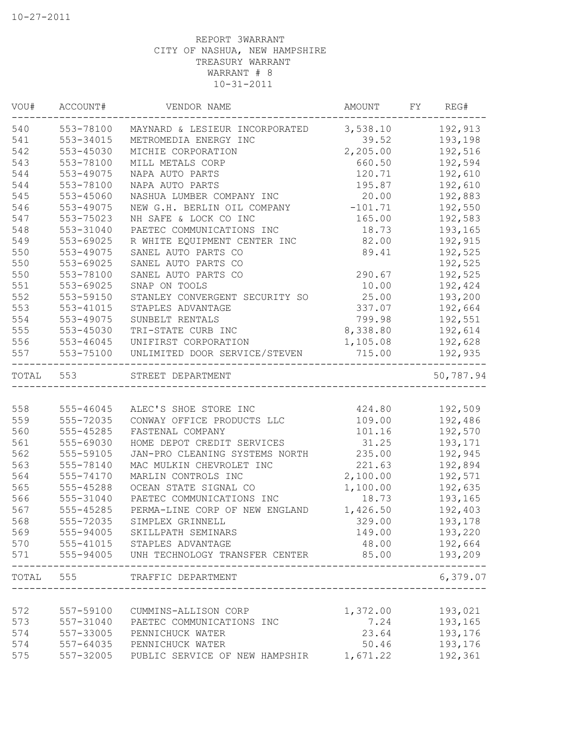| VOU#  | ACCOUNT#      | VENDOR NAME                                               | AMOUNT    | FY | REG#             |
|-------|---------------|-----------------------------------------------------------|-----------|----|------------------|
| 540   | 553-78100     | MAYNARD & LESIEUR INCORPORATED                            | 3,538.10  |    | 192,913          |
| 541   | 553-34015     | METROMEDIA ENERGY INC                                     | 39.52     |    | 193,198          |
| 542   | 553-45030     | MICHIE CORPORATION                                        | 2,205.00  |    | 192,516          |
| 543   | 553-78100     | MILL METALS CORP                                          | 660.50    |    | 192,594          |
| 544   | 553-49075     | NAPA AUTO PARTS                                           | 120.71    |    | 192,610          |
| 544   | 553-78100     | NAPA AUTO PARTS                                           | 195.87    |    | 192,610          |
| 545   | 553-45060     | NASHUA LUMBER COMPANY INC                                 | 20.00     |    | 192,883          |
| 546   | 553-49075     | NEW G.H. BERLIN OIL COMPANY                               | $-101.71$ |    | 192,550          |
| 547   | 553-75023     | NH SAFE & LOCK CO INC                                     | 165.00    |    | 192,583          |
| 548   | 553-31040     | PAETEC COMMUNICATIONS INC                                 | 18.73     |    | 193,165          |
| 549   | 553-69025     | R WHITE EQUIPMENT CENTER INC                              | 82.00     |    | 192,915          |
| 550   | 553-49075     | SANEL AUTO PARTS CO                                       | 89.41     |    | 192,525          |
| 550   | 553-69025     | SANEL AUTO PARTS CO                                       |           |    | 192,525          |
| 550   | 553-78100     | SANEL AUTO PARTS CO                                       | 290.67    |    | 192,525          |
| 551   | 553-69025     | SNAP ON TOOLS                                             | 10.00     |    | 192,424          |
| 552   | 553-59150     | STANLEY CONVERGENT SECURITY SO                            | 25.00     |    | 193,200          |
| 553   | 553-41015     | STAPLES ADVANTAGE                                         | 337.07    |    | 192,664          |
| 554   | 553-49075     | SUNBELT RENTALS                                           | 799.98    |    | 192,551          |
| 555   | 553-45030     | TRI-STATE CURB INC                                        | 8,338.80  |    | 192,614          |
| 556   | $553 - 46045$ | UNIFIRST CORPORATION                                      | 1,105.08  |    | 192,628          |
| 557   | 553-75100     | UNLIMITED DOOR SERVICE/STEVEN<br>------------------------ | 715.00    |    | 192,935<br>$---$ |
| TOTAL | 553           | STREET DEPARTMENT                                         |           |    | 50,787.94        |
|       |               |                                                           |           |    |                  |
| 558   | 555-46045     | ALEC'S SHOE STORE INC                                     | 424.80    |    | 192,509          |
| 559   | 555-72035     | CONWAY OFFICE PRODUCTS LLC                                | 109.00    |    | 192,486          |
| 560   | 555-45285     | FASTENAL COMPANY                                          | 101.16    |    | 192,570          |
| 561   | 555-69030     | HOME DEPOT CREDIT SERVICES                                | 31.25     |    | 193,171          |
| 562   | 555-59105     | JAN-PRO CLEANING SYSTEMS NORTH                            | 235.00    |    | 192,945          |
| 563   | 555-78140     | MAC MULKIN CHEVROLET INC                                  | 221.63    |    | 192,894          |
| 564   | 555-74170     | MARLIN CONTROLS INC                                       | 2,100.00  |    | 192,571          |
| 565   | 555-45288     | OCEAN STATE SIGNAL CO                                     | 1,100.00  |    | 192,635          |
| 566   | 555-31040     | PAETEC COMMUNICATIONS INC                                 | 18.73     |    | 193,165          |
| 567   | 555-45285     | PERMA-LINE CORP OF NEW ENGLAND                            | 1,426.50  |    | 192,403          |
| 568   | 555-72035     | SIMPLEX GRINNELL                                          | 329.00    |    | 193,178          |
| 569   | 555-94005     | SKILLPATH SEMINARS                                        | 149.00    |    | 193,220          |
| 570   |               | 555-41015 STAPLES ADVANTAGE                               | 48.00     |    | 192,664          |
| 571   | 555-94005     | UNH TECHNOLOGY TRANSFER CENTER                            | 85.00     |    | 193,209          |
| TOTAL | 555           | TRAFFIC DEPARTMENT                                        |           |    | 6,379.07         |
|       |               |                                                           |           |    |                  |
| 572   | 557-59100     | CUMMINS-ALLISON CORP                                      | 1,372.00  |    | 193,021          |
| 573   | 557-31040     | PAETEC COMMUNICATIONS INC                                 | 7.24      |    | 193,165          |
| 574   | 557-33005     | PENNICHUCK WATER                                          | 23.64     |    | 193,176          |
| 574   | 557-64035     | PENNICHUCK WATER                                          | 50.46     |    | 193,176          |
| 575   | 557-32005     | PUBLIC SERVICE OF NEW HAMPSHIR                            | 1,671.22  |    | 192,361          |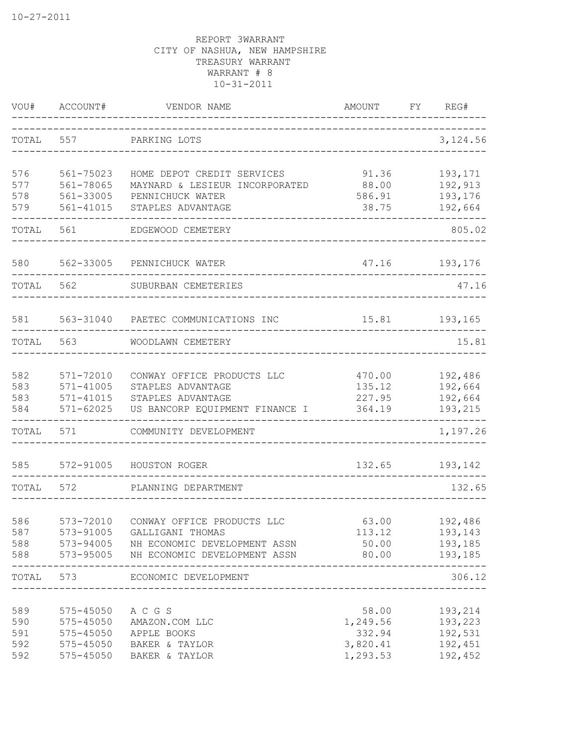| VOU#  | ACCOUNT#          | VENDOR NAME                                                                              | AMOUNT           | FY | REG#           |
|-------|-------------------|------------------------------------------------------------------------------------------|------------------|----|----------------|
| TOTAL | 557               | PARKING LOTS<br>___________________________                                              |                  |    | 3,124.56       |
| 576   | 561-75023         | HOME DEPOT CREDIT SERVICES                                                               | 91.36            |    | 193,171        |
| 577   | 561-78065         | MAYNARD & LESIEUR INCORPORATED                                                           | 88.00            |    | 192,913        |
| 578   | 561-33005         | PENNICHUCK WATER                                                                         | 586.91           |    | 193,176        |
| 579   | 561-41015         | STAPLES ADVANTAGE                                                                        | 38.75            |    | 192,664        |
| TOTAL | 561               | EDGEWOOD CEMETERY                                                                        |                  |    | 805.02         |
| 580   | 562-33005         | PENNICHUCK WATER                                                                         | 47.16            |    | 193,176        |
| TOTAL | 562               | SUBURBAN CEMETERIES                                                                      |                  |    | 47.16          |
| 581   |                   | 563-31040 PAETEC COMMUNICATIONS INC                                                      | 15.81            |    | 193,165        |
|       |                   |                                                                                          |                  |    |                |
| TOTAL | 563               | WOODLAWN CEMETERY                                                                        |                  |    | 15.81          |
| 582   | 571-72010         | CONWAY OFFICE PRODUCTS LLC                                                               | 470.00           |    | 192,486        |
| 583   | $571 - 41005$     | STAPLES ADVANTAGE                                                                        | 135.12           |    | 192,664        |
| 583   | 571-41015         | STAPLES ADVANTAGE                                                                        | 227.95           |    | 192,664        |
| 584   | $571 - 62025$     | US BANCORP EQUIPMENT FINANCE I                                                           | 364.19           |    | 193,215        |
| TOTAL | 571               | COMMUNITY DEVELOPMENT                                                                    |                  |    | 1,197.26       |
| 585   | 572-91005         | HOUSTON ROGER                                                                            | 132.65           |    | 193,142        |
| TOTAL | 572               | PLANNING DEPARTMENT                                                                      |                  |    | 132.65         |
|       |                   |                                                                                          |                  |    |                |
| 586   | 573-72010         | CONWAY OFFICE PRODUCTS LLC                                                               | 63.00            |    | 192,486        |
| 587   |                   | 573-91005 GALLIGANI THOMAS                                                               | 113.12           |    | 193,143        |
|       |                   | 588 573-94005 NH ECONOMIC DEVELOPMENT ASSN<br>588 573-95005 NH ECONOMIC DEVELOPMENT ASSN | 80.00 193,185    |    | 50.00 193,185  |
|       |                   | TOTAL 573 ECONOMIC DEVELOPMENT                                                           |                  |    | 306.12         |
|       |                   |                                                                                          |                  |    |                |
| 589   | 575-45050 A C G S |                                                                                          |                  |    | 58.00 193,214  |
| 590   |                   | 575-45050 AMAZON.COM LLC                                                                 | 1,249.56 193,223 |    |                |
| 591   |                   | 575-45050 APPLE BOOKS                                                                    |                  |    | 332.94 192,531 |
| 592   |                   | 575-45050 BAKER & TAYLOR                                                                 | 3,820.41         |    | 192,451        |
| 592   |                   | 575-45050 BAKER & TAYLOR                                                                 | 1,293.53         |    | 192,452        |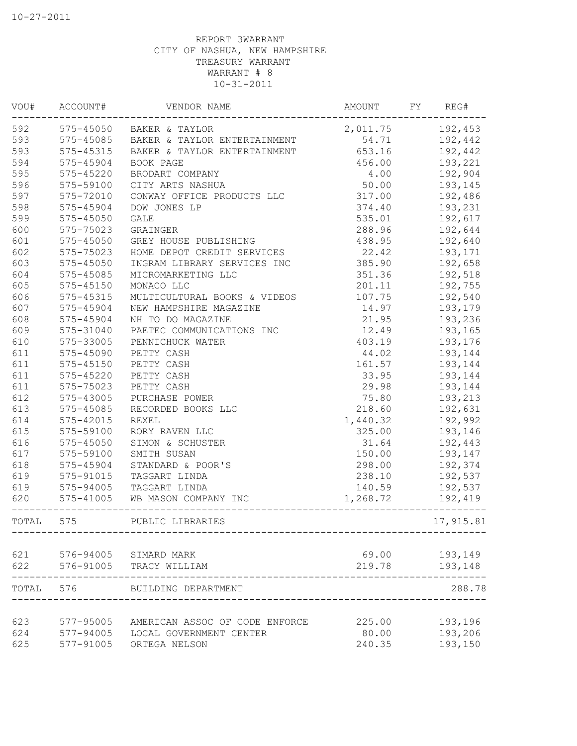| VOU#  | ACCOUNT#      | VENDOR NAME                    | AMOUNT   | FΥ | REG#               |
|-------|---------------|--------------------------------|----------|----|--------------------|
| 592   |               | 575-45050 BAKER & TAYLOR       | 2,011.75 |    | 192,453            |
| 593   | 575-45085     | BAKER & TAYLOR ENTERTAINMENT   | 54.71    |    | 192,442            |
| 593   | 575-45315     | BAKER & TAYLOR ENTERTAINMENT   | 653.16   |    | 192,442            |
| 594   | 575-45904     | BOOK PAGE                      | 456.00   |    | 193,221            |
| 595   | 575-45220     | BRODART COMPANY                | 4.00     |    | 192,904            |
| 596   | 575-59100     | CITY ARTS NASHUA               | 50.00    |    | 193,145            |
| 597   | 575-72010     | CONWAY OFFICE PRODUCTS LLC     | 317.00   |    | 192,486            |
| 598   | 575-45904     | DOW JONES LP                   | 374.40   |    | 193,231            |
| 599   | 575-45050     | <b>GALE</b>                    | 535.01   |    | 192,617            |
| 600   | 575-75023     | GRAINGER                       | 288.96   |    | 192,644            |
| 601   | 575-45050     | GREY HOUSE PUBLISHING          | 438.95   |    | 192,640            |
| 602   | 575-75023     | HOME DEPOT CREDIT SERVICES     | 22.42    |    | 193,171            |
| 603   | 575-45050     | INGRAM LIBRARY SERVICES INC    | 385.90   |    | 192,658            |
| 604   | 575-45085     | MICROMARKETING LLC             | 351.36   |    | 192,518            |
| 605   | 575-45150     | MONACO LLC                     | 201.11   |    | 192,755            |
| 606   | 575-45315     | MULTICULTURAL BOOKS & VIDEOS   | 107.75   |    | 192,540            |
| 607   | 575-45904     | NEW HAMPSHIRE MAGAZINE         | 14.97    |    | 193,179            |
| 608   | 575-45904     | NH TO DO MAGAZINE              | 21.95    |    | 193,236            |
| 609   | 575-31040     | PAETEC COMMUNICATIONS INC      | 12.49    |    | 193,165            |
| 610   | 575-33005     | PENNICHUCK WATER               | 403.19   |    | 193,176            |
| 611   | 575-45090     | PETTY CASH                     | 44.02    |    | 193,144            |
| 611   | $575 - 45150$ | PETTY CASH                     | 161.57   |    | 193,144            |
| 611   | 575-45220     | PETTY CASH                     | 33.95    |    | 193,144            |
| 611   | 575-75023     | PETTY CASH                     | 29.98    |    | 193,144            |
| 612   | 575-43005     | PURCHASE POWER                 | 75.80    |    | 193,213            |
| 613   | 575-45085     | RECORDED BOOKS LLC             | 218.60   |    | 192,631            |
| 614   | 575-42015     | <b>REXEL</b>                   | 1,440.32 |    | 192,992            |
| 615   | 575-59100     | RORY RAVEN LLC                 | 325.00   |    | 193,146            |
| 616   | 575-45050     | SIMON & SCHUSTER               | 31.64    |    | 192,443            |
| 617   | 575-59100     | SMITH SUSAN                    | 150.00   |    | 193,147            |
| 618   | 575-45904     | STANDARD & POOR'S              | 298.00   |    | 192,374            |
| 619   | 575-91015     | TAGGART LINDA                  | 238.10   |    | 192,537            |
| 619   | 575-94005     | TAGGART LINDA                  | 140.59   |    | 192,537            |
| 620   | 575-41005     | WB MASON COMPANY INC           | 1,268.72 |    | 192,419            |
| TOTAL | 575           | PUBLIC LIBRARIES               |          |    | 17,915.81          |
| 621   |               | 576-94005 SIMARD MARK          | 69.00    |    |                    |
| 622   | 576-91005     | TRACY WILLIAM                  | 219.78   |    | 193,149<br>193,148 |
|       |               |                                |          |    |                    |
| TOTAL | 576           | BUILDING DEPARTMENT            |          |    | 288.78             |
| 623   | 577-95005     | AMERICAN ASSOC OF CODE ENFORCE | 225.00   |    | 193,196            |
| 624   | 577-94005     | LOCAL GOVERNMENT CENTER        | 80.00    |    | 193,206            |
| 625   | 577-91005     | ORTEGA NELSON                  | 240.35   |    | 193,150            |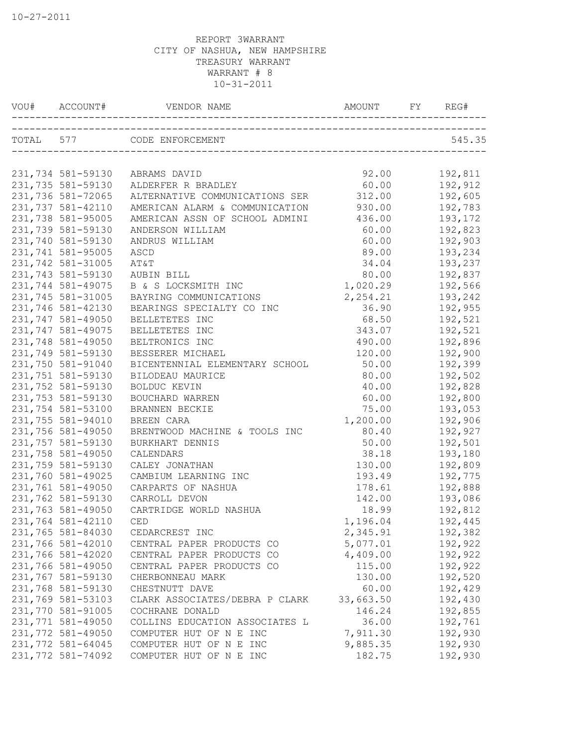| VOU# ACCOUNT#     | VENDOR NAME                    | AMOUNT FY | REG#    |
|-------------------|--------------------------------|-----------|---------|
|                   | TOTAL 577 CODE ENFORCEMENT     |           | 545.35  |
|                   |                                |           |         |
| 231,734 581-59130 | ABRAMS DAVID                   | 92.00     | 192,811 |
| 231,735 581-59130 | ALDERFER R BRADLEY             | 60.00     | 192,912 |
| 231,736 581-72065 | ALTERNATIVE COMMUNICATIONS SER | 312.00    | 192,605 |
| 231,737 581-42110 | AMERICAN ALARM & COMMUNICATION | 930.00    | 192,783 |
| 231,738 581-95005 | AMERICAN ASSN OF SCHOOL ADMINI | 436.00    | 193,172 |
| 231,739 581-59130 | ANDERSON WILLIAM               | 60.00     | 192,823 |
| 231,740 581-59130 | ANDRUS WILLIAM                 | 60.00     | 192,903 |
| 231,741 581-95005 | ASCD                           | 89.00     | 193,234 |
| 231,742 581-31005 | AT&T                           | 34.04     | 193,237 |
| 231,743 581-59130 | AUBIN BILL                     | 80.00     | 192,837 |
| 231,744 581-49075 | B & S LOCKSMITH INC            | 1,020.29  | 192,566 |
| 231,745 581-31005 | BAYRING COMMUNICATIONS         | 2,254.21  | 193,242 |
| 231,746 581-42130 | BEARINGS SPECIALTY CO INC      | 36.90     | 192,955 |
| 231,747 581-49050 | BELLETETES INC                 | 68.50     | 192,521 |
| 231,747 581-49075 | BELLETETES INC                 | 343.07    | 192,521 |
| 231,748 581-49050 | BELTRONICS INC                 | 490.00    | 192,896 |
| 231,749 581-59130 | BESSERER MICHAEL               | 120.00    | 192,900 |
| 231,750 581-91040 | BICENTENNIAL ELEMENTARY SCHOOL | 50.00     | 192,399 |
| 231,751 581-59130 | BILODEAU MAURICE               | 80.00     | 192,502 |
| 231,752 581-59130 | BOLDUC KEVIN                   | 40.00     | 192,828 |
| 231,753 581-59130 | BOUCHARD WARREN                | 60.00     | 192,800 |
| 231,754 581-53100 | BRANNEN BECKIE                 | 75.00     | 193,053 |
| 231,755 581-94010 | BREEN CARA                     | 1,200.00  | 192,906 |
| 231,756 581-49050 | BRENTWOOD MACHINE & TOOLS INC  | 80.40     | 192,927 |
| 231,757 581-59130 | BURKHART DENNIS                | 50.00     | 192,501 |
| 231,758 581-49050 | CALENDARS                      | 38.18     | 193,180 |
| 231,759 581-59130 | CALEY JONATHAN                 | 130.00    | 192,809 |
| 231,760 581-49025 | CAMBIUM LEARNING INC           | 193.49    | 192,775 |
| 231,761 581-49050 | CARPARTS OF NASHUA             | 178.61    | 192,888 |
| 231,762 581-59130 | CARROLL DEVON                  | 142.00    | 193,086 |
| 231,763 581-49050 | CARTRIDGE WORLD NASHUA         | 18.99     | 192,812 |
| 231,764 581-42110 | CED                            | 1,196.04  | 192,445 |
| 231,765 581-84030 | CEDARCREST INC                 | 2,345.91  | 192,382 |
| 231,766 581-42010 | CENTRAL PAPER PRODUCTS CO      | 5,077.01  | 192,922 |
| 231,766 581-42020 | CENTRAL PAPER PRODUCTS CO      | 4,409.00  | 192,922 |
| 231,766 581-49050 | CENTRAL PAPER PRODUCTS CO      | 115.00    | 192,922 |
| 231,767 581-59130 | CHERBONNEAU MARK               | 130.00    | 192,520 |
| 231,768 581-59130 | CHESTNUTT DAVE                 | 60.00     | 192,429 |
| 231,769 581-53103 | CLARK ASSOCIATES/DEBRA P CLARK | 33,663.50 | 192,430 |
| 231,770 581-91005 | COCHRANE DONALD                | 146.24    | 192,855 |
| 231,771 581-49050 | COLLINS EDUCATION ASSOCIATES L | 36.00     | 192,761 |
| 231,772 581-49050 | COMPUTER HUT OF N E INC        | 7,911.30  | 192,930 |
| 231,772 581-64045 | COMPUTER HUT OF N E INC        | 9,885.35  | 192,930 |
| 231,772 581-74092 | COMPUTER HUT OF N E INC        | 182.75    | 192,930 |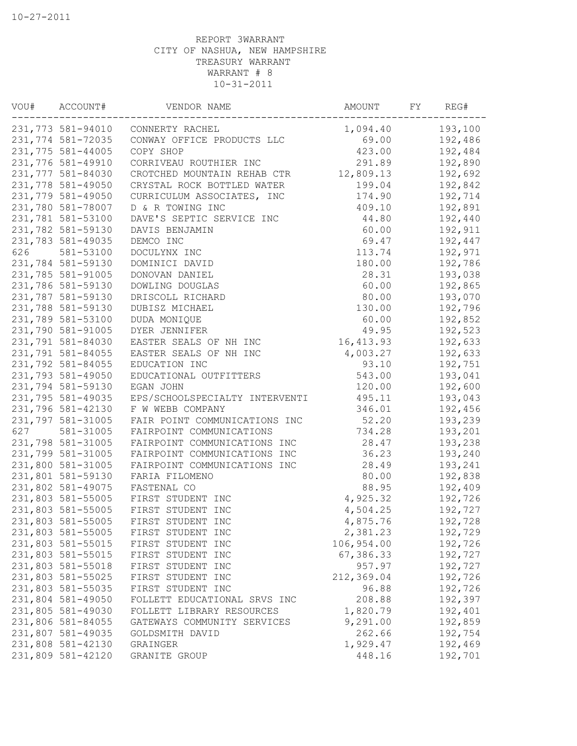|     | VOU# ACCOUNT#     | VENDOR NAME                                   | AMOUNT FY      | REG#               |
|-----|-------------------|-----------------------------------------------|----------------|--------------------|
|     |                   | 231,773 581-94010 CONNERTY RACHEL             | 1,094.40       | 193,100            |
|     |                   | 231,774 581-72035 CONWAY OFFICE PRODUCTS LLC  | 69.00 192,486  |                    |
|     | 231,775 581-44005 | COPY SHOP                                     | 423.00 192,484 |                    |
|     | 231,776 581-49910 | CORRIVEAU ROUTHIER INC                        | 291.89 192,890 |                    |
|     | 231,777 581-84030 | CROTCHED MOUNTAIN REHAB CTR 12,809.13 192,692 |                |                    |
|     | 231,778 581-49050 | CRYSTAL ROCK BOTTLED WATER                    | 199.04         | 192,842            |
|     | 231,779 581-49050 | CURRICULUM ASSOCIATES, INC                    | 174.90 192,714 |                    |
|     | 231,780 581-78007 | D & R TOWING INC                              | 409.10 192,891 |                    |
|     | 231,781 581-53100 | DAVE'S SEPTIC SERVICE INC 44.80 192,440       |                |                    |
|     | 231,782 581-59130 | DAVIS BENJAMIN                                | 60.00          | 192,911            |
|     | 231,783 581-49035 | DEMCO INC                                     | 69.47 192,447  |                    |
| 626 | 581-53100         | DOCULYNX INC                                  | 113.74 192,971 |                    |
|     | 231,784 581-59130 | DOMINICI DAVID                                |                | 180.00 192,786     |
|     | 231,785 581-91005 | DONOVAN DANIEL                                | 28.31          | 193,038            |
|     | 231,786 581-59130 | DOWLING DOUGLAS                               | 60.00          | 192,865            |
|     | 231,787 581-59130 | DRISCOLL RICHARD                              | 80.00          | 193,070            |
|     | 231,788 581-59130 | DUBISZ MICHAEL                                | 130.00         | 192,796            |
|     | 231,789 581-53100 | DUDA MONIQUE                                  | 60.00          | 192,852            |
|     | 231,790 581-91005 | DYER JENNIFER                                 | 49.95          | 192,523            |
|     | 231,791 581-84030 | EASTER SEALS OF NH INC 16,413.93              |                | 192,633            |
|     | 231,791 581-84055 | EASTER SEALS OF NH INC                        | 4,003.27       | 192,633            |
|     | 231,792 581-84055 | EDUCATION INC                                 | 93.10          | 192,751            |
|     | 231,793 581-49050 | EDUCATIONAL OUTFITTERS                        | 543.00         | 193,041            |
|     | 231,794 581-59130 | EGAN JOHN                                     | 120.00         | 192,600            |
|     | 231,795 581-49035 | EPS/SCHOOLSPECIALTY INTERVENTI                | 495.11         | 193,043            |
|     | 231,796 581-42130 | F W WEBB COMPANY                              | 346.01         | 192,456            |
|     | 231,797 581-31005 | FAIR POINT COMMUNICATIONS INC                 | 52.20          | 193,239            |
| 627 | 581-31005         | FAIRPOINT COMMUNICATIONS                      | 734.28         | 193,201            |
|     | 231,798 581-31005 | FAIRPOINT COMMUNICATIONS INC                  | 28.47          | 193,238            |
|     | 231,799 581-31005 | FAIRPOINT COMMUNICATIONS INC                  | 36.23          | 193,240            |
|     | 231,800 581-31005 | FAIRPOINT COMMUNICATIONS INC                  | 28.49          | 193,241            |
|     | 231,801 581-59130 | FARIA FILOMENO                                | 80.00          | 192,838            |
|     |                   | 231,802 581-49075 FASTENAL CO                 | 88.95          | 192,409            |
|     |                   | 231,803 581-55005 FIRST STUDENT INC           | 4,925.32       |                    |
|     |                   | 231,803 581-55005 FIRST STUDENT INC           | 4,504.25       | 192,726<br>192,727 |
|     |                   | 231,803 581-55005 FIRST STUDENT INC           | 4,875.76       | 192,728            |
|     | 231,803 581-55005 | FIRST STUDENT INC                             | 2,381.23       | 192,729            |
|     | 231,803 581-55015 | FIRST STUDENT INC                             | 106,954.00     | 192,726            |
|     | 231,803 581-55015 | FIRST STUDENT INC                             | 67,386.33      | 192,727            |
|     | 231,803 581-55018 | FIRST STUDENT INC                             | 957.97         | 192,727            |
|     | 231,803 581-55025 | FIRST STUDENT INC                             | 212,369.04     | 192,726            |
|     | 231,803 581-55035 | FIRST STUDENT INC                             | 96.88          | 192,726            |
|     | 231,804 581-49050 | FOLLETT EDUCATIONAL SRVS INC                  | 208.88         | 192,397            |
|     | 231,805 581-49030 | FOLLETT LIBRARY RESOURCES                     | 1,820.79       | 192,401            |
|     | 231,806 581-84055 | GATEWAYS COMMUNITY SERVICES                   | 9,291.00       | 192,859            |
|     | 231,807 581-49035 | GOLDSMITH DAVID                               | 262.66         | 192,754            |
|     | 231,808 581-42130 | GRAINGER                                      | 1,929.47       | 192,469            |
|     | 231,809 581-42120 | GRANITE GROUP                                 | 448.16         | 192,701            |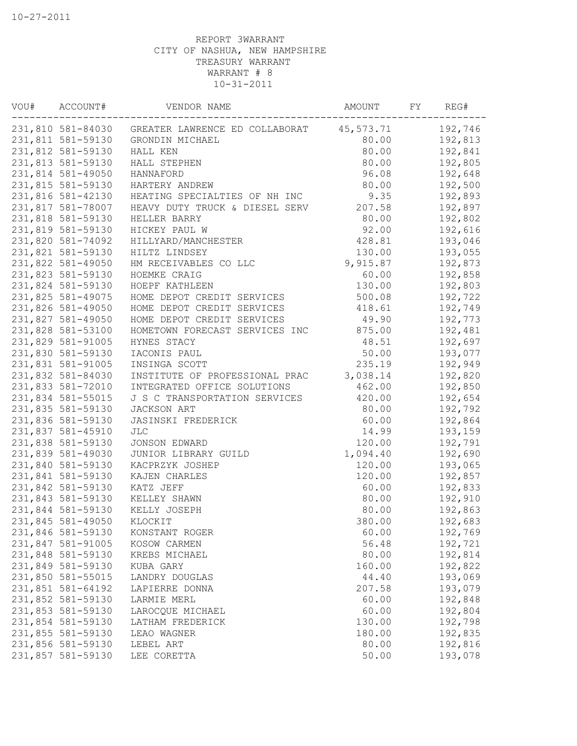| VOU# | ACCOUNT#          | VENDOR NAME                                      | AMOUNT    | FY | REG#    |
|------|-------------------|--------------------------------------------------|-----------|----|---------|
|      |                   | 231,810 581-84030 GREATER LAWRENCE ED COLLABORAT | 45,573.71 |    | 192,746 |
|      | 231,811 581-59130 | GRONDIN MICHAEL                                  | 80.00     |    | 192,813 |
|      | 231,812 581-59130 | HALL KEN                                         | 80.00     |    | 192,841 |
|      | 231,813 581-59130 | HALL STEPHEN                                     | 80.00     |    | 192,805 |
|      | 231,814 581-49050 | HANNAFORD                                        | 96.08     |    | 192,648 |
|      | 231,815 581-59130 | HARTERY ANDREW                                   | 80.00     |    | 192,500 |
|      | 231,816 581-42130 | HEATING SPECIALTIES OF NH INC                    | 9.35      |    | 192,893 |
|      | 231,817 581-78007 | HEAVY DUTY TRUCK & DIESEL SERV                   | 207.58    |    | 192,897 |
|      | 231,818 581-59130 | HELLER BARRY                                     | 80.00     |    | 192,802 |
|      | 231,819 581-59130 | HICKEY PAUL W                                    | 92.00     |    | 192,616 |
|      | 231,820 581-74092 | HILLYARD/MANCHESTER                              | 428.81    |    | 193,046 |
|      | 231,821 581-59130 | HILTZ LINDSEY                                    | 130.00    |    | 193,055 |
|      | 231,822 581-49050 | HM RECEIVABLES CO LLC                            | 9,915.87  |    | 192,873 |
|      | 231,823 581-59130 | HOEMKE CRAIG                                     | 60.00     |    | 192,858 |
|      | 231,824 581-59130 | HOEPF KATHLEEN                                   | 130.00    |    | 192,803 |
|      | 231,825 581-49075 | HOME DEPOT CREDIT SERVICES                       | 500.08    |    | 192,722 |
|      | 231,826 581-49050 | HOME DEPOT CREDIT SERVICES                       | 418.61    |    | 192,749 |
|      | 231,827 581-49050 | HOME DEPOT CREDIT SERVICES                       | 49.90     |    | 192,773 |
|      | 231,828 581-53100 | HOMETOWN FORECAST SERVICES INC                   | 875.00    |    | 192,481 |
|      | 231,829 581-91005 | HYNES STACY                                      | 48.51     |    | 192,697 |
|      | 231,830 581-59130 | IACONIS PAUL                                     | 50.00     |    | 193,077 |
|      | 231,831 581-91005 | INSINGA SCOTT                                    | 235.19    |    | 192,949 |
|      | 231,832 581-84030 | INSTITUTE OF PROFESSIONAL PRAC                   | 3,038.14  |    | 192,820 |
|      | 231,833 581-72010 |                                                  | 462.00    |    | 192,850 |
|      |                   | INTEGRATED OFFICE SOLUTIONS                      |           |    |         |
|      | 231,834 581-55015 | J S C TRANSPORTATION SERVICES                    | 420.00    |    | 192,654 |
|      | 231,835 581-59130 | JACKSON ART                                      | 80.00     |    | 192,792 |
|      | 231,836 581-59130 | JASINSKI FREDERICK                               | 60.00     |    | 192,864 |
|      | 231,837 581-45910 | $\mathtt{JLC}$                                   | 14.99     |    | 193,159 |
|      | 231,838 581-59130 | JONSON EDWARD                                    | 120.00    |    | 192,791 |
|      | 231,839 581-49030 | JUNIOR LIBRARY GUILD                             | 1,094.40  |    | 192,690 |
|      | 231,840 581-59130 | KACPRZYK JOSHEP                                  | 120.00    |    | 193,065 |
|      | 231,841 581-59130 | KAJEN CHARLES                                    | 120.00    |    | 192,857 |
|      | 231,842 581-59130 | KATZ JEFF                                        | 60.00     |    | 192,833 |
|      | 231,843 581-59130 | KELLEY SHAWN                                     | 80.00     |    | 192,910 |
|      | 231,844 581-59130 | KELLY JOSEPH                                     | 80.00     |    | 192,863 |
|      | 231,845 581-49050 | KLOCKIT                                          | 380.00    |    | 192,683 |
|      | 231,846 581-59130 | KONSTANT ROGER                                   | 60.00     |    | 192,769 |
|      | 231,847 581-91005 | KOSOW CARMEN                                     | 56.48     |    | 192,721 |
|      | 231,848 581-59130 | KREBS MICHAEL                                    | 80.00     |    | 192,814 |
|      | 231,849 581-59130 | KUBA GARY                                        | 160.00    |    | 192,822 |
|      | 231,850 581-55015 | LANDRY DOUGLAS                                   | 44.40     |    | 193,069 |
|      | 231,851 581-64192 | LAPIERRE DONNA                                   | 207.58    |    | 193,079 |
|      | 231,852 581-59130 | LARMIE MERL                                      | 60.00     |    | 192,848 |
|      | 231,853 581-59130 | LAROCQUE MICHAEL                                 | 60.00     |    | 192,804 |
|      | 231,854 581-59130 | LATHAM FREDERICK                                 | 130.00    |    | 192,798 |
|      | 231,855 581-59130 | LEAO WAGNER                                      | 180.00    |    | 192,835 |
|      | 231,856 581-59130 | LEBEL ART                                        | 80.00     |    | 192,816 |
|      | 231,857 581-59130 | LEE CORETTA                                      | 50.00     |    | 193,078 |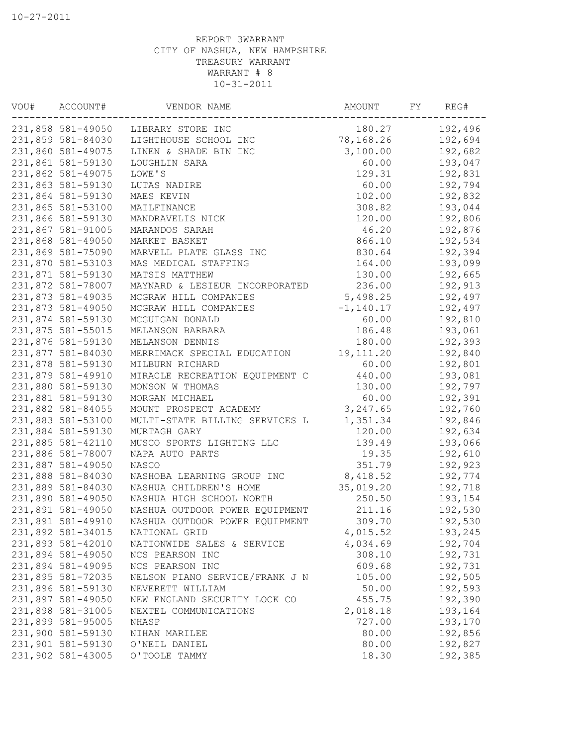| VOU# | ACCOUNT#          | VENDOR NAME                    | AMOUNT      | FY. | REG#    |
|------|-------------------|--------------------------------|-------------|-----|---------|
|      | 231,858 581-49050 | LIBRARY STORE INC              | 180.27      |     | 192,496 |
|      | 231,859 581-84030 | LIGHTHOUSE SCHOOL INC          | 78,168.26   |     | 192,694 |
|      | 231,860 581-49075 | LINEN & SHADE BIN INC          | 3,100.00    |     | 192,682 |
|      | 231,861 581-59130 | LOUGHLIN SARA                  | 60.00       |     | 193,047 |
|      | 231,862 581-49075 | LOWE'S                         | 129.31      |     | 192,831 |
|      | 231,863 581-59130 | LUTAS NADIRE                   | 60.00       |     | 192,794 |
|      | 231,864 581-59130 | MAES KEVIN                     | 102.00      |     | 192,832 |
|      | 231,865 581-53100 | MAILFINANCE                    | 308.82      |     | 193,044 |
|      | 231,866 581-59130 | MANDRAVELIS NICK               | 120.00      |     | 192,806 |
|      | 231,867 581-91005 | MARANDOS SARAH                 | 46.20       |     | 192,876 |
|      | 231,868 581-49050 | MARKET BASKET                  | 866.10      |     | 192,534 |
|      | 231,869 581-75090 | MARVELL PLATE GLASS INC        | 830.64      |     | 192,394 |
|      | 231,870 581-53103 | MAS MEDICAL STAFFING           | 164.00      |     | 193,099 |
|      | 231,871 581-59130 | MATSIS MATTHEW                 | 130.00      |     | 192,665 |
|      | 231,872 581-78007 | MAYNARD & LESIEUR INCORPORATED | 236.00      |     | 192,913 |
|      | 231,873 581-49035 | MCGRAW HILL COMPANIES          | 5,498.25    |     | 192,497 |
|      | 231,873 581-49050 | MCGRAW HILL COMPANIES          | $-1,140.17$ |     | 192,497 |
|      | 231,874 581-59130 | MCGUIGAN DONALD                | 60.00       |     | 192,810 |
|      | 231,875 581-55015 | MELANSON BARBARA               | 186.48      |     | 193,061 |
|      | 231,876 581-59130 | MELANSON DENNIS                | 180.00      |     | 192,393 |
|      | 231,877 581-84030 | MERRIMACK SPECIAL EDUCATION    | 19, 111.20  |     | 192,840 |
|      | 231,878 581-59130 | MILBURN RICHARD                | 60.00       |     | 192,801 |
|      | 231,879 581-49910 | MIRACLE RECREATION EQUIPMENT C | 440.00      |     | 193,081 |
|      | 231,880 581-59130 | MONSON W THOMAS                | 130.00      |     | 192,797 |
|      | 231,881 581-59130 | MORGAN MICHAEL                 | 60.00       |     | 192,391 |
|      | 231,882 581-84055 | MOUNT PROSPECT ACADEMY         | 3,247.65    |     | 192,760 |
|      | 231,883 581-53100 | MULTI-STATE BILLING SERVICES L | 1,351.34    |     | 192,846 |
|      | 231,884 581-59130 | MURTAGH GARY                   | 120.00      |     | 192,634 |
|      | 231,885 581-42110 | MUSCO SPORTS LIGHTING LLC      | 139.49      |     | 193,066 |
|      | 231,886 581-78007 | NAPA AUTO PARTS                | 19.35       |     | 192,610 |
|      | 231,887 581-49050 | NASCO                          | 351.79      |     | 192,923 |
|      | 231,888 581-84030 | NASHOBA LEARNING GROUP INC     | 8,418.52    |     | 192,774 |
|      | 231,889 581-84030 | NASHUA CHILDREN'S HOME         | 35,019.20   |     | 192,718 |
|      | 231,890 581-49050 | NASHUA HIGH SCHOOL NORTH       | 250.50      |     | 193,154 |
|      | 231,891 581-49050 | NASHUA OUTDOOR POWER EQUIPMENT | 211.16      |     | 192,530 |
|      | 231,891 581-49910 | NASHUA OUTDOOR POWER EQUIPMENT | 309.70      |     | 192,530 |
|      | 231,892 581-34015 | NATIONAL GRID                  | 4,015.52    |     | 193,245 |
|      | 231,893 581-42010 | NATIONWIDE SALES & SERVICE     | 4,034.69    |     | 192,704 |
|      | 231,894 581-49050 | NCS PEARSON INC                | 308.10      |     | 192,731 |
|      | 231,894 581-49095 | NCS PEARSON INC                | 609.68      |     | 192,731 |
|      | 231,895 581-72035 | NELSON PIANO SERVICE/FRANK J N | 105.00      |     | 192,505 |
|      | 231,896 581-59130 | NEVERETT WILLIAM               | 50.00       |     | 192,593 |
|      | 231,897 581-49050 | NEW ENGLAND SECURITY LOCK CO   | 455.75      |     | 192,390 |
|      | 231,898 581-31005 | NEXTEL COMMUNICATIONS          | 2,018.18    |     | 193,164 |
|      | 231,899 581-95005 | NHASP                          | 727.00      |     | 193,170 |
|      | 231,900 581-59130 | NIHAN MARILEE                  | 80.00       |     | 192,856 |
|      | 231,901 581-59130 | O'NEIL DANIEL                  | 80.00       |     | 192,827 |
|      | 231,902 581-43005 | O'TOOLE TAMMY                  | 18.30       |     | 192,385 |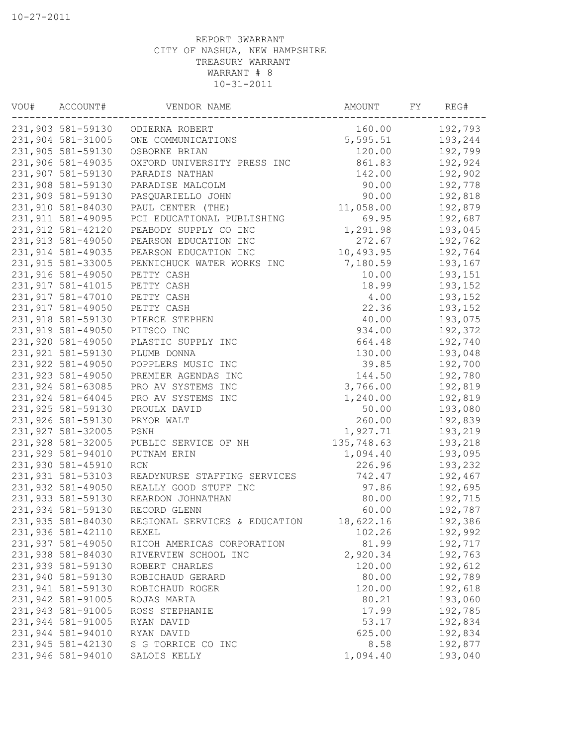| VOU# | ACCOUNT#           | VENDOR NAME                      | AMOUNT     | FΥ | REG#    |
|------|--------------------|----------------------------------|------------|----|---------|
|      |                    | 231,903 581-59130 ODIERNA ROBERT | 160.00     |    | 192,793 |
|      | 231,904 581-31005  | ONE COMMUNICATIONS               | 5,595.51   |    | 193,244 |
|      | 231,905 581-59130  | OSBORNE BRIAN                    | 120.00     |    | 192,799 |
|      | 231,906 581-49035  | OXFORD UNIVERSITY PRESS INC      | 861.83     |    | 192,924 |
|      | 231,907 581-59130  | PARADIS NATHAN                   | 142.00     |    | 192,902 |
|      | 231,908 581-59130  | PARADISE MALCOLM                 | 90.00      |    | 192,778 |
|      | 231,909 581-59130  | PASQUARIELLO JOHN                | 90.00      |    | 192,818 |
|      | 231,910 581-84030  | PAUL CENTER (THE)                | 11,058.00  |    | 192,879 |
|      | 231, 911 581-49095 | PCI EDUCATIONAL PUBLISHING       | 69.95      |    | 192,687 |
|      | 231,912 581-42120  | PEABODY SUPPLY CO INC            | 1,291.98   |    | 193,045 |
|      | 231, 913 581-49050 | PEARSON EDUCATION INC            | 272.67     |    | 192,762 |
|      | 231,914 581-49035  | PEARSON EDUCATION INC            | 10,493.95  |    | 192,764 |
|      | 231,915 581-33005  | PENNICHUCK WATER WORKS INC       | 7,180.59   |    | 193,167 |
|      | 231,916 581-49050  | PETTY CASH                       | 10.00      |    | 193,151 |
|      | 231, 917 581-41015 | PETTY CASH                       | 18.99      |    | 193,152 |
|      | 231,917 581-47010  | PETTY CASH                       | 4.00       |    | 193,152 |
|      | 231, 917 581-49050 | PETTY CASH                       | 22.36      |    | 193,152 |
|      | 231,918 581-59130  | PIERCE STEPHEN                   | 40.00      |    | 193,075 |
|      | 231,919 581-49050  | PITSCO INC                       | 934.00     |    | 192,372 |
|      | 231,920 581-49050  | PLASTIC SUPPLY INC               | 664.48     |    | 192,740 |
|      | 231,921 581-59130  | PLUMB DONNA                      | 130.00     |    | 193,048 |
|      | 231,922 581-49050  | POPPLERS MUSIC INC               | 39.85      |    | 192,700 |
|      | 231,923 581-49050  | PREMIER AGENDAS INC              | 144.50     |    | 192,780 |
|      | 231,924 581-63085  | PRO AV SYSTEMS INC               | 3,766.00   |    | 192,819 |
|      | 231,924 581-64045  | PRO AV SYSTEMS INC               | 1,240.00   |    | 192,819 |
|      | 231,925 581-59130  | PROULX DAVID                     | 50.00      |    | 193,080 |
|      | 231,926 581-59130  | PRYOR WALT                       | 260.00     |    | 192,839 |
|      | 231,927 581-32005  | PSNH                             | 1,927.71   |    | 193,219 |
|      | 231,928 581-32005  | PUBLIC SERVICE OF NH             | 135,748.63 |    | 193,218 |
|      | 231,929 581-94010  | PUTNAM ERIN                      | 1,094.40   |    | 193,095 |
|      | 231,930 581-45910  | <b>RCN</b>                       | 226.96     |    | 193,232 |
|      | 231,931 581-53103  | READYNURSE STAFFING SERVICES     | 742.47     |    | 192,467 |
|      | 231,932 581-49050  | REALLY GOOD STUFF INC            | 97.86      |    | 192,695 |
|      | 231,933 581-59130  | REARDON JOHNATHAN                | 80.00      |    | 192,715 |
|      | 231,934 581-59130  | RECORD GLENN                     | 60.00      |    | 192,787 |
|      | 231,935 581-84030  | REGIONAL SERVICES & EDUCATION    | 18,622.16  |    | 192,386 |
|      | 231,936 581-42110  | REXEL                            | 102.26     |    | 192,992 |
|      | 231,937 581-49050  | RICOH AMERICAS CORPORATION       | 81.99      |    | 192,717 |
|      | 231,938 581-84030  | RIVERVIEW SCHOOL INC             | 2,920.34   |    | 192,763 |
|      | 231,939 581-59130  | ROBERT CHARLES                   | 120.00     |    | 192,612 |
|      | 231,940 581-59130  | ROBICHAUD GERARD                 | 80.00      |    | 192,789 |
|      | 231,941 581-59130  | ROBICHAUD ROGER                  | 120.00     |    | 192,618 |
|      | 231,942 581-91005  | ROJAS MARIA                      | 80.21      |    | 193,060 |
|      | 231,943 581-91005  | ROSS STEPHANIE                   | 17.99      |    | 192,785 |
|      | 231,944 581-91005  | RYAN DAVID                       | 53.17      |    | 192,834 |
|      | 231,944 581-94010  | RYAN DAVID                       | 625.00     |    | 192,834 |
|      | 231,945 581-42130  | S G TORRICE CO INC               | 8.58       |    | 192,877 |
|      | 231,946 581-94010  | SALOIS KELLY                     | 1,094.40   |    | 193,040 |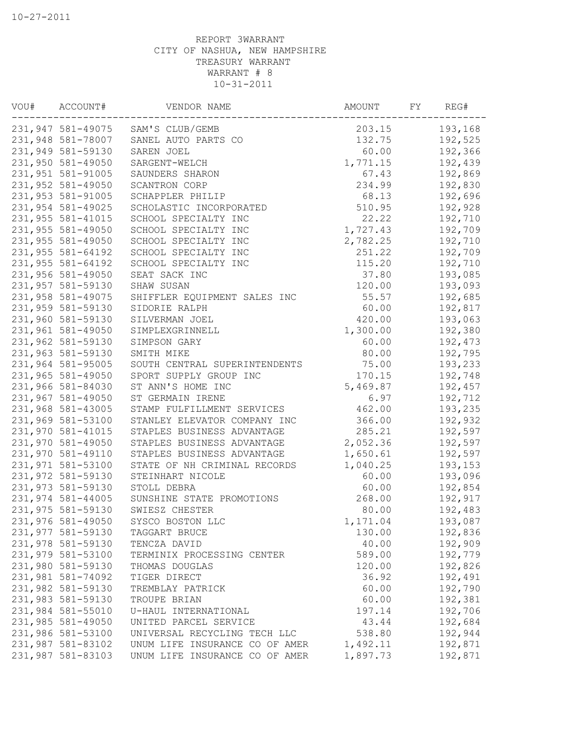| VOU# | ACCOUNT#          | VENDOR NAME                       | AMOUNT   | FY. | REG#    |
|------|-------------------|-----------------------------------|----------|-----|---------|
|      |                   | 231,947 581-49075 SAM'S CLUB/GEMB | 203.15   |     | 193,168 |
|      | 231,948 581-78007 | SANEL AUTO PARTS CO               | 132.75   |     | 192,525 |
|      | 231,949 581-59130 | SAREN JOEL                        | 60.00    |     | 192,366 |
|      | 231,950 581-49050 | SARGENT-WELCH                     | 1,771.15 |     | 192,439 |
|      | 231,951 581-91005 | SAUNDERS SHARON                   | 67.43    |     | 192,869 |
|      | 231,952 581-49050 | SCANTRON CORP                     | 234.99   |     | 192,830 |
|      | 231,953 581-91005 | SCHAPPLER PHILIP                  | 68.13    |     | 192,696 |
|      | 231,954 581-49025 | SCHOLASTIC INCORPORATED           | 510.95   |     | 192,928 |
|      | 231,955 581-41015 | SCHOOL SPECIALTY INC              | 22.22    |     | 192,710 |
|      | 231,955 581-49050 | SCHOOL SPECIALTY INC              | 1,727.43 |     | 192,709 |
|      | 231,955 581-49050 | SCHOOL SPECIALTY INC              | 2,782.25 |     | 192,710 |
|      | 231,955 581-64192 | SCHOOL SPECIALTY INC              | 251.22   |     | 192,709 |
|      | 231,955 581-64192 | SCHOOL SPECIALTY INC              | 115.20   |     | 192,710 |
|      | 231,956 581-49050 | SEAT SACK INC                     | 37.80    |     | 193,085 |
|      | 231,957 581-59130 | SHAW SUSAN                        | 120.00   |     | 193,093 |
|      | 231,958 581-49075 | SHIFFLER EQUIPMENT SALES INC      | 55.57    |     | 192,685 |
|      | 231,959 581-59130 | SIDORIE RALPH                     | 60.00    |     | 192,817 |
|      | 231,960 581-59130 | SILVERMAN JOEL                    | 420.00   |     | 193,063 |
|      | 231,961 581-49050 | SIMPLEXGRINNELL                   | 1,300.00 |     | 192,380 |
|      | 231,962 581-59130 | SIMPSON GARY                      | 60.00    |     | 192,473 |
|      | 231,963 581-59130 | SMITH MIKE                        | 80.00    |     | 192,795 |
|      | 231,964 581-95005 | SOUTH CENTRAL SUPERINTENDENTS     | 75.00    |     | 193,233 |
|      | 231,965 581-49050 | SPORT SUPPLY GROUP INC            | 170.15   |     | 192,748 |
|      | 231,966 581-84030 | ST ANN'S HOME INC                 | 5,469.87 |     |         |
|      |                   |                                   |          |     | 192,457 |
|      | 231,967 581-49050 | ST GERMAIN IRENE                  | 6.97     |     | 192,712 |
|      | 231,968 581-43005 | STAMP FULFILLMENT SERVICES        | 462.00   |     | 193,235 |
|      | 231,969 581-53100 | STANLEY ELEVATOR COMPANY INC      | 366.00   |     | 192,932 |
|      | 231,970 581-41015 | STAPLES BUSINESS ADVANTAGE        | 285.21   |     | 192,597 |
|      | 231,970 581-49050 | STAPLES BUSINESS ADVANTAGE        | 2,052.36 |     | 192,597 |
|      | 231,970 581-49110 | STAPLES BUSINESS ADVANTAGE        | 1,650.61 |     | 192,597 |
|      | 231,971 581-53100 | STATE OF NH CRIMINAL RECORDS      | 1,040.25 |     | 193,153 |
|      | 231,972 581-59130 | STEINHART NICOLE                  | 60.00    |     | 193,096 |
|      | 231,973 581-59130 | STOLL DEBRA                       | 60.00    |     | 192,854 |
|      | 231,974 581-44005 | SUNSHINE STATE PROMOTIONS         | 268.00   |     | 192,917 |
|      | 231,975 581-59130 | SWIESZ CHESTER                    | 80.00    |     | 192,483 |
|      | 231,976 581-49050 | SYSCO BOSTON LLC                  | 1,171.04 |     | 193,087 |
|      | 231,977 581-59130 | TAGGART BRUCE                     | 130.00   |     | 192,836 |
|      | 231,978 581-59130 | TENCZA DAVID                      | 40.00    |     | 192,909 |
|      | 231,979 581-53100 | TERMINIX PROCESSING CENTER        | 589.00   |     | 192,779 |
|      | 231,980 581-59130 | THOMAS DOUGLAS                    | 120.00   |     | 192,826 |
|      | 231,981 581-74092 | TIGER DIRECT                      | 36.92    |     | 192,491 |
|      | 231,982 581-59130 | TREMBLAY PATRICK                  | 60.00    |     | 192,790 |
|      | 231,983 581-59130 | TROUPE BRIAN                      | 60.00    |     | 192,381 |
|      | 231,984 581-55010 | U-HAUL INTERNATIONAL              | 197.14   |     | 192,706 |
|      | 231,985 581-49050 | UNITED PARCEL SERVICE             | 43.44    |     | 192,684 |
|      | 231,986 581-53100 | UNIVERSAL RECYCLING TECH LLC      | 538.80   |     | 192,944 |
|      | 231,987 581-83102 | UNUM LIFE INSURANCE CO OF AMER    | 1,492.11 |     | 192,871 |
|      | 231,987 581-83103 | UNUM LIFE INSURANCE CO OF AMER    | 1,897.73 |     | 192,871 |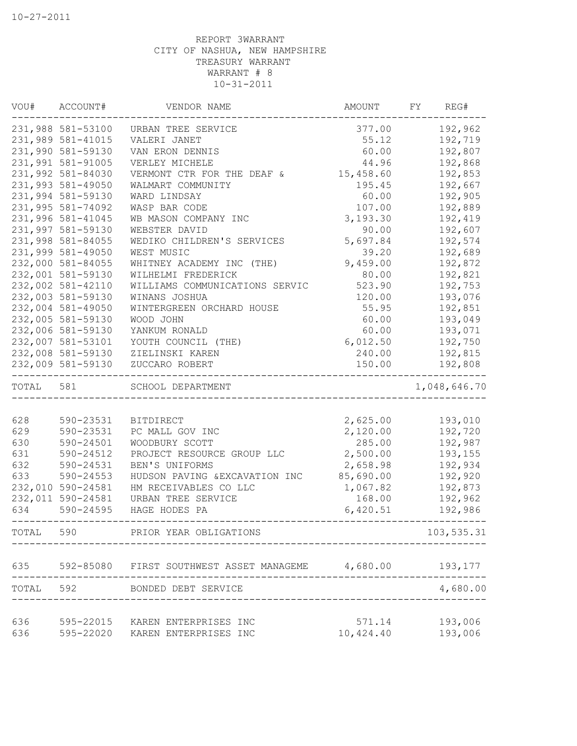| VOU#      | ACCOUNT#          | VENDOR NAME                    | AMOUNT    | FY | REG#         |
|-----------|-------------------|--------------------------------|-----------|----|--------------|
|           | 231,988 581-53100 | URBAN TREE SERVICE             | 377.00    |    | 192,962      |
|           | 231,989 581-41015 | VALERI JANET                   | 55.12     |    | 192,719      |
|           | 231,990 581-59130 | VAN ERON DENNIS                | 60.00     |    | 192,807      |
|           | 231,991 581-91005 | VERLEY MICHELE                 | 44.96     |    | 192,868      |
|           | 231,992 581-84030 | VERMONT CTR FOR THE DEAF &     | 15,458.60 |    | 192,853      |
|           | 231,993 581-49050 | WALMART COMMUNITY              | 195.45    |    | 192,667      |
|           | 231,994 581-59130 | WARD LINDSAY                   | 60.00     |    | 192,905      |
|           | 231,995 581-74092 | WASP BAR CODE                  | 107.00    |    | 192,889      |
|           | 231,996 581-41045 | WB MASON COMPANY INC           | 3,193.30  |    | 192,419      |
|           | 231,997 581-59130 | WEBSTER DAVID                  | 90.00     |    | 192,607      |
|           | 231,998 581-84055 | WEDIKO CHILDREN'S SERVICES     | 5,697.84  |    | 192,574      |
|           | 231,999 581-49050 | WEST MUSIC                     | 39.20     |    | 192,689      |
|           | 232,000 581-84055 | WHITNEY ACADEMY INC (THE)      | 9,459.00  |    | 192,872      |
|           | 232,001 581-59130 | WILHELMI FREDERICK             | 80.00     |    | 192,821      |
|           | 232,002 581-42110 | WILLIAMS COMMUNICATIONS SERVIC | 523.90    |    | 192,753      |
|           | 232,003 581-59130 | WINANS JOSHUA                  | 120.00    |    | 193,076      |
|           | 232,004 581-49050 | WINTERGREEN ORCHARD HOUSE      | 55.95     |    | 192,851      |
|           | 232,005 581-59130 | WOOD JOHN                      | 60.00     |    | 193,049      |
|           | 232,006 581-59130 | YANKUM RONALD                  | 60.00     |    | 193,071      |
|           | 232,007 581-53101 | YOUTH COUNCIL (THE)            | 6,012.50  |    | 192,750      |
|           | 232,008 581-59130 | ZIELINSKI KAREN                | 240.00    |    | 192,815      |
|           | 232,009 581-59130 | ZUCCARO ROBERT                 | 150.00    |    | 192,808      |
| TOTAL 581 |                   | SCHOOL DEPARTMENT              |           |    | 1,048,646.70 |
|           |                   |                                |           |    |              |
| 628       | 590-23531         | <b>BITDIRECT</b>               | 2,625.00  |    | 193,010      |
| 629       | 590-23531         | PC MALL GOV INC                | 2,120.00  |    | 192,720      |
| 630       | 590-24501         | WOODBURY SCOTT                 | 285.00    |    | 192,987      |
| 631       | 590-24512         | PROJECT RESOURCE GROUP LLC     | 2,500.00  |    | 193,155      |
| 632       | 590-24531         | BEN'S UNIFORMS                 | 2,658.98  |    | 192,934      |
| 633       | 590-24553         | HUDSON PAVING & EXCAVATION INC | 85,690.00 |    | 192,920      |
|           | 232,010 590-24581 | HM RECEIVABLES CO LLC          | 1,067.82  |    | 192,873      |
|           | 232,011 590-24581 | URBAN TREE SERVICE             | 168.00    |    | 192,962      |
| 634       | 590-24595         | HAGE HODES PA                  | 6,420.51  |    | 192,986      |
| TOTAL     | 590               | PRIOR YEAR OBLIGATIONS         |           |    | 103,535.31   |
| 635       | 592-85080         | FIRST SOUTHWEST ASSET MANAGEME | 4,680.00  |    | 193,177      |
| TOTAL     | 592               | BONDED DEBT SERVICE            |           |    | 4,680.00     |
|           |                   |                                |           |    |              |
| 636       | 595-22015         | KAREN ENTERPRISES INC          | 571.14    |    | 193,006      |
| 636       | 595-22020         | KAREN ENTERPRISES INC          | 10,424.40 |    | 193,006      |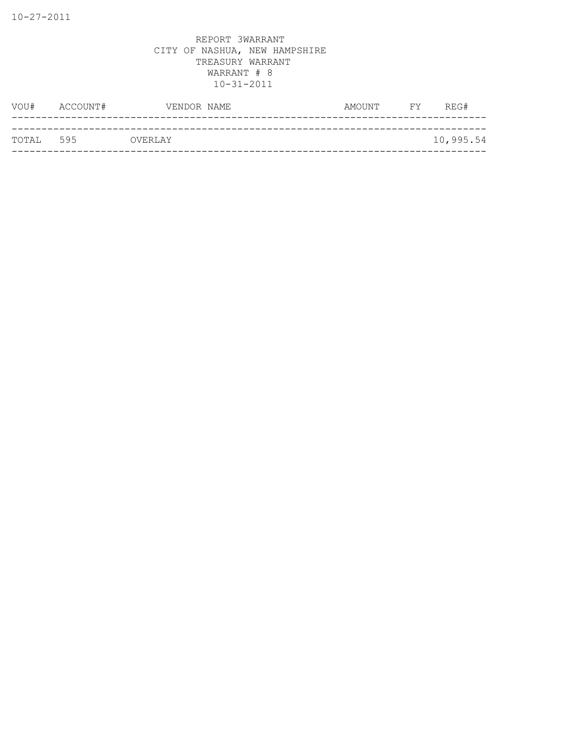| ТОТАІ. 595 |               | OVERLAY     |        |                | 10,995.54 |
|------------|---------------|-------------|--------|----------------|-----------|
|            |               |             |        |                |           |
|            | VOU# ACCOUNT# | VENDOR NAME | AMOUNT | <b>EXECUTE</b> | REG#      |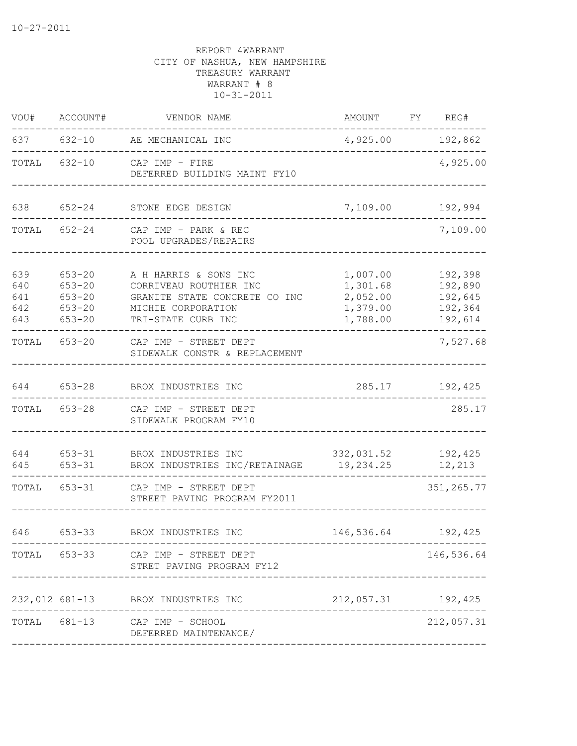| VOU#                            | ACCOUNT#                                                           | VENDOR NAME                                                                                                                  | AMOUNT FY REG#                                           |                                                     |
|---------------------------------|--------------------------------------------------------------------|------------------------------------------------------------------------------------------------------------------------------|----------------------------------------------------------|-----------------------------------------------------|
|                                 |                                                                    | 637 632-10 AE MECHANICAL INC                                                                                                 | 4,925.00 192,862                                         |                                                     |
|                                 |                                                                    | TOTAL 632-10 CAP IMP - FIRE<br>DEFERRED BUILDING MAINT FY10                                                                  |                                                          | 4,925.00                                            |
| 638                             | $652 - 24$                                                         | STONE EDGE DESIGN                                                                                                            | 7,109.00 192,994                                         |                                                     |
|                                 |                                                                    | TOTAL 652-24 CAP IMP - PARK & REC<br>POOL UPGRADES/REPAIRS                                                                   |                                                          | 7,109.00                                            |
| 639<br>640<br>641<br>642<br>643 | $653 - 20$<br>$653 - 20$<br>$653 - 20$<br>$653 - 20$<br>$653 - 20$ | A H HARRIS & SONS INC<br>CORRIVEAU ROUTHIER INC<br>GRANITE STATE CONCRETE CO INC<br>MICHIE CORPORATION<br>TRI-STATE CURB INC | 1,007.00<br>1,301.68<br>2,052.00<br>1,379.00<br>1,788.00 | 192,398<br>192,890<br>192,645<br>192,364<br>192,614 |
| TOTAL 653-20                    |                                                                    | CAP IMP - STREET DEPT<br>SIDEWALK CONSTR & REPLACEMENT                                                                       |                                                          | 7,527.68                                            |
| 644                             | $653 - 28$                                                         | BROX INDUSTRIES INC                                                                                                          | 285.17                                                   | 192,425                                             |
| TOTAL                           |                                                                    | 653-28 CAP IMP - STREET DEPT<br>SIDEWALK PROGRAM FY10                                                                        |                                                          | 285.17                                              |
| 644<br>645                      | $653 - 31$                                                         | 653-31 BROX INDUSTRIES INC<br>BROX INDUSTRIES INC/RETAINAGE 19,234.25                                                        | 332,031.52 192,425                                       | 12,213                                              |
|                                 |                                                                    | TOTAL 653-31 CAP IMP - STREET DEPT<br>STREET PAVING PROGRAM FY2011                                                           |                                                          | 351, 265.77                                         |
| 646                             | 653-33                                                             | BROX INDUSTRIES INC                                                                                                          | 146,536.64                                               | 192,425                                             |
|                                 |                                                                    | TOTAL 653-33 CAP IMP - STREET DEPT<br>STRET PAVING PROGRAM FY12                                                              |                                                          | 146,536.64                                          |
|                                 |                                                                    | 232,012 681-13 BROX INDUSTRIES INC                                                                                           | 212,057.31 192,425                                       |                                                     |
| TOTAL                           |                                                                    | 681-13 CAP IMP - SCHOOL<br>DEFERRED MAINTENANCE/                                                                             |                                                          | 212,057.31                                          |
|                                 |                                                                    |                                                                                                                              |                                                          |                                                     |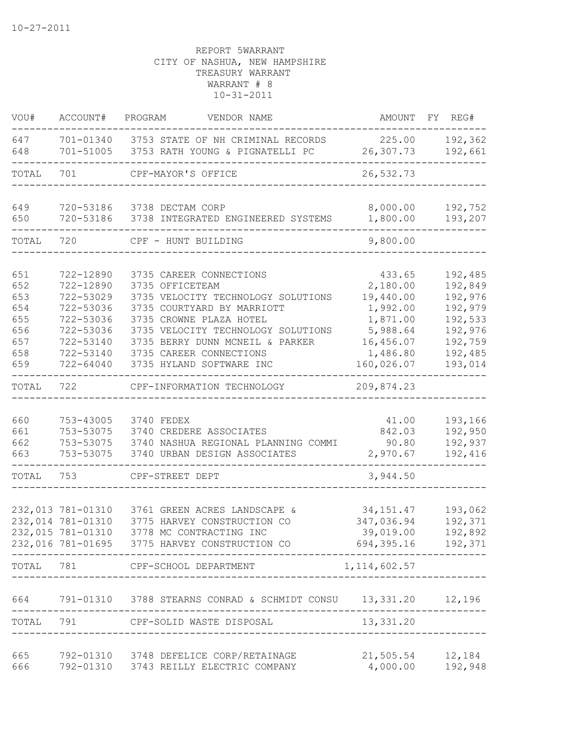| VOU#       | ACCOUNT#               | PROGRAM<br>VENDOR NAME                                               | AMOUNT                 | REG#<br>FY         |
|------------|------------------------|----------------------------------------------------------------------|------------------------|--------------------|
| 647<br>648 | 701-01340<br>701-51005 | 3753 STATE OF NH CRIMINAL RECORDS<br>3753 RATH YOUNG & PIGNATELLI PC | 225.00<br>26,307.73    | 192,362<br>192,661 |
| TOTAL      | 701                    | CPF-MAYOR'S OFFICE                                                   | 26,532.73              |                    |
| 649        | 720-53186              | 3738 DECTAM CORP                                                     | 8,000.00               | 192,752            |
| 650        | 720-53186              | 3738 INTEGRATED ENGINEERED SYSTEMS                                   | 1,800.00               | 193,207            |
| TOTAL      | 720                    | CPF - HUNT BUILDING                                                  | 9,800.00               |                    |
| 651        | 722-12890              | 3735 CAREER CONNECTIONS                                              | 433.65                 | 192,485            |
| 652        | 722-12890              | 3735 OFFICETEAM                                                      | 2,180.00               | 192,849            |
| 653        | 722-53029              | 3735 VELOCITY TECHNOLOGY SOLUTIONS                                   | 19,440.00              | 192,976            |
| 654        | 722-53036              | 3735 COURTYARD BY MARRIOTT                                           | 1,992.00               | 192,979            |
| 655        | 722-53036              | 3735 CROWNE PLAZA HOTEL                                              | 1,871.00               | 192,533            |
| 656        | 722-53036              | 3735 VELOCITY TECHNOLOGY SOLUTIONS                                   | 5,988.64               | 192,976            |
| 657        | 722-53140              | 3735 BERRY DUNN MCNEIL & PARKER                                      | 16,456.07              | 192,759            |
| 658<br>659 | 722-53140<br>722-64040 | 3735 CAREER CONNECTIONS<br>3735 HYLAND SOFTWARE INC                  | 1,486.80<br>160,026.07 | 192,485<br>193,014 |
|            |                        |                                                                      |                        |                    |
| TOTAL      | 722                    | CPF-INFORMATION TECHNOLOGY                                           | 209,874.23             |                    |
| 660        | 753-43005              | 3740 FEDEX                                                           | 41.00                  | 193,166            |
| 661        | 753-53075              | 3740 CREDERE ASSOCIATES                                              | 842.03                 | 192,950            |
| 662        | 753-53075              | 3740 NASHUA REGIONAL PLANNING COMMI                                  | 90.80                  | 192,937            |
| 663        | 753-53075              | 3740 URBAN DESIGN ASSOCIATES                                         | 2,970.67               | 192,416            |
| TOTAL      | 753                    | CPF-STREET DEPT                                                      | 3,944.50               |                    |
|            |                        |                                                                      |                        |                    |
|            | 232,013 781-01310      | 3761 GREEN ACRES LANDSCAPE &                                         | 34, 151.47             | 193,062            |
|            | 232,014 781-01310      | 3775 HARVEY CONSTRUCTION CO                                          | 347,036.94             | 192,371            |
|            | 232,015 781-01310      | 3778 MC CONTRACTING INC                                              | 39,019.00              | 192,892            |
|            |                        | 232,016 781-01695 3775 HARVEY CONSTRUCTION CO                        | 694, 395. 16 192, 371  |                    |
| TOTAL      |                        | CPF-SCHOOL DEPARTMENT                                                | 1, 114, 602.57         |                    |
| 664        |                        | 791-01310 3788 STEARNS CONRAD & SCHMIDT CONSU 13,331.20 12,196       |                        |                    |
| TOTAL      |                        | 791 CPF-SOLID WASTE DISPOSAL                                         | 13,331.20              |                    |
| 665        |                        | 792-01310 3748 DEFELICE CORP/RETAINAGE                               | 21,505.54              | 12,184             |
| 666        |                        | 792-01310 3743 REILLY ELECTRIC COMPANY                               | 4,000.00               | 192,948            |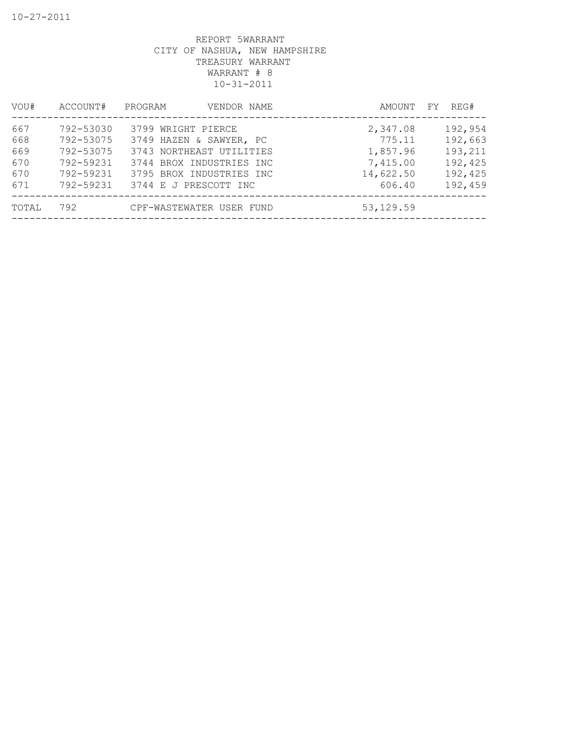| VOU#                                   | ACCOUNT#                                                                   | PROGRAM<br>VENDOR NAME                                                                                                                                     | AMOUNT FY                                                         | REG#                                                           |
|----------------------------------------|----------------------------------------------------------------------------|------------------------------------------------------------------------------------------------------------------------------------------------------------|-------------------------------------------------------------------|----------------------------------------------------------------|
| 667<br>668<br>669<br>670<br>670<br>671 | 792-53030<br>792-53075<br>792-53075<br>792-59231<br>792-59231<br>792-59231 | 3799 WRIGHT PIERCE<br>3749 HAZEN & SAWYER, PC<br>3743 NORTHEAST UTILITIES<br>3744 BROX INDUSTRIES INC<br>3795 BROX INDUSTRIES INC<br>3744 E J PRESCOTT INC | 2,347.08<br>775.11<br>1,857.96<br>7,415.00<br>14,622.50<br>606.40 | 192,954<br>192,663<br>193,211<br>192,425<br>192,425<br>192,459 |
| TOTAL                                  | 792                                                                        | CPF-WASTEWATER USER FUND                                                                                                                                   | 53, 129.59                                                        |                                                                |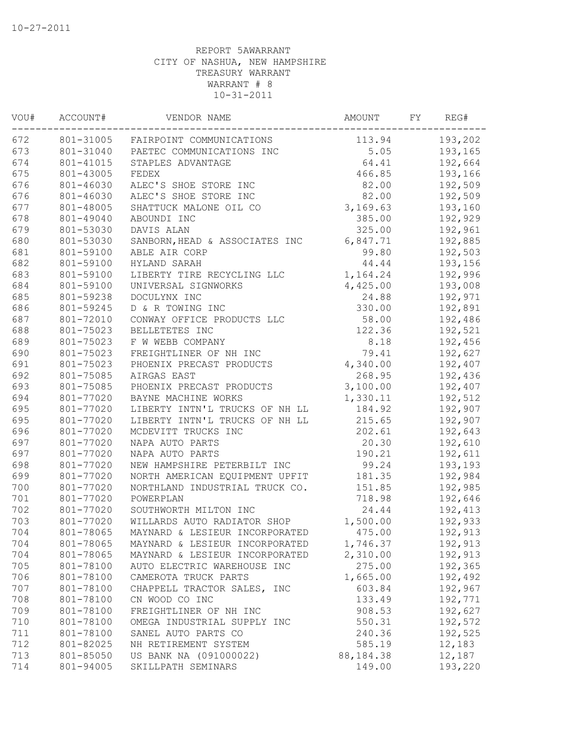| 113.94<br>193,202<br>801-31005<br>FAIRPOINT COMMUNICATIONS<br>5.05<br>193,165<br>801-31040<br>PAETEC COMMUNICATIONS INC<br>64.41<br>192,664<br>801-41015<br>STAPLES ADVANTAGE<br>466.85<br>193,166<br>801-43005<br>FEDEX<br>192,509<br>801-46030<br>ALEC'S SHOE STORE INC<br>82.00<br>82.00<br>192,509<br>801-46030<br>ALEC'S SHOE STORE INC<br>3,169.63<br>801-48005<br>SHATTUCK MALONE OIL CO<br>193,160<br>385.00<br>192,929<br>801-49040<br>ABOUNDI INC<br>801-53030<br>DAVIS ALAN<br>325.00<br>192,961<br>801-53030<br>6,847.71<br>192,885<br>SANBORN, HEAD & ASSOCIATES INC<br>801-59100<br>ABLE AIR CORP<br>99.80<br>192,503<br>801-59100<br>HYLAND SARAH<br>44.44<br>193,156<br>801-59100<br>1,164.24<br>192,996<br>LIBERTY TIRE RECYCLING LLC<br>193,008<br>801-59100<br>UNIVERSAL SIGNWORKS<br>4,425.00<br>801-59238<br>DOCULYNX INC<br>24.88<br>192,971<br>801-59245<br>D & R TOWING INC<br>330.00<br>192,891<br>801-72010<br>CONWAY OFFICE PRODUCTS LLC<br>58.00<br>192,486<br>801-75023<br>BELLETETES INC<br>122.36<br>192,521<br>8.18<br>801-75023<br>F W WEBB COMPANY<br>192,456<br>801-75023<br>FREIGHTLINER OF NH INC<br>79.41<br>192,627<br>4,340.00<br>801-75023<br>PHOENIX PRECAST PRODUCTS<br>192,407<br>801-75085<br>AIRGAS EAST<br>268.95<br>192,436<br>3,100.00<br>801-75085<br>PHOENIX PRECAST PRODUCTS<br>192,407<br>801-77020<br>BAYNE MACHINE WORKS<br>1,330.11<br>192,512<br>LIBERTY INTN'L TRUCKS OF NH LL<br>801-77020<br>184.92<br>192,907<br>LIBERTY INTN'L TRUCKS OF NH LL<br>215.65<br>192,907<br>801-77020<br>801-77020<br>MCDEVITT TRUCKS INC<br>202.61<br>192,643<br>801-77020<br>NAPA AUTO PARTS<br>20.30<br>192,610<br>NAPA AUTO PARTS<br>801-77020<br>190.21<br>192,611<br>801-77020<br>NEW HAMPSHIRE PETERBILT INC<br>99.24<br>193,193<br>801-77020<br>NORTH AMERICAN EQUIPMENT UPFIT<br>181.35<br>192,984<br>801-77020<br>NORTHLAND INDUSTRIAL TRUCK CO.<br>151.85<br>192,985<br>801-77020<br>718.98<br>192,646<br>POWERPLAN<br>801-77020<br>24.44<br>192,413<br>SOUTHWORTH MILTON INC<br>801-77020<br>WILLARDS AUTO RADIATOR SHOP<br>1,500.00<br>192,933<br>801-78065<br>MAYNARD & LESIEUR INCORPORATED<br>475.00<br>192,913<br>801-78065<br>1,746.37<br>192,913<br>MAYNARD & LESIEUR INCORPORATED<br>801-78065<br>2,310.00<br>192,913<br>MAYNARD & LESIEUR INCORPORATED<br>801-78100<br>275.00<br>192,365<br>AUTO ELECTRIC WAREHOUSE INC<br>1,665.00<br>801-78100<br>CAMEROTA TRUCK PARTS<br>192,492<br>801-78100<br>603.84<br>192,967<br>CHAPPELL TRACTOR SALES,<br>INC<br>801-78100<br>CN WOOD CO INC<br>133.49<br>192,771<br>801-78100<br>FREIGHTLINER OF NH INC<br>908.53<br>192,627<br>192,572<br>801-78100<br>OMEGA INDUSTRIAL SUPPLY INC<br>550.31<br>801-78100<br>192,525<br>SANEL AUTO PARTS CO<br>240.36<br>801-82025<br>585.19<br>12,183<br>NH RETIREMENT SYSTEM<br>801-85050<br>US BANK NA (091000022)<br>88,184.38<br>12,187<br>801-94005<br>SKILLPATH SEMINARS<br>149.00<br>193,220 | VOU# | ACCOUNT# | VENDOR NAME | AMOUNT | FΥ | REG# |
|------------------------------------------------------------------------------------------------------------------------------------------------------------------------------------------------------------------------------------------------------------------------------------------------------------------------------------------------------------------------------------------------------------------------------------------------------------------------------------------------------------------------------------------------------------------------------------------------------------------------------------------------------------------------------------------------------------------------------------------------------------------------------------------------------------------------------------------------------------------------------------------------------------------------------------------------------------------------------------------------------------------------------------------------------------------------------------------------------------------------------------------------------------------------------------------------------------------------------------------------------------------------------------------------------------------------------------------------------------------------------------------------------------------------------------------------------------------------------------------------------------------------------------------------------------------------------------------------------------------------------------------------------------------------------------------------------------------------------------------------------------------------------------------------------------------------------------------------------------------------------------------------------------------------------------------------------------------------------------------------------------------------------------------------------------------------------------------------------------------------------------------------------------------------------------------------------------------------------------------------------------------------------------------------------------------------------------------------------------------------------------------------------------------------------------------------------------------------------------------------------------------------------------------------------------------------------------------------------------------------------------------------------------------------------------------------------------------------------------------------------------------------------------------------------------------------------------------------------------------------------------------------------------------------------------------------|------|----------|-------------|--------|----|------|
|                                                                                                                                                                                                                                                                                                                                                                                                                                                                                                                                                                                                                                                                                                                                                                                                                                                                                                                                                                                                                                                                                                                                                                                                                                                                                                                                                                                                                                                                                                                                                                                                                                                                                                                                                                                                                                                                                                                                                                                                                                                                                                                                                                                                                                                                                                                                                                                                                                                                                                                                                                                                                                                                                                                                                                                                                                                                                                                                                | 672  |          |             |        |    |      |
|                                                                                                                                                                                                                                                                                                                                                                                                                                                                                                                                                                                                                                                                                                                                                                                                                                                                                                                                                                                                                                                                                                                                                                                                                                                                                                                                                                                                                                                                                                                                                                                                                                                                                                                                                                                                                                                                                                                                                                                                                                                                                                                                                                                                                                                                                                                                                                                                                                                                                                                                                                                                                                                                                                                                                                                                                                                                                                                                                | 673  |          |             |        |    |      |
|                                                                                                                                                                                                                                                                                                                                                                                                                                                                                                                                                                                                                                                                                                                                                                                                                                                                                                                                                                                                                                                                                                                                                                                                                                                                                                                                                                                                                                                                                                                                                                                                                                                                                                                                                                                                                                                                                                                                                                                                                                                                                                                                                                                                                                                                                                                                                                                                                                                                                                                                                                                                                                                                                                                                                                                                                                                                                                                                                | 674  |          |             |        |    |      |
|                                                                                                                                                                                                                                                                                                                                                                                                                                                                                                                                                                                                                                                                                                                                                                                                                                                                                                                                                                                                                                                                                                                                                                                                                                                                                                                                                                                                                                                                                                                                                                                                                                                                                                                                                                                                                                                                                                                                                                                                                                                                                                                                                                                                                                                                                                                                                                                                                                                                                                                                                                                                                                                                                                                                                                                                                                                                                                                                                | 675  |          |             |        |    |      |
|                                                                                                                                                                                                                                                                                                                                                                                                                                                                                                                                                                                                                                                                                                                                                                                                                                                                                                                                                                                                                                                                                                                                                                                                                                                                                                                                                                                                                                                                                                                                                                                                                                                                                                                                                                                                                                                                                                                                                                                                                                                                                                                                                                                                                                                                                                                                                                                                                                                                                                                                                                                                                                                                                                                                                                                                                                                                                                                                                | 676  |          |             |        |    |      |
|                                                                                                                                                                                                                                                                                                                                                                                                                                                                                                                                                                                                                                                                                                                                                                                                                                                                                                                                                                                                                                                                                                                                                                                                                                                                                                                                                                                                                                                                                                                                                                                                                                                                                                                                                                                                                                                                                                                                                                                                                                                                                                                                                                                                                                                                                                                                                                                                                                                                                                                                                                                                                                                                                                                                                                                                                                                                                                                                                | 676  |          |             |        |    |      |
|                                                                                                                                                                                                                                                                                                                                                                                                                                                                                                                                                                                                                                                                                                                                                                                                                                                                                                                                                                                                                                                                                                                                                                                                                                                                                                                                                                                                                                                                                                                                                                                                                                                                                                                                                                                                                                                                                                                                                                                                                                                                                                                                                                                                                                                                                                                                                                                                                                                                                                                                                                                                                                                                                                                                                                                                                                                                                                                                                | 677  |          |             |        |    |      |
|                                                                                                                                                                                                                                                                                                                                                                                                                                                                                                                                                                                                                                                                                                                                                                                                                                                                                                                                                                                                                                                                                                                                                                                                                                                                                                                                                                                                                                                                                                                                                                                                                                                                                                                                                                                                                                                                                                                                                                                                                                                                                                                                                                                                                                                                                                                                                                                                                                                                                                                                                                                                                                                                                                                                                                                                                                                                                                                                                | 678  |          |             |        |    |      |
|                                                                                                                                                                                                                                                                                                                                                                                                                                                                                                                                                                                                                                                                                                                                                                                                                                                                                                                                                                                                                                                                                                                                                                                                                                                                                                                                                                                                                                                                                                                                                                                                                                                                                                                                                                                                                                                                                                                                                                                                                                                                                                                                                                                                                                                                                                                                                                                                                                                                                                                                                                                                                                                                                                                                                                                                                                                                                                                                                | 679  |          |             |        |    |      |
|                                                                                                                                                                                                                                                                                                                                                                                                                                                                                                                                                                                                                                                                                                                                                                                                                                                                                                                                                                                                                                                                                                                                                                                                                                                                                                                                                                                                                                                                                                                                                                                                                                                                                                                                                                                                                                                                                                                                                                                                                                                                                                                                                                                                                                                                                                                                                                                                                                                                                                                                                                                                                                                                                                                                                                                                                                                                                                                                                | 680  |          |             |        |    |      |
|                                                                                                                                                                                                                                                                                                                                                                                                                                                                                                                                                                                                                                                                                                                                                                                                                                                                                                                                                                                                                                                                                                                                                                                                                                                                                                                                                                                                                                                                                                                                                                                                                                                                                                                                                                                                                                                                                                                                                                                                                                                                                                                                                                                                                                                                                                                                                                                                                                                                                                                                                                                                                                                                                                                                                                                                                                                                                                                                                | 681  |          |             |        |    |      |
|                                                                                                                                                                                                                                                                                                                                                                                                                                                                                                                                                                                                                                                                                                                                                                                                                                                                                                                                                                                                                                                                                                                                                                                                                                                                                                                                                                                                                                                                                                                                                                                                                                                                                                                                                                                                                                                                                                                                                                                                                                                                                                                                                                                                                                                                                                                                                                                                                                                                                                                                                                                                                                                                                                                                                                                                                                                                                                                                                | 682  |          |             |        |    |      |
|                                                                                                                                                                                                                                                                                                                                                                                                                                                                                                                                                                                                                                                                                                                                                                                                                                                                                                                                                                                                                                                                                                                                                                                                                                                                                                                                                                                                                                                                                                                                                                                                                                                                                                                                                                                                                                                                                                                                                                                                                                                                                                                                                                                                                                                                                                                                                                                                                                                                                                                                                                                                                                                                                                                                                                                                                                                                                                                                                | 683  |          |             |        |    |      |
|                                                                                                                                                                                                                                                                                                                                                                                                                                                                                                                                                                                                                                                                                                                                                                                                                                                                                                                                                                                                                                                                                                                                                                                                                                                                                                                                                                                                                                                                                                                                                                                                                                                                                                                                                                                                                                                                                                                                                                                                                                                                                                                                                                                                                                                                                                                                                                                                                                                                                                                                                                                                                                                                                                                                                                                                                                                                                                                                                | 684  |          |             |        |    |      |
|                                                                                                                                                                                                                                                                                                                                                                                                                                                                                                                                                                                                                                                                                                                                                                                                                                                                                                                                                                                                                                                                                                                                                                                                                                                                                                                                                                                                                                                                                                                                                                                                                                                                                                                                                                                                                                                                                                                                                                                                                                                                                                                                                                                                                                                                                                                                                                                                                                                                                                                                                                                                                                                                                                                                                                                                                                                                                                                                                | 685  |          |             |        |    |      |
|                                                                                                                                                                                                                                                                                                                                                                                                                                                                                                                                                                                                                                                                                                                                                                                                                                                                                                                                                                                                                                                                                                                                                                                                                                                                                                                                                                                                                                                                                                                                                                                                                                                                                                                                                                                                                                                                                                                                                                                                                                                                                                                                                                                                                                                                                                                                                                                                                                                                                                                                                                                                                                                                                                                                                                                                                                                                                                                                                | 686  |          |             |        |    |      |
|                                                                                                                                                                                                                                                                                                                                                                                                                                                                                                                                                                                                                                                                                                                                                                                                                                                                                                                                                                                                                                                                                                                                                                                                                                                                                                                                                                                                                                                                                                                                                                                                                                                                                                                                                                                                                                                                                                                                                                                                                                                                                                                                                                                                                                                                                                                                                                                                                                                                                                                                                                                                                                                                                                                                                                                                                                                                                                                                                | 687  |          |             |        |    |      |
|                                                                                                                                                                                                                                                                                                                                                                                                                                                                                                                                                                                                                                                                                                                                                                                                                                                                                                                                                                                                                                                                                                                                                                                                                                                                                                                                                                                                                                                                                                                                                                                                                                                                                                                                                                                                                                                                                                                                                                                                                                                                                                                                                                                                                                                                                                                                                                                                                                                                                                                                                                                                                                                                                                                                                                                                                                                                                                                                                | 688  |          |             |        |    |      |
|                                                                                                                                                                                                                                                                                                                                                                                                                                                                                                                                                                                                                                                                                                                                                                                                                                                                                                                                                                                                                                                                                                                                                                                                                                                                                                                                                                                                                                                                                                                                                                                                                                                                                                                                                                                                                                                                                                                                                                                                                                                                                                                                                                                                                                                                                                                                                                                                                                                                                                                                                                                                                                                                                                                                                                                                                                                                                                                                                | 689  |          |             |        |    |      |
|                                                                                                                                                                                                                                                                                                                                                                                                                                                                                                                                                                                                                                                                                                                                                                                                                                                                                                                                                                                                                                                                                                                                                                                                                                                                                                                                                                                                                                                                                                                                                                                                                                                                                                                                                                                                                                                                                                                                                                                                                                                                                                                                                                                                                                                                                                                                                                                                                                                                                                                                                                                                                                                                                                                                                                                                                                                                                                                                                | 690  |          |             |        |    |      |
|                                                                                                                                                                                                                                                                                                                                                                                                                                                                                                                                                                                                                                                                                                                                                                                                                                                                                                                                                                                                                                                                                                                                                                                                                                                                                                                                                                                                                                                                                                                                                                                                                                                                                                                                                                                                                                                                                                                                                                                                                                                                                                                                                                                                                                                                                                                                                                                                                                                                                                                                                                                                                                                                                                                                                                                                                                                                                                                                                | 691  |          |             |        |    |      |
|                                                                                                                                                                                                                                                                                                                                                                                                                                                                                                                                                                                                                                                                                                                                                                                                                                                                                                                                                                                                                                                                                                                                                                                                                                                                                                                                                                                                                                                                                                                                                                                                                                                                                                                                                                                                                                                                                                                                                                                                                                                                                                                                                                                                                                                                                                                                                                                                                                                                                                                                                                                                                                                                                                                                                                                                                                                                                                                                                | 692  |          |             |        |    |      |
|                                                                                                                                                                                                                                                                                                                                                                                                                                                                                                                                                                                                                                                                                                                                                                                                                                                                                                                                                                                                                                                                                                                                                                                                                                                                                                                                                                                                                                                                                                                                                                                                                                                                                                                                                                                                                                                                                                                                                                                                                                                                                                                                                                                                                                                                                                                                                                                                                                                                                                                                                                                                                                                                                                                                                                                                                                                                                                                                                | 693  |          |             |        |    |      |
|                                                                                                                                                                                                                                                                                                                                                                                                                                                                                                                                                                                                                                                                                                                                                                                                                                                                                                                                                                                                                                                                                                                                                                                                                                                                                                                                                                                                                                                                                                                                                                                                                                                                                                                                                                                                                                                                                                                                                                                                                                                                                                                                                                                                                                                                                                                                                                                                                                                                                                                                                                                                                                                                                                                                                                                                                                                                                                                                                | 694  |          |             |        |    |      |
|                                                                                                                                                                                                                                                                                                                                                                                                                                                                                                                                                                                                                                                                                                                                                                                                                                                                                                                                                                                                                                                                                                                                                                                                                                                                                                                                                                                                                                                                                                                                                                                                                                                                                                                                                                                                                                                                                                                                                                                                                                                                                                                                                                                                                                                                                                                                                                                                                                                                                                                                                                                                                                                                                                                                                                                                                                                                                                                                                | 695  |          |             |        |    |      |
|                                                                                                                                                                                                                                                                                                                                                                                                                                                                                                                                                                                                                                                                                                                                                                                                                                                                                                                                                                                                                                                                                                                                                                                                                                                                                                                                                                                                                                                                                                                                                                                                                                                                                                                                                                                                                                                                                                                                                                                                                                                                                                                                                                                                                                                                                                                                                                                                                                                                                                                                                                                                                                                                                                                                                                                                                                                                                                                                                | 695  |          |             |        |    |      |
|                                                                                                                                                                                                                                                                                                                                                                                                                                                                                                                                                                                                                                                                                                                                                                                                                                                                                                                                                                                                                                                                                                                                                                                                                                                                                                                                                                                                                                                                                                                                                                                                                                                                                                                                                                                                                                                                                                                                                                                                                                                                                                                                                                                                                                                                                                                                                                                                                                                                                                                                                                                                                                                                                                                                                                                                                                                                                                                                                | 696  |          |             |        |    |      |
|                                                                                                                                                                                                                                                                                                                                                                                                                                                                                                                                                                                                                                                                                                                                                                                                                                                                                                                                                                                                                                                                                                                                                                                                                                                                                                                                                                                                                                                                                                                                                                                                                                                                                                                                                                                                                                                                                                                                                                                                                                                                                                                                                                                                                                                                                                                                                                                                                                                                                                                                                                                                                                                                                                                                                                                                                                                                                                                                                | 697  |          |             |        |    |      |
|                                                                                                                                                                                                                                                                                                                                                                                                                                                                                                                                                                                                                                                                                                                                                                                                                                                                                                                                                                                                                                                                                                                                                                                                                                                                                                                                                                                                                                                                                                                                                                                                                                                                                                                                                                                                                                                                                                                                                                                                                                                                                                                                                                                                                                                                                                                                                                                                                                                                                                                                                                                                                                                                                                                                                                                                                                                                                                                                                | 697  |          |             |        |    |      |
|                                                                                                                                                                                                                                                                                                                                                                                                                                                                                                                                                                                                                                                                                                                                                                                                                                                                                                                                                                                                                                                                                                                                                                                                                                                                                                                                                                                                                                                                                                                                                                                                                                                                                                                                                                                                                                                                                                                                                                                                                                                                                                                                                                                                                                                                                                                                                                                                                                                                                                                                                                                                                                                                                                                                                                                                                                                                                                                                                | 698  |          |             |        |    |      |
|                                                                                                                                                                                                                                                                                                                                                                                                                                                                                                                                                                                                                                                                                                                                                                                                                                                                                                                                                                                                                                                                                                                                                                                                                                                                                                                                                                                                                                                                                                                                                                                                                                                                                                                                                                                                                                                                                                                                                                                                                                                                                                                                                                                                                                                                                                                                                                                                                                                                                                                                                                                                                                                                                                                                                                                                                                                                                                                                                | 699  |          |             |        |    |      |
|                                                                                                                                                                                                                                                                                                                                                                                                                                                                                                                                                                                                                                                                                                                                                                                                                                                                                                                                                                                                                                                                                                                                                                                                                                                                                                                                                                                                                                                                                                                                                                                                                                                                                                                                                                                                                                                                                                                                                                                                                                                                                                                                                                                                                                                                                                                                                                                                                                                                                                                                                                                                                                                                                                                                                                                                                                                                                                                                                | 700  |          |             |        |    |      |
|                                                                                                                                                                                                                                                                                                                                                                                                                                                                                                                                                                                                                                                                                                                                                                                                                                                                                                                                                                                                                                                                                                                                                                                                                                                                                                                                                                                                                                                                                                                                                                                                                                                                                                                                                                                                                                                                                                                                                                                                                                                                                                                                                                                                                                                                                                                                                                                                                                                                                                                                                                                                                                                                                                                                                                                                                                                                                                                                                | 701  |          |             |        |    |      |
|                                                                                                                                                                                                                                                                                                                                                                                                                                                                                                                                                                                                                                                                                                                                                                                                                                                                                                                                                                                                                                                                                                                                                                                                                                                                                                                                                                                                                                                                                                                                                                                                                                                                                                                                                                                                                                                                                                                                                                                                                                                                                                                                                                                                                                                                                                                                                                                                                                                                                                                                                                                                                                                                                                                                                                                                                                                                                                                                                | 702  |          |             |        |    |      |
|                                                                                                                                                                                                                                                                                                                                                                                                                                                                                                                                                                                                                                                                                                                                                                                                                                                                                                                                                                                                                                                                                                                                                                                                                                                                                                                                                                                                                                                                                                                                                                                                                                                                                                                                                                                                                                                                                                                                                                                                                                                                                                                                                                                                                                                                                                                                                                                                                                                                                                                                                                                                                                                                                                                                                                                                                                                                                                                                                | 703  |          |             |        |    |      |
|                                                                                                                                                                                                                                                                                                                                                                                                                                                                                                                                                                                                                                                                                                                                                                                                                                                                                                                                                                                                                                                                                                                                                                                                                                                                                                                                                                                                                                                                                                                                                                                                                                                                                                                                                                                                                                                                                                                                                                                                                                                                                                                                                                                                                                                                                                                                                                                                                                                                                                                                                                                                                                                                                                                                                                                                                                                                                                                                                | 704  |          |             |        |    |      |
|                                                                                                                                                                                                                                                                                                                                                                                                                                                                                                                                                                                                                                                                                                                                                                                                                                                                                                                                                                                                                                                                                                                                                                                                                                                                                                                                                                                                                                                                                                                                                                                                                                                                                                                                                                                                                                                                                                                                                                                                                                                                                                                                                                                                                                                                                                                                                                                                                                                                                                                                                                                                                                                                                                                                                                                                                                                                                                                                                | 704  |          |             |        |    |      |
|                                                                                                                                                                                                                                                                                                                                                                                                                                                                                                                                                                                                                                                                                                                                                                                                                                                                                                                                                                                                                                                                                                                                                                                                                                                                                                                                                                                                                                                                                                                                                                                                                                                                                                                                                                                                                                                                                                                                                                                                                                                                                                                                                                                                                                                                                                                                                                                                                                                                                                                                                                                                                                                                                                                                                                                                                                                                                                                                                | 704  |          |             |        |    |      |
|                                                                                                                                                                                                                                                                                                                                                                                                                                                                                                                                                                                                                                                                                                                                                                                                                                                                                                                                                                                                                                                                                                                                                                                                                                                                                                                                                                                                                                                                                                                                                                                                                                                                                                                                                                                                                                                                                                                                                                                                                                                                                                                                                                                                                                                                                                                                                                                                                                                                                                                                                                                                                                                                                                                                                                                                                                                                                                                                                | 705  |          |             |        |    |      |
|                                                                                                                                                                                                                                                                                                                                                                                                                                                                                                                                                                                                                                                                                                                                                                                                                                                                                                                                                                                                                                                                                                                                                                                                                                                                                                                                                                                                                                                                                                                                                                                                                                                                                                                                                                                                                                                                                                                                                                                                                                                                                                                                                                                                                                                                                                                                                                                                                                                                                                                                                                                                                                                                                                                                                                                                                                                                                                                                                | 706  |          |             |        |    |      |
|                                                                                                                                                                                                                                                                                                                                                                                                                                                                                                                                                                                                                                                                                                                                                                                                                                                                                                                                                                                                                                                                                                                                                                                                                                                                                                                                                                                                                                                                                                                                                                                                                                                                                                                                                                                                                                                                                                                                                                                                                                                                                                                                                                                                                                                                                                                                                                                                                                                                                                                                                                                                                                                                                                                                                                                                                                                                                                                                                | 707  |          |             |        |    |      |
|                                                                                                                                                                                                                                                                                                                                                                                                                                                                                                                                                                                                                                                                                                                                                                                                                                                                                                                                                                                                                                                                                                                                                                                                                                                                                                                                                                                                                                                                                                                                                                                                                                                                                                                                                                                                                                                                                                                                                                                                                                                                                                                                                                                                                                                                                                                                                                                                                                                                                                                                                                                                                                                                                                                                                                                                                                                                                                                                                | 708  |          |             |        |    |      |
|                                                                                                                                                                                                                                                                                                                                                                                                                                                                                                                                                                                                                                                                                                                                                                                                                                                                                                                                                                                                                                                                                                                                                                                                                                                                                                                                                                                                                                                                                                                                                                                                                                                                                                                                                                                                                                                                                                                                                                                                                                                                                                                                                                                                                                                                                                                                                                                                                                                                                                                                                                                                                                                                                                                                                                                                                                                                                                                                                | 709  |          |             |        |    |      |
|                                                                                                                                                                                                                                                                                                                                                                                                                                                                                                                                                                                                                                                                                                                                                                                                                                                                                                                                                                                                                                                                                                                                                                                                                                                                                                                                                                                                                                                                                                                                                                                                                                                                                                                                                                                                                                                                                                                                                                                                                                                                                                                                                                                                                                                                                                                                                                                                                                                                                                                                                                                                                                                                                                                                                                                                                                                                                                                                                | 710  |          |             |        |    |      |
|                                                                                                                                                                                                                                                                                                                                                                                                                                                                                                                                                                                                                                                                                                                                                                                                                                                                                                                                                                                                                                                                                                                                                                                                                                                                                                                                                                                                                                                                                                                                                                                                                                                                                                                                                                                                                                                                                                                                                                                                                                                                                                                                                                                                                                                                                                                                                                                                                                                                                                                                                                                                                                                                                                                                                                                                                                                                                                                                                | 711  |          |             |        |    |      |
|                                                                                                                                                                                                                                                                                                                                                                                                                                                                                                                                                                                                                                                                                                                                                                                                                                                                                                                                                                                                                                                                                                                                                                                                                                                                                                                                                                                                                                                                                                                                                                                                                                                                                                                                                                                                                                                                                                                                                                                                                                                                                                                                                                                                                                                                                                                                                                                                                                                                                                                                                                                                                                                                                                                                                                                                                                                                                                                                                | 712  |          |             |        |    |      |
|                                                                                                                                                                                                                                                                                                                                                                                                                                                                                                                                                                                                                                                                                                                                                                                                                                                                                                                                                                                                                                                                                                                                                                                                                                                                                                                                                                                                                                                                                                                                                                                                                                                                                                                                                                                                                                                                                                                                                                                                                                                                                                                                                                                                                                                                                                                                                                                                                                                                                                                                                                                                                                                                                                                                                                                                                                                                                                                                                | 713  |          |             |        |    |      |
|                                                                                                                                                                                                                                                                                                                                                                                                                                                                                                                                                                                                                                                                                                                                                                                                                                                                                                                                                                                                                                                                                                                                                                                                                                                                                                                                                                                                                                                                                                                                                                                                                                                                                                                                                                                                                                                                                                                                                                                                                                                                                                                                                                                                                                                                                                                                                                                                                                                                                                                                                                                                                                                                                                                                                                                                                                                                                                                                                | 714  |          |             |        |    |      |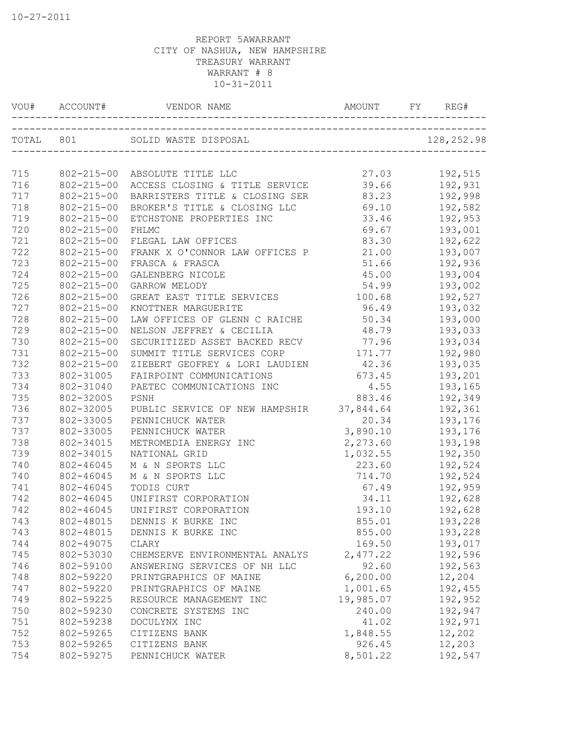| VOU#       | ACCOUNT#         | VENDOR NAME                               | AMOUNT         | FY. | REG#    |
|------------|------------------|-------------------------------------------|----------------|-----|---------|
|            |                  | TOTAL 801 SOLID WASTE DISPOSAL 128,252.98 |                |     |         |
|            |                  |                                           | 27.03          |     |         |
| 715<br>716 | $802 - 215 - 00$ | 802-215-00 ABSOLUTE TITLE LLC             |                |     | 192,515 |
|            |                  | ACCESS CLOSING & TITLE SERVICE            | 39.66<br>83.23 |     | 192,931 |
| 717        | $802 - 215 - 00$ | BARRISTERS TITLE & CLOSING SER            |                |     | 192,998 |
| 718        | $802 - 215 - 00$ | BROKER'S TITLE & CLOSING LLC              | 69.10          |     | 192,582 |
| 719        | $802 - 215 - 00$ | ETCHSTONE PROPERTIES INC                  | 33.46          |     | 192,953 |
| 720        | $802 - 215 - 00$ | FHLMC                                     | 69.67          |     | 193,001 |
| 721        | $802 - 215 - 00$ | FLEGAL LAW OFFICES                        | 83.30          |     | 192,622 |
| 722        | $802 - 215 - 00$ | FRANK X O'CONNOR LAW OFFICES P            | 21.00          |     | 193,007 |
| 723        | $802 - 215 - 00$ | FRASCA & FRASCA                           | 51.66          |     | 192,936 |
| 724        | $802 - 215 - 00$ | GALENBERG NICOLE                          | 45.00          |     | 193,004 |
| 725        | $802 - 215 - 00$ | GARROW MELODY                             | 54.99          |     | 193,002 |
| 726        | $802 - 215 - 00$ | GREAT EAST TITLE SERVICES                 | 100.68         |     | 192,527 |
| 727        | $802 - 215 - 00$ | KNOTTNER MARGUERITE                       | 96.49          |     | 193,032 |
| 728        | $802 - 215 - 00$ | LAW OFFICES OF GLENN C RAICHE             | 50.34          |     | 193,000 |
| 729        | $802 - 215 - 00$ | NELSON JEFFREY & CECILIA                  | 48.79          |     | 193,033 |
| 730        | $802 - 215 - 00$ | SECURITIZED ASSET BACKED RECV             | 77.96          |     | 193,034 |
| 731        | $802 - 215 - 00$ | SUMMIT TITLE SERVICES CORP                | 171.77         |     | 192,980 |
| 732        | $802 - 215 - 00$ | ZIEBERT GEOFREY & LORI LAUDIEN 42.36      |                |     | 193,035 |
| 733        | 802-31005        | FAIRPOINT COMMUNICATIONS                  | 673.45         |     | 193,201 |
| 734        | 802-31040        | PAETEC COMMUNICATIONS INC                 | 4.55           |     | 193,165 |
| 735        | 802-32005        | PSNH                                      | 883.46         |     | 192,349 |
| 736        | 802-32005        | PUBLIC SERVICE OF NEW HAMPSHIR 37,844.64  |                |     | 192,361 |
| 737        | 802-33005        | PENNICHUCK WATER                          | 20.34          |     | 193,176 |
| 737        | 802-33005        | PENNICHUCK WATER                          | 3,890.10       |     | 193,176 |
| 738        | 802-34015        | METROMEDIA ENERGY INC                     | 2,273.60       |     | 193,198 |
| 739        | 802-34015        | NATIONAL GRID                             | 1,032.55       |     | 192,350 |
| 740        | 802-46045        | M & N SPORTS LLC                          | 223.60         |     | 192,524 |
| 740        | 802-46045        | M & N SPORTS LLC                          | 714.70         |     | 192,524 |
| 741        | 802-46045        | TODIS CURT                                | 67.49          |     | 192,959 |
| 742        | 802-46045        | UNIFIRST CORPORATION                      | 34.11          |     | 192,628 |
| 742        | 802-46045        | UNIFIRST CORPORATION                      | 193.10         |     | 192,628 |
| 743        | 802-48015        | DENNIS K BURKE INC                        | 855.01         |     | 193,228 |
| 743        | 802-48015        | DENNIS K BURKE INC                        | 855.00         |     | 193,228 |
| 744        | 802-49075        | CLARY                                     | 169.50         |     | 193,017 |
| 745        | 802-53030        | CHEMSERVE ENVIRONMENTAL ANALYS            | 2,477.22       |     | 192,596 |
| 746        | 802-59100        | ANSWERING SERVICES OF NH LLC              | 92.60          |     | 192,563 |
| 748        | 802-59220        | PRINTGRAPHICS OF MAINE                    | 6, 200.00      |     | 12,204  |
| 747        | 802-59220        | PRINTGRAPHICS OF MAINE                    | 1,001.65       |     | 192,455 |
| 749        | 802-59225        | RESOURCE MANAGEMENT INC                   | 19,985.07      |     | 192,952 |
| 750        | 802-59230        | CONCRETE SYSTEMS INC                      | 240.00         |     | 192,947 |
| 751        | 802-59238        |                                           | 41.02          |     | 192,971 |
| 752        | 802-59265        | DOCULYNX INC<br>CITIZENS BANK             | 1,848.55       |     | 12,202  |
| 753        | 802-59265        |                                           |                |     | 12,203  |
|            |                  | CITIZENS BANK                             | 926.45         |     |         |
| 754        | 802-59275        | PENNICHUCK WATER                          | 8,501.22       |     | 192,547 |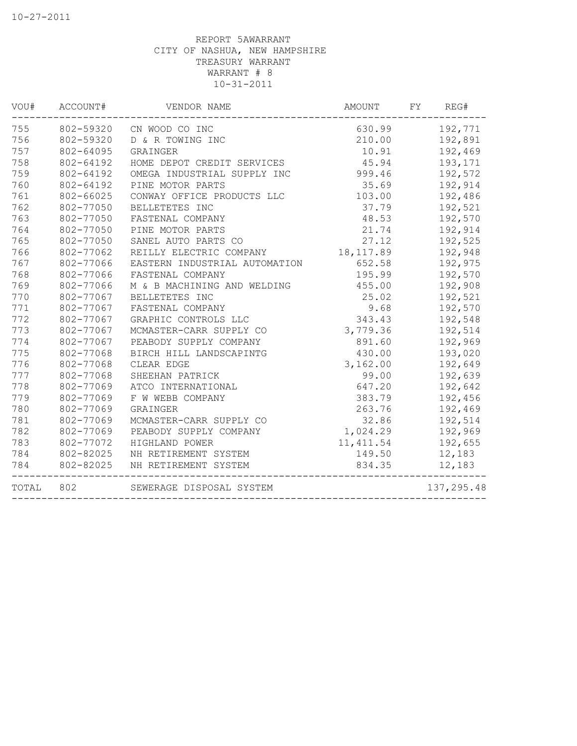| VOU#  | ACCOUNT#  | VENDOR NAME                   | AMOUNT     | FY | REG#       |
|-------|-----------|-------------------------------|------------|----|------------|
| 755   | 802-59320 | CN WOOD CO INC                | 630.99     |    | 192,771    |
| 756   | 802-59320 | D & R TOWING INC              | 210.00     |    | 192,891    |
| 757   | 802-64095 | GRAINGER                      | 10.91      |    | 192,469    |
| 758   | 802-64192 | HOME DEPOT CREDIT SERVICES    | 45.94      |    | 193,171    |
| 759   | 802-64192 | OMEGA INDUSTRIAL SUPPLY INC   | 999.46     |    | 192,572    |
| 760   | 802-64192 | PINE MOTOR PARTS              | 35.69      |    | 192,914    |
| 761   | 802-66025 | CONWAY OFFICE PRODUCTS LLC    | 103.00     |    | 192,486    |
| 762   | 802-77050 | BELLETETES INC                | 37.79      |    | 192,521    |
| 763   | 802-77050 | FASTENAL COMPANY              | 48.53      |    | 192,570    |
| 764   | 802-77050 | PINE MOTOR PARTS              | 21.74      |    | 192,914    |
| 765   | 802-77050 | SANEL AUTO PARTS CO           | 27.12      |    | 192,525    |
| 766   | 802-77062 | REILLY ELECTRIC COMPANY       | 18, 117.89 |    | 192,948    |
| 767   | 802-77066 | EASTERN INDUSTRIAL AUTOMATION | 652.58     |    | 192,975    |
| 768   | 802-77066 | FASTENAL COMPANY              | 195.99     |    | 192,570    |
| 769   | 802-77066 | M & B MACHINING AND WELDING   | 455.00     |    | 192,908    |
| 770   | 802-77067 | BELLETETES INC                | 25.02      |    | 192,521    |
| 771   | 802-77067 | FASTENAL COMPANY              | 9.68       |    | 192,570    |
| 772   | 802-77067 | GRAPHIC CONTROLS LLC          | 343.43     |    | 192,548    |
| 773   | 802-77067 | MCMASTER-CARR SUPPLY CO       | 3,779.36   |    | 192,514    |
| 774   | 802-77067 | PEABODY SUPPLY COMPANY        | 891.60     |    | 192,969    |
| 775   | 802-77068 | BIRCH HILL LANDSCAPINTG       | 430.00     |    | 193,020    |
| 776   | 802-77068 | CLEAR EDGE                    | 3,162.00   |    | 192,649    |
| 777   | 802-77068 | SHEEHAN PATRICK               | 99.00      |    | 192,639    |
| 778   | 802-77069 | ATCO INTERNATIONAL            | 647.20     |    | 192,642    |
| 779   | 802-77069 | F W WEBB COMPANY              | 383.79     |    | 192,456    |
| 780   | 802-77069 | GRAINGER                      | 263.76     |    | 192,469    |
| 781   | 802-77069 | MCMASTER-CARR SUPPLY CO       | 32.86      |    | 192,514    |
| 782   | 802-77069 | PEABODY SUPPLY COMPANY        | 1,024.29   |    | 192,969    |
| 783   | 802-77072 | HIGHLAND POWER                | 11, 411.54 |    | 192,655    |
| 784   | 802-82025 | NH RETIREMENT SYSTEM          | 149.50     |    | 12,183     |
| 784   | 802-82025 | NH RETIREMENT SYSTEM          | 834.35     |    | 12,183     |
| TOTAL | 802       | SEWERAGE DISPOSAL SYSTEM      |            |    | 137,295.48 |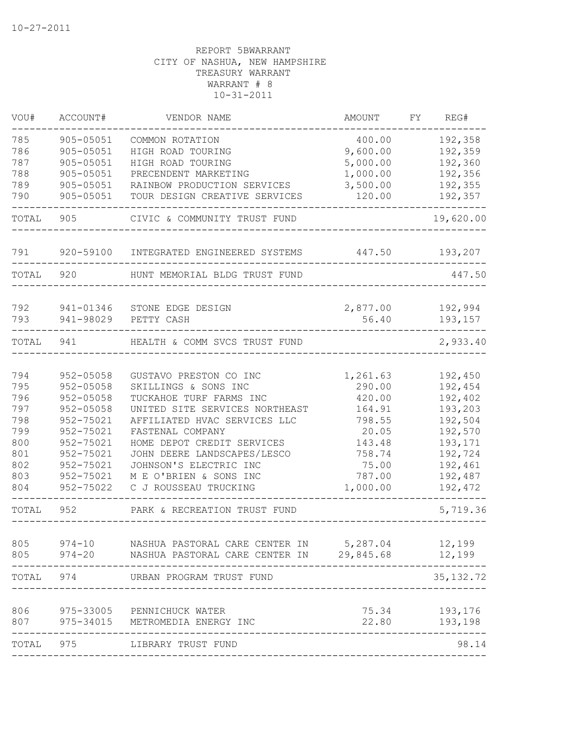| VOU#  | ACCOUNT#      | VENDOR NAME                              | AMOUNT             | FΥ | REG#               |
|-------|---------------|------------------------------------------|--------------------|----|--------------------|
| 785   | 905-05051     | COMMON ROTATION                          | 400.00             |    | 192,358            |
| 786   | 905-05051     | HIGH ROAD TOURING                        | 9,600.00           |    | 192,359            |
| 787   | 905-05051     | HIGH ROAD TOURING                        | 5,000.00           |    | 192,360            |
| 788   | 905-05051     | PRECENDENT MARKETING                     | 1,000.00           |    | 192,356            |
| 789   | 905-05051     | RAINBOW PRODUCTION SERVICES              | 3,500.00           |    | 192,355            |
| 790   | 905-05051     | TOUR DESIGN CREATIVE SERVICES            | 120.00             |    | 192,357            |
| TOTAL | 905           | CIVIC & COMMUNITY TRUST FUND             |                    |    | 19,620.00          |
| 791   | 920-59100     | INTEGRATED ENGINEERED SYSTEMS            | 447.50             |    | 193,207            |
| TOTAL | 920           | HUNT MEMORIAL BLDG TRUST FUND            |                    |    | 447.50             |
| 792   | 941-01346     |                                          |                    |    |                    |
| 793   | 941-98029     | STONE EDGE DESIGN<br>PETTY CASH          | 2,877.00<br>56.40  |    | 192,994<br>193,157 |
|       |               |                                          |                    |    |                    |
| TOTAL | 941           | HEALTH & COMM SVCS TRUST FUND            |                    |    | 2,933.40           |
| 794   | $952 - 05058$ | GUSTAVO PRESTON CO INC                   |                    |    | 192,450            |
| 795   | 952-05058     | SKILLINGS & SONS INC                     | 1,261.63<br>290.00 |    | 192,454            |
| 796   | 952-05058     | TUCKAHOE TURF FARMS INC                  | 420.00             |    | 192,402            |
| 797   | 952-05058     | UNITED SITE SERVICES NORTHEAST           | 164.91             |    | 193,203            |
| 798   | 952-75021     | AFFILIATED HVAC SERVICES LLC             | 798.55             |    | 192,504            |
| 799   | 952-75021     | FASTENAL COMPANY                         | 20.05              |    | 192,570            |
| 800   | 952-75021     | HOME DEPOT CREDIT SERVICES               | 143.48             |    | 193,171            |
| 801   | 952-75021     | JOHN DEERE LANDSCAPES/LESCO              | 758.74             |    | 192,724            |
| 802   | 952-75021     | JOHNSON'S ELECTRIC INC                   | 75.00              |    | 192,461            |
| 803   | 952-75021     | M E O'BRIEN & SONS INC                   | 787.00             |    | 192,487            |
| 804   | 952-75022     | C J ROUSSEAU TRUCKING                    | 1,000.00           |    | 192,472            |
| TOTAL | 952           | PARK & RECREATION TRUST FUND             |                    |    | 5,719.36           |
| 805   | $974 - 10$    | NASHUA PASTORAL CARE CENTER IN 5,287.04  |                    |    | 12,199             |
| 805   | $974 - 20$    | NASHUA PASTORAL CARE CENTER IN 29,845.68 |                    |    | 12,199             |
| TOTAL | 974           | URBAN PROGRAM TRUST FUND                 |                    |    | 35, 132.72         |
| 806   | 975-33005     | PENNICHUCK WATER                         | 75.34              |    | 193,176            |
| 807   | 975-34015     | METROMEDIA ENERGY INC                    | 22.80              |    | 193,198            |
| TOTAL | 975           | LIBRARY TRUST FUND                       |                    |    | 98.14              |
|       |               |                                          |                    |    |                    |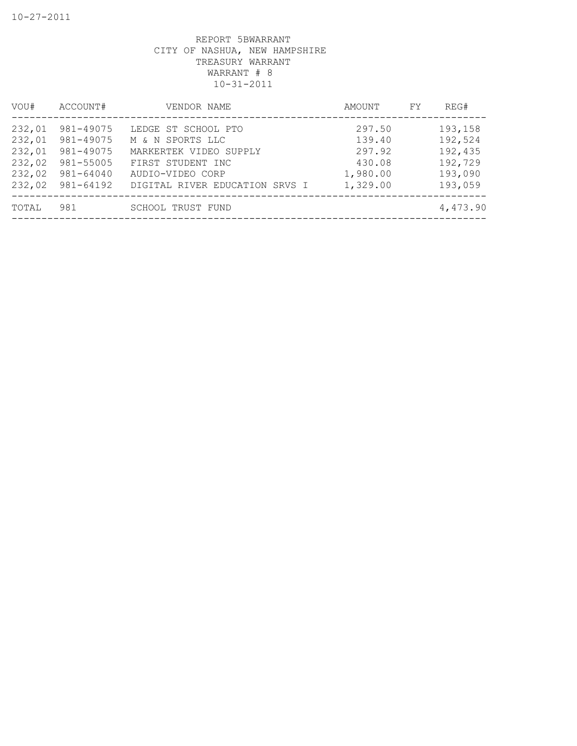| VOU#                                                     | ACCOUNT#                                                                   | VENDOR NAME                                                                                                                                  | AMOUNT                                                       | FY | REG#                                                           |
|----------------------------------------------------------|----------------------------------------------------------------------------|----------------------------------------------------------------------------------------------------------------------------------------------|--------------------------------------------------------------|----|----------------------------------------------------------------|
| 232,01<br>232,01<br>232,01<br>232,02<br>232,02<br>232,02 | 981-49075<br>981-49075<br>981-49075<br>981-55005<br>981-64040<br>981-64192 | LEDGE ST SCHOOL PTO<br>M & N SPORTS LLC<br>MARKERTEK VIDEO SUPPLY<br>FIRST STUDENT INC<br>AUDIO-VIDEO CORP<br>DIGITAL RIVER EDUCATION SRVS I | 297.50<br>139.40<br>297.92<br>430.08<br>1,980.00<br>1,329.00 |    | 193,158<br>192,524<br>192,435<br>192,729<br>193,090<br>193,059 |
| TOTAL                                                    | 981                                                                        | <b>SCHOOL TRUST FUND</b>                                                                                                                     |                                                              |    | 4,473.90                                                       |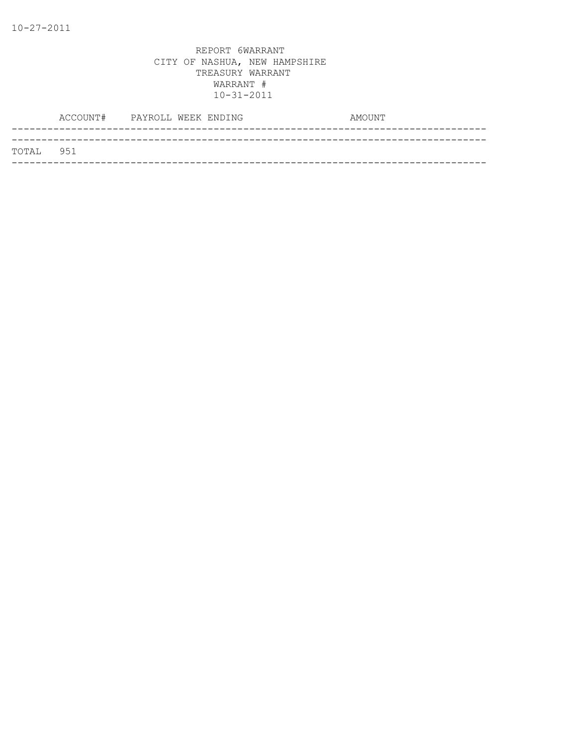|           | ACCOUNT# PAYROLL WEEK ENDING |  | AMOUNT |  |
|-----------|------------------------------|--|--------|--|
| TOTAL 951 |                              |  |        |  |
|           |                              |  |        |  |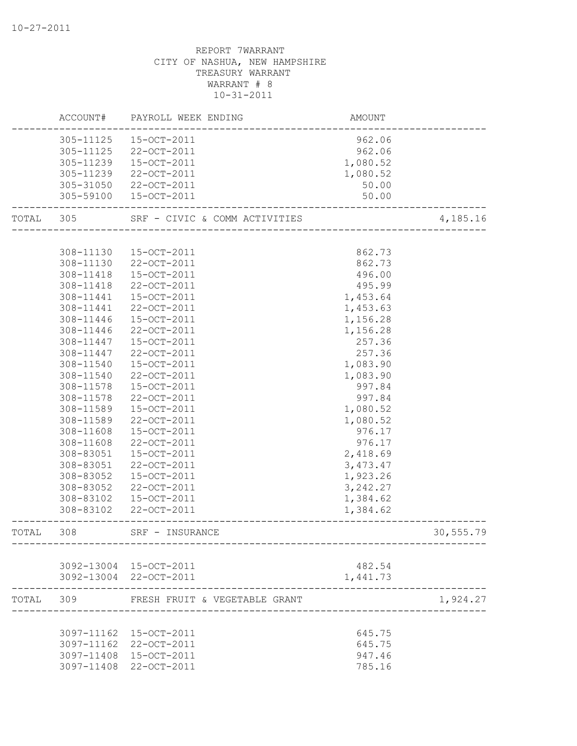|           | ACCOUNT#  | PAYROLL WEEK ENDING           | <b>AMOUNT</b> |                           |
|-----------|-----------|-------------------------------|---------------|---------------------------|
|           | 305-11125 | 15-OCT-2011                   | 962.06        |                           |
|           | 305-11125 | 22-OCT-2011                   | 962.06        |                           |
|           | 305-11239 | 15-OCT-2011                   | 1,080.52      |                           |
|           | 305-11239 | 22-OCT-2011                   | 1,080.52      |                           |
|           | 305-31050 | 22-OCT-2011                   | 50.00         |                           |
|           | 305-59100 | 15-OCT-2011                   | 50.00         |                           |
| TOTAL 305 |           | SRF - CIVIC & COMM ACTIVITIES |               | 4,185.16                  |
|           |           |                               |               |                           |
|           | 308-11130 | 15-OCT-2011                   | 862.73        |                           |
|           | 308-11130 | 22-OCT-2011                   | 862.73        |                           |
|           | 308-11418 | 15-OCT-2011                   | 496.00        |                           |
|           | 308-11418 | 22-OCT-2011                   | 495.99        |                           |
|           | 308-11441 | 15-OCT-2011                   | 1,453.64      |                           |
|           | 308-11441 | 22-OCT-2011                   | 1,453.63      |                           |
|           | 308-11446 | 15-OCT-2011                   | 1,156.28      |                           |
|           | 308-11446 | 22-OCT-2011                   | 1,156.28      |                           |
|           | 308-11447 | 15-OCT-2011                   | 257.36        |                           |
|           | 308-11447 | 22-OCT-2011                   | 257.36        |                           |
|           | 308-11540 | 15-OCT-2011                   | 1,083.90      |                           |
|           | 308-11540 | 22-OCT-2011                   | 1,083.90      |                           |
|           | 308-11578 | 15-OCT-2011                   | 997.84        |                           |
|           | 308-11578 | 22-OCT-2011                   | 997.84        |                           |
|           | 308-11589 | 15-OCT-2011                   | 1,080.52      |                           |
|           | 308-11589 | 22-OCT-2011                   | 1,080.52      |                           |
|           | 308-11608 | 15-OCT-2011                   | 976.17        |                           |
|           | 308-11608 | 22-OCT-2011                   | 976.17        |                           |
|           | 308-83051 | 15-OCT-2011                   | 2,418.69      |                           |
|           | 308-83051 | 22-OCT-2011                   | 3,473.47      |                           |
|           | 308-83052 | 15-OCT-2011                   | 1,923.26      |                           |
|           | 308-83052 | 22-OCT-2011                   | 3,242.27      |                           |
|           | 308-83102 | 15-OCT-2011                   | 1,384.62      |                           |
|           | 308-83102 | 22-OCT-2011                   | 1,384.62      |                           |
| TOTAL     | 308       | SRF - INSURANCE               |               | 30,555.79                 |
|           |           |                               |               |                           |
|           |           | 3092-13004 15-OCT-2011        | 482.54        |                           |
|           |           | 3092-13004 22-OCT-2011        | 1,441.73      |                           |
|           | TOTAL 309 | FRESH FRUIT & VEGETABLE GRANT |               | 1,924.27<br>_____________ |
|           |           |                               |               |                           |
|           |           | 3097-11162 15-OCT-2011        | 645.75        |                           |
|           |           | 3097-11162 22-OCT-2011        | 645.75        |                           |
|           |           | 3097-11408 15-OCT-2011        | 947.46        |                           |
|           |           | 3097-11408 22-OCT-2011        | 785.16        |                           |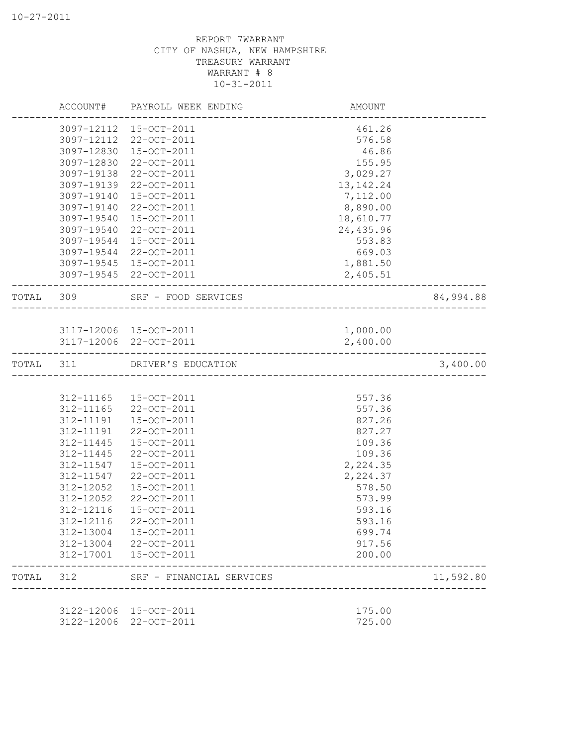|           |            | ACCOUNT# PAYROLL WEEK ENDING  | AMOUNT                               |           |
|-----------|------------|-------------------------------|--------------------------------------|-----------|
|           |            | 3097-12112 15-OCT-2011        | 461.26                               |           |
|           | 3097-12112 | 22-OCT-2011                   | 576.58                               |           |
|           | 3097-12830 | 15-OCT-2011                   | 46.86                                |           |
|           | 3097-12830 | 22-OCT-2011                   | 155.95                               |           |
|           | 3097-19138 | 22-OCT-2011                   | 3,029.27                             |           |
|           | 3097-19139 | 22-OCT-2011                   | 13, 142. 24                          |           |
|           | 3097-19140 | 15-OCT-2011                   | 7,112.00                             |           |
|           | 3097-19140 | 22-OCT-2011                   | 8,890.00                             |           |
|           | 3097-19540 | 15-OCT-2011                   | 18,610.77                            |           |
|           | 3097-19540 | 22-OCT-2011                   | 24,435.96                            |           |
|           | 3097-19544 | 15-OCT-2011                   | 553.83                               |           |
|           | 3097-19544 | 22-OCT-2011                   | 669.03                               |           |
|           |            | 3097-19545 15-OCT-2011        | 1,881.50                             |           |
|           |            | 3097-19545 22-OCT-2011        | 2,405.51                             |           |
|           |            | TOTAL 309 SRF - FOOD SERVICES | ____________________________________ | 84,994.88 |
|           |            |                               |                                      |           |
|           |            | 3117-12006 15-OCT-2011        | 1,000.00                             |           |
|           |            | 3117-12006 22-OCT-2011        | 2,400.00                             |           |
| TOTAL 311 |            | DRIVER'S EDUCATION            |                                      | 3,400.00  |
|           |            |                               |                                      |           |
|           |            | 312-11165 15-OCT-2011         | 557.36                               |           |
|           | 312-11165  | 22-OCT-2011                   | 557.36                               |           |
|           | 312-11191  | $15 - OCT - 2011$             | 827.26                               |           |
|           | 312-11191  | 22-OCT-2011                   | 827.27                               |           |
|           | 312-11445  | 15-OCT-2011                   | 109.36                               |           |
|           | 312-11445  | 22-OCT-2011                   | 109.36                               |           |
|           | 312-11547  | 15-OCT-2011                   | 2,224.35                             |           |
|           | 312-11547  | 22-OCT-2011                   | 2,224.37                             |           |
|           | 312-12052  | 15-OCT-2011                   | 578.50                               |           |
|           | 312-12052  | 22-OCT-2011                   | 573.99                               |           |
|           | 312-12116  | 15-OCT-2011                   | 593.16                               |           |
|           | 312-12116  | 22-OCT-2011                   | 593.16                               |           |
|           | 312-13004  | 15-OCT-2011                   | 699.74                               |           |
|           | 312-13004  | 22-OCT-2011                   | 917.56                               |           |
|           | 312-17001  | 15-OCT-2011                   | 200.00                               |           |
| TOTAL     | 312        | SRF - FINANCIAL SERVICES      |                                      | 11,592.80 |
|           |            |                               |                                      |           |
|           | 3122-12006 | 15-OCT-2011                   | 175.00                               |           |
|           | 3122-12006 | 22-OCT-2011                   | 725.00                               |           |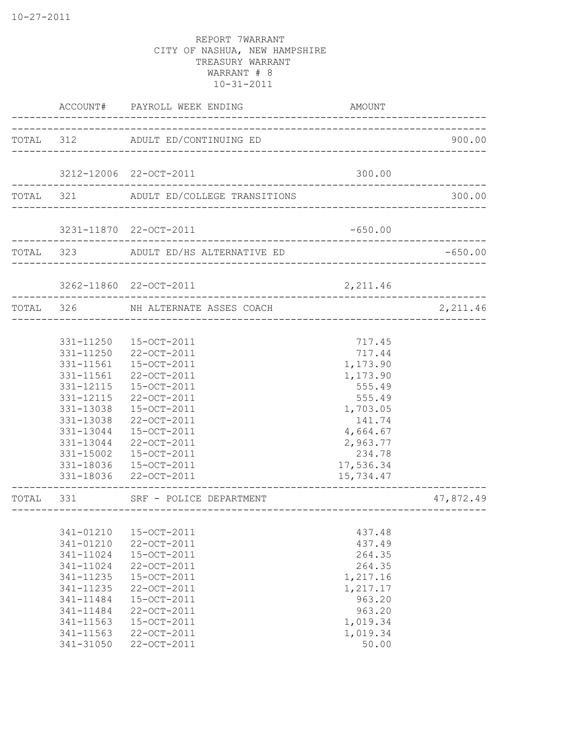|           | ACCOUNT#                                                                                                                                    | PAYROLL WEEK ENDING                                                                                                                                                                                                  | AMOUNT                                                                                                                                         |           |
|-----------|---------------------------------------------------------------------------------------------------------------------------------------------|----------------------------------------------------------------------------------------------------------------------------------------------------------------------------------------------------------------------|------------------------------------------------------------------------------------------------------------------------------------------------|-----------|
|           |                                                                                                                                             | TOTAL 312 ADULT ED/CONTINUING ED                                                                                                                                                                                     |                                                                                                                                                | 900.00    |
|           |                                                                                                                                             | 3212-12006 22-OCT-2011                                                                                                                                                                                               | 300.00                                                                                                                                         |           |
| TOTAL 321 |                                                                                                                                             | ADULT ED/COLLEGE TRANSITIONS                                                                                                                                                                                         |                                                                                                                                                | 300.00    |
|           |                                                                                                                                             | 3231-11870 22-OCT-2011                                                                                                                                                                                               | $-650.00$                                                                                                                                      |           |
| TOTAL 323 |                                                                                                                                             | ADULT ED/HS ALTERNATIVE ED                                                                                                                                                                                           |                                                                                                                                                | $-650.00$ |
|           |                                                                                                                                             | 3262-11860 22-OCT-2011                                                                                                                                                                                               | 2,211.46                                                                                                                                       |           |
| TOTAL 326 |                                                                                                                                             | NH ALTERNATE ASSES COACH                                                                                                                                                                                             |                                                                                                                                                | 2,211.46  |
|           | 331-11561<br>331-11561<br>331-12115<br>331-12115<br>331-13038<br>331-13038<br>331-13044<br>331-13044<br>331-15002<br>331-18036<br>331-18036 | 331-11250  15-OCT-2011<br>331-11250 22-OCT-2011<br>15-OCT-2011<br>22-OCT-2011<br>15-OCT-2011<br>22-OCT-2011<br>15-OCT-2011<br>22-OCT-2011<br>15-OCT-2011<br>22-OCT-2011<br>15-OCT-2011<br>15-OCT-2011<br>22-OCT-2011 | 717.45<br>717.44<br>1,173.90<br>1,173.90<br>555.49<br>555.49<br>1,703.05<br>141.74<br>4,664.67<br>2,963.77<br>234.78<br>17,536.34<br>15,734.47 |           |
| TOTAL     | 331                                                                                                                                         | SRF - POLICE DEPARTMENT                                                                                                                                                                                              |                                                                                                                                                | 47,872.49 |
|           | 341-01210<br>341-01210<br>341-11024<br>341-11024<br>341-11235<br>341-11235<br>341-11484<br>341-11484<br>341-11563<br>341-11563<br>341-31050 | 15-OCT-2011<br>22-OCT-2011<br>15-OCT-2011<br>22-OCT-2011<br>15-OCT-2011<br>22-OCT-2011<br>15-OCT-2011<br>22-OCT-2011<br>15-OCT-2011<br>22-OCT-2011<br>22-OCT-2011                                                    | 437.48<br>437.49<br>264.35<br>264.35<br>1,217.16<br>1,217.17<br>963.20<br>963.20<br>1,019.34<br>1,019.34<br>50.00                              |           |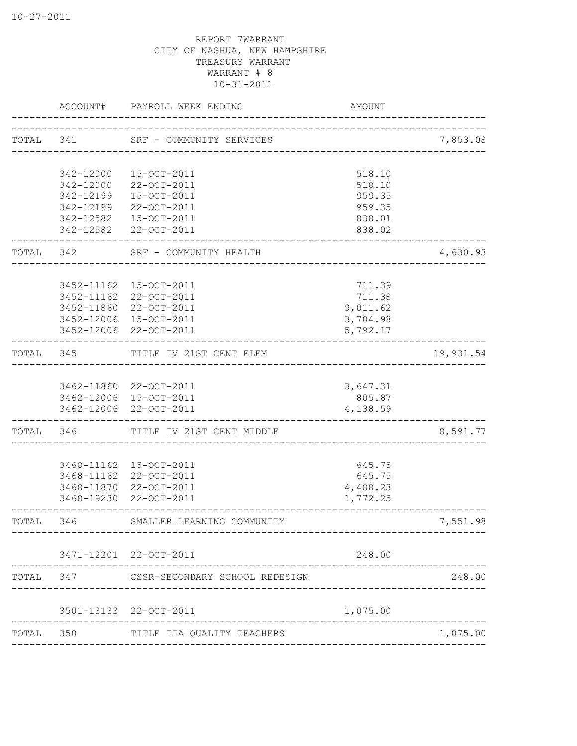|           | ACCOUNT#   | PAYROLL WEEK ENDING                           | <b>AMOUNT</b>                      |           |
|-----------|------------|-----------------------------------------------|------------------------------------|-----------|
|           |            | TOTAL 341 SRF - COMMUNITY SERVICES            | ____________________               | 7,853.08  |
|           | 342-12000  | 15-OCT-2011                                   |                                    |           |
|           | 342-12000  | 22-OCT-2011                                   | 518.10<br>518.10                   |           |
|           | 342-12199  | 15-OCT-2011                                   | 959.35                             |           |
|           | 342-12199  | 22-OCT-2011                                   | 959.35                             |           |
|           | 342-12582  | 15-OCT-2011                                   | 838.01                             |           |
|           |            | 342-12582 22-OCT-2011                         | 838.02                             |           |
| TOTAL 342 |            | SRF - COMMUNITY HEALTH<br>------------------- |                                    | 4,630.93  |
|           |            | 3452-11162 15-OCT-2011                        | 711.39                             |           |
|           |            | 3452-11162 22-OCT-2011                        | 711.38                             |           |
|           |            | 3452-11860 22-OCT-2011                        | 9,011.62                           |           |
|           |            | 3452-12006 15-OCT-2011                        | 3,704.98                           |           |
|           |            | 3452-12006 22-OCT-2011                        | 5,792.17                           |           |
| TOTAL 345 |            | TITLE IV 21ST CENT ELEM                       |                                    | 19,931.54 |
|           |            |                                               |                                    |           |
|           |            | 3462-11860 22-OCT-2011                        | 3,647.31                           |           |
|           |            | 3462-12006 15-OCT-2011                        | 805.87                             |           |
|           |            | 3462-12006 22-OCT-2011                        | 4,138.59                           |           |
| TOTAL     | 346        | TITLE IV 21ST CENT MIDDLE                     | __________________________________ | 8,591.77  |
|           |            | 3468-11162 15-OCT-2011                        | 645.75                             |           |
|           | 3468-11162 | 22-OCT-2011                                   | 645.75                             |           |
|           | 3468-11870 | 22-OCT-2011                                   | 4,488.23                           |           |
|           | 3468-19230 | 22-OCT-2011                                   | 1,772.25                           |           |
| TOTAL     | 346        | SMALLER LEARNING COMMUNITY                    |                                    | 7,551.98  |
|           |            | 3471-12201 22-OCT-2011                        | 248.00                             |           |
| TOTAL     |            | 347 CSSR-SECONDARY SCHOOL REDESIGN            |                                    | 248.00    |
|           |            | 3501-13133 22-OCT-2011                        | 1,075.00                           |           |
| TOTAL     | 350        | TITLE IIA QUALITY TEACHERS                    |                                    | 1,075.00  |
|           |            |                                               |                                    |           |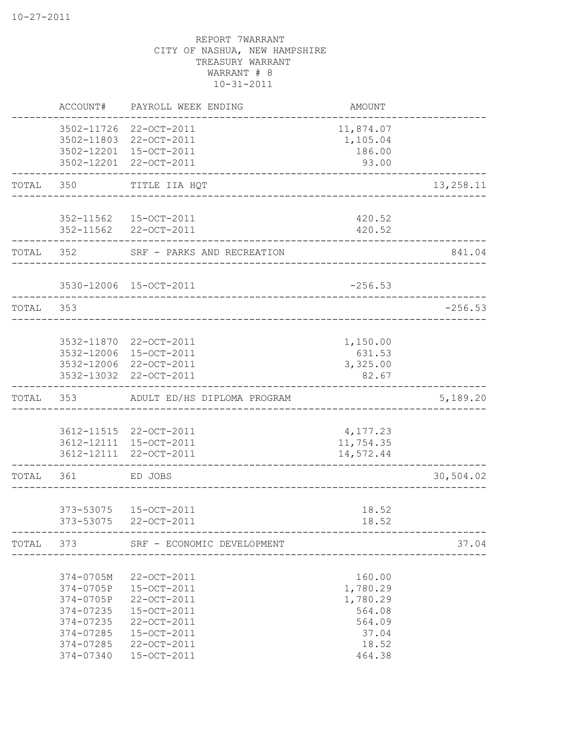|       | ACCOUNT#                                                                                             | PAYROLL WEEK ENDING                                                                                                  | AMOUNT                                                                         |           |
|-------|------------------------------------------------------------------------------------------------------|----------------------------------------------------------------------------------------------------------------------|--------------------------------------------------------------------------------|-----------|
|       |                                                                                                      | 3502-11726 22-OCT-2011<br>3502-11803 22-OCT-2011<br>3502-12201 15-OCT-2011<br>3502-12201 22-OCT-2011                 | 11,874.07<br>1,105.04<br>186.00<br>93.00                                       |           |
| TOTAL | 350                                                                                                  | TITLE IIA HQT<br>________________________                                                                            |                                                                                | 13,258.11 |
|       |                                                                                                      | 352-11562  15-OCT-2011<br>352-11562 22-OCT-2011                                                                      | 420.52<br>420.52                                                               |           |
| TOTAL | 352                                                                                                  | SRF - PARKS AND RECREATION                                                                                           |                                                                                | 841.04    |
|       |                                                                                                      | 3530-12006 15-OCT-2011<br>___________________________                                                                | $-256.53$                                                                      |           |
| TOTAL | 353                                                                                                  |                                                                                                                      |                                                                                | $-256.53$ |
|       |                                                                                                      | 3532-11870 22-OCT-2011<br>3532-12006 15-OCT-2011<br>3532-12006 22-OCT-2011<br>3532-13032 22-OCT-2011                 | 1,150.00<br>631.53<br>3,325.00<br>82.67                                        |           |
| TOTAL | 353                                                                                                  | ADULT ED/HS DIPLOMA PROGRAM                                                                                          |                                                                                | 5,189.20  |
|       |                                                                                                      | 3612-11515 22-OCT-2011<br>3612-12111 15-OCT-2011<br>3612-12111 22-OCT-2011                                           | 4,177.23<br>11,754.35<br>14,572.44                                             |           |
| TOTAL | 361                                                                                                  | ED JOBS                                                                                                              |                                                                                | 30,504.02 |
|       | 373-53075                                                                                            | 373-53075  15-OCT-2011<br>22-OCT-2011                                                                                | 18.52<br>18.52                                                                 |           |
| TOTAL | 373                                                                                                  | SRF - ECONOMIC DEVELOPMENT                                                                                           |                                                                                | 37.04     |
|       | 374-0705M<br>374-0705P<br>374-0705P<br>374-07235<br>374-07235<br>374-07285<br>374-07285<br>374-07340 | 22-OCT-2011<br>15-OCT-2011<br>22-OCT-2011<br>15-OCT-2011<br>22-OCT-2011<br>15-OCT-2011<br>22-OCT-2011<br>15-OCT-2011 | 160.00<br>1,780.29<br>1,780.29<br>564.08<br>564.09<br>37.04<br>18.52<br>464.38 |           |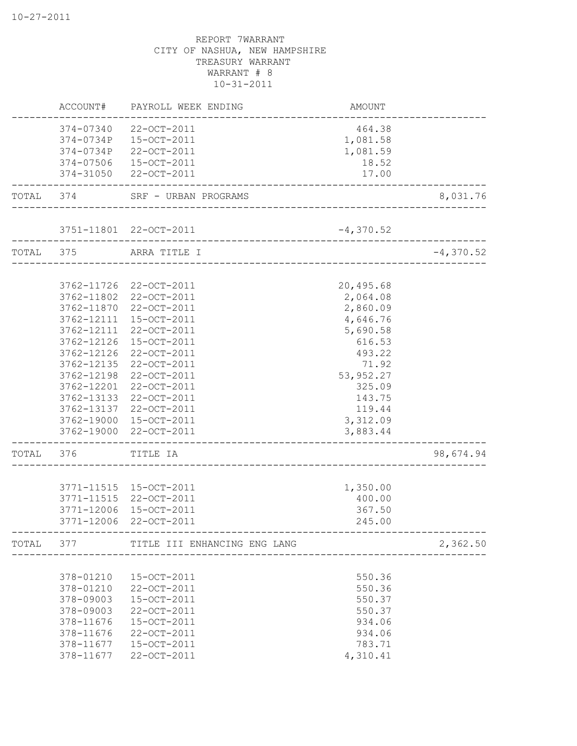|           | ACCOUNT#   | PAYROLL WEEK ENDING            | AMOUNT                               |             |
|-----------|------------|--------------------------------|--------------------------------------|-------------|
|           | 374-07340  | 22-OCT-2011                    | 464.38                               |             |
|           | 374-0734P  | 15-OCT-2011                    | 1,081.58                             |             |
|           | 374-0734P  | 22-OCT-2011                    | 1,081.59                             |             |
|           | 374-07506  | 15-OCT-2011                    | 18.52                                |             |
|           |            | 374-31050 22-OCT-2011          | 17.00                                |             |
|           |            | TOTAL 374 SRF - URBAN PROGRAMS | --------------------                 | 8,031.76    |
|           |            | 3751-11801 22-OCT-2011         | $-4,370.52$                          |             |
| TOTAL 375 |            | ARRA TITLE I                   |                                      | $-4,370.52$ |
|           |            | _________________________      |                                      |             |
|           |            | 3762-11726 22-OCT-2011         | 20,495.68                            |             |
|           |            | 3762-11802 22-OCT-2011         | 2,064.08                             |             |
|           | 3762-11870 | 22-OCT-2011                    | 2,860.09                             |             |
|           | 3762-12111 | 15-OCT-2011                    | 4,646.76                             |             |
|           |            | 3762-12111 22-OCT-2011         | 5,690.58                             |             |
|           | 3762-12126 | 15-OCT-2011                    | 616.53                               |             |
|           | 3762-12126 | 22-OCT-2011                    | 493.22                               |             |
|           | 3762-12135 | 22-OCT-2011                    | 71.92                                |             |
|           | 3762-12198 | 22-OCT-2011                    | 53, 952.27                           |             |
|           | 3762-12201 | 22-OCT-2011                    | 325.09                               |             |
|           |            | 3762-13133 22-OCT-2011         | 143.75                               |             |
|           |            | 3762-13137 22-OCT-2011         | 119.44                               |             |
|           |            | 3762-19000 15-OCT-2011         | 3,312.09                             |             |
|           |            | 3762-19000 22-OCT-2011         | 3,883.44                             |             |
| TOTAL     | 376        | TITLE IA                       |                                      | 98,674.94   |
|           |            |                                |                                      |             |
|           |            | 3771-11515 15-OCT-2011         | 1,350.00                             |             |
|           |            | 3771-11515 22-OCT-2011         | 400.00                               |             |
|           | 3771-12006 | 15-OCT-2011                    | 367.50                               |             |
|           | 3771-12006 | 22-OCT-2011                    | 245.00                               |             |
| TOTAL     | 377        | TITLE III ENHANCING ENG LANG   | ____________________________________ | 2,362.50    |
|           |            |                                |                                      |             |
|           | 378-01210  | 15-OCT-2011                    | 550.36                               |             |
|           | 378-01210  | 22-OCT-2011                    | 550.36                               |             |
|           | 378-09003  | 15-OCT-2011                    | 550.37                               |             |
|           | 378-09003  | 22-OCT-2011                    | 550.37                               |             |
|           | 378-11676  | 15-OCT-2011                    | 934.06                               |             |
|           | 378-11676  | 22-OCT-2011                    | 934.06                               |             |
|           | 378-11677  | 15-OCT-2011                    | 783.71                               |             |
|           | 378-11677  | 22-OCT-2011                    | 4,310.41                             |             |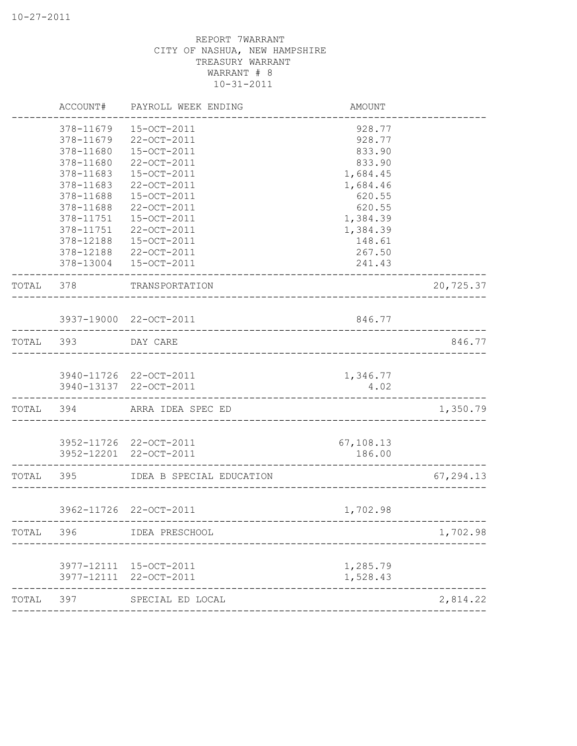|           | ACCOUNT#                            | PAYROLL WEEK ENDING                               | AMOUNT                     |           |
|-----------|-------------------------------------|---------------------------------------------------|----------------------------|-----------|
|           | 378-11679<br>378-11679<br>378-11680 | 15-OCT-2011<br>22-OCT-2011<br>15-OCT-2011         | 928.77<br>928.77<br>833.90 |           |
|           | 378-11680                           | 22-OCT-2011                                       | 833.90                     |           |
|           | 378-11683                           | 15-OCT-2011                                       | 1,684.45                   |           |
|           | 378-11683                           | 22-OCT-2011                                       | 1,684.46                   |           |
|           | 378-11688                           | 15-OCT-2011                                       | 620.55                     |           |
|           | 378-11688                           | 22-OCT-2011                                       | 620.55                     |           |
|           | 378-11751                           | 15-OCT-2011                                       | 1,384.39                   |           |
|           | 378-11751                           | 22-OCT-2011                                       | 1,384.39                   |           |
|           | 378-12188                           | 15-OCT-2011                                       | 148.61                     |           |
|           |                                     | 378-12188 22-OCT-2011                             | 267.50                     |           |
|           |                                     | 378-13004 15-OCT-2011<br>------------------------ | 241.43                     |           |
| TOTAL     | 378                                 | TRANSPORTATION                                    |                            | 20,725.37 |
|           |                                     | 3937-19000 22-OCT-2011                            | 846.77                     |           |
|           |                                     |                                                   |                            |           |
| TOTAL 393 |                                     | DAY CARE                                          |                            | 846.77    |
|           |                                     | 3940-11726 22-OCT-2011                            | 1,346.77                   |           |
|           |                                     | 3940-13137 22-OCT-2011                            | 4.02                       |           |
| TOTAL 394 |                                     | ARRA IDEA SPEC ED                                 |                            | 1,350.79  |
|           |                                     | 3952-11726 22-OCT-2011                            | 67,108.13                  |           |
|           |                                     | 3952-12201 22-OCT-2011                            | 186.00                     |           |
| TOTAL     | 395                                 | IDEA B SPECIAL EDUCATION                          |                            | 67,294.13 |
|           |                                     | 3962-11726 22-OCT-2011                            | 1,702.98                   |           |
| TOTAL     | 396                                 | ____________________________<br>IDEA PRESCHOOL    |                            | 1,702.98  |
|           |                                     |                                                   |                            |           |
|           | 3977-12111                          | 15-OCT-2011                                       | 1,285.79                   |           |
|           | 3977-12111                          | 22-OCT-2011                                       | 1,528.43                   |           |
| TOTAL     | 397                                 | SPECIAL ED LOCAL                                  |                            | 2,814.22  |
|           |                                     |                                                   |                            |           |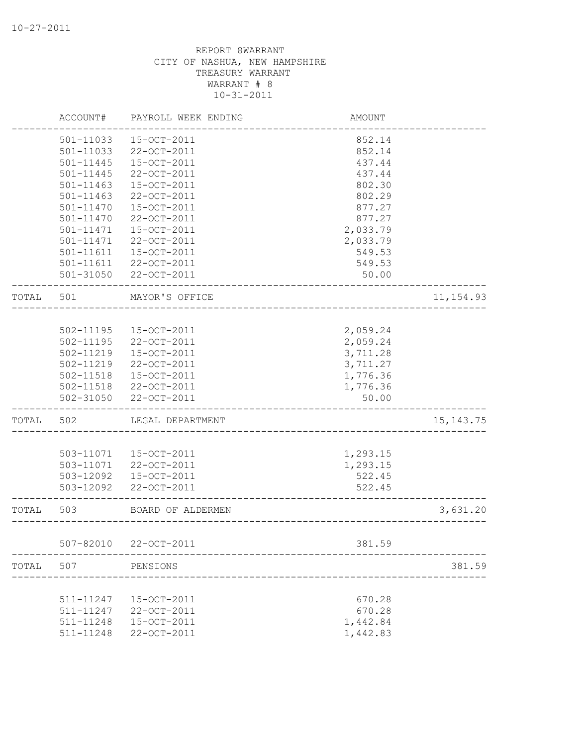|       | ACCOUNT#      | PAYROLL WEEK ENDING   | <b>AMOUNT</b>             |             |
|-------|---------------|-----------------------|---------------------------|-------------|
|       | 501-11033     | 15-OCT-2011           | 852.14                    |             |
|       | 501-11033     | 22-OCT-2011           | 852.14                    |             |
|       | 501-11445     | 15-OCT-2011           | 437.44                    |             |
|       | 501-11445     | 22-OCT-2011           | 437.44                    |             |
|       | $501 - 11463$ | 15-OCT-2011           | 802.30                    |             |
|       | $501 - 11463$ | 22-OCT-2011           | 802.29                    |             |
|       | $501 - 11470$ | 15-OCT-2011           | 877.27                    |             |
|       | 501-11470     | 22-OCT-2011           | 877.27                    |             |
|       | 501-11471     | 15-OCT-2011           | 2,033.79                  |             |
|       | 501-11471     | 22-OCT-2011           | 2,033.79                  |             |
|       | 501-11611     | 15-OCT-2011           | 549.53                    |             |
|       |               | 501-11611 22-OCT-2011 | 549.53                    |             |
|       |               | 501-31050 22-OCT-2011 | 50.00                     |             |
| TOTAL | 501           | MAYOR'S OFFICE        |                           | 11, 154.93  |
|       |               |                       |                           |             |
|       | 502-11195     | 15-OCT-2011           | 2,059.24                  |             |
|       | 502-11195     | 22-OCT-2011           | 2,059.24                  |             |
|       | 502-11219     | 15-OCT-2011           | 3,711.28                  |             |
|       | 502-11219     | 22-OCT-2011           | 3,711.27                  |             |
|       | 502-11518     | 15-OCT-2011           | 1,776.36                  |             |
|       |               | 502-11518 22-OCT-2011 | 1,776.36                  |             |
|       | 502-31050     | 22-OCT-2011           | 50.00                     |             |
| TOTAL | 502           | LEGAL DEPARTMENT      |                           | 15, 143. 75 |
|       |               |                       |                           |             |
|       | 503-11071     | 15-OCT-2011           | 1,293.15                  |             |
|       |               | 503-11071 22-OCT-2011 | 1,293.15                  |             |
|       | 503-12092     | 15-OCT-2011           | 522.45                    |             |
|       | 503-12092     | 22-OCT-2011           | 522.45                    |             |
| TOTAL | 503           | BOARD OF ALDERMEN     | _________________________ | 3,631.20    |
|       | $507 - 82010$ | 22-OCT-2011           | 381.59                    |             |
| TOTAL | 507           | PENSIONS              |                           | 381.59      |
|       |               |                       |                           |             |
|       | 511-11247     | 15-OCT-2011           | 670.28                    |             |
|       | 511-11247     | 22-OCT-2011           | 670.28                    |             |
|       | 511-11248     | 15-OCT-2011           | 1,442.84                  |             |
|       | 511-11248     | 22-OCT-2011           | 1,442.83                  |             |
|       |               |                       |                           |             |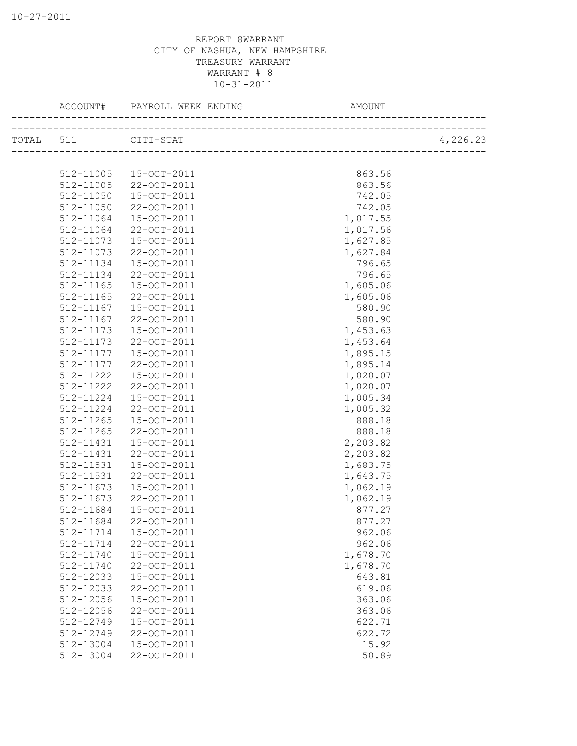|                     | ACCOUNT# PAYROLL WEEK ENDING | AMOUNT   |          |
|---------------------|------------------------------|----------|----------|
| TOTAL 511 CITI-STAT |                              |          | 4,226.23 |
|                     |                              |          |          |
| 512-11005           | 15-OCT-2011                  | 863.56   |          |
| 512-11005           | 22-OCT-2011                  | 863.56   |          |
| 512-11050           | 15-OCT-2011                  | 742.05   |          |
| 512-11050           | 22-OCT-2011                  | 742.05   |          |
| 512-11064           | 15-OCT-2011                  | 1,017.55 |          |
| 512-11064           | 22-OCT-2011                  | 1,017.56 |          |
| 512-11073           | 15-OCT-2011                  | 1,627.85 |          |
| 512-11073           | 22-OCT-2011                  | 1,627.84 |          |
| 512-11134           | 15-OCT-2011                  | 796.65   |          |
| 512-11134           | 22-OCT-2011                  | 796.65   |          |
| 512-11165           | 15-OCT-2011                  | 1,605.06 |          |
| 512-11165           | 22-OCT-2011                  | 1,605.06 |          |
| 512-11167           | 15-OCT-2011                  | 580.90   |          |
| 512-11167           | 22-OCT-2011                  | 580.90   |          |
| 512-11173           | 15-OCT-2011                  | 1,453.63 |          |
| 512-11173           | 22-OCT-2011                  | 1,453.64 |          |
| 512-11177           | 15-OCT-2011                  | 1,895.15 |          |
| 512-11177           | 22-OCT-2011                  | 1,895.14 |          |
| 512-11222           | 15-OCT-2011                  | 1,020.07 |          |
| 512-11222           | 22-OCT-2011                  | 1,020.07 |          |
| 512-11224           | 15-OCT-2011                  | 1,005.34 |          |
| 512-11224           | 22-OCT-2011                  | 1,005.32 |          |
| 512-11265           | 15-OCT-2011                  | 888.18   |          |
| 512-11265           |                              |          |          |
|                     | 22-OCT-2011                  | 888.18   |          |
| 512-11431           | 15-OCT-2011                  | 2,203.82 |          |
| 512-11431           | 22-OCT-2011                  | 2,203.82 |          |
| 512-11531           | 15-OCT-2011                  | 1,683.75 |          |
| 512-11531           | 22-OCT-2011                  | 1,643.75 |          |
| 512-11673           | 15-OCT-2011                  | 1,062.19 |          |
| 512-11673           | 22-OCT-2011                  | 1,062.19 |          |
| 512-11684           | 15-OCT-2011                  | 877.27   |          |
| 512-11684           | 22-OCT-2011                  | 877.27   |          |
| 512-11714           | $15-0CT-2011$                | 962.06   |          |
| 512-11714           | 22-OCT-2011                  | 962.06   |          |
| 512-11740           | 15-OCT-2011                  | 1,678.70 |          |
| 512-11740           | 22-OCT-2011                  | 1,678.70 |          |
| 512-12033           | 15-OCT-2011                  | 643.81   |          |
| 512-12033           | 22-OCT-2011                  | 619.06   |          |
| 512-12056           | 15-OCT-2011                  | 363.06   |          |
| 512-12056           | 22-OCT-2011                  | 363.06   |          |
| 512-12749           | 15-OCT-2011                  | 622.71   |          |
| 512-12749           | 22-OCT-2011                  | 622.72   |          |
| 512-13004           | 15-OCT-2011                  | 15.92    |          |
| 512-13004           | 22-OCT-2011                  | 50.89    |          |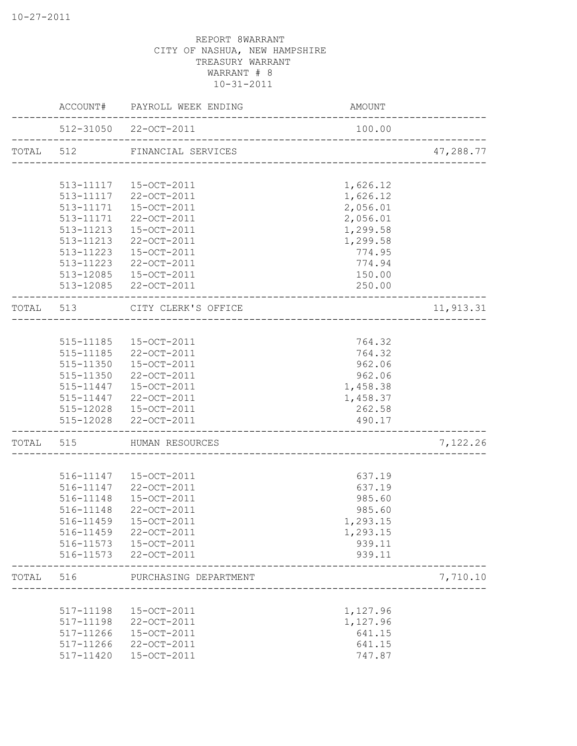|       |           | ACCOUNT# PAYROLL WEEK ENDING                           | AMOUNT                              |           |
|-------|-----------|--------------------------------------------------------|-------------------------------------|-----------|
|       |           | 512-31050 22-OCT-2011<br>_____________________________ | 100.00                              |           |
|       |           | TOTAL 512 FINANCIAL SERVICES                           | ------------------------            | 47,288.77 |
|       |           |                                                        |                                     |           |
|       | 513-11117 | 513-11117  15-OCT-2011<br>22-OCT-2011                  | 1,626.12<br>1,626.12                |           |
|       | 513-11171 | 15-OCT-2011                                            | 2,056.01                            |           |
|       | 513-11171 | 22-OCT-2011                                            | 2,056.01                            |           |
|       | 513-11213 | 15-OCT-2011                                            | 1,299.58                            |           |
|       | 513-11213 | 22-OCT-2011                                            | 1,299.58                            |           |
|       | 513-11223 | 15-OCT-2011                                            | 774.95                              |           |
|       | 513-11223 | 22-OCT-2011                                            | 774.94                              |           |
|       |           | 513-12085 15-OCT-2011                                  | 150.00                              |           |
|       |           | 513-12085 22-OCT-2011                                  | 250.00                              |           |
| TOTAL |           | 513 CITY CLERK'S OFFICE                                |                                     | 11,913.31 |
|       |           |                                                        | ___________________________________ |           |
|       |           | 515-11185  15-OCT-2011                                 | 764.32                              |           |
|       |           | 515-11185 22-OCT-2011                                  | 764.32                              |           |
|       |           | 515-11350  15-OCT-2011                                 | 962.06                              |           |
|       |           | 515-11350 22-OCT-2011                                  | 962.06                              |           |
|       |           | 515-11447  15-OCT-2011                                 | 1,458.38                            |           |
|       |           | 515-11447 22-OCT-2011                                  | 1,458.37                            |           |
|       |           | 515-12028  15-OCT-2011                                 | 262.58                              |           |
|       |           | 515-12028 22-OCT-2011<br>----------------------------  | 490.17                              |           |
| TOTAL | 515       | HUMAN RESOURCES                                        |                                     | 7,122.26  |
|       |           |                                                        |                                     |           |
|       |           | 516-11147  15-OCT-2011                                 | 637.19                              |           |
|       |           | 516-11147 22-OCT-2011                                  | 637.19                              |           |
|       | 516-11148 | 15-OCT-2011                                            | 985.60                              |           |
|       | 516-11148 | 22-OCT-2011                                            | 985.60                              |           |
|       | 516-11459 | 15-OCT-2011                                            | 1,293.15                            |           |
|       | 516-11459 | 22-OCT-2011                                            | 1,293.15                            |           |
|       | 516-11573 | 15-OCT-2011                                            | 939.11                              |           |
|       | 516-11573 | 22-OCT-2011                                            | 939.11                              |           |
| TOTAL | 516       | PURCHASING DEPARTMENT                                  |                                     | 7,710.10  |
|       |           |                                                        |                                     |           |
|       | 517-11198 | 15-OCT-2011                                            | 1,127.96                            |           |
|       | 517-11198 | 22-OCT-2011                                            | 1,127.96                            |           |
|       | 517-11266 | 15-OCT-2011                                            | 641.15                              |           |
|       | 517-11266 | 22-OCT-2011                                            | 641.15                              |           |
|       | 517-11420 | 15-OCT-2011                                            | 747.87                              |           |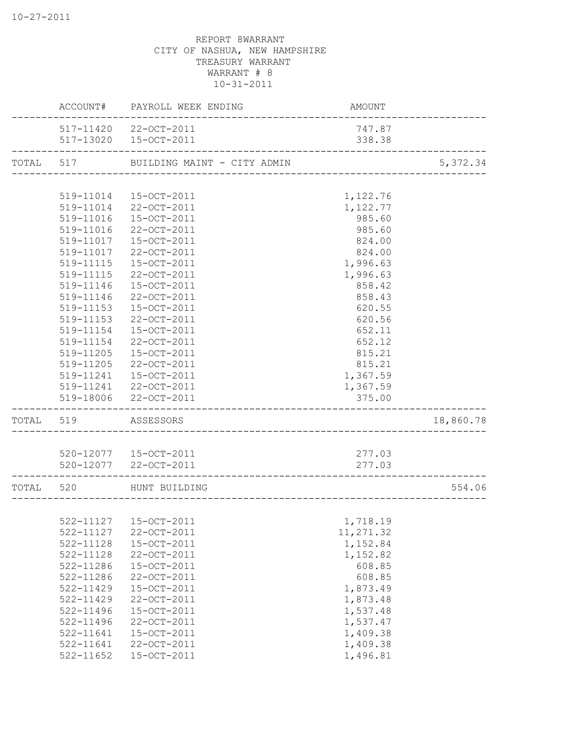|           |               | ACCOUNT# PAYROLL WEEK ENDING          | AMOUNT    |           |
|-----------|---------------|---------------------------------------|-----------|-----------|
|           |               | 517-11420 22-OCT-2011                 | 747.87    |           |
|           |               | 517-13020 15-OCT-2011                 | 338.38    |           |
|           |               | TOTAL 517 BUILDING MAINT - CITY ADMIN |           | 5,372.34  |
|           |               |                                       |           |           |
|           |               | 519-11014 15-OCT-2011                 | 1,122.76  |           |
|           |               | 519-11014 22-OCT-2011                 | 1,122.77  |           |
|           | 519-11016     | 15-OCT-2011                           | 985.60    |           |
|           | 519-11016     | 22-OCT-2011                           | 985.60    |           |
|           | 519-11017     | 15-OCT-2011                           | 824.00    |           |
|           | 519-11017     | 22-OCT-2011                           | 824.00    |           |
|           | 519-11115     | 15-OCT-2011                           | 1,996.63  |           |
|           | 519-11115     | 22-OCT-2011                           | 1,996.63  |           |
|           | 519-11146     | 15-OCT-2011                           | 858.42    |           |
|           | 519-11146     | 22-OCT-2011                           | 858.43    |           |
|           | 519-11153     | 15-OCT-2011                           | 620.55    |           |
|           | 519-11153     | 22-OCT-2011                           | 620.56    |           |
|           | 519-11154     | 15-OCT-2011                           | 652.11    |           |
|           | 519-11154     | 22-OCT-2011                           | 652.12    |           |
|           |               | 519-11205 15-OCT-2011                 | 815.21    |           |
|           |               | 519-11205 22-OCT-2011                 | 815.21    |           |
|           |               | 519-11241  15-OCT-2011                | 1,367.59  |           |
|           |               | 519-11241 22-OCT-2011                 | 1,367.59  |           |
|           |               | 519-18006 22-OCT-2011                 | 375.00    |           |
| TOTAL 519 |               | ASSESSORS                             |           | 18,860.78 |
|           |               |                                       |           |           |
|           |               | 520-12077  15-OCT-2011                | 277.03    |           |
|           |               | 520-12077 22-OCT-2011                 | 277.03    |           |
| TOTAL     | 520           | HUNT BUILDING                         |           | 554.06    |
|           |               |                                       |           |           |
|           |               | 522-11127  15-OCT-2011                | 1,718.19  |           |
|           | 522-11127     | 22-OCT-2011                           | 11,271.32 |           |
|           | 522-11128     | 15-OCT-2011                           | 1,152.84  |           |
|           | 522-11128     | 22-OCT-2011                           | 1,152.82  |           |
|           | 522-11286     | 15-OCT-2011                           | 608.85    |           |
|           | 522-11286     | 22-OCT-2011                           | 608.85    |           |
|           | $522 - 11429$ | 15-OCT-2011                           | 1,873.49  |           |
|           | 522-11429     | 22-OCT-2011                           | 1,873.48  |           |
|           | 522-11496     | 15-OCT-2011                           | 1,537.48  |           |
|           | 522-11496     | 22-OCT-2011                           | 1,537.47  |           |
|           | $522 - 11641$ | 15-OCT-2011                           | 1,409.38  |           |
|           | $522 - 11641$ | 22-OCT-2011                           | 1,409.38  |           |
|           | 522-11652     | 15-OCT-2011                           | 1,496.81  |           |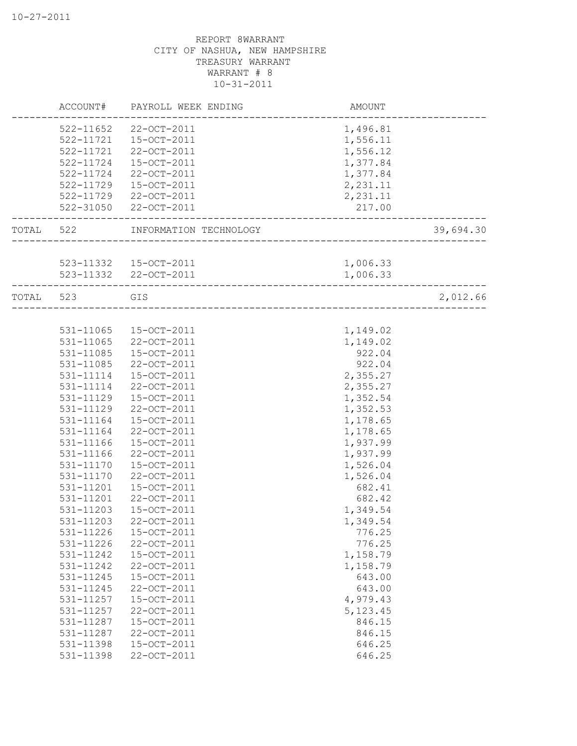|       | ACCOUNT#  | PAYROLL WEEK ENDING    | AMOUNT    |           |
|-------|-----------|------------------------|-----------|-----------|
|       | 522-11652 | 22-OCT-2011            | 1,496.81  |           |
|       | 522-11721 | 15-OCT-2011            | 1,556.11  |           |
|       | 522-11721 | 22-OCT-2011            | 1,556.12  |           |
|       | 522-11724 | 15-OCT-2011            | 1,377.84  |           |
|       | 522-11724 | 22-OCT-2011            | 1,377.84  |           |
|       | 522-11729 | 15-OCT-2011            | 2,231.11  |           |
|       | 522-11729 | 22-OCT-2011            | 2,231.11  |           |
|       | 522-31050 | 22-OCT-2011            | 217.00    |           |
| TOTAL | 522       | INFORMATION TECHNOLOGY |           | 39,694.30 |
|       |           |                        |           |           |
|       |           | 523-11332 15-OCT-2011  | 1,006.33  |           |
|       |           | 523-11332 22-OCT-2011  | 1,006.33  |           |
| TOTAL | 523       | GIS                    |           | 2,012.66  |
|       |           |                        |           |           |
|       | 531-11065 | 15-OCT-2011            | 1,149.02  |           |
|       | 531-11065 | 22-OCT-2011            | 1,149.02  |           |
|       | 531-11085 | 15-OCT-2011            | 922.04    |           |
|       | 531-11085 | 22-OCT-2011            | 922.04    |           |
|       | 531-11114 | 15-OCT-2011            | 2,355.27  |           |
|       | 531-11114 | 22-OCT-2011            | 2,355.27  |           |
|       | 531-11129 | 15-OCT-2011            | 1,352.54  |           |
|       | 531-11129 | 22-OCT-2011            | 1,352.53  |           |
|       | 531-11164 | 15-OCT-2011            | 1,178.65  |           |
|       | 531-11164 | 22-OCT-2011            | 1,178.65  |           |
|       | 531-11166 | 15-OCT-2011            | 1,937.99  |           |
|       | 531-11166 | 22-OCT-2011            | 1,937.99  |           |
|       | 531-11170 | 15-OCT-2011            | 1,526.04  |           |
|       | 531-11170 | 22-OCT-2011            | 1,526.04  |           |
|       | 531-11201 | 15-OCT-2011            | 682.41    |           |
|       | 531-11201 | 22-OCT-2011            | 682.42    |           |
|       | 531-11203 | 15-OCT-2011            | 1,349.54  |           |
|       | 531-11203 | 22-OCT-2011            | 1,349.54  |           |
|       | 531-11226 | 15-OCT-2011            | 776.25    |           |
|       | 531-11226 | 22-OCT-2011            | 776.25    |           |
|       | 531-11242 | 15-OCT-2011            | 1,158.79  |           |
|       | 531-11242 | 22-OCT-2011            | 1,158.79  |           |
|       | 531-11245 | 15-OCT-2011            | 643.00    |           |
|       | 531-11245 | 22-OCT-2011            | 643.00    |           |
|       | 531-11257 | 15-OCT-2011            | 4,979.43  |           |
|       | 531-11257 | 22-OCT-2011            | 5, 123.45 |           |
|       | 531-11287 | 15-OCT-2011            | 846.15    |           |
|       | 531-11287 | 22-OCT-2011            | 846.15    |           |
|       | 531-11398 | 15-OCT-2011            | 646.25    |           |
|       | 531-11398 | 22-OCT-2011            | 646.25    |           |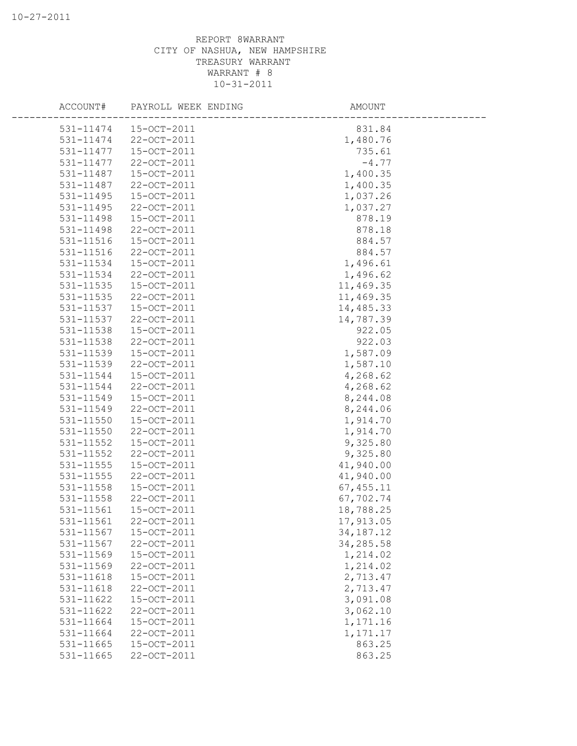|           | ACCOUNT# PAYROLL WEEK ENDING | AMOUNT      |  |
|-----------|------------------------------|-------------|--|
|           | 531-11474  15-OCT-2011       | 831.84      |  |
| 531-11474 | 22-OCT-2011                  | 1,480.76    |  |
| 531-11477 | 15-OCT-2011                  | 735.61      |  |
| 531-11477 | 22-OCT-2011                  | $-4.77$     |  |
| 531-11487 | 15-OCT-2011                  | 1,400.35    |  |
| 531-11487 | 22-OCT-2011                  | 1,400.35    |  |
| 531-11495 | 15-OCT-2011                  | 1,037.26    |  |
| 531-11495 | 22-OCT-2011                  | 1,037.27    |  |
| 531-11498 | 15-OCT-2011                  | 878.19      |  |
| 531-11498 | 22-OCT-2011                  | 878.18      |  |
| 531-11516 | 15-OCT-2011                  | 884.57      |  |
| 531-11516 | 22-OCT-2011                  | 884.57      |  |
| 531-11534 | 15-OCT-2011                  | 1,496.61    |  |
| 531-11534 | 22-OCT-2011                  | 1,496.62    |  |
| 531-11535 | 15-OCT-2011                  | 11,469.35   |  |
| 531-11535 | 22-OCT-2011                  | 11,469.35   |  |
| 531-11537 | 15-OCT-2011                  | 14,485.33   |  |
| 531-11537 | 22-OCT-2011                  | 14,787.39   |  |
| 531-11538 | 15-OCT-2011                  | 922.05      |  |
| 531-11538 | 22-OCT-2011                  | 922.03      |  |
| 531-11539 | 15-OCT-2011                  | 1,587.09    |  |
| 531-11539 | 22-OCT-2011                  | 1,587.10    |  |
| 531-11544 | 15-OCT-2011                  | 4,268.62    |  |
| 531-11544 | 22-OCT-2011                  | 4,268.62    |  |
| 531-11549 | 15-OCT-2011                  | 8,244.08    |  |
| 531-11549 | 22-OCT-2011                  | 8,244.06    |  |
| 531-11550 | 15-OCT-2011                  |             |  |
|           |                              | 1,914.70    |  |
| 531-11550 | 22-OCT-2011                  | 1,914.70    |  |
| 531-11552 | 15-OCT-2011                  | 9,325.80    |  |
| 531-11552 | 22-OCT-2011                  | 9,325.80    |  |
| 531-11555 | 15-OCT-2011                  | 41,940.00   |  |
| 531-11555 | 22-OCT-2011                  | 41,940.00   |  |
| 531-11558 | 15-OCT-2011                  | 67, 455.11  |  |
| 531-11558 | 22-OCT-2011                  | 67,702.74   |  |
| 531-11561 | 15-OCT-2011                  | 18,788.25   |  |
| 531-11561 | 22-OCT-2011                  | 17,913.05   |  |
| 531-11567 | 15-OCT-2011                  | 34, 187. 12 |  |
| 531-11567 | 22-OCT-2011                  | 34,285.58   |  |
| 531-11569 | 15-OCT-2011                  | 1,214.02    |  |
| 531-11569 | 22-OCT-2011                  | 1,214.02    |  |
| 531-11618 | 15-OCT-2011                  | 2,713.47    |  |
| 531-11618 | 22-OCT-2011                  | 2,713.47    |  |
| 531-11622 | 15-OCT-2011                  | 3,091.08    |  |
| 531-11622 | 22-OCT-2011                  | 3,062.10    |  |
| 531-11664 | 15-OCT-2011                  | 1,171.16    |  |
| 531-11664 | 22-OCT-2011                  | 1,171.17    |  |
| 531-11665 | 15-OCT-2011                  | 863.25      |  |
| 531-11665 | 22-OCT-2011                  | 863.25      |  |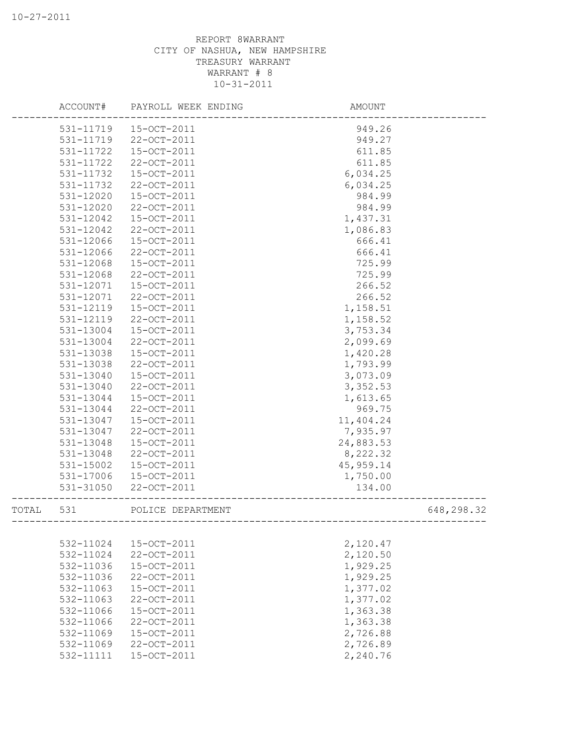|       |           | ACCOUNT# PAYROLL WEEK ENDING | AMOUNT                                 |            |
|-------|-----------|------------------------------|----------------------------------------|------------|
|       |           | 531-11719  15-OCT-2011       | 949.26                                 |            |
|       | 531-11719 | 22-OCT-2011                  | 949.27                                 |            |
|       | 531-11722 | 15-OCT-2011                  | 611.85                                 |            |
|       | 531-11722 | 22-OCT-2011                  | 611.85                                 |            |
|       | 531-11732 | 15-OCT-2011                  | 6,034.25                               |            |
|       | 531-11732 | 22-OCT-2011                  | 6,034.25                               |            |
|       | 531-12020 | 15-OCT-2011                  | 984.99                                 |            |
|       | 531-12020 | 22-OCT-2011                  | 984.99                                 |            |
|       | 531-12042 | 15-OCT-2011                  | 1,437.31                               |            |
|       | 531-12042 | 22-OCT-2011                  | 1,086.83                               |            |
|       | 531-12066 | 15-OCT-2011                  | 666.41                                 |            |
|       | 531-12066 | 22-OCT-2011                  | 666.41                                 |            |
|       | 531-12068 | 15-OCT-2011                  | 725.99                                 |            |
|       | 531-12068 | 22-OCT-2011                  | 725.99                                 |            |
|       | 531-12071 | 15-OCT-2011                  | 266.52                                 |            |
|       | 531-12071 | 22-OCT-2011                  | 266.52                                 |            |
|       | 531-12119 | 15-OCT-2011                  | 1,158.51                               |            |
|       | 531-12119 | 22-OCT-2011                  | 1,158.52                               |            |
|       | 531-13004 | 15-OCT-2011                  | 3,753.34                               |            |
|       | 531-13004 | 22-OCT-2011                  | 2,099.69                               |            |
|       | 531-13038 | 15-OCT-2011                  | 1,420.28                               |            |
|       | 531-13038 | 22-OCT-2011                  | 1,793.99                               |            |
|       | 531-13040 | 15-OCT-2011                  | 3,073.09                               |            |
|       | 531-13040 | 22-OCT-2011                  | 3,352.53                               |            |
|       | 531-13044 | 15-OCT-2011                  | 1,613.65                               |            |
|       | 531-13044 | 22-OCT-2011                  | 969.75                                 |            |
|       | 531-13047 | 15-OCT-2011                  | 11,404.24                              |            |
|       |           |                              |                                        |            |
|       | 531-13047 | 22-OCT-2011                  | 7,935.97                               |            |
|       | 531-13048 | 15-OCT-2011                  | 24,883.53                              |            |
|       | 531-13048 | 22-OCT-2011                  | 8,222.32                               |            |
|       | 531-15002 | 15-OCT-2011                  | 45,959.14                              |            |
|       | 531-17006 | 15-OCT-2011                  | 1,750.00                               |            |
|       | 531-31050 | 22-OCT-2011                  | 134.00                                 |            |
| TOTAL | 531       | POLICE DEPARTMENT            | -------------------------------------- | 648,298.32 |
|       |           |                              |                                        |            |
|       | 532-11024 | 15-OCT-2011                  | 2,120.47                               |            |
|       | 532-11024 | 22-OCT-2011                  | 2,120.50                               |            |
|       | 532-11036 | 15-OCT-2011                  | 1,929.25                               |            |
|       | 532-11036 | 22-OCT-2011                  | 1,929.25                               |            |
|       | 532-11063 | 15-OCT-2011                  | 1,377.02                               |            |
|       | 532-11063 | 22-OCT-2011                  | 1,377.02                               |            |
|       | 532-11066 | 15-OCT-2011                  | 1,363.38                               |            |
|       | 532-11066 | 22-OCT-2011                  | 1,363.38                               |            |
|       | 532-11069 | 15-OCT-2011                  | 2,726.88                               |            |
|       | 532-11069 | 22-OCT-2011                  | 2,726.89                               |            |
|       | 532-11111 | 15-OCT-2011                  | 2,240.76                               |            |
|       |           |                              |                                        |            |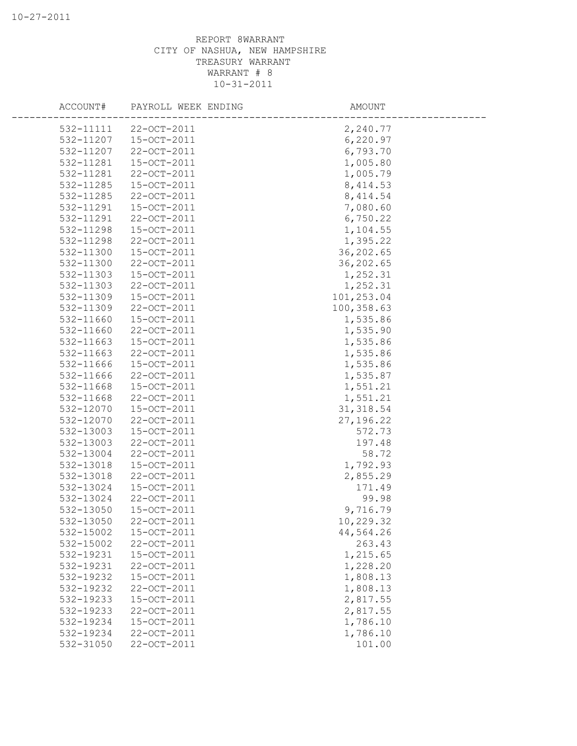| ACCOUNT#  | PAYROLL WEEK ENDING | AMOUNT     |  |
|-----------|---------------------|------------|--|
| 532-11111 | 22-OCT-2011         | 2,240.77   |  |
| 532-11207 | 15-OCT-2011         | 6,220.97   |  |
| 532-11207 | 22-OCT-2011         | 6,793.70   |  |
| 532-11281 | 15-OCT-2011         | 1,005.80   |  |
| 532-11281 | 22-OCT-2011         | 1,005.79   |  |
| 532-11285 | 15-OCT-2011         | 8, 414.53  |  |
| 532-11285 | 22-OCT-2011         | 8, 414.54  |  |
| 532-11291 | 15-OCT-2011         | 7,080.60   |  |
| 532-11291 | 22-OCT-2011         | 6,750.22   |  |
| 532-11298 | 15-OCT-2011         | 1,104.55   |  |
| 532-11298 | 22-OCT-2011         | 1,395.22   |  |
| 532-11300 | 15-OCT-2011         | 36,202.65  |  |
| 532-11300 | 22-OCT-2011         | 36,202.65  |  |
| 532-11303 | 15-OCT-2011         | 1,252.31   |  |
| 532-11303 | 22-OCT-2011         | 1,252.31   |  |
| 532-11309 | 15-OCT-2011         | 101,253.04 |  |
| 532-11309 | 22-OCT-2011         | 100,358.63 |  |
| 532-11660 | 15-OCT-2011         | 1,535.86   |  |
| 532-11660 | 22-OCT-2011         | 1,535.90   |  |
| 532-11663 | 15-OCT-2011         | 1,535.86   |  |
| 532-11663 | 22-OCT-2011         | 1,535.86   |  |
| 532-11666 | 15-OCT-2011         | 1,535.86   |  |
| 532-11666 | 22-OCT-2011         | 1,535.87   |  |
| 532-11668 | 15-OCT-2011         | 1,551.21   |  |
| 532-11668 | 22-OCT-2011         | 1,551.21   |  |
| 532-12070 | 15-OCT-2011         | 31, 318.54 |  |
| 532-12070 | 22-OCT-2011         | 27, 196.22 |  |
| 532-13003 | 15-OCT-2011         | 572.73     |  |
| 532-13003 | 22-OCT-2011         | 197.48     |  |
| 532-13004 | 22-OCT-2011         | 58.72      |  |
| 532-13018 | 15-OCT-2011         | 1,792.93   |  |
| 532-13018 | 22-OCT-2011         | 2,855.29   |  |
| 532-13024 | 15-OCT-2011         | 171.49     |  |
| 532-13024 | 22-OCT-2011         | 99.98      |  |
| 532-13050 | 15-OCT-2011         | 9,716.79   |  |
| 532-13050 | 22-OCT-2011         | 10,229.32  |  |
| 532-15002 | 15-OCT-2011         | 44,564.26  |  |
| 532-15002 | 22-OCT-2011         | 263.43     |  |
| 532-19231 | 15-OCT-2011         | 1,215.65   |  |
| 532-19231 | 22-OCT-2011         | 1,228.20   |  |
| 532-19232 | 15-OCT-2011         | 1,808.13   |  |
| 532-19232 | 22-OCT-2011         | 1,808.13   |  |
| 532-19233 | 15-OCT-2011         | 2,817.55   |  |
| 532-19233 | 22-OCT-2011         | 2,817.55   |  |
| 532-19234 | 15-OCT-2011         | 1,786.10   |  |
| 532-19234 | 22-OCT-2011         | 1,786.10   |  |
| 532-31050 | 22-OCT-2011         | 101.00     |  |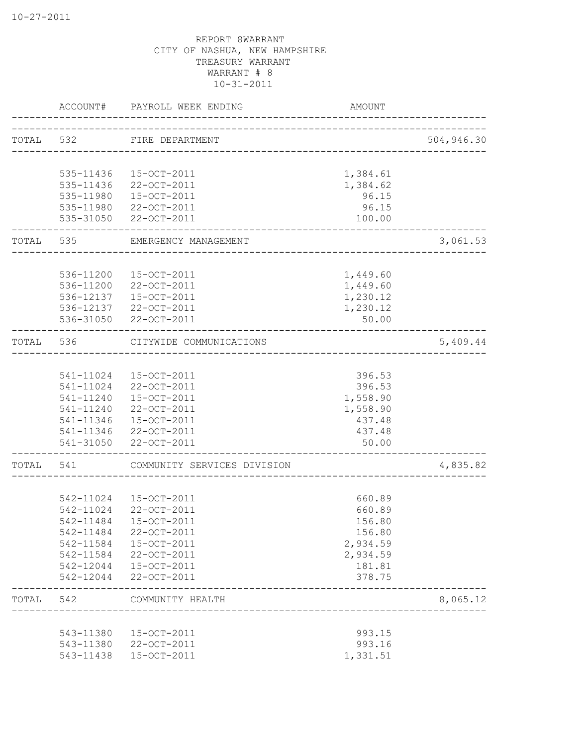|       | ACCOUNT#  | PAYROLL WEEK ENDING                             | <b>AMOUNT</b>        |            |
|-------|-----------|-------------------------------------------------|----------------------|------------|
|       |           | TOTAL 532 FIRE DEPARTMENT                       |                      | 504,946.30 |
|       |           | 535-11436 15-OCT-2011                           |                      |            |
|       | 535-11436 | 22-OCT-2011                                     | 1,384.61<br>1,384.62 |            |
|       | 535-11980 | 15-OCT-2011                                     | 96.15                |            |
|       |           | 535-11980 22-OCT-2011                           | 96.15                |            |
|       |           | 535-31050 22-OCT-2011                           | 100.00               |            |
| TOTAL | 535       | EMERGENCY MANAGEMENT<br>___________________     |                      | 3,061.53   |
|       |           | 536-11200 15-OCT-2011                           | 1,449.60             |            |
|       |           | 536-11200 22-OCT-2011                           | 1,449.60             |            |
|       |           | 536-12137  15-OCT-2011                          | 1,230.12             |            |
|       |           | 536-12137 22-OCT-2011                           | 1,230.12             |            |
|       |           | 536-31050 22-OCT-2011                           | 50.00                |            |
| TOTAL | 536       | CITYWIDE COMMUNICATIONS<br>-----------------    |                      | 5,409.44   |
|       |           |                                                 |                      |            |
|       |           | 541-11024  15-OCT-2011                          | 396.53               |            |
|       |           | 541-11024 22-OCT-2011                           | 396.53               |            |
|       |           | 541-11240  15-OCT-2011<br>541-11240 22-OCT-2011 | 1,558.90<br>1,558.90 |            |
|       |           | 541-11346  15-OCT-2011                          | 437.48               |            |
|       |           | 541-11346 22-OCT-2011                           | 437.48               |            |
|       |           | 541-31050 22-OCT-2011                           | 50.00                |            |
| TOTAL | 541       | COMMUNITY SERVICES DIVISION                     |                      | 4,835.82   |
|       |           |                                                 |                      |            |
|       |           | 542-11024 15-OCT-2011                           | 660.89               |            |
|       |           | 542-11024 22-OCT-2011                           | 660.89               |            |
|       | 542-11484 | 15-OCT-2011                                     | 156.80               |            |
|       | 542-11484 | 22-OCT-2011                                     | 156.80               |            |
|       | 542-11584 | 15-OCT-2011                                     | 2,934.59             |            |
|       | 542-11584 | 22-OCT-2011                                     | 2,934.59             |            |
|       | 542-12044 | 15-OCT-2011                                     | 181.81               |            |
|       | 542-12044 | 22-OCT-2011                                     | 378.75               |            |
| TOTAL | 542       | COMMUNITY HEALTH                                |                      | 8,065.12   |
|       | 543-11380 | 15-OCT-2011                                     | 993.15               |            |
|       | 543-11380 | 22-OCT-2011                                     | 993.16               |            |
|       | 543-11438 | 15-OCT-2011                                     | 1,331.51             |            |
|       |           |                                                 |                      |            |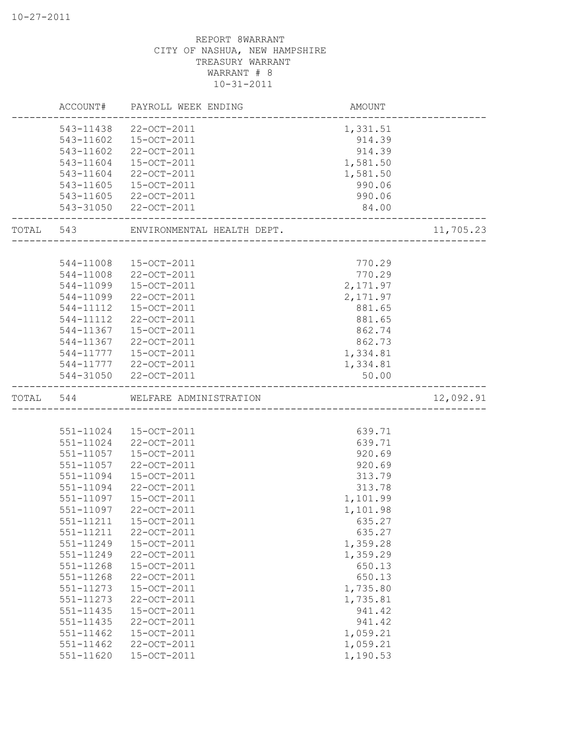|       | ACCOUNT#                   | PAYROLL WEEK ENDING        | AMOUNT               |           |
|-------|----------------------------|----------------------------|----------------------|-----------|
|       | 543-11438                  | 22-OCT-2011                | 1,331.51             |           |
|       | 543-11602                  | 15-OCT-2011                | 914.39               |           |
|       | 543-11602                  | 22-OCT-2011                | 914.39               |           |
|       | 543-11604                  | 15-OCT-2011                | 1,581.50             |           |
|       | 543-11604                  | 22-OCT-2011                | 1,581.50             |           |
|       | 543-11605                  | 15-OCT-2011                | 990.06               |           |
|       | 543-11605                  | 22-OCT-2011                | 990.06               |           |
|       | 543-31050                  | 22-OCT-2011                | 84.00                |           |
| TOTAL | 543                        | ENVIRONMENTAL HEALTH DEPT. |                      | 11,705.23 |
|       |                            |                            |                      |           |
|       | 544-11008                  | 15-OCT-2011                | 770.29               |           |
|       | 544-11008                  | 22-OCT-2011                | 770.29               |           |
|       | 544-11099                  | 15-OCT-2011                | 2,171.97             |           |
|       | 544-11099                  | 22-OCT-2011                | 2,171.97             |           |
|       | 544-11112                  | 15-OCT-2011                | 881.65               |           |
|       | 544-11112                  | 22-OCT-2011                | 881.65               |           |
|       | 544-11367                  | 15-OCT-2011                | 862.74               |           |
|       | 544-11367                  | 22-OCT-2011                | 862.73               |           |
|       | 544-11777                  | 15-OCT-2011                | 1,334.81             |           |
|       |                            | 544-11777 22-OCT-2011      | 1,334.81             |           |
|       |                            |                            |                      |           |
|       |                            | 544-31050 22-OCT-2011      | 50.00                |           |
| TOTAL | 544                        | WELFARE ADMINISTRATION     |                      | 12,092.91 |
|       |                            |                            |                      |           |
|       | 551-11024                  | 15-OCT-2011                | 639.71               |           |
|       | 551-11024                  | 22-OCT-2011                | 639.71               |           |
|       | 551-11057                  | 15-OCT-2011                | 920.69               |           |
|       | 551-11057                  | 22-OCT-2011                | 920.69               |           |
|       | 551-11094                  | 15-OCT-2011                | 313.79               |           |
|       | 551-11094                  | 22-OCT-2011                | 313.78               |           |
|       | 551-11097                  | 15-OCT-2011                | 1,101.99             |           |
|       | 551-11097                  | 22-OCT-2011                | 1,101.98             |           |
|       |                            |                            |                      |           |
|       | 551-11211<br>551-11211     | 15-OCT-2011<br>22-OCT-2011 | 635.27<br>635.27     |           |
|       | 551-11249                  | 15-OCT-2011                |                      |           |
|       | 551-11249                  | 22-OCT-2011                | 1,359.28<br>1,359.29 |           |
|       | 551-11268                  | 15-OCT-2011                | 650.13               |           |
|       | 551-11268                  | 22-OCT-2011                | 650.13               |           |
|       | 551-11273                  | 15-OCT-2011                | 1,735.80             |           |
|       | 551-11273                  | 22-OCT-2011                | 1,735.81             |           |
|       | 551-11435                  | 15-OCT-2011                | 941.42               |           |
|       | 551-11435                  | 22-OCT-2011                | 941.42               |           |
|       |                            | 15-OCT-2011                |                      |           |
|       | 551-11462<br>$551 - 11462$ | 22-OCT-2011                | 1,059.21<br>1,059.21 |           |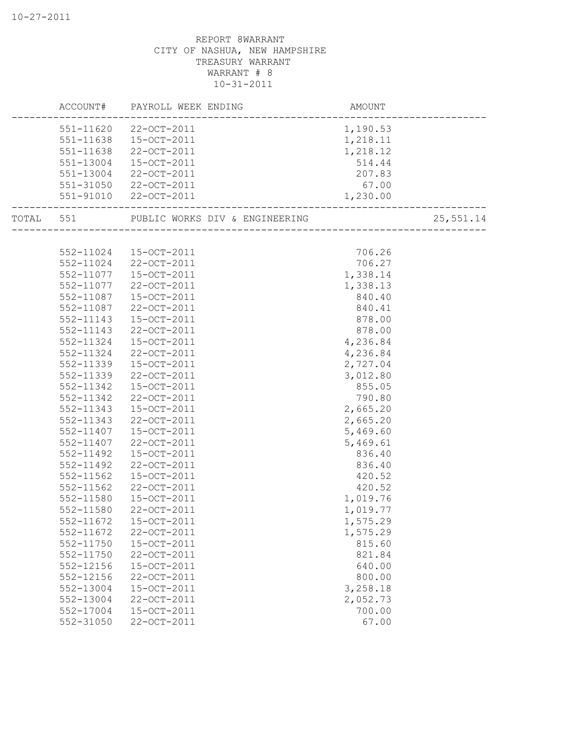|           |                        | ACCOUNT# PAYROLL WEEK ENDING   | AMOUNT               |           |
|-----------|------------------------|--------------------------------|----------------------|-----------|
|           | 551-11620              | 22-OCT-2011                    | 1,190.53             |           |
|           | 551-11638              | 15-OCT-2011                    | 1,218.11             |           |
|           | 551-11638              | 22-OCT-2011                    | 1,218.12             |           |
|           | 551-13004              | 15-OCT-2011                    | 514.44               |           |
|           | 551-13004              | 22-OCT-2011                    | 207.83               |           |
|           | 551-31050              | 22-OCT-2011                    | 67.00                |           |
|           | 551-91010              | 22-OCT-2011                    | 1,230.00             |           |
| TOTAL 551 |                        | PUBLIC WORKS DIV & ENGINEERING |                      | 25,551.14 |
|           |                        |                                |                      |           |
|           | 552-11024              | 15-OCT-2011                    | 706.26               |           |
|           | 552-11024              | 22-OCT-2011                    | 706.27               |           |
|           | 552-11077              | 15-OCT-2011                    | 1,338.14             |           |
|           | 552-11077              | 22-OCT-2011                    | 1,338.13             |           |
|           | 552-11087              | $15 - OCT - 2011$              | 840.40               |           |
|           | 552-11087              | 22-OCT-2011                    | 840.41               |           |
|           | 552-11143              | 15-OCT-2011                    | 878.00               |           |
|           | 552-11143              | 22-OCT-2011                    | 878.00               |           |
|           | 552-11324              | 15-OCT-2011                    | 4,236.84<br>4,236.84 |           |
|           | 552-11324              | 22-OCT-2011                    | 2,727.04             |           |
|           | 552-11339<br>552-11339 | 15-OCT-2011<br>22-OCT-2011     | 3,012.80             |           |
|           | 552-11342              | 15-OCT-2011                    | 855.05               |           |
|           | 552-11342              | 22-OCT-2011                    | 790.80               |           |
|           | 552-11343              | 15-OCT-2011                    | 2,665.20             |           |
|           | 552-11343              | 22-OCT-2011                    | 2,665.20             |           |
|           | 552-11407              | 15-OCT-2011                    | 5,469.60             |           |
|           | 552-11407              | 22-OCT-2011                    | 5,469.61             |           |
|           | 552-11492              | 15-OCT-2011                    | 836.40               |           |
|           | 552-11492              | 22-OCT-2011                    | 836.40               |           |
|           | 552-11562              | 15-OCT-2011                    | 420.52               |           |
|           | 552-11562              | 22-OCT-2011                    | 420.52               |           |
|           | 552-11580              | 15-OCT-2011                    | 1,019.76             |           |
|           | 552-11580              | 22-OCT-2011                    | 1,019.77             |           |
|           | 552-11672              | $15 - OCT - 2011$              | 1,575.29             |           |
|           | 552-11672              | 22-OCT-2011                    | 1,575.29             |           |
|           | 552-11750              | 15-OCT-2011                    | 815.60               |           |
|           | 552-11750              | 22-OCT-2011                    | 821.84               |           |
|           | 552-12156              | 15-OCT-2011                    | 640.00               |           |
|           | 552-12156              | 22-OCT-2011                    | 800.00               |           |
|           | 552-13004              | 15-OCT-2011                    | 3,258.18             |           |
|           | 552-13004              | 22-OCT-2011                    | 2,052.73             |           |
|           | $552 - 17004$          | 15-OCT-2011                    | 700.00               |           |
|           | 552-31050              | 22-OCT-2011                    | 67.00                |           |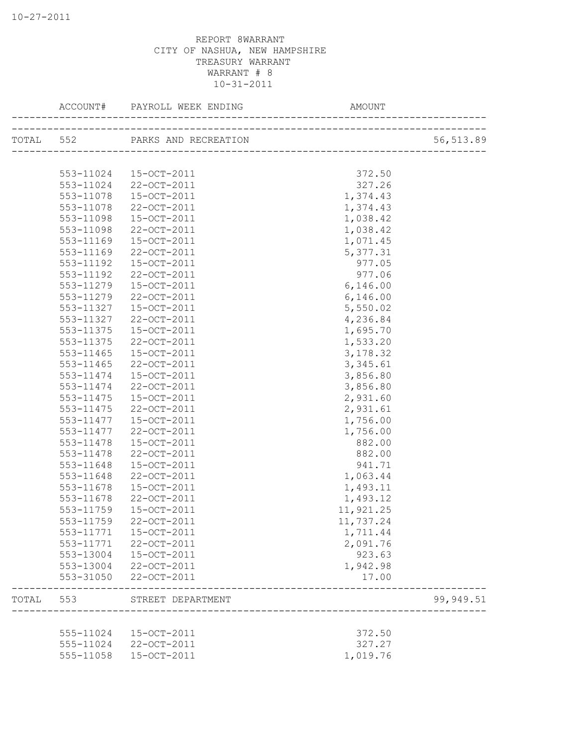|       | ACCOUNT#  | PAYROLL WEEK ENDING            | AMOUNT                   |            |
|-------|-----------|--------------------------------|--------------------------|------------|
|       |           | TOTAL 552 PARKS AND RECREATION |                          | 56, 513.89 |
|       |           |                                |                          |            |
|       | 553-11024 | 15-OCT-2011                    | 372.50                   |            |
|       | 553-11024 | 22-OCT-2011                    | 327.26                   |            |
|       | 553-11078 | 15-OCT-2011                    | 1,374.43                 |            |
|       | 553-11078 | 22-OCT-2011                    | 1,374.43                 |            |
|       | 553-11098 | 15-OCT-2011                    | 1,038.42                 |            |
|       | 553-11098 | 22-OCT-2011                    | 1,038.42                 |            |
|       | 553-11169 | 15-OCT-2011                    | 1,071.45                 |            |
|       | 553-11169 | 22-OCT-2011                    | 5,377.31                 |            |
|       | 553-11192 | 15-OCT-2011                    | 977.05                   |            |
|       | 553-11192 | 22-OCT-2011                    | 977.06                   |            |
|       | 553-11279 | 15-OCT-2011                    | 6, 146.00                |            |
|       | 553-11279 | $22 - OCT - 2011$              | 6,146.00                 |            |
|       | 553-11327 | 15-OCT-2011                    | 5,550.02                 |            |
|       | 553-11327 | 22-OCT-2011                    | 4,236.84                 |            |
|       | 553-11375 | 15-OCT-2011                    | 1,695.70                 |            |
|       | 553-11375 | 22-OCT-2011                    | 1,533.20                 |            |
|       | 553-11465 | 15-OCT-2011                    | 3,178.32                 |            |
|       | 553-11465 | 22-OCT-2011                    | 3,345.61                 |            |
|       | 553-11474 | 15-OCT-2011                    | 3,856.80                 |            |
|       | 553-11474 | 22-OCT-2011                    | 3,856.80                 |            |
|       | 553-11475 | 15-OCT-2011                    | 2,931.60                 |            |
|       | 553-11475 | 22-OCT-2011                    | 2,931.61                 |            |
|       | 553-11477 | 15-OCT-2011                    | 1,756.00                 |            |
|       | 553-11477 | 22-OCT-2011                    | 1,756.00                 |            |
|       | 553-11478 | 15-OCT-2011                    | 882.00                   |            |
|       | 553-11478 | 22-OCT-2011                    | 882.00                   |            |
|       | 553-11648 | 15-OCT-2011                    | 941.71                   |            |
|       | 553-11648 | 22-OCT-2011                    | 1,063.44                 |            |
|       | 553-11678 | 15-OCT-2011                    | 1,493.11                 |            |
|       | 553-11678 | 22-OCT-2011                    | 1,493.12                 |            |
|       | 553-11759 | 15-OCT-2011                    | 11,921.25                |            |
|       | 553-11759 | 22-OCT-2011                    | 11,737.24                |            |
|       | 553-11771 | 15-OCT-2011                    | 1,711.44                 |            |
|       | 553-11771 | 22-OCT-2011                    | 2,091.76                 |            |
|       | 553-13004 | 15-OCT-2011                    | 923.63                   |            |
|       | 553-13004 | 22-OCT-2011                    | 1,942.98                 |            |
|       | 553-31050 | 22-OCT-2011                    | 17.00                    |            |
| TOTAL | 553       | STREET DEPARTMENT              |                          | 99,949.51  |
|       |           |                                | ________________________ |            |
|       | 555-11024 | 15-OCT-2011                    | 372.50                   |            |
|       | 555-11024 | 22-OCT-2011                    | 327.27                   |            |
|       | 555-11058 | 15-OCT-2011                    | 1,019.76                 |            |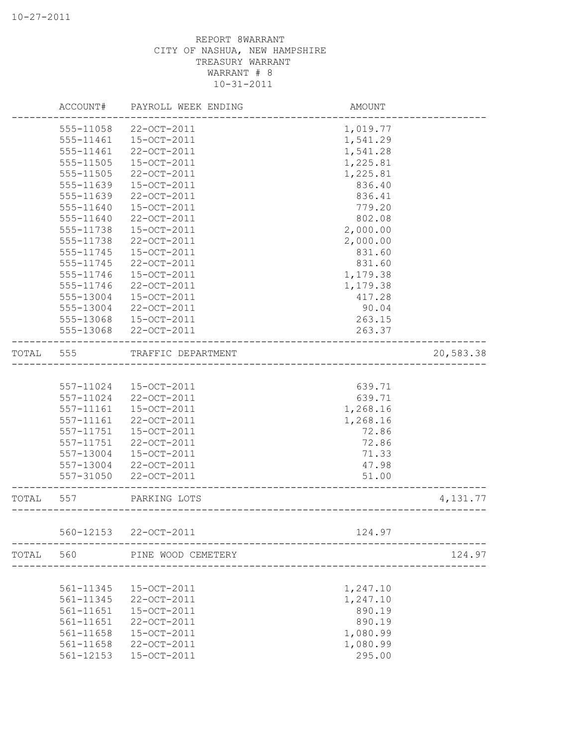|       | ACCOUNT#      | PAYROLL WEEK ENDING | AMOUNT   |           |
|-------|---------------|---------------------|----------|-----------|
|       | 555-11058     | 22-OCT-2011         | 1,019.77 |           |
|       | 555-11461     | 15-OCT-2011         | 1,541.29 |           |
|       | 555-11461     | 22-OCT-2011         | 1,541.28 |           |
|       | 555-11505     | 15-OCT-2011         | 1,225.81 |           |
|       | 555-11505     | 22-OCT-2011         | 1,225.81 |           |
|       | 555-11639     | 15-OCT-2011         | 836.40   |           |
|       | 555-11639     | 22-OCT-2011         | 836.41   |           |
|       | 555-11640     | 15-OCT-2011         | 779.20   |           |
|       | 555-11640     | 22-OCT-2011         | 802.08   |           |
|       | 555-11738     | 15-OCT-2011         | 2,000.00 |           |
|       | 555-11738     | 22-OCT-2011         | 2,000.00 |           |
|       | 555-11745     | 15-OCT-2011         | 831.60   |           |
|       | 555-11745     | 22-OCT-2011         | 831.60   |           |
|       | 555-11746     | 15-OCT-2011         | 1,179.38 |           |
|       | 555-11746     | 22-OCT-2011         | 1,179.38 |           |
|       | 555-13004     | 15-OCT-2011         | 417.28   |           |
|       | 555-13004     | 22-OCT-2011         | 90.04    |           |
|       | 555-13068     | 15-OCT-2011         | 263.15   |           |
|       | 555-13068     | 22-OCT-2011         | 263.37   |           |
| TOTAL | 555           | TRAFFIC DEPARTMENT  |          | 20,583.38 |
|       |               |                     |          |           |
|       | 557-11024     | 15-OCT-2011         | 639.71   |           |
|       | 557-11024     | 22-OCT-2011         | 639.71   |           |
|       | 557-11161     | 15-OCT-2011         | 1,268.16 |           |
|       | 557-11161     | 22-OCT-2011         | 1,268.16 |           |
|       | 557-11751     | 15-OCT-2011         | 72.86    |           |
|       | 557-11751     | 22-OCT-2011         | 72.86    |           |
|       | 557-13004     | 15-OCT-2011         | 71.33    |           |
|       | 557-13004     | 22-OCT-2011         | 47.98    |           |
|       | 557-31050     | 22-OCT-2011         | 51.00    |           |
| TOTAL | 557           | PARKING LOTS        |          | 4,131.77  |
|       |               |                     |          |           |
|       | 560-12153     | 22-OCT-2011         | 124.97   |           |
| TOTAL | 560           | PINE WOOD CEMETERY  |          | 124.97    |
|       |               |                     |          |           |
|       | 561-11345     | 15-OCT-2011         | 1,247.10 |           |
|       | 561-11345     | 22-OCT-2011         | 1,247.10 |           |
|       | 561-11651     | 15-OCT-2011         | 890.19   |           |
|       | 561-11651     | 22-OCT-2011         | 890.19   |           |
|       | 561-11658     | 15-OCT-2011         | 1,080.99 |           |
|       | 561-11658     | 22-OCT-2011         | 1,080.99 |           |
|       | $561 - 12153$ | 15-OCT-2011         | 295.00   |           |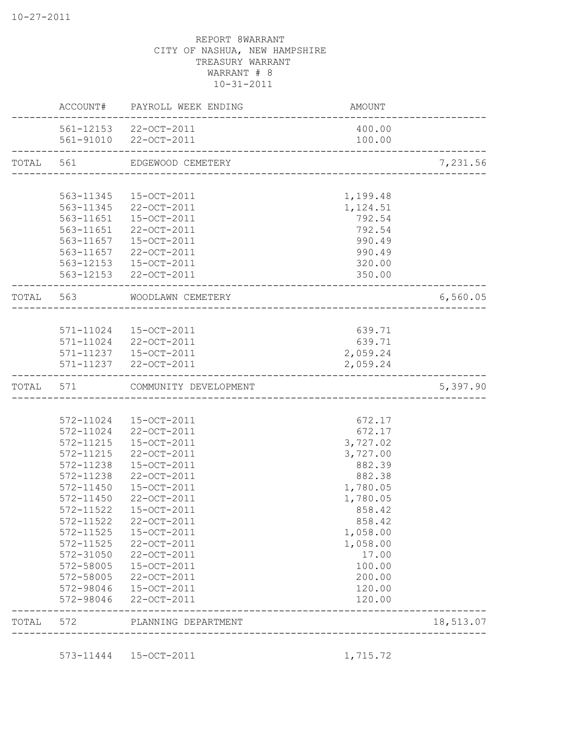|           |                                                                                                                                    | AMOUNT                                                                                                                                                                                                                                                                                                                                                                                                                                                                                                                                                                                                                      |                                                                                                                                                                                                                  |
|-----------|------------------------------------------------------------------------------------------------------------------------------------|-----------------------------------------------------------------------------------------------------------------------------------------------------------------------------------------------------------------------------------------------------------------------------------------------------------------------------------------------------------------------------------------------------------------------------------------------------------------------------------------------------------------------------------------------------------------------------------------------------------------------------|------------------------------------------------------------------------------------------------------------------------------------------------------------------------------------------------------------------|
|           |                                                                                                                                    | 400.00<br>100.00                                                                                                                                                                                                                                                                                                                                                                                                                                                                                                                                                                                                            |                                                                                                                                                                                                                  |
|           |                                                                                                                                    |                                                                                                                                                                                                                                                                                                                                                                                                                                                                                                                                                                                                                             | 7,231.56                                                                                                                                                                                                         |
|           |                                                                                                                                    |                                                                                                                                                                                                                                                                                                                                                                                                                                                                                                                                                                                                                             |                                                                                                                                                                                                                  |
| 563-11345 | 15-OCT-2011                                                                                                                        | 1,199.48                                                                                                                                                                                                                                                                                                                                                                                                                                                                                                                                                                                                                    |                                                                                                                                                                                                                  |
| 563-11345 | 22-OCT-2011                                                                                                                        | 1,124.51                                                                                                                                                                                                                                                                                                                                                                                                                                                                                                                                                                                                                    |                                                                                                                                                                                                                  |
| 563-11651 |                                                                                                                                    |                                                                                                                                                                                                                                                                                                                                                                                                                                                                                                                                                                                                                             |                                                                                                                                                                                                                  |
|           |                                                                                                                                    |                                                                                                                                                                                                                                                                                                                                                                                                                                                                                                                                                                                                                             |                                                                                                                                                                                                                  |
|           |                                                                                                                                    |                                                                                                                                                                                                                                                                                                                                                                                                                                                                                                                                                                                                                             |                                                                                                                                                                                                                  |
|           |                                                                                                                                    |                                                                                                                                                                                                                                                                                                                                                                                                                                                                                                                                                                                                                             |                                                                                                                                                                                                                  |
|           |                                                                                                                                    |                                                                                                                                                                                                                                                                                                                                                                                                                                                                                                                                                                                                                             |                                                                                                                                                                                                                  |
|           |                                                                                                                                    |                                                                                                                                                                                                                                                                                                                                                                                                                                                                                                                                                                                                                             |                                                                                                                                                                                                                  |
|           |                                                                                                                                    |                                                                                                                                                                                                                                                                                                                                                                                                                                                                                                                                                                                                                             | 6,560.05                                                                                                                                                                                                         |
|           |                                                                                                                                    |                                                                                                                                                                                                                                                                                                                                                                                                                                                                                                                                                                                                                             |                                                                                                                                                                                                                  |
|           |                                                                                                                                    | 639.71                                                                                                                                                                                                                                                                                                                                                                                                                                                                                                                                                                                                                      |                                                                                                                                                                                                                  |
|           |                                                                                                                                    | 639.71                                                                                                                                                                                                                                                                                                                                                                                                                                                                                                                                                                                                                      |                                                                                                                                                                                                                  |
|           |                                                                                                                                    | 2,059.24                                                                                                                                                                                                                                                                                                                                                                                                                                                                                                                                                                                                                    |                                                                                                                                                                                                                  |
|           |                                                                                                                                    | 2,059.24                                                                                                                                                                                                                                                                                                                                                                                                                                                                                                                                                                                                                    |                                                                                                                                                                                                                  |
| TOTAL 571 |                                                                                                                                    |                                                                                                                                                                                                                                                                                                                                                                                                                                                                                                                                                                                                                             | 5,397.90                                                                                                                                                                                                         |
|           |                                                                                                                                    |                                                                                                                                                                                                                                                                                                                                                                                                                                                                                                                                                                                                                             |                                                                                                                                                                                                                  |
|           |                                                                                                                                    | 672.17                                                                                                                                                                                                                                                                                                                                                                                                                                                                                                                                                                                                                      |                                                                                                                                                                                                                  |
| 572-11024 | 22-OCT-2011                                                                                                                        | 672.17                                                                                                                                                                                                                                                                                                                                                                                                                                                                                                                                                                                                                      |                                                                                                                                                                                                                  |
| 572-11215 | 15-OCT-2011                                                                                                                        | 3,727.02                                                                                                                                                                                                                                                                                                                                                                                                                                                                                                                                                                                                                    |                                                                                                                                                                                                                  |
| 572-11215 | 22-OCT-2011                                                                                                                        | 3,727.00                                                                                                                                                                                                                                                                                                                                                                                                                                                                                                                                                                                                                    |                                                                                                                                                                                                                  |
| 572-11238 | 15-OCT-2011                                                                                                                        | 882.39                                                                                                                                                                                                                                                                                                                                                                                                                                                                                                                                                                                                                      |                                                                                                                                                                                                                  |
| 572-11238 |                                                                                                                                    |                                                                                                                                                                                                                                                                                                                                                                                                                                                                                                                                                                                                                             |                                                                                                                                                                                                                  |
|           |                                                                                                                                    |                                                                                                                                                                                                                                                                                                                                                                                                                                                                                                                                                                                                                             |                                                                                                                                                                                                                  |
|           |                                                                                                                                    |                                                                                                                                                                                                                                                                                                                                                                                                                                                                                                                                                                                                                             |                                                                                                                                                                                                                  |
|           |                                                                                                                                    |                                                                                                                                                                                                                                                                                                                                                                                                                                                                                                                                                                                                                             |                                                                                                                                                                                                                  |
|           |                                                                                                                                    |                                                                                                                                                                                                                                                                                                                                                                                                                                                                                                                                                                                                                             |                                                                                                                                                                                                                  |
|           |                                                                                                                                    |                                                                                                                                                                                                                                                                                                                                                                                                                                                                                                                                                                                                                             |                                                                                                                                                                                                                  |
|           |                                                                                                                                    |                                                                                                                                                                                                                                                                                                                                                                                                                                                                                                                                                                                                                             |                                                                                                                                                                                                                  |
|           |                                                                                                                                    |                                                                                                                                                                                                                                                                                                                                                                                                                                                                                                                                                                                                                             |                                                                                                                                                                                                                  |
|           |                                                                                                                                    |                                                                                                                                                                                                                                                                                                                                                                                                                                                                                                                                                                                                                             |                                                                                                                                                                                                                  |
|           |                                                                                                                                    |                                                                                                                                                                                                                                                                                                                                                                                                                                                                                                                                                                                                                             |                                                                                                                                                                                                                  |
| 572-98046 | 22-OCT-2011                                                                                                                        | 120.00                                                                                                                                                                                                                                                                                                                                                                                                                                                                                                                                                                                                                      |                                                                                                                                                                                                                  |
|           |                                                                                                                                    |                                                                                                                                                                                                                                                                                                                                                                                                                                                                                                                                                                                                                             |                                                                                                                                                                                                                  |
|           | 572-11450<br>572-11450<br>572-11522<br>572-11522<br>572-11525<br>$572 - 11525$<br>572-31050<br>572-58005<br>572-58005<br>572-98046 | ACCOUNT# PAYROLL WEEK ENDING<br>561-12153 22-OCT-2011<br>561-91010 22-OCT-2011<br>TOTAL 561 EDGEWOOD CEMETERY<br>15-OCT-2011<br>22-OCT-2011<br>563-11651<br>563-11657<br>15-OCT-2011<br>563-11657 22-OCT-2011<br>563-12153  15-OCT-2011<br>563-12153 22-OCT-2011<br>TOTAL 563 WOODLAWN CEMETERY<br>571-11024 15-OCT-2011<br>571-11024 22-OCT-2011<br>571-11237  15-OCT-2011<br>571-11237 22-OCT-2011<br>COMMUNITY DEVELOPMENT<br>572-11024 15-OCT-2011<br>22-OCT-2011<br>15-OCT-2011<br>22-OCT-2011<br>15-OCT-2011<br>22-OCT-2011<br>15-OCT-2011<br>22-OCT-2011<br>22-OCT-2011<br>15-OCT-2011<br>22-OCT-2011<br>15-OCT-2011 | 792.54<br>792.54<br>990.49<br>990.49<br>320.00<br>350.00<br>-------------------------------<br>882.38<br>1,780.05<br>1,780.05<br>858.42<br>858.42<br>1,058.00<br>1,058.00<br>17.00<br>100.00<br>200.00<br>120.00 |

573-11444 15-OCT-2011 1,715.72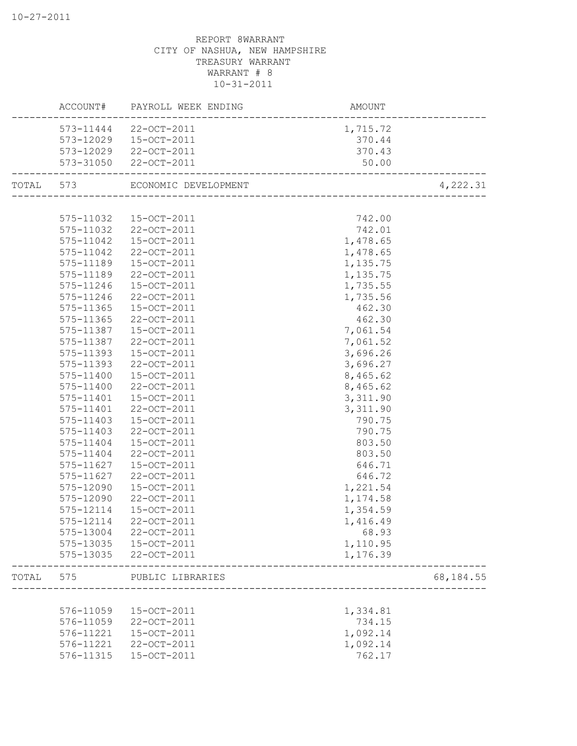|       |           | ACCOUNT# PAYROLL WEEK ENDING   | AMOUNT              |           |
|-------|-----------|--------------------------------|---------------------|-----------|
|       |           | 573-11444 22-OCT-2011          | 1,715.72            |           |
|       |           | 573-12029  15-OCT-2011         | 370.44              |           |
|       |           | 573-12029 22-OCT-2011          | 370.43              |           |
|       |           | 573-31050 22-OCT-2011          | 50.00               |           |
|       |           | TOTAL 573 ECONOMIC DEVELOPMENT | ------------------- | 4,222.31  |
|       |           |                                |                     |           |
|       | 575-11032 | 15-OCT-2011                    | 742.00              |           |
|       | 575-11032 | 22-OCT-2011                    | 742.01              |           |
|       | 575-11042 | 15-OCT-2011                    | 1,478.65            |           |
|       | 575-11042 | 22-OCT-2011                    | 1,478.65            |           |
|       | 575-11189 | 15-OCT-2011                    | 1,135.75            |           |
|       | 575-11189 | 22-OCT-2011                    | 1,135.75            |           |
|       | 575-11246 | 15-OCT-2011                    | 1,735.55            |           |
|       | 575-11246 | 22-OCT-2011                    | 1,735.56            |           |
|       | 575-11365 | 15-OCT-2011                    | 462.30              |           |
|       | 575-11365 | 22-OCT-2011                    | 462.30              |           |
|       | 575-11387 | 15-OCT-2011                    | 7,061.54            |           |
|       | 575-11387 | 22-OCT-2011                    | 7,061.52            |           |
|       | 575-11393 | 15-OCT-2011                    | 3,696.26            |           |
|       | 575-11393 | 22-OCT-2011                    | 3,696.27            |           |
|       | 575-11400 | 15-OCT-2011                    | 8,465.62            |           |
|       | 575-11400 | 22-OCT-2011                    | 8,465.62            |           |
|       | 575-11401 | 15-OCT-2011                    | 3,311.90            |           |
|       | 575-11401 | 22-OCT-2011                    | 3,311.90            |           |
|       | 575-11403 | 15-OCT-2011                    | 790.75              |           |
|       | 575-11403 | 22-OCT-2011                    | 790.75              |           |
|       | 575-11404 | 15-OCT-2011                    | 803.50              |           |
|       | 575-11404 | 22-OCT-2011                    | 803.50              |           |
|       | 575-11627 | 15-OCT-2011                    | 646.71              |           |
|       | 575-11627 | 22-OCT-2011                    | 646.72              |           |
|       | 575-12090 | 15-OCT-2011                    | 1,221.54            |           |
|       | 575-12090 | 22-OCT-2011                    | 1,174.58            |           |
|       | 575-12114 | 15-OCT-2011                    | 1,354.59            |           |
|       | 575-12114 | 22-OCT-2011                    | 1,416.49            |           |
|       | 575-13004 | 22-OCT-2011                    | 68.93               |           |
|       | 575-13035 | 15-OCT-2011                    | 1,110.95            |           |
|       | 575-13035 | 22-OCT-2011                    | 1,176.39            |           |
| TOTAL | 575       | PUBLIC LIBRARIES               |                     | 68,184.55 |
|       |           |                                |                     |           |
|       | 576-11059 | 15-OCT-2011                    | 1,334.81            |           |
|       | 576-11059 | 22-OCT-2011                    | 734.15              |           |
|       | 576-11221 | 15-OCT-2011                    | 1,092.14            |           |
|       | 576-11221 | 22-OCT-2011                    | 1,092.14            |           |
|       | 576-11315 | 15-OCT-2011                    | 762.17              |           |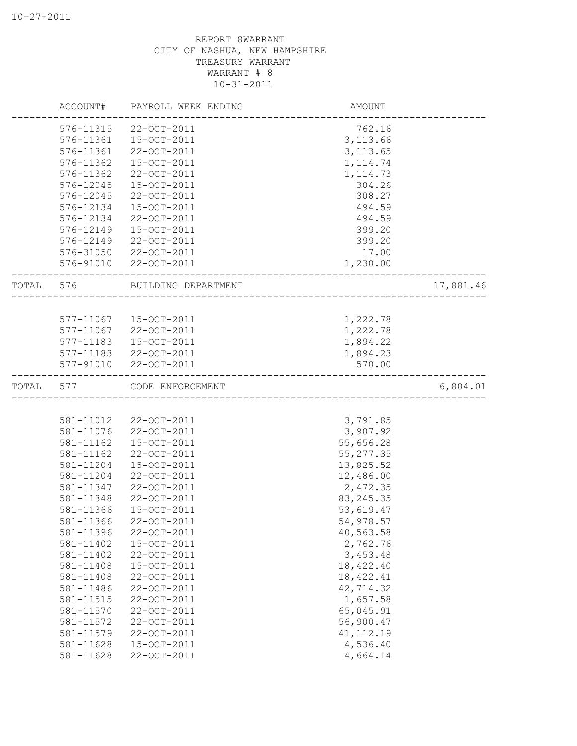|       | ACCOUNT#  | PAYROLL WEEK ENDING    | AMOUNT     |           |
|-------|-----------|------------------------|------------|-----------|
|       | 576-11315 | 22-OCT-2011            | 762.16     |           |
|       | 576-11361 | 15-OCT-2011            | 3, 113.66  |           |
|       | 576-11361 | 22-OCT-2011            | 3, 113.65  |           |
|       | 576-11362 | 15-OCT-2011            | 1, 114.74  |           |
|       | 576-11362 | 22-OCT-2011            | 1, 114.73  |           |
|       | 576-12045 | 15-OCT-2011            | 304.26     |           |
|       | 576-12045 | 22-OCT-2011            | 308.27     |           |
|       | 576-12134 | 15-OCT-2011            | 494.59     |           |
|       | 576-12134 | 22-OCT-2011            | 494.59     |           |
|       | 576-12149 | 15-OCT-2011            | 399.20     |           |
|       | 576-12149 | 22-OCT-2011            | 399.20     |           |
|       | 576-31050 | 22-OCT-2011            | 17.00      |           |
|       |           | 576-91010 22-OCT-2011  | 1,230.00   |           |
|       | TOTAL 576 | BUILDING DEPARTMENT    |            | 17,881.46 |
|       |           |                        |            |           |
|       |           | 577-11067  15-OCT-2011 | 1,222.78   |           |
|       |           | 577-11067 22-OCT-2011  | 1,222.78   |           |
|       | 577-11183 | 15-OCT-2011            | 1,894.22   |           |
|       |           | 577-11183 22-OCT-2011  | 1,894.23   |           |
|       |           | 577-91010 22-OCT-2011  | 570.00     |           |
| TOTAL | 577 — 100 | CODE ENFORCEMENT       |            | 6,804.01  |
|       |           |                        |            |           |
|       | 581-11012 | 22-OCT-2011            | 3,791.85   |           |
|       | 581-11076 | 22-OCT-2011            | 3,907.92   |           |
|       | 581-11162 | 15-OCT-2011            | 55,656.28  |           |
|       | 581-11162 | 22-OCT-2011            | 55, 277.35 |           |
|       | 581-11204 | 15-OCT-2011            | 13,825.52  |           |
|       | 581-11204 | 22-OCT-2011            | 12,486.00  |           |
|       | 581-11347 | 22-OCT-2011            | 2,472.35   |           |
|       | 581-11348 | 22-OCT-2011            | 83, 245.35 |           |
|       | 581-11366 | 15-OCT-2011            | 53,619.47  |           |
|       | 581-11366 | 22-OCT-2011            | 54,978.57  |           |
|       | 581-11396 | 22-OCT-2011            | 40,563.58  |           |
|       | 581-11402 | 15-OCT-2011            | 2,762.76   |           |
|       | 581-11402 | 22-OCT-2011            | 3,453.48   |           |
|       | 581-11408 | 15-OCT-2011            | 18,422.40  |           |
|       | 581-11408 | 22-OCT-2011            | 18, 422.41 |           |
|       | 581-11486 | 22-OCT-2011            | 42,714.32  |           |
|       | 581-11515 | 22-OCT-2011            | 1,657.58   |           |
|       | 581-11570 | 22-OCT-2011            | 65,045.91  |           |
|       | 581-11572 | 22-OCT-2011            | 56,900.47  |           |
|       | 581-11579 | 22-OCT-2011            | 41, 112.19 |           |
|       | 581-11628 | 15-OCT-2011            | 4,536.40   |           |
|       | 581-11628 | 22-OCT-2011            | 4,664.14   |           |
|       |           |                        |            |           |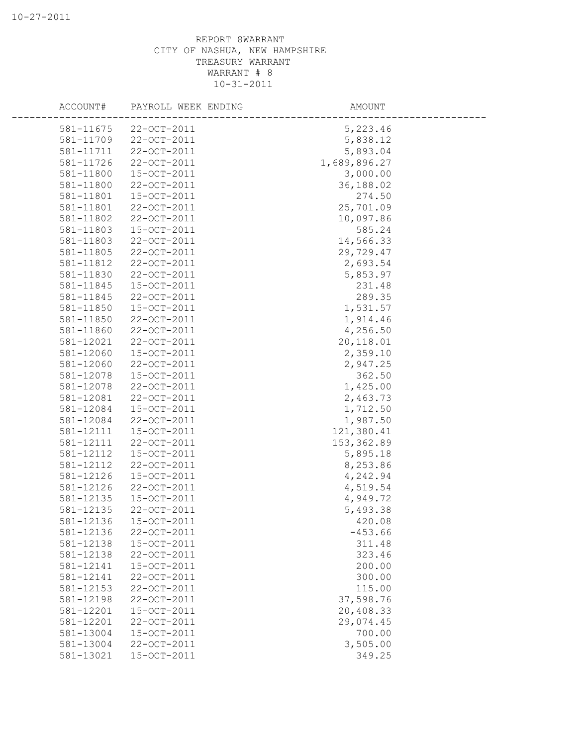| ACCOUNT#  | PAYROLL WEEK ENDING | AMOUNT       |
|-----------|---------------------|--------------|
| 581-11675 | $22 - OCT - 2011$   | 5,223.46     |
| 581-11709 | 22-OCT-2011         | 5,838.12     |
| 581-11711 | 22-OCT-2011         | 5,893.04     |
| 581-11726 | 22-OCT-2011         | 1,689,896.27 |
| 581-11800 | 15-OCT-2011         | 3,000.00     |
| 581-11800 | 22-OCT-2011         | 36,188.02    |
| 581-11801 | 15-OCT-2011         | 274.50       |
| 581-11801 | 22-OCT-2011         | 25,701.09    |
| 581-11802 | 22-OCT-2011         | 10,097.86    |
| 581-11803 | 15-OCT-2011         | 585.24       |
| 581-11803 | 22-OCT-2011         | 14,566.33    |
| 581-11805 | 22-OCT-2011         | 29,729.47    |
| 581-11812 | 22-OCT-2011         | 2,693.54     |
| 581-11830 | 22-OCT-2011         | 5,853.97     |
| 581-11845 | 15-OCT-2011         | 231.48       |
| 581-11845 | 22-OCT-2011         | 289.35       |
| 581-11850 | 15-OCT-2011         | 1,531.57     |
| 581-11850 | 22-OCT-2011         | 1,914.46     |
| 581-11860 | 22-OCT-2011         | 4,256.50     |
| 581-12021 | 22-OCT-2011         | 20,118.01    |
| 581-12060 | 15-OCT-2011         | 2,359.10     |
| 581-12060 | 22-OCT-2011         | 2,947.25     |
| 581-12078 | 15-OCT-2011         | 362.50       |
| 581-12078 | 22-OCT-2011         | 1,425.00     |
| 581-12081 | 22-OCT-2011         | 2,463.73     |
| 581-12084 | 15-OCT-2011         | 1,712.50     |
| 581-12084 | 22-OCT-2011         | 1,987.50     |
| 581-12111 | 15-OCT-2011         | 121,380.41   |
| 581-12111 | 22-OCT-2011         | 153, 362.89  |
| 581-12112 | 15-OCT-2011         | 5,895.18     |
| 581-12112 | 22-OCT-2011         | 8,253.86     |
| 581-12126 | 15-OCT-2011         | 4,242.94     |
| 581-12126 | 22-OCT-2011         | 4,519.54     |
| 581-12135 | 15-OCT-2011         | 4,949.72     |
| 581-12135 | 22-OCT-2011         | 5,493.38     |
| 581-12136 | 15-OCT-2011         | 420.08       |
| 581-12136 | 22-OCT-2011         | $-453.66$    |
| 581-12138 | 15-OCT-2011         | 311.48       |
| 581-12138 | 22-OCT-2011         | 323.46       |
| 581-12141 | 15-OCT-2011         | 200.00       |
| 581-12141 | 22-OCT-2011         | 300.00       |
| 581-12153 | 22-OCT-2011         | 115.00       |
| 581-12198 | 22-OCT-2011         | 37,598.76    |
| 581-12201 | 15-OCT-2011         | 20,408.33    |
| 581-12201 | 22-OCT-2011         | 29,074.45    |
| 581-13004 | 15-OCT-2011         | 700.00       |
| 581-13004 | 22-OCT-2011         | 3,505.00     |
| 581-13021 | 15-OCT-2011         | 349.25       |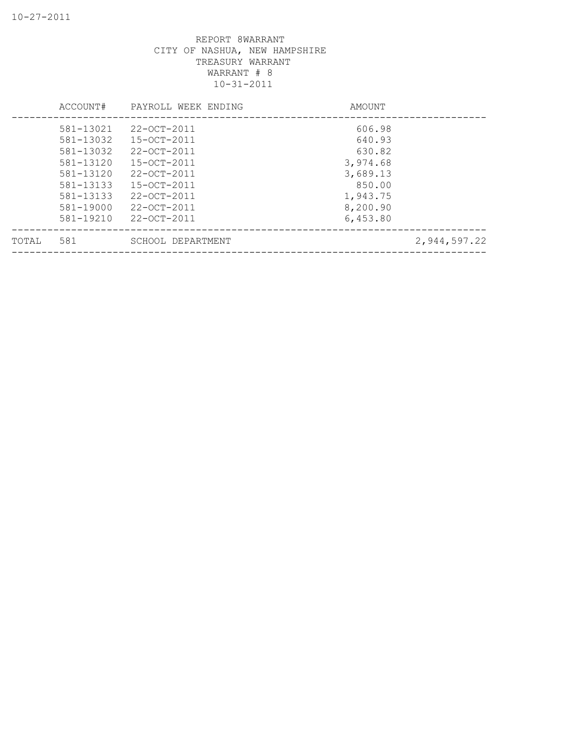|       | ACCOUNT#  | PAYROLL WEEK ENDING | AMOUNT   |              |
|-------|-----------|---------------------|----------|--------------|
|       | 581-13021 | 22-OCT-2011         | 606.98   |              |
|       | 581-13032 | $15 - OCT - 2011$   | 640.93   |              |
|       | 581-13032 | $22 - OCT - 2011$   | 630.82   |              |
|       | 581-13120 | 15-OCT-2011         | 3,974.68 |              |
|       | 581-13120 | $22 - OCT - 2011$   | 3,689.13 |              |
|       | 581-13133 | $15 - OCT - 2011$   | 850.00   |              |
|       | 581-13133 | 22-OCT-2011         | 1,943.75 |              |
|       | 581-19000 | $22 - OCT - 2011$   | 8,200.90 |              |
|       | 581-19210 | 22-OCT-2011         | 6,453.80 |              |
| TOTAL | 581       | SCHOOL DEPARTMENT   |          | 2,944,597.22 |
|       |           |                     |          |              |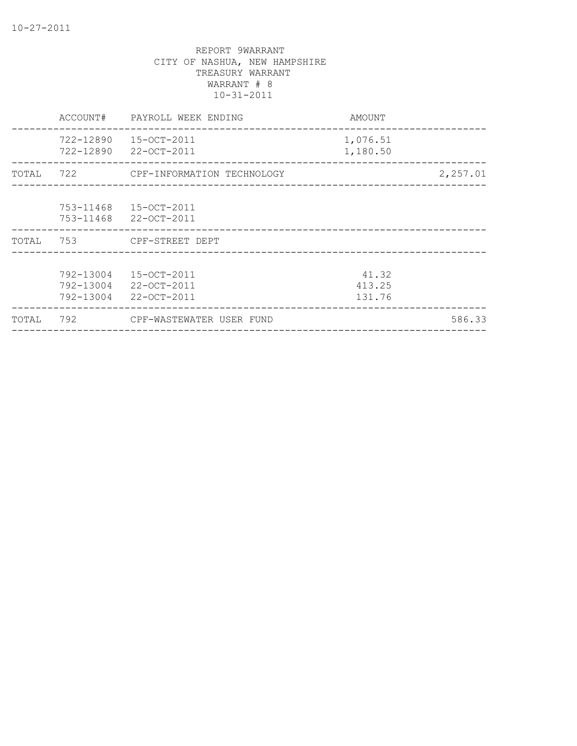|       | ACCOUNT#                            | PAYROLL WEEK ENDING                                         | AMOUNT                    |          |
|-------|-------------------------------------|-------------------------------------------------------------|---------------------------|----------|
|       | 722-12890<br>722-12890              | 15-OCT-2011<br>22-OCT-2011                                  | 1,076.51<br>1,180.50      |          |
| TOTAL |                                     | 722 CPF-INFORMATION TECHNOLOGY                              |                           | 2,257.01 |
|       | 753-11468<br>753-11468              | 15-OCT-2011<br>22-OCT-2011                                  |                           |          |
| TOTAL | 753                                 | CPF-STREET DEPT                                             |                           |          |
|       | 792-13004<br>792-13004<br>792-13004 | $15 - OCT - 2011$<br>$22 - OCT - 2011$<br>$22 - OCT - 2011$ | 41.32<br>413.25<br>131.76 |          |
| TOTAL | 792                                 | CPF-WASTEWATER USER FUND                                    |                           | 586.33   |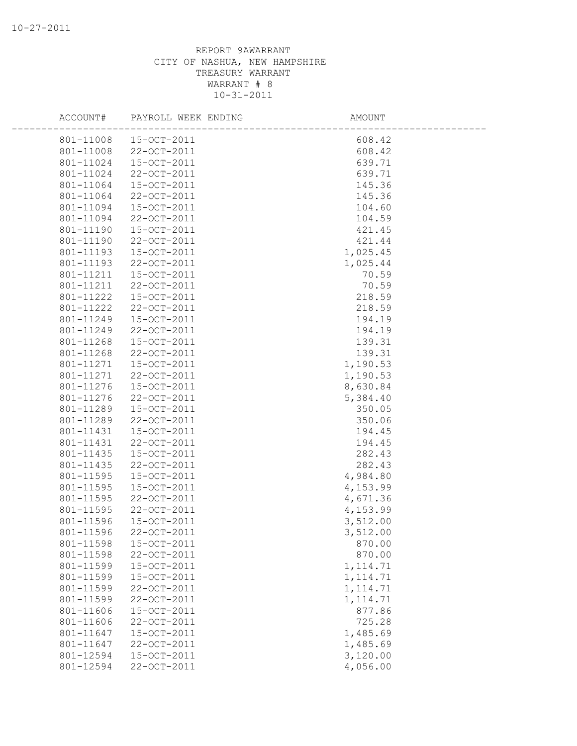| ACCOUNT#  | PAYROLL WEEK ENDING   | AMOUNT    |  |
|-----------|-----------------------|-----------|--|
|           | 801-11008 15-OCT-2011 | 608.42    |  |
| 801-11008 | 22-OCT-2011           | 608.42    |  |
| 801-11024 | 15-OCT-2011           | 639.71    |  |
| 801-11024 | 22-OCT-2011           | 639.71    |  |
| 801-11064 | 15-OCT-2011           | 145.36    |  |
| 801-11064 | 22-OCT-2011           | 145.36    |  |
| 801-11094 | 15-OCT-2011           | 104.60    |  |
| 801-11094 | 22-OCT-2011           | 104.59    |  |
| 801-11190 | 15-OCT-2011           | 421.45    |  |
| 801-11190 | 22-OCT-2011           | 421.44    |  |
| 801-11193 | 15-OCT-2011           | 1,025.45  |  |
| 801-11193 | 22-OCT-2011           | 1,025.44  |  |
| 801-11211 | 15-OCT-2011           | 70.59     |  |
| 801-11211 | 22-OCT-2011           | 70.59     |  |
| 801-11222 | 15-OCT-2011           | 218.59    |  |
| 801-11222 | 22-OCT-2011           | 218.59    |  |
| 801-11249 | 15-OCT-2011           | 194.19    |  |
| 801-11249 | 22-OCT-2011           | 194.19    |  |
| 801-11268 | 15-OCT-2011           | 139.31    |  |
| 801-11268 | 22-OCT-2011           | 139.31    |  |
| 801-11271 | 15-OCT-2011           | 1,190.53  |  |
| 801-11271 | 22-OCT-2011           | 1,190.53  |  |
| 801-11276 | $15-OCT-2011$         | 8,630.84  |  |
| 801-11276 | 22-OCT-2011           | 5,384.40  |  |
| 801-11289 | 15-OCT-2011           | 350.05    |  |
| 801-11289 | 22-OCT-2011           | 350.06    |  |
| 801-11431 | 15-OCT-2011           | 194.45    |  |
| 801-11431 | 22-OCT-2011           | 194.45    |  |
| 801-11435 | 15-OCT-2011           | 282.43    |  |
| 801-11435 | 22-OCT-2011           | 282.43    |  |
| 801-11595 | 15-OCT-2011           | 4,984.80  |  |
| 801-11595 | 15-OCT-2011           | 4,153.99  |  |
| 801-11595 | 22-OCT-2011           | 4,671.36  |  |
| 801-11595 | 22-OCT-2011           | 4,153.99  |  |
| 801-11596 | 15-OCT-2011           | 3,512.00  |  |
| 801-11596 | 22-OCT-2011           | 3,512.00  |  |
| 801-11598 | 15-OCT-2011           | 870.00    |  |
| 801-11598 | 22-OCT-2011           | 870.00    |  |
| 801-11599 | 15-OCT-2011           | 1, 114.71 |  |
| 801-11599 | 15-OCT-2011           | 1, 114.71 |  |
| 801-11599 | 22-OCT-2011           | 1, 114.71 |  |
| 801-11599 | 22-OCT-2011           | 1, 114.71 |  |
| 801-11606 | 15-OCT-2011           | 877.86    |  |
| 801-11606 | 22-OCT-2011           | 725.28    |  |
| 801-11647 | 15-OCT-2011           | 1,485.69  |  |
| 801-11647 | 22-OCT-2011           | 1,485.69  |  |
| 801-12594 | 15-OCT-2011           | 3,120.00  |  |
| 801-12594 | 22-OCT-2011           | 4,056.00  |  |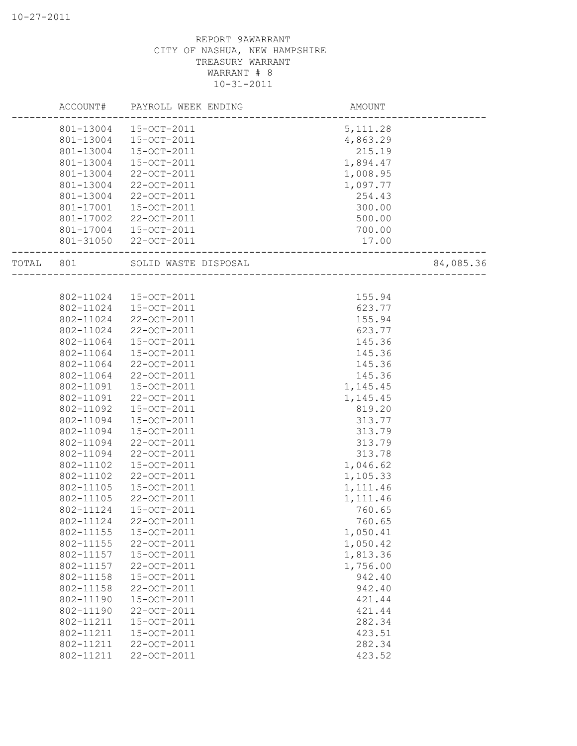|       | ACCOUNT#               | PAYROLL WEEK ENDING  | AMOUNT    |           |
|-------|------------------------|----------------------|-----------|-----------|
|       | 801-13004              | 15-OCT-2011          | 5, 111.28 |           |
|       | 801-13004              | 15-OCT-2011          | 4,863.29  |           |
|       | 801-13004              | 15-OCT-2011          | 215.19    |           |
|       | 801-13004              | 15-OCT-2011          | 1,894.47  |           |
|       | 801-13004              | 22-OCT-2011          | 1,008.95  |           |
|       | 801-13004              | 22-OCT-2011          | 1,097.77  |           |
|       | 801-13004              | 22-OCT-2011          | 254.43    |           |
|       | 801-17001              | 15-OCT-2011          | 300.00    |           |
|       | 801-17002              | 22-OCT-2011          | 500.00    |           |
|       | 801-17004              | 15-OCT-2011          | 700.00    |           |
|       | 801-31050              | 22-OCT-2011          | 17.00     |           |
| TOTAL | 801                    | SOLID WASTE DISPOSAL |           | 84,085.36 |
|       |                        |                      |           |           |
|       | 802-11024              | 15-OCT-2011          | 155.94    |           |
|       | 802-11024              | 15-OCT-2011          | 623.77    |           |
|       | 802-11024              | 22-OCT-2011          | 155.94    |           |
|       | 802-11024              | 22-OCT-2011          | 623.77    |           |
|       | 802-11064              | 15-OCT-2011          | 145.36    |           |
|       | 802-11064              | 15-OCT-2011          | 145.36    |           |
|       | 802-11064              | 22-OCT-2011          | 145.36    |           |
|       | 802-11064              | 22-OCT-2011          | 145.36    |           |
|       | 802-11091              | 15-OCT-2011          | 1,145.45  |           |
|       | 802-11091              | 22-OCT-2011          | 1,145.45  |           |
|       | 802-11092              | 15-OCT-2011          | 819.20    |           |
|       | 802-11094              | 15-OCT-2011          | 313.77    |           |
|       | 802-11094              | 15-OCT-2011          | 313.79    |           |
|       | 802-11094              | 22-OCT-2011          | 313.79    |           |
|       | 802-11094              | 22-OCT-2011          | 313.78    |           |
|       | 802-11102              | 15-OCT-2011          | 1,046.62  |           |
|       | 802-11102              | 22-OCT-2011          | 1,105.33  |           |
|       | 802-11105              | 15-OCT-2011          | 1, 111.46 |           |
|       | 802-11105              | 22-OCT-2011          | 1,111.46  |           |
|       | 802-11124              | 15-OCT-2011          | 760.65    |           |
|       | 802-11124              | 22-OCT-2011          | 760.65    |           |
|       | 802-11155              | 15-OCT-2011          | 1,050.41  |           |
|       | 802-11155              | 22-OCT-2011          | 1,050.42  |           |
|       | 802-11157              | 15-OCT-2011          | 1,813.36  |           |
|       | 802-11157              | 22-OCT-2011          | 1,756.00  |           |
|       | 802-11158              | 15-OCT-2011          | 942.40    |           |
|       | 802-11158              | 22-OCT-2011          | 942.40    |           |
|       | 802-11190              | 15-OCT-2011          | 421.44    |           |
|       | 802-11190              | 22-OCT-2011          | 421.44    |           |
|       | 802-11211              | 15-OCT-2011          | 282.34    |           |
|       |                        |                      |           |           |
|       | 802-11211<br>802-11211 | 15-OCT-2011          | 423.51    |           |
|       |                        | 22-OCT-2011          | 282.34    |           |
|       | 802-11211              | 22-OCT-2011          | 423.52    |           |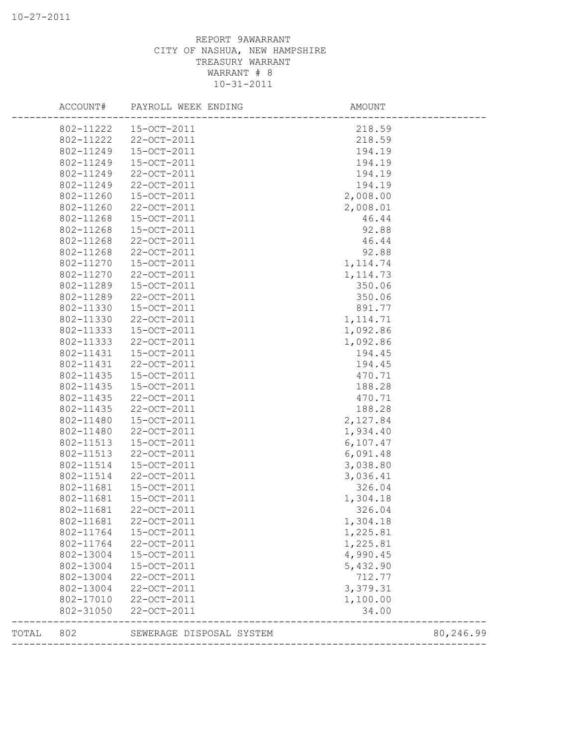## REPORT 9AWARRANT CITY OF NASHUA, NEW HAMPSHIRE TREASURY WARRANT WARRANT # 8 10-31-2011

|       | 802-11222<br>802-11249<br>802-11249<br>802-11249 | 802-11222  15-OCT-2011<br>22-OCT-2011<br>15-OCT-2011 | 218.59<br>218.59     |           |
|-------|--------------------------------------------------|------------------------------------------------------|----------------------|-----------|
|       |                                                  |                                                      |                      |           |
|       |                                                  |                                                      |                      |           |
|       |                                                  |                                                      | 194.19               |           |
|       |                                                  | 15-OCT-2011                                          | 194.19               |           |
|       |                                                  | 22-OCT-2011                                          | 194.19               |           |
|       | 802-11249                                        | 22-OCT-2011                                          | 194.19               |           |
|       | 802-11260                                        | 15-OCT-2011                                          | 2,008.00             |           |
|       | 802-11260                                        | 22-OCT-2011                                          | 2,008.01             |           |
|       | 802-11268                                        | 15-OCT-2011                                          | 46.44                |           |
|       | 802-11268                                        | 15-OCT-2011                                          | 92.88                |           |
|       | 802-11268                                        | 22-OCT-2011                                          | 46.44                |           |
|       | 802-11268                                        | 22-OCT-2011                                          | 92.88                |           |
|       | 802-11270                                        | 15-OCT-2011                                          | 1, 114.74            |           |
|       | 802-11270                                        | 22-OCT-2011                                          | 1, 114.73            |           |
|       | 802-11289                                        | 15-OCT-2011                                          | 350.06               |           |
|       | 802-11289                                        | 22-OCT-2011                                          | 350.06               |           |
|       | 802-11330                                        | 15-OCT-2011                                          | 891.77               |           |
|       | 802-11330                                        | 22-OCT-2011                                          | 1, 114.71            |           |
|       | 802-11333                                        | 15-OCT-2011                                          | 1,092.86             |           |
|       | 802-11333                                        | 22-OCT-2011                                          | 1,092.86             |           |
|       | 802-11431                                        | 15-OCT-2011                                          | 194.45               |           |
|       | 802-11431                                        | 22-OCT-2011                                          | 194.45               |           |
|       | 802-11435                                        | 15-OCT-2011                                          | 470.71               |           |
|       | 802-11435                                        | 15-OCT-2011                                          | 188.28               |           |
|       | 802-11435                                        | 22-OCT-2011                                          | 470.71               |           |
|       | 802-11435                                        | 22-OCT-2011                                          | 188.28               |           |
|       | 802-11480                                        | 15-OCT-2011                                          | 2,127.84             |           |
|       | 802-11480                                        | 22-OCT-2011                                          | 1,934.40             |           |
|       | 802-11513                                        | 15-OCT-2011                                          | 6,107.47             |           |
|       | 802-11513                                        | 22-OCT-2011                                          | 6,091.48             |           |
|       | 802-11514                                        | 15-OCT-2011                                          | 3,038.80             |           |
|       | 802-11514                                        | 22-OCT-2011                                          | 3,036.41             |           |
|       | 802-11681                                        | 15-OCT-2011                                          | 326.04               |           |
|       | 802-11681                                        | 15-OCT-2011                                          | 1,304.18             |           |
|       | 802-11681                                        | 22-OCT-2011                                          | 326.04               |           |
|       | 802-11681                                        | 22-OCT-2011                                          | 1,304.18             |           |
|       | 802-11764                                        | 15-OCT-2011                                          | 1,225.81             |           |
|       | 802-11764                                        | 22-OCT-2011                                          | 1,225.81             |           |
|       | 802-13004                                        | 15-OCT-2011                                          | 4,990.45             |           |
|       | 802-13004                                        | 15-OCT-2011                                          | 5,432.90             |           |
|       | 802-13004                                        | 22-OCT-2011                                          | 712.77               |           |
|       | 802-13004                                        | 22-OCT-2011                                          | 3,379.31             |           |
|       | 802-17010                                        | 22-OCT-2011                                          | 1,100.00             |           |
|       | 802-31050                                        | 22-OCT-2011                                          | 34.00                |           |
| TOTAL | 802                                              | SEWERAGE DISPOSAL SYSTEM                             | ____________________ | 80,246.99 |